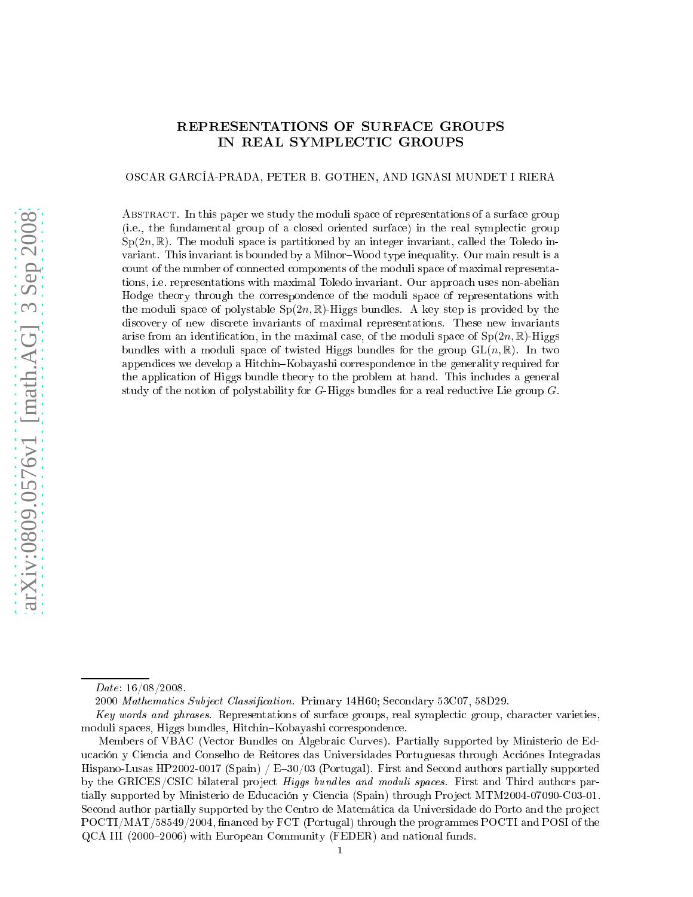# REPRESENTATIONS OF SURFACE GROUPS IN REAL SYMPLECTIC GROUPS

## OSCAR GARCÍA-PRADA, PETER B. GOTHEN, AND IGNASI MUNDET I RIERA

ABSTRACT. In this paper we study the moduli space of representations of a surface group (i.e., the fundamental group of a closed oriented surface) in the real symplectic group  $Sp(2n,\mathbb{R})$ . The moduli space is partitioned by an integer invariant, called the Toledo invariant. This invariant is bounded by a Milnor-Wood type inequality. Our main result is a count of the number of connected components of the moduli space of maximal representations, i.e. representations with maximal Toledo invariant. Our approa
h uses non-abelian Hodge theory through the orresponden
e of the moduli spa
e of representations with the moduli space of polystable  $Sp(2n,\mathbb{R})$ -Higgs bundles. A key step is provided by the discovery of new discrete invariants of maximal representations. These new invariants arise from an identification, in the maximal case, of the moduli space of  $Sp(2n, \mathbb{R})$ -Higgs bundles with a moduli space of twisted Higgs bundles for the group  $GL(n,\mathbb{R})$ . In two appendices we develop a Hitchin–Kobayashi correspondence in the generality required for the application of Higgs bundle theory to the problem at hand. This includes a general study of the notion of polystability for  $G$ -Higgs bundles for a real reductive Lie group  $G$ .

Date: 16/08/2008. Date: 16/08/2008.

<sup>2000</sup> Mathemati
s Subje
t Classi
ation. Primary 14H60; Se
ondary 53C07, 58D29.

Key words and phrases. Representations of surface groups, real symplectic group, character varieties, moduli spaces, Higgs bundles, Hitchin-Kobayashi correspondence.

Members of VBAC (Ve
tor Bundles on Algebrai Curves). Partially supported by Ministerio de Educación y Ciencia and Conselho de Reitores das Universidades Portuguesas through Acciónes Integradas Hispano-Lusas HP2002-0017 (Spain) /  $E=30/03$  (Portugal). First and Second authors partially supported by the GRICES/CSIC bilateral project *Higgs bundles and moduli spaces*. First and Third authors partially supported by Ministerio de Educación y Ciencia (Spain) through Project MTM2004-07090-C03-01. Second author partially supported by the Centro de Matemática da Universidade do Porto and the project POCTI/MAT/58549/2004, financed by FCT (Portugal) through the programmes POCTI and POSI of the QCA III (2000–2006) with European Community (FEDER) and national funds.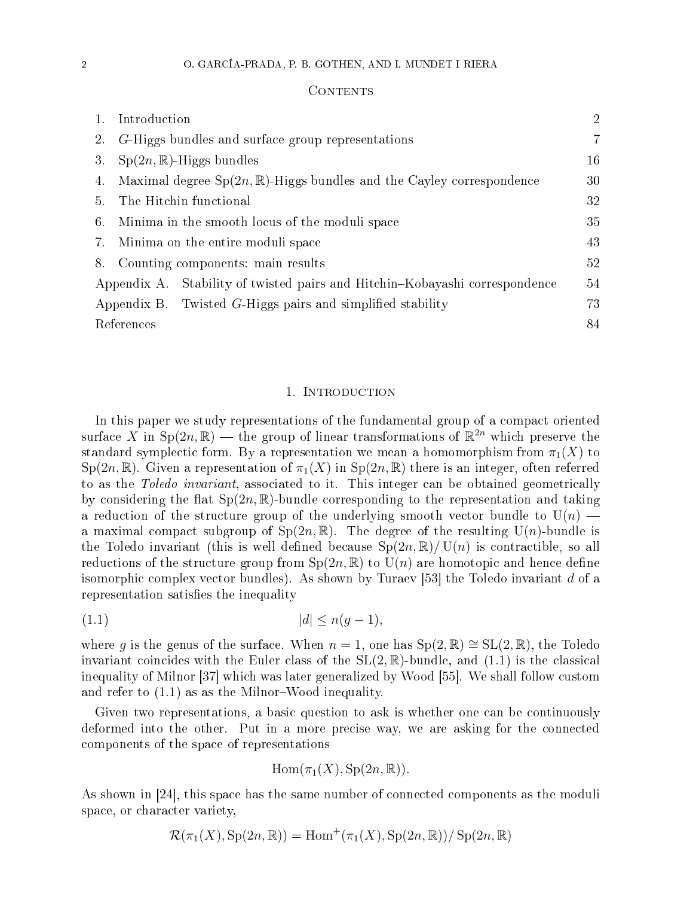#### **CONTENTS**

|    | Introduction                                                                    | $\overline{2}$ |
|----|---------------------------------------------------------------------------------|----------------|
| 2. | G-Higgs bundles and surface group representations                               | 7              |
| 3. | $Sp(2n,\mathbb{R})$ -Higgs bundles                                              | 16             |
| 4. | Maximal degree $Sp(2n,\mathbb{R})$ -Higgs bundles and the Cayley correspondence | 30             |
| 5. | The Hitchin functional                                                          | 32             |
| 6. | Minima in the smooth locus of the moduli space                                  | 35             |
| 7. | Minima on the entire moduli space                                               | 43             |
|    | 8. Counting components: main results                                            | 52             |
|    | Appendix A. Stability of twisted pairs and Hitchin-Kobayashi correspondence     | 54             |
|    | Appendix B. Twisted G-Higgs pairs and simplified stability                      | 73             |
|    | References                                                                      |                |

## 1. INTRODUCTION

In this paper we study representations of the fundamental group of a compact oriented surface X in Sp $(2n,\mathbb{R})$  — the group of linear transformations of  $\mathbb{R}^{2n}$  which preserve the standard symplectic form. By a representation we mean a homomorphism from  $\pi_1(X)$  to  $Sp(2n,\mathbb{R})$ . Given a representation of  $\pi_1(X)$  in  $Sp(2n,\mathbb{R})$  there is an integer, often referred to as the Toledo invariant, associated to it. This integer can be obtained geometrically by considering the flat  $Sp(2n,\mathbb{R})$ -bundle corresponding to the representation and taking a reduction of the structure group of the underlying smooth vector bundle to  $U(n)$  – a maximal compact subgroup of  $Sp(2n, \mathbb{R})$ . The degree of the resulting  $U(n)$ -bundle is the Toledo invariant (this is well defined because  $Sp(2n,\mathbb{R})/ U(n)$  is contractible, so all reductions of the structure group from  $Sp(2n,\mathbb{R})$  to  $U(n)$  are homotopic and hence define isomorphic complex vector bundles). As shown by Turaev [53] the Toledo invariant d of a representation satisfies the inequality

$$
(1.1) \t\t |d| \le n(g-1),
$$

where g is the genus of the surface. When  $n = 1$ , one has  $Sp(2, \mathbb{R}) \cong SL(2, \mathbb{R})$ , the Toledo invariant coincides with the Euler class of the  $SL(2,\mathbb{R})$ -bundle, and  $(1.1)$  is the classical inequality of Milnor  $|37|$  which was later generalized by Wood  $|55|$ . We shall follow custom and refer to  $(1.1)$  as as the Milnor-Wood inequality.

Given two representations, a basic question to ask is whether one can be continuously deformed into the other. Put in a more precise way, we are asking for the connected omponents of the spa
e of representations

$$
\mathrm{Hom}(\pi_1(X), \mathrm{Sp}(2n,\mathbb{R})).
$$

As shown in  $\left[24\right]$ , this space has the same number of connected components as the moduli space, or character variety,

$$
\mathcal{R}(\pi_1(X), \operatorname{Sp}(2n, \mathbb{R})) = \operatorname{Hom}^+(\pi_1(X), \operatorname{Sp}(2n, \mathbb{R})) / \operatorname{Sp}(2n, \mathbb{R})
$$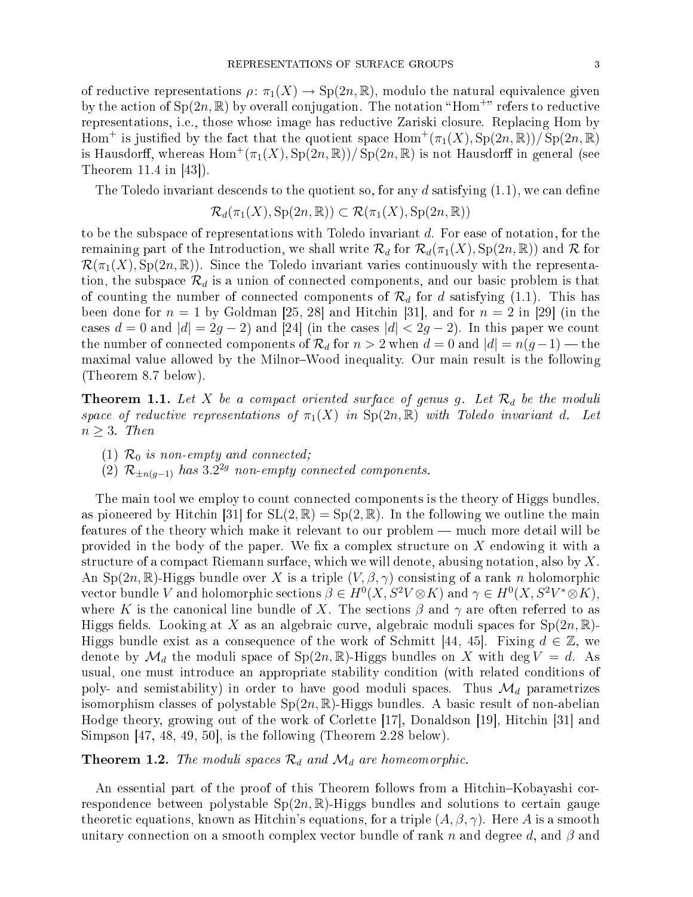of reductive representations  $\rho: \pi_1(X) \to \mathrm{Sp}(2n,\mathbb{R})$ , modulo the natural equivalence given by the action of  $Sp(2n,\mathbb{R})$  by overall conjugation. The notation "Hom<sup>+</sup>" refers to reductive representations, i.e., those whose image has reductive Zariski closure. Replacing Hom by Hom<sup>+</sup> is justified by the fact that the quotient space  $\text{Hom}^+(\pi_1(X), \text{Sp}(2n, \mathbb{R})) / \text{Sp}(2n, \mathbb{R})$ is Hausdorff, whereas  $\mathrm{Hom}^+(\pi_1(X), \mathrm{Sp}(2n,\mathbb{R}))/\mathrm{Sp}(2n,\mathbb{R})$  is not Hausdorff in general (see Theorem  $11.4$  in  $[43]$ ).

The Toledo invariant descends to the quotient so, for any d satisfying  $(1.1)$ , we can define

$$
\mathcal{R}_d(\pi_1(X), \operatorname{Sp}(2n, \mathbb{R})) \subset \mathcal{R}(\pi_1(X), \operatorname{Sp}(2n, \mathbb{R}))
$$

to be the subspa
e of representations with Toledo invariant d. For ease of notation, for the remaining part of the Introduction, we shall write  $\mathcal{R}_d$  for  $\mathcal{R}_d(\pi_1(X), Sp(2n,\mathbb{R}))$  and  $\mathcal R$  for  $\mathcal{R}(\pi_1(X), \operatorname{Sp}(2n, \mathbb{R}))$ . Since the Toledo invariant varies continuously with the representation, the subspace  $\mathcal{R}_d$  is a union of connected components, and our basic problem is that of counting the number of connected components of  $\mathcal{R}_d$  for d satisfying (1.1). This has been done for  $n = 1$  by Goldman [25, 28] and Hitchin [31], and for  $n = 2$  in [29] (in the cases  $d = 0$  and  $|d| = 2g - 2$ ) and [24] (in the cases  $|d| < 2g - 2$ ). In this paper we count the number of connected components of  $\mathcal{R}_d$  for  $n > 2$  when  $d = 0$  and  $|d| = n(g-1)$  — the maximal value allowed by the Milnor-Wood inequality. Our main result is the following (Theorem 8.7 below).

**Theorem 1.1.** Let X be a compact oriented surface of genus g. Let  $\mathcal{R}_d$  be the moduli space of reductive representations of  $\pi_1(X)$  in  $Sp(2n,\mathbb{R})$  with Toledo invariant d. Let  $n > 3$ . Then

- (1)  $\mathcal{R}_0$  is non-empty and connected;
- (2)  $\mathcal{R}_{\pm n(g-1)}$  has  $3.2^{2g}$  non-empty connected components.

The main tool we employ to count connected components is the theory of Higgs bundles, as pioneered by Hitchin [31] for  $SL(2,\mathbb{R}) = Sp(2,\mathbb{R})$ . In the following we outline the main features of the theory which make it relevant to our problem — much more detail will be provided in the body of the paper. We fix a complex structure on  $X$  endowing it with a structure of a compact Riemann surface, which we will denote, abusing notation, also by  $X$ . An Sp(2n, R)-Higgs bundle over X is a triple  $(V, \beta, \gamma)$  consisting of a rank n holomorphic vector bundle V and holomorphic sections  $\beta \in H^0(X, S^2V \otimes K)$  and  $\gamma \in H^0(X, S^2V^* \otimes K)$ , where K is the canonical line bundle of X. The sections  $\beta$  and  $\gamma$  are often referred to as Higgs fields. Looking at X as an algebraic curve, algebraic moduli spaces for  $Sp(2n, \mathbb{R})$ -Higgs bundle exist as a consequence of the work of Schmitt [44, 45]. Fixing  $d \in \mathbb{Z}$ , we denote by  $\mathcal{M}_d$  the moduli space of  $Sp(2n,\mathbb{R})$ -Higgs bundles on X with deg  $V = d$ . As usual, one must introdu
e an appropriate stability ondition (with related onditions of poly- and semistability) in order to have good moduli spaces. Thus  $\mathcal{M}_d$  parametrizes isomorphism classes of polystable  $Sp(2n,\mathbb{R})$ -Higgs bundles. A basic result of non-abelian Hodge theory, growing out of the work of Corlette [17], Donaldson [19], Hitchin [31] and Simpson  $[47, 48, 49, 50]$ , is the following (Theorem 2.28 below).

## **Theorem 1.2.** The moduli spaces  $\mathcal{R}_d$  and  $\mathcal{M}_d$  are homeomorphic.

An essential part of the proof of this Theorem follows from a Hitchin-Kobayashi correspondence between polystable  $Sp(2n,\mathbb{R})$ -Higgs bundles and solutions to certain gauge theoretic equations, known as Hitchin's equations, for a triple  $(A, \beta, \gamma)$ . Here A is a smooth unitary connection on a smooth complex vector bundle of rank n and degree d, and  $\beta$  and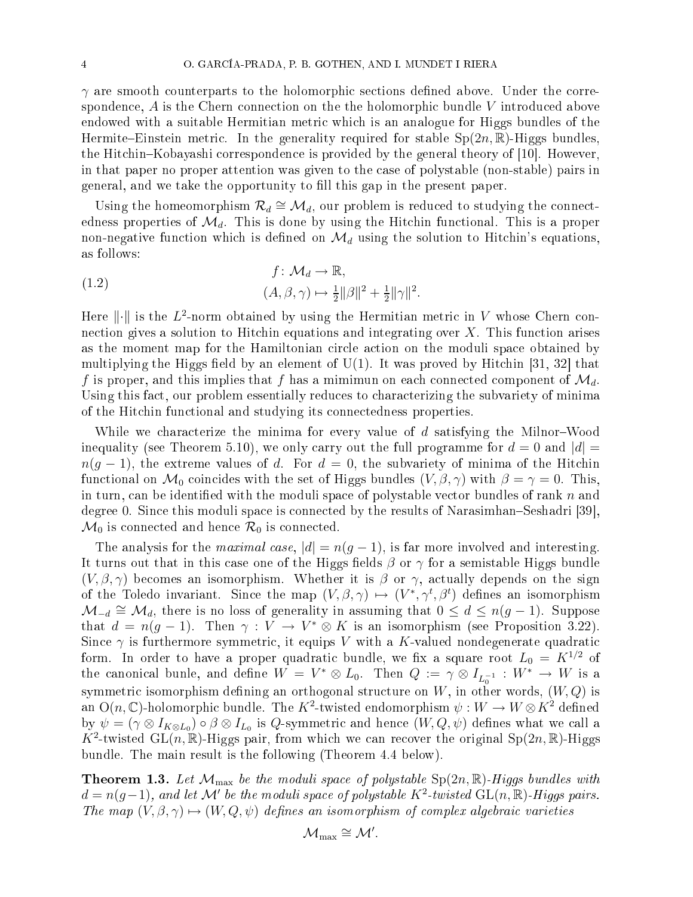$\gamma$  are smooth counterparts to the holomorphic sections defined above. Under the correspondence,  $A$  is the Chern connection on the the holomorphic bundle V introduced above endowed with a suitable Hermitian metric which is an analogue for Higgs bundles of the Hermite–Einstein metric. In the generality required for stable  $Sp(2n,\mathbb{R})$ -Higgs bundles, the Hitchin–Kobayashi correspondence is provided by the general theory of [10]. However, in that paper no proper attention was given to the ase of polystable (non-stable) pairs in general, and we take the opportunity to fill this gap in the present paper.

Using the homeomorphism  $\mathcal{R}_d \cong \mathcal{M}_d$ , our problem is reduced to studying the connectedness properties of  $\mathcal{M}_d$ . This is done by using the Hitchin functional. This is a proper non-negative function which is defined on  $\mathcal{M}_d$  using the solution to Hitchin's equations, as follows:

(1.2) 
$$
f: \mathcal{M}_d \to \mathbb{R},
$$

$$
(A, \beta, \gamma) \mapsto \frac{1}{2} ||\beta||^2 + \frac{1}{2} ||\gamma||^2.
$$

Here  $\lVert \cdot \rVert$  is the  $L^2$ -norm obtained by using the Hermitian metric in V whose Chern connection gives a solution to Hitchin equations and integrating over  $X$ . This function arises as the moment map for the Hamiltonian circle action on the moduli space obtained by multiplying the Higgs field by an element of  $U(1)$ . It was proved by Hitchin [31, 32] that f is proper, and this implies that f has a mimimun on each connected component of  $\mathcal{M}_d$ . Using this fact, our problem essentially reduces to characterizing the subvariety of minima of the Hit
hin fun
tional and studying its onne
tedness properties.

While we characterize the minima for every value of  $d$  satisfying the Milnor-Wood inequality (see Theorem 5.10), we only carry out the full programme for  $d = 0$  and  $|d| =$  $n(q-1)$ , the extreme values of d. For  $d=0$ , the subvariety of minima of the Hitchin functional on  $\mathcal{M}_0$  coincides with the set of Higgs bundles  $(V, \beta, \gamma)$  with  $\beta = \gamma = 0$ . This, in turn, can be identified with the moduli space of polystable vector bundles of rank  $n$  and degree 0. Since this moduli space is connected by the results of Narasimhan–Seshadri [39],  $\mathcal{M}_0$  is connected and hence  $\mathcal{R}_0$  is connected.

The analysis for the *maximal case*,  $|d| = n(g-1)$ , is far more involved and interesting. It turns out that in this case one of the Higgs fields  $\beta$  or  $\gamma$  for a semistable Higgs bundle  $(V, \beta, \gamma)$  becomes an isomorphism. Whether it is  $\beta$  or  $\gamma$ , actually depends on the sign of the Toledo invariant. Since the map  $(V, \beta, \gamma) \mapsto (V^*, \gamma^t, \beta^t)$  defines an isomorphism  $\mathcal{M}_{-d} \cong \mathcal{M}_d$ , there is no loss of generality in assuming that  $0 \leq d \leq n(g-1)$ . Suppose that  $d = n(g-1)$ . Then  $\gamma : V \to V^* \otimes K$  is an isomorphism (see Proposition 3.22). Since  $\gamma$  is furthermore symmetric, it equips V with a K-valued nondegenerate quadratic form. In order to have a proper quadratic bundle, we fix a square root  $L_0 = K^{1/2}$  of the canonical bunle, and define  $W\,=\,V^*\otimes L_0.$  Then  $Q\,:=\,\gamma\otimes I_{L_0^{-1}}\,:\,W^*\,\to\,W$  is a symmetric isomorphism defining an orthogonal structure on W, in other words,  $(W, Q)$  is an O $(n,\mathbb{C})$ -holomorphic bundle. The  $K^2$ -twisted endomorphism  $\psi:W\rightarrow W\mathop{\otimes} K^2$  defined by  $\psi = (\gamma \otimes I_{K \otimes L_0}) \circ \beta \otimes I_{L_0}$  is Q-symmetric and hence  $(W, Q, \psi)$  defines what we call a  $K^2$ -twisted GL $(n, \mathbb{R})$ -Higgs pair, from which we can recover the original Sp $(2n, \mathbb{R})$ -Higgs bundle. The main result is the following (Theorem 4.4 below).

**Theorem 1.3.** Let  $\mathcal{M}_{\text{max}}$  be the moduli space of polystable  $\text{Sp}(2n,\mathbb{R})$ -Higgs bundles with  $d = n(g-1)$ , and let M' be the moduli space of polystable  $K^2$ -twisted  $GL(n, \mathbb{R})$ -Higgs pairs. The map  $(V, \beta, \gamma) \mapsto (W, Q, \psi)$  defines an isomorphism of complex algebraic varieties

$$
\mathcal{M}_{\max}\cong\mathcal{M}'.
$$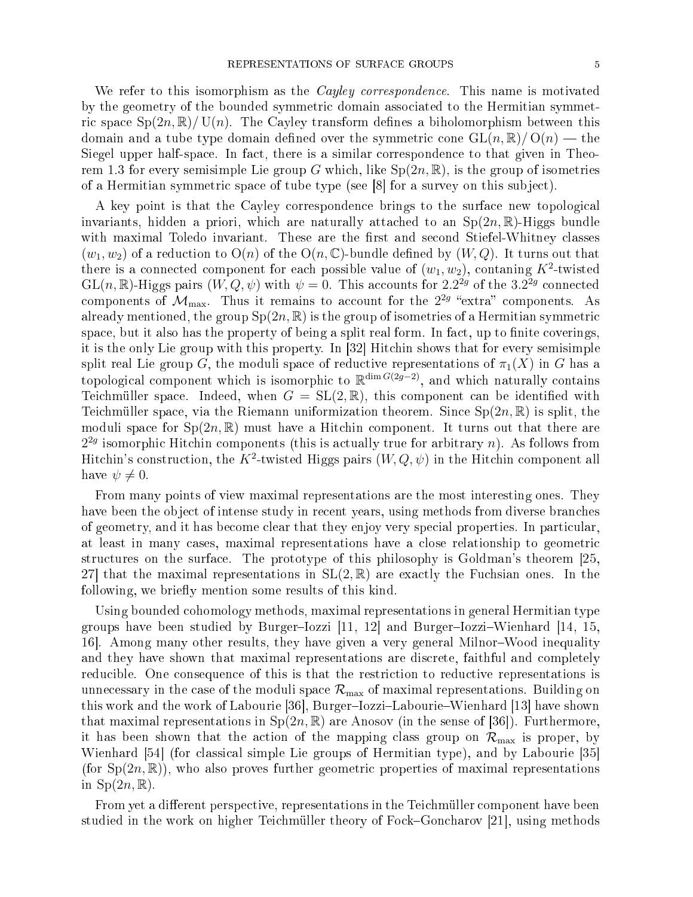We refer to this isomorphism as the *Cayley correspondence*. This name is motivated by the geometry of the bounded symmetric domain associated to the Hermitian symmetric space  $Sp(2n,\mathbb{R})/ U(n)$ . The Cayley transform defines a biholomorphism between this domain and a tube type domain defined over the symmetric cone  $GL(n,\mathbb{R})/O(n)$  — the Siegel upper half-space. In fact, there is a similar correspondence to that given in Theorem 1.3 for every semisimple Lie group G which, like  $Sp(2n,\mathbb{R})$ , is the group of isometries of a Hermitian symmetric space of tube type (see  $[8]$  for a survey on this subject).

A key point is that the Cayley correspondence brings to the surface new topological invariants, hidden a priori, which are naturally attached to an  $Sp(2n,\mathbb{R})$ -Higgs bundle with maximal Toledo invariant. These are the first and second Stiefel-Whitney classes  $(w_1, w_2)$  of a reduction to  $O(n)$  of the  $O(n, \mathbb{C})$ -bundle defined by  $(W, Q)$ . It turns out that there is a connected component for each possible value of  $(w_1, w_2)$ , contaning  $K^2$ -twisted  $\mathrm{GL}(n,\mathbb{R})$ -Higgs pairs  $(W,Q,\psi)$  with  $\psi=0$ . This accounts for  $2.2^{2g}$  of the  $3.2^{2g}$  connected components of  $\mathcal{M}_{\rm max}$ . Thus it remains to account for the  $2^{2g}$  "extra" components. As already mentioned, the group  $Sp(2n, \mathbb{R})$  is the group of isometries of a Hermitian symmetric space, but it also has the property of being a split real form. In fact, up to finite coverings, it is the only Lie group with this property. In  $[32]$  Hitchin shows that for every semisimple split real Lie group G, the moduli space of reductive representations of  $\pi_1(X)$  in G has a topological component which is isomorphic to  $\mathbb{R}^{\dim G(2g-2)}$ , and which naturally contains Teichmüller space. Indeed, when  $G = SL(2, \mathbb{R})$ , this component can be identified with Teichmüller space, via the Riemann uniformization theorem. Since  $Sp(2n,\mathbb{R})$  is split, the moduli space for  $Sp(2n,\mathbb{R})$  must have a Hitchin component. It turns out that there are  $2^{2g}$  isomorphic Hitchin components (this is actually true for arbitrary n). As follows from Hitchin's construction, the  $K^2$ -twisted Higgs pairs  $(W,Q,\psi)$  in the Hitchin component all have  $\psi \neq 0$ .

From many points of view maximal representations are the most interesting ones. They have been the object of intense study in recent years, using methods from diverse branches of geometry, and it has become clear that they enjoy very special properties. In particular, at least in many ases, maximal representations have a lose relationship to geometri structures on the surface. The prototype of this philosophy is Goldman's theorem [25, 27 that the maximal representations in  $SL(2,\mathbb{R})$  are exactly the Fuchsian ones. In the following, we briefly mention some results of this kind.

Using bounded ohomology methods, maximal representations in general Hermitian type groups have been studied by Burger-Iozzi  $[11, 12]$  and Burger-Iozzi-Wienhard  $[14, 15,$ 16. Among many other results, they have given a very general Milnor–Wood inequality and they have shown that maximal representations are discrete, faithful and completely reducible. One consequence of this is that the restriction to reductive representations is unnecessary in the case of the moduli space  $\mathcal{R}_{\text{max}}$  of maximal representations. Building on this work and the work of Labourie [36], Burger-Iozzi-Labourie-Wienhard [13] have shown that maximal representations in  $Sp(2n, \mathbb{R})$  are Anosov (in the sense of [36]). Furthermore, it has been shown that the action of the mapping class group on  $\mathcal{R}_{\text{max}}$  is proper, by Wienhard [54] (for classical simple Lie groups of Hermitian type), and by Labourie [35] (for  $Sp(2n,\mathbb{R})$ ), who also proves further geometric properties of maximal representations in  $Sp(2n,\mathbb{R})$ .

From yet a different perspective, representations in the Teichmüller component have been studied in the work on higher Teichmüller theory of Fock–Goncharov [21], using methods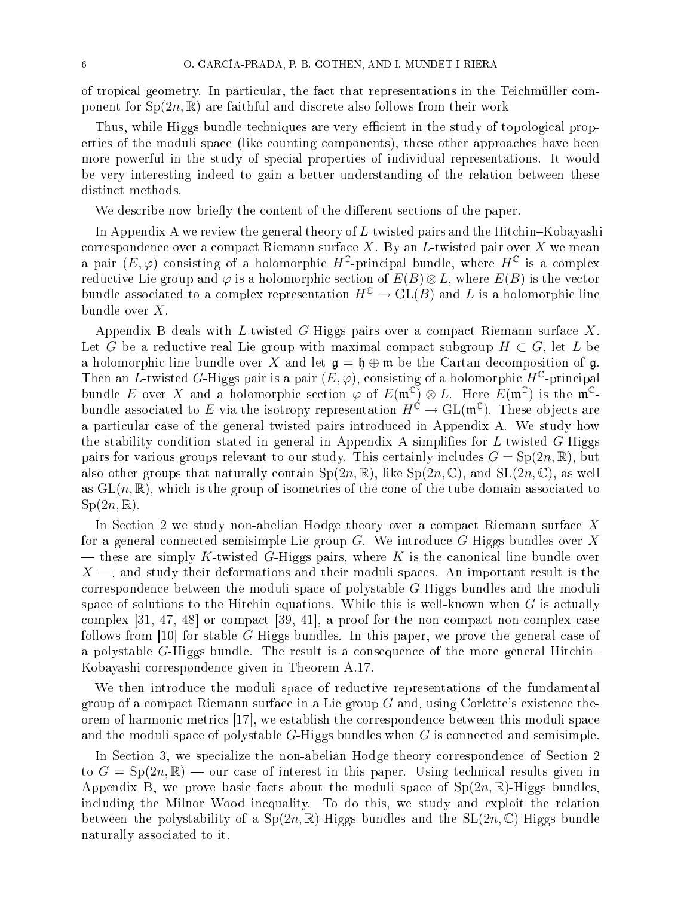of tropical geometry. In particular, the fact that representations in the Teichmüller component for  $Sp(2n, \mathbb{R})$  are faithful and discrete also follows from their work

Thus, while Higgs bundle techniques are very efficient in the study of topological properties of the moduli space (like counting components), these other approaches have been more powerful in the study of spe
ial properties of individual representations. It would be very interesting indeed to gain a better understanding of the relation between these distin
t methods.

We describe now briefly the content of the different sections of the paper.

In Appendix A we review the general theory of  $L$ -twisted pairs and the Hitchin–Kobayashi correspondence over a compact Riemann surface X. By an L-twisted pair over X we mean a pair  $(E, \varphi)$  consisting of a holomorphic H<sup>C</sup>-principal bundle, where H<sup>C</sup> is a complex reductive Lie group and  $\varphi$  is a holomorphic section of  $E(B) \otimes L$ , where  $E(B)$  is the vector bundle associated to a complex representation  $H^{\mathbb{C}} \to GL(B)$  and L is a holomorphic line bundle over  $X$ .

Appendix B deals with L-twisted G-Higgs pairs over a compact Riemann surface  $X$ . Let G be a reductive real Lie group with maximal compact subgroup  $H \subset G$ , let L be a holomorphic line bundle over X and let  $\mathfrak{g} = \mathfrak{h} \oplus \mathfrak{m}$  be the Cartan decomposition of  $\mathfrak{g}$ . Then an L-twisted G-Higgs pair is a pair  $(E, \varphi)$ , consisting of a holomorphic  $H^{\mathbb{C}}$ -principal bundle E over X and a holomorphic section  $\varphi$  of  $E(\mathfrak{m}^{\mathbb{C}}) \otimes L$ . Here  $E(\mathfrak{m}^{\mathbb{C}})$  is the  $\mathfrak{m}^{\mathbb{C}}$ bundle associated to E via the isotropy representation  $H^{\acute{\mathbb C}} \to \mathrm{GL}(\mathfrak{m}^{\mathbb C}).$  These objects are a particular case of the general twisted pairs introduced in Appendix A. We study how the stability condition stated in general in Appendix A simplifies for  $L$ -twisted  $G$ -Higgs pairs for various groups relevant to our study. This certainly includes  $G = Sp(2n, \mathbb{R})$ , but also other groups that naturally contain  $Sp(2n,\mathbb{R})$ , like  $Sp(2n,\mathbb{C})$ , and  $SL(2n,\mathbb{C})$ , as well as  $GL(n,\mathbb{R})$ , which is the group of isometries of the cone of the tube domain associated to  $Sp(2n,\mathbb{R}).$ 

In Section 2 we study non-abelian Hodge theory over a compact Riemann surface X for a general connected semisimple Lie group  $G$ . We introduce  $G$ -Higgs bundles over X — these are simply K-twisted G-Higgs pairs, where K is the canonical line bundle over  $X \longrightarrow$ , and study their deformations and their moduli spaces. An important result is the orresponden
e between the moduli spa
e of polystable G-Higgs bundles and the moduli space of solutions to the Hitchin equations. While this is well-known when  $G$  is actually complex  $\left[31, 47, 48\right]$  or compact  $\left[39, 41\right]$ , a proof for the non-compact non-complex case follows from [10] for stable G-Higgs bundles. In this paper, we prove the general case of a polystable G-Higgs bundle. The result is a consequence of the more general Hitchin-Kobayashi orresponden
e given in Theorem A.17.

We then introduce the moduli space of reductive representations of the fundamental group of a compact Riemann surface in a Lie group  $G$  and, using Corlette's existence theorem of harmonic metrics  $[17]$ , we establish the correspondence between this moduli space and the moduli spa
e of polystable G-Higgs bundles when G is onne
ted and semisimple.

In Section 3, we specialize the non-abelian Hodge theory correspondence of Section 2 to  $G = Sp(2n, \mathbb{R})$  — our case of interest in this paper. Using technical results given in Appendix B, we prove basic facts about the moduli space of  $Sp(2n,\mathbb{R})$ -Higgs bundles, including the Milnor–Wood inequality. To do this, we study and exploit the relation between the polystability of a  $Sp(2n,\mathbb{R})$ -Higgs bundles and the  $SL(2n,\mathbb{C})$ -Higgs bundle naturally asso
iated to it.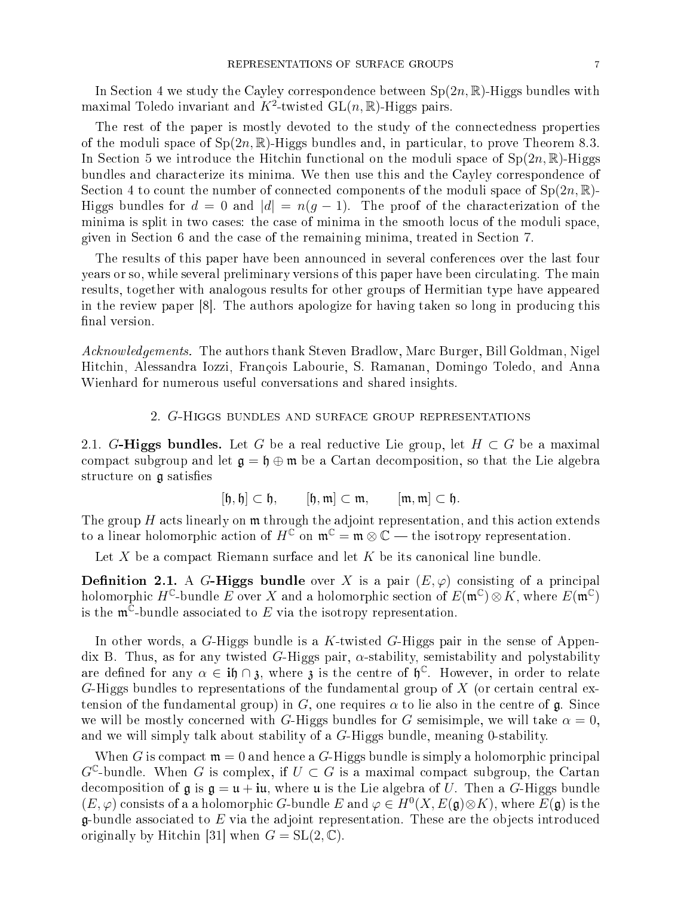In Section 4 we study the Cayley correspondence between  $Sp(2n,\mathbb{R})$ -Higgs bundles with maximal Toledo invariant and  $K^2$ -twisted  $\text{GL}(n,\mathbb{R})$ -Higgs pairs.

The rest of the paper is mostly devoted to the study of the onne
tedness properties of the moduli space of  $Sp(2n,\mathbb{R})$ -Higgs bundles and, in particular, to prove Theorem 8.3. In Section 5 we introduce the Hitchin functional on the moduli space of  $Sp(2n,\mathbb{R})$ -Higgs bundles and characterize its minima. We then use this and the Cayley correspondence of Section 4 to count the number of connected components of the moduli space of  $Sp(2n, \mathbb{R})$ -Higgs bundles for  $d = 0$  and  $|d| = n(g - 1)$ . The proof of the characterization of the minima is split in two cases: the case of minima in the smooth locus of the moduli space, given in Se
tion 6 and the ase of the remaining minima, treated in Se
tion 7.

The results of this paper have been announ
ed in several onferen
es over the last four years or so, while several preliminary versions of this paper have been circulating. The main results, together with analogous results for other groups of Hermitian type have appeared in the review paper  $[8]$ . The authors apologize for having taken so long in producing this final version.

Acknowledgements. The authors thank Steven Bradlow, Marc Burger, Bill Goldman, Nigel Hit
hin, Alessandra Iozzi, François Labourie, S. Ramanan, Domingo Toledo, and Anna Wienhard for numerous useful onversations and shared insights.

#### 2. G-Higgs bundles and surfa
e group representations

2.1. G-Higgs bundles. Let G be a real reductive Lie group, let  $H \subset G$  be a maximal compact subgroup and let  $\mathfrak{g} = \mathfrak{h} \oplus \mathfrak{m}$  be a Cartan decomposition, so that the Lie algebra structure on  $\mathfrak g$  satisfies

$$
[\mathfrak{h},\mathfrak{h}]\subset\mathfrak{h},\qquad[\mathfrak{h},\mathfrak{m}]\subset\mathfrak{m},\qquad[\mathfrak{m},\mathfrak{m}]\subset\mathfrak{h}.
$$

The group  $H$  acts linearly on  $\mathfrak m$  through the adjoint representation, and this action extends to a linear holomorphic action of  $H^{\mathbb{C}}$  on  $\mathfrak{m}^{\mathbb{C}} = \mathfrak{m} \otimes \mathbb{C}$  the isotropy representation.

Let X be a compact Riemann surface and let K be its canonical line bundle.

**Definition 2.1.** A G-Higgs bundle over X is a pair  $(E, \varphi)$  consisting of a principal holomorphic  $H^{\mathbb{C}}$ -bundle E over X and a holomorphic section of  $E(\mathfrak{m}^{\mathbb{C}}) \otimes K$ , where  $E(\mathfrak{m}^{\mathbb{C}})$ is the  $\mathfrak{m}^{\mathbb{C}}$ -bundle associated to E via the isotropy representation.

In other words, a  $G$ -Higgs bundle is a  $K$ -twisted  $G$ -Higgs pair in the sense of Appendix B. Thus, as for any twisted G-Higgs pair,  $\alpha$ -stability, semistability and polystability are defined for any  $\alpha \in \mathbf{i} \mathfrak{h} \cap \mathfrak{z}$ , where  $\mathfrak{z}$  is the centre of  $\mathfrak{h}^{\mathbb{C}}$ . However, in order to relate  $G$ -Higgs bundles to representations of the fundamental group of  $X$  (or certain central extension of the fundamental group) in G, one requires  $\alpha$  to lie also in the centre of  $\mathfrak{g}$ . Since we will be mostly concerned with G-Higgs bundles for G semisimple, we will take  $\alpha = 0$ , and we will simply talk about stability of <sup>a</sup> G-Higgs bundle, meaning 0-stability.

When G is compact  $\mathfrak{m} = 0$  and hence a G-Higgs bundle is simply a holomorphic principal  $G^{\mathbb{C}}$ -bundle. When G is complex, if  $U \subset G$  is a maximal compact subgroup, the Cartan decomposition of  $\mathfrak g$  is  $\mathfrak g = \mathfrak u + i\mathfrak u$ , where  $\mathfrak u$  is the Lie algebra of U. Then a G-Higgs bundle  $(E, \varphi)$  consists of a a holomorphic G-bundle E and  $\varphi \in H^0(X, E(\mathfrak{g}) \otimes K)$ , where  $E(\mathfrak{g})$  is the  $\mathfrak g$ -bundle associated to E via the adjoint representation. These are the objects introduced originally by Hitchin [31] when  $G = SL(2, \mathbb{C})$ .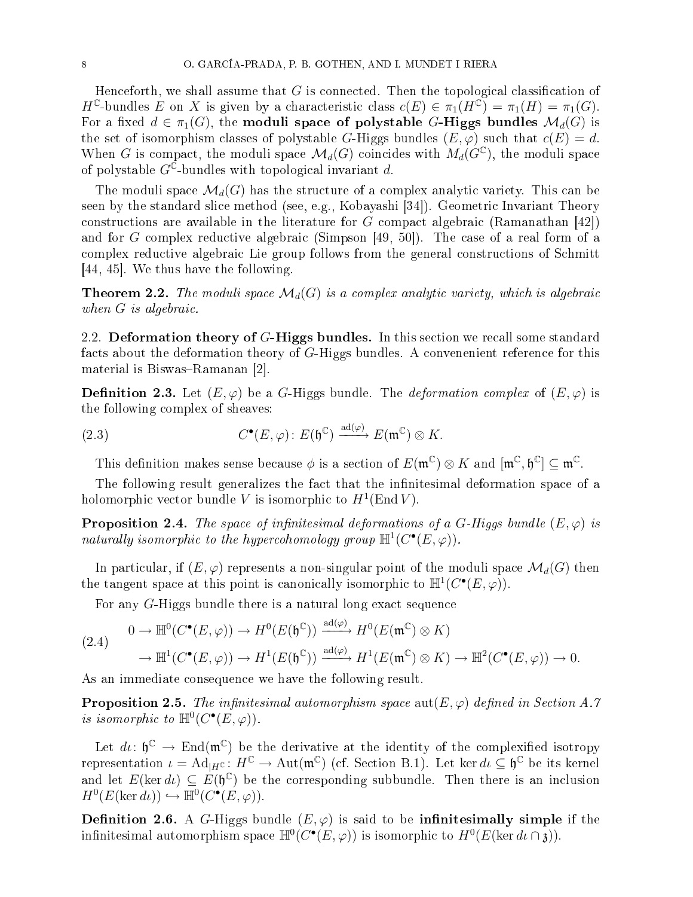Henceforth, we shall assume that  $G$  is connected. Then the topological classification of  $H^{\mathbb{C}}$ -bundles E on X is given by a characteristic class  $c(E) \in \pi_1(H^{\mathbb{C}}) = \pi_1(H) = \pi_1(G)$ . For a fixed  $d \in \pi_1(G)$ , the moduli space of polystable G-Higgs bundles  $\mathcal{M}_d(G)$  is the set of isomorphism classes of polystable G-Higgs bundles  $(E, \varphi)$  such that  $c(E) = d$ . When G is compact, the moduli space  $\mathcal{M}_d(G)$  coincides with  $M_d(G^{\mathbb{C}})$ , the moduli space of polystable  $G^{\bar{\mathbb{C}}}$ -bundles with topological invariant d.

The moduli space  $\mathcal{M}_d(G)$  has the structure of a complex analytic variety. This can be seen by the standard slice method (see, e.g., Kobayashi [34]). Geometric Invariant Theory constructions are available in the literature for G compact algebraic (Ramanathan [42]) and for G complex reductive algebraic (Simpson  $[49, 50]$ ). The case of a real form of a complex reductive algebraic Lie group follows from the general constructions of Schmitt [44, 45]. We thus have the following.

**Theorem 2.2.** The moduli space  $\mathcal{M}_d(G)$  is a complex analytic variety, which is algebraic when *G* is algebraic.

2.2. Deformation theory of G-Higgs bundles. In this section we recall some standard facts about the deformation theory of G-Higgs bundles. A convenenient reference for this material is Biswas-Ramanan [2].

**Definition 2.3.** Let  $(E, \varphi)$  be a G-Higgs bundle. The *deformation complex* of  $(E, \varphi)$  is the following omplex of sheaves:

(2.3) 
$$
C^{\bullet}(E,\varphi) \colon E(\mathfrak{h}^{\mathbb{C}}) \xrightarrow{\mathrm{ad}(\varphi)} E(\mathfrak{m}^{\mathbb{C}}) \otimes K.
$$

This definition makes sense because  $\phi$  is a section of  $E(\mathfrak{m}^{\mathbb{C}}) \otimes K$  and  $[\mathfrak{m}^{\mathbb{C}}, \mathfrak{h}^{\mathbb{C}}] \subseteq \mathfrak{m}^{\mathbb{C}}$ .

The following result generalizes the fact that the infinitesimal deformation space of a holomorphic vector bundle V is isomorphic to  $H^1(\text{End }V)$ .

**Proposition 2.4.** The space of infinitesimal deformations of a G-Higgs bundle  $(E, \varphi)$  is naturally isomorphic to the hypercohomology group  $\mathbb{H}^1(C^{\bullet}(E,\varphi))$ .

In particular, if  $(E, \varphi)$  represents a non-singular point of the moduli space  $\mathcal{M}_d(G)$  then the tangent space at this point is canonically isomorphic to  $\mathbb{H}^1(C^{\bullet}(E,\varphi)).$ 

For any G-Higgs bundle there is a natural long exact sequence

$$
(2.4) \qquad 0 \to \mathbb{H}^0(C^\bullet(E,\varphi)) \to H^0(E(\mathfrak{h}^{\mathbb{C}})) \xrightarrow{\mathrm{ad}(\varphi)} H^0(E(\mathfrak{m}^{\mathbb{C}}) \otimes K)
$$
  

$$
\to \mathbb{H}^1(C^\bullet(E,\varphi)) \to H^1(E(\mathfrak{h}^{\mathbb{C}})) \xrightarrow{\mathrm{ad}(\varphi)} H^1(E(\mathfrak{m}^{\mathbb{C}}) \otimes K) \to \mathbb{H}^2(C^\bullet(E,\varphi)) \to 0.
$$

As an immediate consequence we have the following result.

**Proposition 2.5.** The infinitesimal automorphism space  $\text{aut}(E, \varphi)$  defined in Section A.7 is isomorphic to  $\mathbb{H}^0(C^{\bullet}(E,\varphi)).$ 

Let  $d\iota \colon \mathfrak{h}^{\mathbb{C}} \to \text{End}(\mathfrak{m}^{\mathbb{C}})$  be the derivative at the identity of the complexified isotropy representation  $\iota = \operatorname{Ad}_{|H^{\mathbb{C}}}: H^{\mathbb{C}} \to \operatorname{Aut}(\mathfrak{m}^{\mathbb{C}})$  (cf. Section B.1). Let ker  $d\iota \subseteq \mathfrak{h}^{\mathbb{C}}$  be its kernel and let  $E(\ker d\iota) \subseteq E(\mathfrak{h}^{\mathbb{C}})$  be the corresponding subbundle. Then there is an inclusion  $H^0(E(\ker d\iota)) \hookrightarrow \mathbb{H}^0(C^{\bullet}(E, \varphi)).$ 

**Definition 2.6.** A G-Higgs bundle  $(E, \varphi)$  is said to be **infinitesimally simple** if the infinitesimal automorphism space  $\mathbb{H}^0(C^\bullet(E,\varphi))$  is isomorphic to  $H^0(E(\ker d\iota \cap{\mathfrak{z}})).$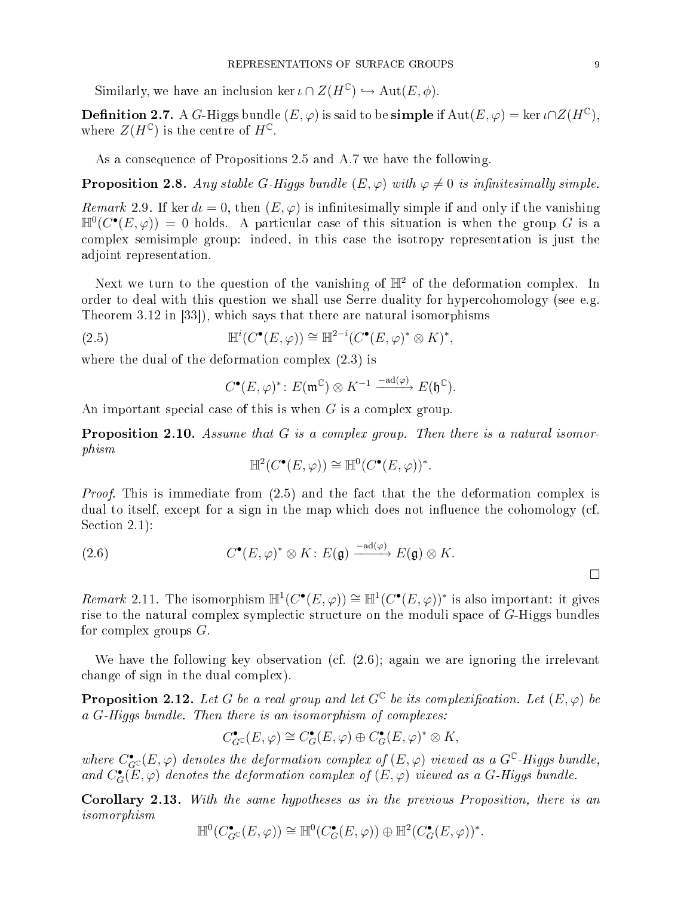Similarly, we have an inclusion ker  $\iota \cap Z(H^{\mathbb{C}}) \hookrightarrow \text{Aut}(E, \phi)$ .

**Definition 2.7.** A G-Higgs bundle  $(E, \varphi)$  is said to be **simple** if  $\text{Aut}(E, \varphi) = \ker \iota \cap Z(H^{\mathbb{C}}),$ where  $Z(H^{\mathbb{C}})$  is the centre of  $H^{\mathbb{C}}$ .

As a onsequen
e of Propositions 2.5 and A.7 we have the following.

**Proposition 2.8.** Any stable G-Higgs bundle  $(E, \varphi)$  with  $\varphi \neq 0$  is infinitesimally simple.

Remark 2.9. If ker  $d\iota = 0$ , then  $(E, \varphi)$  is infinitesimally simple if and only if the vanishing  $\mathbb{H}^0(C^{\bullet}(E,\varphi)) = 0$  holds. A particular case of this situation is when the group G is a omplex semisimple group: indeed, in this ase the isotropy representation is just the adjoint representation.

Next we turn to the question of the vanishing of  $\mathbb{H}^2$  of the deformation complex. In order to deal with this question we shall use Serre duality for hypercohomology (see e.g. Theorem  $3.12$  in  $[33]$ , which says that there are natural isomorphisms

(2.5) 
$$
\mathbb{H}^i(C^{\bullet}(E,\varphi)) \cong \mathbb{H}^{2-i}(C^{\bullet}(E,\varphi)^* \otimes K)^*,
$$

where the dual of the deformation complex  $(2.3)$  is

$$
C^{\bullet}(E, \varphi)^* \colon E(\mathfrak{m}^{\mathbb{C}}) \otimes K^{-1} \xrightarrow{-\mathrm{ad}(\varphi)} E(\mathfrak{h}^{\mathbb{C}}).
$$

An important special case of this is when  $G$  is a complex group.

**Proposition 2.10.** Assume that  $G$  is a complex group. Then there is a natural isomorphism

$$
\mathbb{H}^2(C^\bullet(E,\varphi)) \cong \mathbb{H}^0(C^\bullet(E,\varphi))^*.
$$

*Proof.* This is immediate from (2.5) and the fact that the the deformation complex is dual to itself, except for a sign in the map which does not influence the cohomology (cf. Section  $2.1$ :

(2.6) 
$$
C^{\bullet}(E,\varphi)^* \otimes K : E(\mathfrak{g}) \xrightarrow{-\mathrm{ad}(\varphi)} E(\mathfrak{g}) \otimes K.
$$

Remark 2.11. The isomorphism  $\mathbb{H}^1(C^{\bullet}(E,\varphi)) \cong \mathbb{H}^1(C^{\bullet}(E,\varphi))^*$  is also important: it gives rise to the natural complex symplectic structure on the moduli space of G-Higgs bundles for omplex groups G.

We have the following key observation (cf.  $(2.6)$ ; again we are ignoring the irrelevant hange of sign in the dual omplex).

**Proposition 2.12.** Let G be a real group and let  $G^{\mathbb{C}}$  be its complexification. Let  $(E, \varphi)$  be a G-Higgs bundle. Then there is an isomorphism of complexes:

$$
C_{G^{\mathbb{C}}}^{\bullet}(E,\varphi) \cong C_{G}^{\bullet}(E,\varphi) \oplus C_{G}^{\bullet}(E,\varphi)^* \otimes K,
$$

where  $C^{\bullet}_{G^{\mathbb{C}}}(E,\varphi)$  denotes the deformation complex of  $(E,\varphi)$  viewed as a  $G^{\mathbb{C}}$ -Higgs bundle, and  $C_G^{\bullet}(E, \varphi)$  denotes the deformation complex of  $(E, \varphi)$  viewed as a G-Higgs bundle.

Corollary 2.13. With the same hypotheses as in the previous Proposition, there is an isomorphism

$$
\mathbb{H}^0(C_{G^{\mathbb{C}}}^{\bullet}(E,\varphi)) \cong \mathbb{H}^0(C_G^{\bullet}(E,\varphi)) \oplus \mathbb{H}^2(C_G^{\bullet}(E,\varphi))^*.
$$

 $\Box$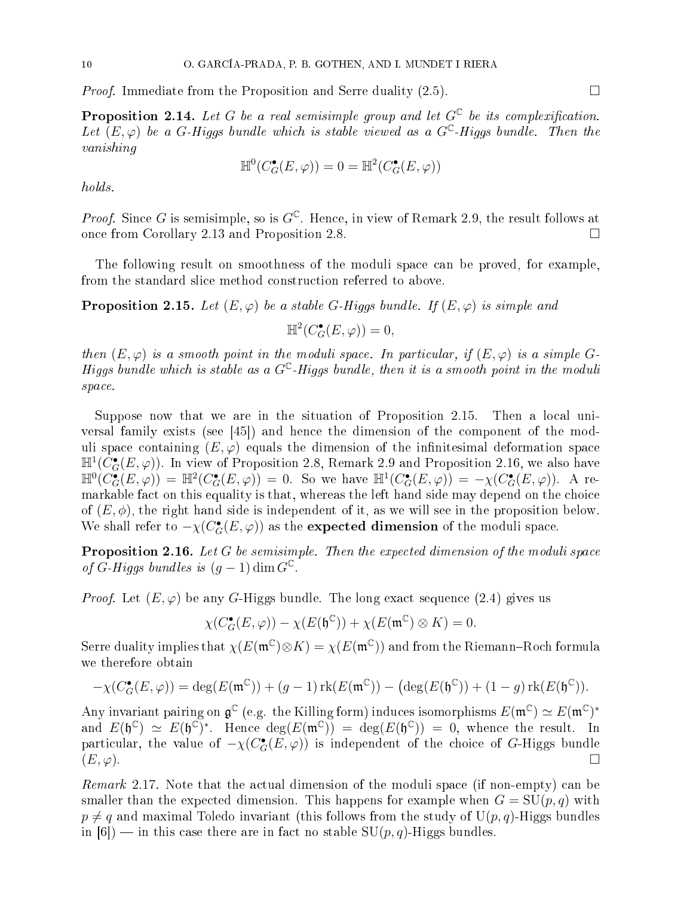*Proof.* Immediate from the Proposition and Serre duality  $(2.5)$ .

**Proposition 2.14.** Let G be a real semisimple group and let  $G^{\mathbb{C}}$  be its complexification. Let  $(E, \varphi)$  be a G-Higgs bundle which is stable viewed as a G<sup>C</sup>-Higgs bundle. Then the vanishing

$$
\mathbb{H}^0(C_G^{\bullet}(E,\varphi)) = 0 = \mathbb{H}^2(C_G^{\bullet}(E,\varphi))
$$

holds.

*Proof.* Since G is semisimple, so is  $G^{\mathbb{C}}$ . Hence, in view of Remark 2.9, the result follows at once from Corollary 2.13 and Proposition 2.8.

The following result on smoothness of the moduli spa
e an be proved, for example, from the standard slice method construction referred to above.

**Proposition 2.15.** Let  $(E, \varphi)$  be a stable G-Higgs bundle. If  $(E, \varphi)$  is simple and

$$
\mathbb{H}^2(C_G^{\bullet}(E,\varphi)) = 0,
$$

then  $(E, \varphi)$  is a smooth point in the moduli space. In particular, if  $(E, \varphi)$  is a simple G-Higgs bundle which is stable as a  $G^{\mathbb{C}}$ -Higgs bundle, then it is a smooth point in the moduli space.

Suppose now that we are in the situation of Proposition 2.15. Then a local universal family exists (see  $[45]$ ) and hence the dimension of the component of the moduli space containing  $(E, \varphi)$  equals the dimension of the infinitesimal deformation space  $\mathbb{H}^1(C^{\bullet}_G(E,\varphi))$ . In view of Proposition 2.8, Remark 2.9 and Proposition 2.16, we also have  $\mathbb{H}^0(C_G^{\bullet}(E,\varphi)) = \mathbb{H}^2(C_G^{\bullet}(E,\varphi)) = 0.$  So we have  $\mathbb{H}^1(C_G^{\bullet}(E,\varphi)) = -\chi(C_G^{\bullet}(E,\varphi)).$  A remarkable fact on this equality is that, whereas the left hand side may depend on the choice of  $(E, \phi)$ , the right hand side is independent of it, as we will see in the proposition below. We shall refer to  $-\chi(C_G^\bullet(E,\varphi))$  as the  $\bf{expected\ dimension}$  of the moduli space.

**Proposition 2.16.** Let G be semisimple. Then the expected dimension of the moduli space of G-Higgs bundles is  $(g-1)$  dim  $G^{\mathbb{C}}$ .

*Proof.* Let  $(E, \varphi)$  be any G-Higgs bundle. The long exact sequence (2.4) gives us

 $\chi(C_G^{\bullet}(E,\varphi)) - \chi(E(\mathfrak{h}^{\mathbb{C}})) + \chi(E(\mathfrak{m}^{\mathbb{C}}) \otimes K) = 0.$ 

Serre duality implies that  $\chi(E(\mathfrak{m}^{\mathbb{C}})\otimes K)=\chi(E(\mathfrak{m}^{\mathbb{C}}))$  and from the Riemann–Roch formula we therefore obtain

$$
-\chi(C_G^{\bullet}(E,\varphi)) = \deg(E(\mathfrak{m}^{\mathbb{C}})) + (g-1)\operatorname{rk}(E(\mathfrak{m}^{\mathbb{C}})) - (\deg(E(\mathfrak{h}^{\mathbb{C}})) + (1-g)\operatorname{rk}(E(\mathfrak{h}^{\mathbb{C}})).
$$

Any invariant pairing on  $\frak g^\mathbb C$  (e.g. the Killing form) induces isomorphisms  $E(\frak m^\mathbb C)\simeq E(\frak m^\mathbb C)^*$ and  $E(\mathfrak{h}^{\mathbb{C}}) \simeq E(\mathfrak{h}^{\mathbb{C}})^*$ . Hence  $\deg(E(\mathfrak{m}^{\mathbb{C}})) = \deg(E(\mathfrak{h}^{\mathbb{C}})) = 0$ , whence the result. In particular, the value of  $-\chi(C_G^{\bullet}(E,\varphi))$  is independent of the choice of G-Higgs bundle  $(E, \varphi)$ .

Remark 2.17. Note that the actual dimension of the moduli space (if non-empty) can be smaller than the expected dimension. This happens for example when  $G = SU(p, q)$  with  $p \neq q$  and maximal Toledo invariant (this follows from the study of  $U(p, q)$ -Higgs bundles in [6]) — in this case there are in fact no stable  $SU(p, q)$ -Higgs bundles.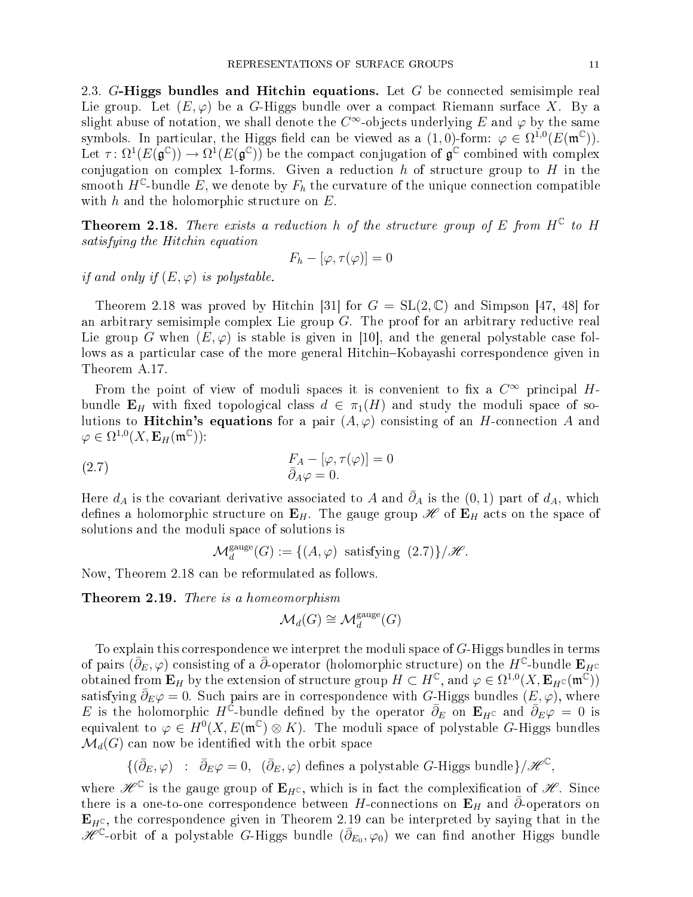2.3. G-Higgs bundles and Hitchin equations. Let  $G$  be connected semisimple real Lie group. Let  $(E, \varphi)$  be a G-Higgs bundle over a compact Riemann surface X. By a slight abuse of notation, we shall denote the  $C^\infty$ -objects underlying  $E$  and  $\varphi$  by the same symbols. In particular, the Higgs field can be viewed as a  $(1,0)$ -form:  $\varphi \in \Omega^{1,0}(E(\mathfrak{m}^{\mathbb{C}}))$ . Let  $\tau \colon \Omega^1(E(\mathfrak{g}^{\mathbb{C}})) \to \Omega^1(E(\mathfrak{g}^{\mathbb{C}}))$  be the compact conjugation of  $\mathfrak{g}^{\mathbb{C}}$  combined with complex conjugation on complex 1-forms. Given a reduction h of structure group to H in the smooth  $H^{\mathbb{C}}$ -bundle  $\tilde{E}$ , we denote by  $F_h$  the curvature of the unique connection compatible with  $h$  and the holomorphic structure on  $E$ .

**Theorem 2.18.** There exists a reduction h of the structure group of E from  $H^{\mathbb{C}}$  to H satisfying the Hitchin equation

$$
F_h - [\varphi, \tau(\varphi)] = 0
$$

if and only if  $(E, \varphi)$  is polystable.

Theorem 2.18 was proved by Hitchin [31] for  $G = SL(2, \mathbb{C})$  and Simpson [47, 48] for an arbitrary semisimple complex Lie group  $G$ . The proof for an arbitrary reductive real Lie group G when  $(E, \varphi)$  is stable is given in [10], and the general polystable case follows as a particular case of the more general Hitchin–Kobayashi correspondence given in Theorem A.17.

From the point of view of moduli spaces it is convenient to fix a  $C^\infty$  principal  $H$ bundle  $\mathbf{E}_H$  with fixed topological class  $d \in \pi_1(H)$  and study the moduli space of solutions to **Hitchin's equations** for a pair  $(A, \varphi)$  consisting of an *H*-connection *A* and  $\varphi \in \Omega^{1,0}(X,{\bf{E}}_H(\mathfrak{m}^{\mathbb{C}}))$ :

(2.7) 
$$
F_A - [\varphi, \tau(\varphi)] = 0
$$

$$
\bar{\partial}_A \varphi = 0.
$$

Here  $d_A$  is the covariant derivative associated to A and  $\bar{\partial}_A$  is the  $(0,1)$  part of  $d_A$ , which defines a holomorphic structure on  $\mathbf{E}_H$ . The gauge group  $\mathscr{H}$  of  $\mathbf{E}_H$  acts on the space of solutions and the moduli spa
e of solutions is

 $\mathcal{M}_d^{\text{gauge}}(G) := \{ (A, \varphi) \text{ satisfying } (2.7) \} / \mathscr{H}.$ 

Now, Theorem 2.18 an be reformulated as follows.

Theorem 2.19. There is a homeomorphism

$$
\mathcal{M}_d(G) \cong \mathcal{M}_d^{\text{gauge}}(G)
$$

To explain this orresponden
e we interpret the moduli spa
e of G-Higgs bundles in terms of pairs  $(\bar{\partial}_E, \varphi)$  consisting of a  $\bar{\partial}$ -operator (holomorphic structure) on the  $H^{\mathbb{C}}$ -bundle  ${\bf E}_H$ c obtained from  $\mathbf{E}_H$  by the extension of structure group  $H \subset H^{\mathbb{C}}$ , and  $\varphi \in \Omega^{1,0}(X, \mathbf{E}_{H^{\mathbb{C}}}(\mathfrak{m}^{\tilde{\mathbb{C}}}))$ satisfying  $\bar{\partial}_E \varphi = 0$ . Such pairs are in correspondence with G-Higgs bundles  $(E, \varphi)$ , where E is the holomorphic H<sup>C</sup>-bundle defined by the operator  $\bar{\partial}_E$  on  $\mathbf{E}_{H^C}$  and  $\bar{\partial}_E \varphi = 0$  is equivalent to  $\varphi \in H^0(X, E(\mathfrak{m}^{\mathbb{C}}) \otimes K)$ . The moduli space of polystable G-Higgs bundles  $\mathcal{M}_d(G)$  can now be identified with the orbit space

 $\{(\bar{\partial}_E, \varphi) \ : \ \bar{\partial}_E \varphi = 0, \ \ (\bar{\partial}_E, \varphi) \ \text{defines a polystable } G \text{-Higgs bundle}\}/\mathscr{H}^{\mathbb{C}},$ 

where  $\mathscr{H}^{\mathbb{C}}$  is the gauge group of  $\mathbf{E}_{H^{\mathbb{C}}},$  which is in fact the complexification of  $\mathscr{H}.$  Since there is a one-to-one correspondence between H-connections on  $\mathbf{E}_H$  and  $\bar{\partial}$ -operators on  $\mathbf{E}_{H^{\mathbb{C}}}$ , the correspondence given in Theorem 2.19 can be interpreted by saying that in the  $\check{{\mathscr H}}^{\mathbb C}$ -orbit of a polystable G-Higgs bundle  $(\bar{\partial}_{E_0},\varphi_0)$  we can find another Higgs bundle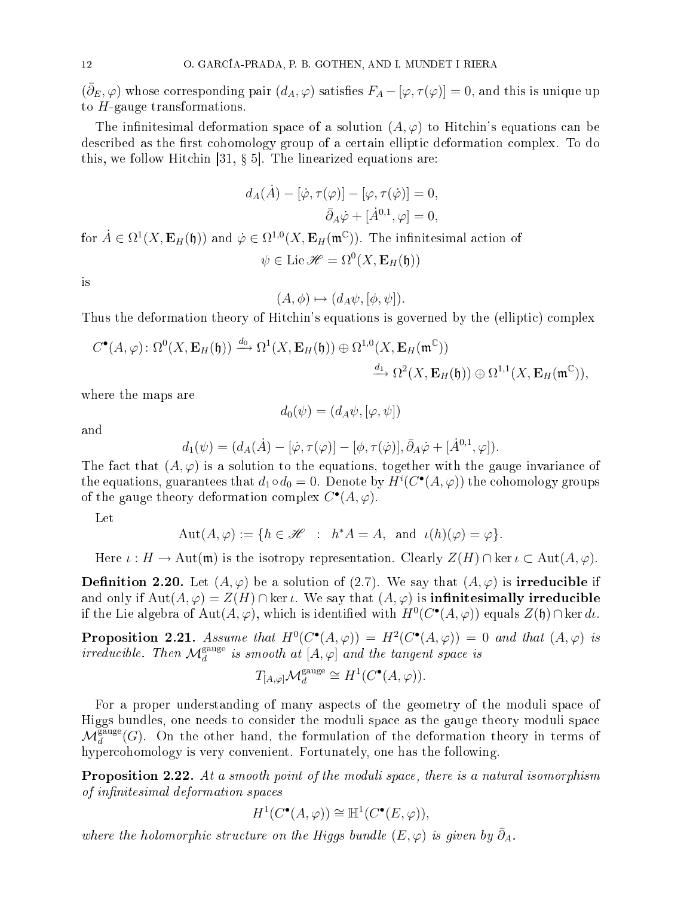$(\bar{\partial}_E, \varphi)$  whose corresponding pair  $(d_A, \varphi)$  satisfies  $F_A - [\varphi, \tau(\varphi)] = 0$ , and this is unique up to  $H$ -gauge transformations.

The infinitesimal deformation space of a solution  $(A, \varphi)$  to Hitchin's equations can be described as the first cohomology group of a certain elliptic deformation complex. To do this, we follow Hitchin [31,  $\S$  5]. The linearized equations are:

$$
d_A(\dot{A}) - [\dot{\varphi}, \tau(\varphi)] - [\varphi, \tau(\dot{\varphi})] = 0,
$$
  

$$
\bar{\partial}_A \dot{\varphi} + [\dot{A}^{0,1}, \varphi] = 0,
$$

for  $\dot{A}\in\Omega^1(X,{\bf{E}}_H(\mathfrak{h}))$  and  $\dot{\varphi}\in\Omega^{1,0}(X,{\bf{E}}_H(\mathfrak{m}^{\mathbb{C}})).$  The infinitesimal action of  $\psi \in \mathrm{Lie}\,\mathscr{H} = \Omega^0(X,\mathbf{E}_H(\mathfrak{h}))$ 

is

$$
(A, \phi) \mapsto (d_A \psi, [\phi, \psi]).
$$

Thus the deformation theory of Hitchin's equations is governed by the (elliptic) complex

$$
C^{\bullet}(A,\varphi) \colon \Omega^{0}(X, \mathbf{E}_{H}(\mathfrak{h})) \xrightarrow{d_{0}} \Omega^{1}(X, \mathbf{E}_{H}(\mathfrak{h})) \oplus \Omega^{1,0}(X, \mathbf{E}_{H}(\mathfrak{m}^{\mathbb{C}}))
$$

$$
\xrightarrow{d_{1}} \Omega^{2}(X, \mathbf{E}_{H}(\mathfrak{h})) \oplus \Omega^{1,1}(X, \mathbf{E}_{H}(\mathfrak{m}^{\mathbb{C}})),
$$

where the maps are

$$
d_0(\psi) = (d_A \psi, [\varphi, \psi])
$$

and

$$
d_1(\psi) = (d_A(\dot{A}) - [\dot{\varphi}, \tau(\varphi)] - [\phi, \tau(\dot{\varphi})], \bar{\partial}_A \dot{\varphi} + [\dot{A}^{0,1}, \varphi]).
$$

The fact that  $(A, \varphi)$  is a solution to the equations, together with the gauge invariance of the equations, guarantees that  $d_1 \circ d_0 = 0$ . Denote by  $H^i(C^{\bullet}(A,\varphi))$  the cohomology groups of the gauge theory deformation complex  $C^{\bullet}(A,\varphi)$ .

Let

$$
Aut(A, \varphi) := \{ h \in \mathcal{H} : h^*A = A, \text{ and } \iota(h)(\varphi) = \varphi \}.
$$

Here  $\iota : H \to \text{Aut}(\mathfrak{m})$  is the isotropy representation. Clearly  $Z(H) \cap \ker \iota \subset \text{Aut}(A, \varphi)$ .

**Definition 2.20.** Let  $(A, \varphi)$  be a solution of (2.7). We say that  $(A, \varphi)$  is **irreducible** if and only if  $\text{Aut}(A, \varphi) = Z(H) \cap \ker \iota$ . We say that  $(A, \varphi)$  is **infinitesimally irreducible** if the Lie algebra of  $\text{Aut}(A, \varphi)$ , which is identified with  $H^0(C^{\bullet}(A, \varphi))$  equals  $Z(\mathfrak{h}) \cap \ker d\iota$ .

**Proposition 2.21.** Assume that  $H^0(C^{\bullet}(A, \varphi)) = H^2(C^{\bullet}(A, \varphi)) = 0$  and that  $(A, \varphi)$  is irreducible. Then  $\mathcal{M}_d^{\text{gauge}}$  is smooth at  $[A, \varphi]$  and the tangent space is

$$
T_{[A,\varphi]} \mathcal{M}_d^{\text{gauge}} \cong H^1(C^\bullet(A,\varphi)).
$$

For a proper understanding of many aspects of the geometry of the moduli space of Higgs bundles, one needs to consider the moduli space as the gauge theory moduli space  $\mathcal{M}_d^{\text{gauge}}(G)$ . On the other hand, the formulation of the deformation theory in terms of hypercohomology is very convenient. Fortunately, one has the following.

**Proposition 2.22.** At a smooth point of the moduli space, there is a natural isomorphism of infinitesimal deformation spaces

$$
H^1(C^{\bullet}(A,\varphi)) \cong \mathbb{H}^1(C^{\bullet}(E,\varphi)),
$$

where the holomorphic structure on the Higgs bundle  $(E, \varphi)$  is given by  $\bar{\partial}_A$ .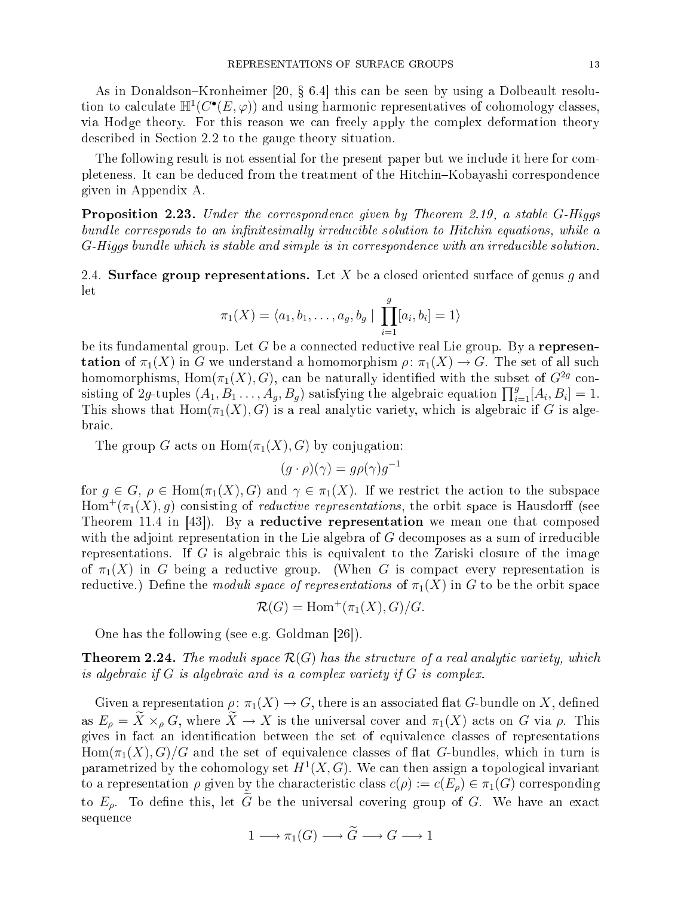As in Donaldson–Kronheimer [20,  $\S$  6.4] this can be seen by using a Dolbeault resolution to calculate  $\mathbb{H}^1(C^{\bullet}(E,\varphi))$  and using harmonic representatives of cohomology classes, via Hodge theory. For this reason we an freely apply the omplex deformation theory des
ribed in Se
tion 2.2 to the gauge theory situation.

The following result is not essential for the present paper but we include it here for completeness. It can be deduced from the treatment of the Hitchin–Kobayashi correspondence given in Appendix A.

Proposition 2.23. Under the correspondence given by Theorem 2.19, a stable G-Higgs bundle corresponds to an infinitesimally irreducible solution to Hitchin equations, while a  $G$ -Higgs bundle which is stable and simple is in correspondence with an irreducible solution.

2.4. Surface group representations. Let X be a closed oriented surface of genus q and let

$$
\pi_1(X) = \langle a_1, b_1, \dots, a_g, b_g \mid \prod_{i=1}^g [a_i, b_i] = 1 \rangle
$$

be its fundamental group. Let G be a connected reductive real Lie group. By a represen**tation** of  $\pi_1(X)$  in G we understand a homomorphism  $\rho: \pi_1(X) \to G$ . The set of all such homomorphisms,  $\mathrm{Hom}(\pi_1(X), G)$ , can be naturally identified with the subset of  $G^{2g}$  consisting of 2g-tuples  $(A_1, B_1, \ldots, A_g, B_g)$  satisfying the algebraic equation  $\prod_{i=1}^g [A_i, B_i] = 1$ . This shows that  $Hom(\pi_1(X), G)$  is a real analytic variety, which is algebraic if G is algebrai
.

The group G acts on  $\text{Hom}(\pi_1(X), G)$  by conjugation:

$$
(g \cdot \rho)(\gamma) = g\rho(\gamma)g^{-1}
$$

for  $g \in G$ ,  $\rho \in \text{Hom}(\pi_1(X), G)$  and  $\gamma \in \pi_1(X)$ . If we restrict the action to the subspace  $\mathrm{Hom}^+(\pi_1(X),g)$  consisting of *reductive representations*, the orbit space is Hausdorff (see Theorem 11.4 in  $[43]$ . By a reductive representation we mean one that composed with the adjoint representation in the Lie algebra of  $G$  decomposes as a sum of irreducible representations. If  $G$  is algebraic this is equivalent to the Zariski closure of the image of  $\pi_1(X)$  in G being a reductive group. (When G is compact every representation is reductive.) Define the *moduli space of representations* of  $\pi_1(X)$  in G to be the orbit space

 $\mathcal{R}(G) = \text{Hom}^+(\pi_1(X), G)/G.$ 

One has the following (see e.g. Goldman  $[26]$ ).

**Theorem 2.24.** The moduli space  $\mathcal{R}(G)$  has the structure of a real analytic variety, which is algebraic if  $G$  is algebraic and is a complex variety if  $G$  is complex.

Given a representation  $\rho: \pi_1(X) \to G$ , there is an associated flat G-bundle on X, defined as  $E_{\rho} = \tilde{X} \times_{\rho} G$ , where  $\tilde{X} \to X$  is the universal cover and  $\pi_1(X)$  acts on G via  $\rho$ . This gives in fact an identification between the set of equivalence classes of representations  $Hom(\pi_1(X), G)/G$  and the set of equivalence classes of flat G-bundles, which in turn is parametrized by the cohomology set  $H^1(X, G)$ . We can then assign a topological invariant to a representation  $\rho$  given by the characteristic class  $c(\rho) := c(E_{\rho}) \in \pi_1(G)$  corresponding to  $E_{\rho}$ . To define this, let  $\tilde{G}$  be the universal covering group of G. We have an exact sequen
e

$$
1 \longrightarrow \pi_1(G) \longrightarrow \widetilde{G} \longrightarrow G \longrightarrow 1
$$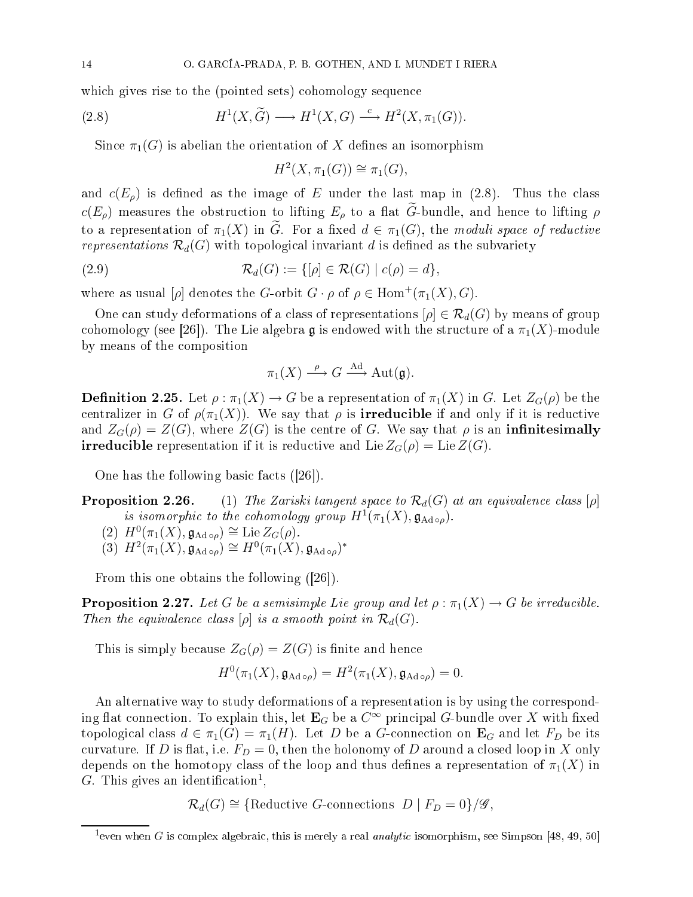which gives rise to the (pointed sets) cohomology sequence

(2.8) 
$$
H^1(X, \widetilde{G}) \longrightarrow H^1(X, G) \stackrel{c}{\longrightarrow} H^2(X, \pi_1(G)).
$$

Since  $\pi_1(G)$  is abelian the orientation of X defines an isomorphism

$$
H^2(X, \pi_1(G)) \cong \pi_1(G),
$$

and  $c(E_{\rho})$  is defined as the image of E under the last map in (2.8). Thus the class  $c(E_{\rho})$  measures the obstruction to lifting  $E_{\rho}$  to a flat  $\tilde{G}$ -bundle, and hence to lifting  $\rho$ to a representation of  $\pi_1(X)$  in G. For a fixed  $d \in \pi_1(G)$ , the moduli space of reductive representations  $\mathcal{R}_d(G)$  with topological invariant d is defined as the subvariety

(2.9) 
$$
\mathcal{R}_d(G) := \{ [\rho] \in \mathcal{R}(G) \mid c(\rho) = d \},
$$

where as usual  $[\rho]$  denotes the G-orbit  $G \cdot \rho$  of  $\rho \in \text{Hom}^+(\pi_1(X), G)$ .

One can study deformations of a class of representations  $[\rho] \in \mathcal{R}_d(G)$  by means of group cohomology (see [26]). The Lie algebra g is endowed with the structure of a  $\pi_1(X)$ -module by means of the omposition

$$
\pi_1(X) \xrightarrow{\rho} G \xrightarrow{\text{Ad}} \text{Aut}(\mathfrak{g}).
$$

**Definition 2.25.** Let  $\rho : \pi_1(X) \to G$  be a representation of  $\pi_1(X)$  in G. Let  $Z_G(\rho)$  be the centralizer in G of  $\rho(\pi_1(X))$ . We say that  $\rho$  is **irreducible** if and only if it is reductive and  $Z_G(\rho) = Z(G)$ , where  $Z(G)$  is the centre of G. We say that  $\rho$  is an **infinitesimally irreducible** representation if it is reductive and Lie  $Z_G(\rho) = \text{Lie }Z(G)$ .

One has the following basic facts  $([26])$ .

**Proposition 2.26.** (1) The Zariski tangent space to  $\mathcal{R}_d(G)$  at an equivalence class [ $\rho$ ] is isomorphic to the cohomology group  $H^1(\pi_1(X), \mathfrak{g}_{\mathrm{Ad}}\circ \rho)$ .

$$
(2) H^0(\pi_1(X), \mathfrak{g}_{\mathrm{Ad}\circ\rho}) \cong \mathrm{Lie}\, Z_G(\rho).
$$

$$
(3) H^2(\pi_1(X), \mathfrak{g}_{\mathrm{Ad}\,\circ\rho}) \cong H^0(\pi_1(X), \mathfrak{g}_{\mathrm{Ad}\,\circ\rho})^*
$$

From this one obtains the following  $(|26|)$ .

**Proposition 2.27.** Let G be a semisimple Lie group and let  $\rho : \pi_1(X) \to G$  be irreducible. Then the equivalence class  $[\rho]$  is a smooth point in  $\mathcal{R}_d(G)$ .

This is simply because  $Z_G(\rho) = Z(G)$  is finite and hence

$$
H^0(\pi_1(X), \mathfrak{g}_{\mathrm{Ad}\circ\rho}) = H^2(\pi_1(X), \mathfrak{g}_{\mathrm{Ad}\circ\rho}) = 0.
$$

An alternative way to study deformations of a representation is by using the orresponding flat connection. To explain this, let  $\mathbf{E}_G$  be a  $C^\infty$  principal  $G\text{-bundle over }X$  with fixed topological class  $d \in \pi_1(G) = \pi_1(H)$ . Let D be a G-connection on  $\mathbf{E}_G$  and let  $F_D$  be its curvature. If D is flat, i.e.  $F_D = 0$ , then the holonomy of D around a closed loop in X only depends on the homotopy class of the loop and thus defines a representation of  $\pi_1(X)$  in G. This gives an identification<sup>1</sup>,

 $\mathcal{R}_d(G) \cong \{\text{Reductive } G\text{-connections } D \mid F_D = 0\}/\mathscr{G},$ 

<sup>&</sup>lt;sup>1</sup> even when G is complex algebraic, this is merely a real *analytic* isomorphism, see Simpson [48, 49, 50]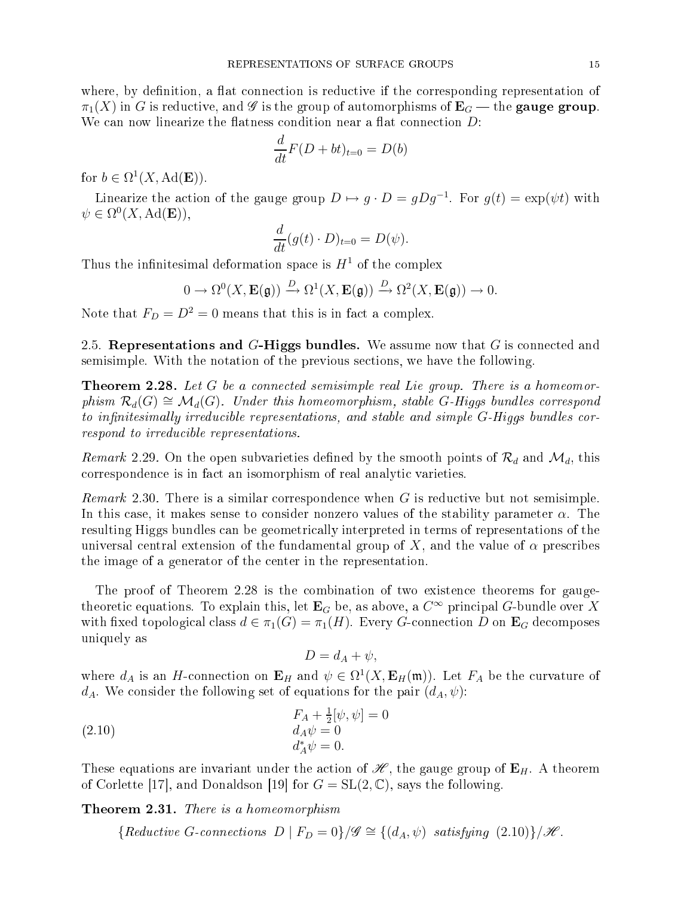where, by definition, a flat connection is reductive if the corresponding representation of  $\pi_1(X)$  in G is reductive, and G is the group of automorphisms of  $\mathbf{E}_G$  — the gauge group. We can now linearize the flatness condition near a flat connection  $D$ :

$$
\frac{d}{dt}F(D+bt)_{t=0} = D(b)
$$

for  $b \in \Omega^1(X, \text{Ad}(\mathbf{E}))$ .

Linearize the action of the gauge group  $D \mapsto g \cdot D = gDg^{-1}$ . For  $g(t) = \exp(\psi t)$  with  $\psi \in \Omega^0(X, \operatorname{Ad}(\mathbf{E})),$ 

$$
\frac{d}{dt}(g(t)\cdot D)_{t=0}=D(\psi).
$$

Thus the infinitesimal deformation space is  $H<sup>1</sup>$  of the complex

$$
0 \to \Omega^0(X, \mathbf{E}(\mathfrak{g})) \xrightarrow{D} \Omega^1(X, \mathbf{E}(\mathfrak{g})) \xrightarrow{D} \Omega^2(X, \mathbf{E}(\mathfrak{g})) \to 0.
$$

Note that  $F_D = D^2 = 0$  means that this is in fact a complex.

2.5. Representations and  $G$ -Higgs bundles. We assume now that  $G$  is connected and semisimple. With the notation of the previous se
tions, we have the following.

**Theorem 2.28.** Let G be a connected semisimple real Lie group. There is a homeomorphism  $\mathcal{R}_d(G) \cong \mathcal{M}_d(G)$ . Under this homeomorphism, stable G-Higgs bundles correspond to infinitesimally irreducible representations, and stable and simple  $G$ -Higgs bundles correspond to irreducible representations.

*Remark* 2.29. On the open subvarieties defined by the smooth points of  $\mathcal{R}_d$  and  $\mathcal{M}_d$ , this orresponden
e is in fa
t an isomorphism of real analyti varieties.

*Remark* 2.30. There is a similar correspondence when  $G$  is reductive but not semisimple. In this case, it makes sense to consider nonzero values of the stability parameter  $\alpha$ . The resulting Higgs bundles an be geometri
ally interpreted in terms of representations of the universal central extension of the fundamental group of X, and the value of  $\alpha$  prescribes the image of a generator of the enter in the representation.

The proof of Theorem 2.28 is the ombination of two existen
e theorems for gaugetheoretic equations. To explain this, let  $\mathbf{E}_G$  be, as above, a  $C^\infty$  principal G-bundle over  $X$ with fixed topological class  $d \in \pi_1(G) = \pi_1(H)$ . Every G-connection D on  $\mathbf{E}_G$  decomposes uniquely as

$$
D=d_A+\psi,
$$

where  $d_A$  is an H-connection on  $\mathbf{E}_H$  and  $\psi \in \Omega^1(X, \mathbf{E}_H(\mathfrak{m}))$ . Let  $F_A$  be the curvature of  $d_A$ . We consider the following set of equations for the pair  $(d_A, \psi)$ :

(2.10) 
$$
F_A + \frac{1}{2}[\psi, \psi] = 0 \nd_A \psi = 0 \nd_A^* \psi = 0.
$$

These equations are invariant under the action of  $\mathcal{H}$ , the gauge group of  $\mathbf{E}_H$ . A theorem of Corlette [17], and Donaldson [19] for  $G = SL(2, \mathbb{C})$ , says the following.

**Theorem 2.31.** There is a homeomorphism

 ${Reductive\ G\text{-}connections\ D | F_D = 0}/\mathscr{G} \cong {(d_A, \psi) satisfying (2.10)}/\mathscr{H}.$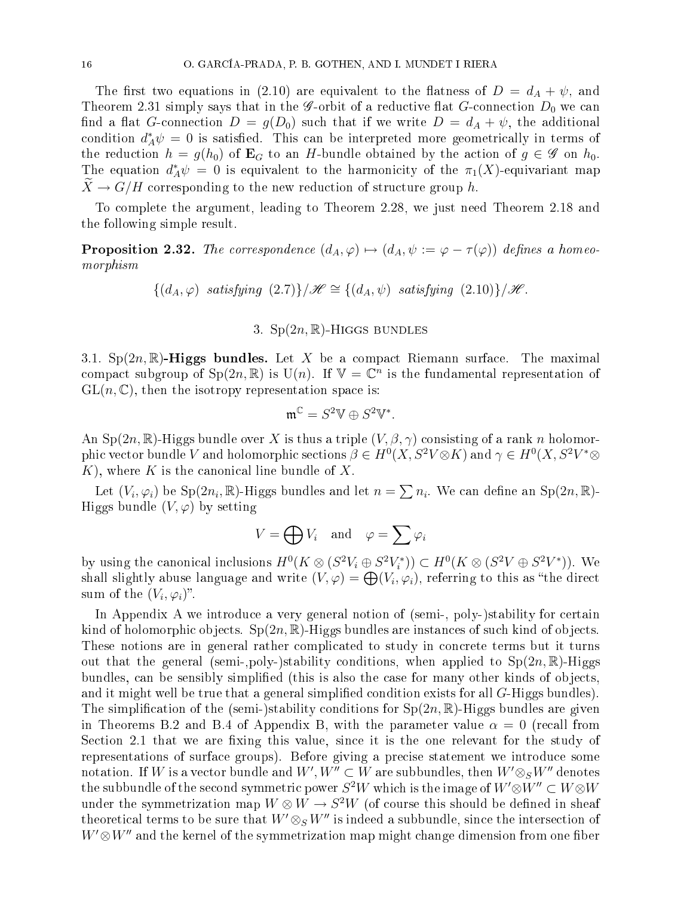The first two equations in (2.10) are equivalent to the flatness of  $D = d_A + \psi$ , and Theorem 2.31 simply says that in the *G*-orbit of a reductive flat *G*-connection  $D_0$  we can find a flat G-connection  $D = g(D_0)$  such that if we write  $D = d_A + \psi$ , the additional condition  $d_A^*\psi = 0$  is satisfied. This can be interpreted more geometrically in terms of the reduction  $h = g(h_0)$  of  $\mathbf{E}_G$  to an H-bundle obtained by the action of  $g \in \mathscr{G}$  on  $h_0$ . The equation  $d_A^*\psi = 0$  is equivalent to the harmonicity of the  $\pi_1(X)$ -equivariant map  $\tilde{X} \to G/H$  corresponding to the new reduction of structure group h.

To omplete the argument, leading to Theorem 2.28, we just need Theorem 2.18 and the following simple result.

**Proposition 2.32.** The correspondence  $(d_A, \varphi) \mapsto (d_A, \psi) := \varphi - \tau(\varphi)$  defines a homeomorphism

 ${(d_A, \varphi)}$  satisfying  $(2.7)$ }/ $\mathscr{H} \cong {(d_A, \psi)}$  satisfying  $(2.10)$ }/ $\mathscr{H}$ .

## 3.  $Sp(2n,\mathbb{R})$ -Higgs bundles

3.1.  $Sp(2n,\mathbb{R})$ -Higgs bundles. Let X be a compact Riemann surface. The maximal compact subgroup of  $\text{Sp}(2n,\mathbb{R})$  is  $\text{U}(n)$ . If  $\mathbb{V}=\mathbb{C}^n$  is the fundamental representation of  $GL(n,\mathbb{C})$ , then the isotropy representation space is:

$$
\mathfrak{m}^{\mathbb{C}}=S^2\mathbb{V}\oplus S^2\mathbb{V}^*.
$$

An Sp(2n, R)-Higgs bundle over X is thus a triple  $(V, \beta, \gamma)$  consisting of a rank n holomorphic vector bundle  $V$  and holomorphic sections  $\beta\in H^0(X,S^2V{\otimes}K)$  and  $\gamma\in H^0(X,S^2V^*{\otimes}K)$  $K$ ), where K is the canonical line bundle of X.

Let  $(V_i, \varphi_i)$  be  $Sp(2n_i, \mathbb{R})$ -Higgs bundles and let  $n = \sum n_i$ . We can define an  $Sp(2n, \mathbb{R})$ -Higgs bundle  $(V, \varphi)$  by setting

$$
V = \bigoplus V_i \quad \text{and} \quad \varphi = \sum \varphi_i
$$

by using the canonical inclusions  $H^0(K \otimes (S^2V_i \oplus S^2V_i^*)) \subset H^0(K \otimes (S^2V \oplus S^2V^*))$ . We shall slightly abuse language and write  $(V, \varphi) = \bigoplus (V_i, \varphi_i)$ , referring to this as "the direct sum of the  $(V_i, \varphi_i)$ ".

In Appendix A we introduce a very general notion of (semi-, poly-)stability for certain kind of holomorphic objects.  $Sp(2n,\mathbb{R})$ -Higgs bundles are instances of such kind of objects. These notions are in general rather complicated to study in concrete terms but it turns out that the general (semi-,poly-)stability conditions, when applied to  $Sp(2n,\mathbb{R})$ -Higgs bundles, can be sensibly simplified (this is also the case for many other kinds of objects, and it might well be true that a general simplified condition exists for all G-Higgs bundles). The simplification of the (semi-)stability conditions for  $Sp(2n,\mathbb{R})$ -Higgs bundles are given in Theorems B.2 and B.4 of Appendix B, with the parameter value  $\alpha = 0$  (recall from Section 2.1 that we are fixing this value, since it is the one relevant for the study of representations of surfa
e groups). Before giving a pre
ise statement we introdu
e some notation. If  $W$  is a vector bundle and  $W',W''\subset W$  are subbundles, then  $W'\otimes_S W''$  denotes the subbundle of the second symmetric power  $S^2W$  which is the image of  $W' {\otimes} W'' \subset W {\otimes} W$ under the symmetrization map  $W \otimes W \to S^2 W$  (of course this should be defined in sheaf theoretical terms to be sure that  $W' \otimes_S W''$  is indeed a subbundle, since the intersection of  $W' \otimes W''$  and the kernel of the symmetrization map might change dimension from one fiber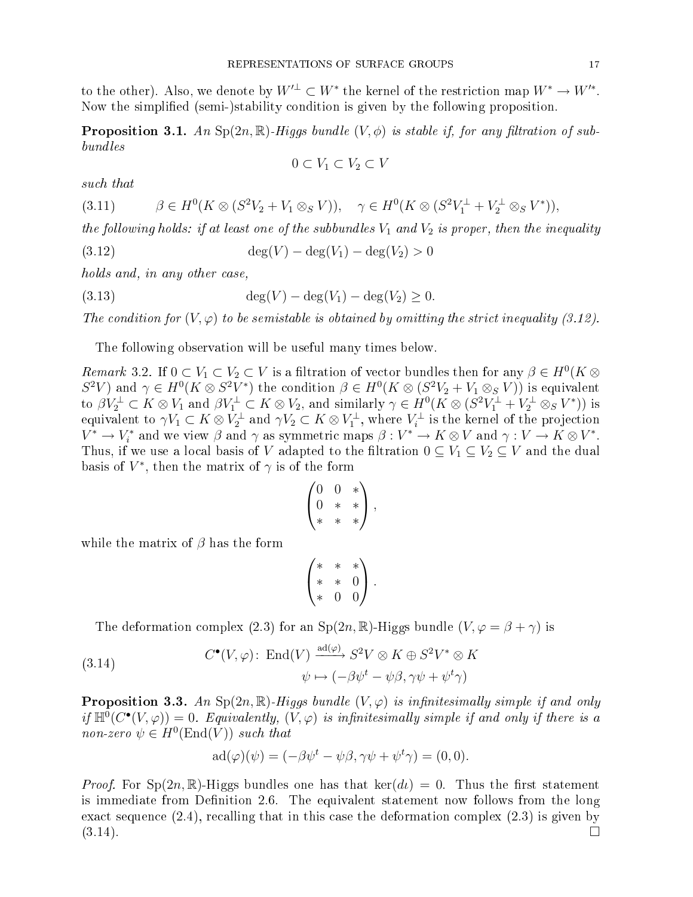to the other). Also, we denote by  $W'^{\perp} \subset W^*$  the kernel of the restriction map  $W^* \to W'^*$ . Now the simplied (semi-)stability ondition is given by the following proposition.

**Proposition 3.1.** An Sp( $2n, \mathbb{R}$ )-Higgs bundle  $(V, \phi)$  is stable if, for any filtration of subbundles

$$
0 \subset V_1 \subset V_2 \subset V
$$

such that

$$
(3.11) \qquad \beta \in H^0(K \otimes (S^2 V_2 + V_1 \otimes_S V)), \quad \gamma \in H^0(K \otimes (S^2 V_1^{\perp} + V_2^{\perp} \otimes_S V^*)),
$$

the following holds: if at least one of the subbundles  $V_1$  and  $V_2$  is proper, then the inequality

(3.12) 
$$
\deg(V) - \deg(V_1) - \deg(V_2) > 0
$$

holds and, in any other case,

(3.13) 
$$
\deg(V) - \deg(V_1) - \deg(V_2) \ge 0.
$$

The condition for  $(V, \varphi)$  to be semistable is obtained by omitting the strict inequality (3.12).

The following observation will be useful many times below.

Remark 3.2. If  $0 \subset V_1 \subset V_2 \subset V$  is a filtration of vector bundles then for any  $\beta \in H^0(K \otimes$  $S^2V$ ) and  $\gamma \in H^0(K \otimes S^2V^*)$  the condition  $\beta \in H^0(K \otimes (S^2V_2 + V_1 \otimes_S V))$  is equivalent to  $\beta V_2^{\perp} \subset K \otimes V_1$  and  $\beta V_1^{\perp} \subset K \otimes V_2$ , and similarly  $\gamma \in H^0(K \otimes (S^2 V_1^{\perp} + V_2^{\perp} \otimes_S V^*))$  is equivalent to  $\gamma V_1 \subset K \otimes V_2^{\perp}$  and  $\gamma V_2 \subset K \otimes V_1^{\perp}$ , where  $V_i^{\perp}$  is the kernel of the projection  $V^* \to V_i^*$  and we view  $\beta$  and  $\gamma$  as symmetric maps  $\beta: V^* \to K \otimes V$  and  $\gamma: V \to K \otimes V^*$ . Thus, if we use a local basis of V adapted to the filtration  $0 \subseteq V_1 \subseteq V_2 \subseteq V$  and the dual basis of  $V^*,$  then the matrix of  $\gamma$  is of the form

$$
\begin{pmatrix} 0 & 0 & * \\ 0 & * & * \\ * & * & * \end{pmatrix},
$$

while the matrix of  $\beta$  has the form

$$
\begin{pmatrix} * & * & * \ * & * & 0 \ * & * & 0 \ * & 0 & 0 \end{pmatrix}.
$$

The deformation complex (2.3) for an  $Sp(2n,\mathbb{R})$ -Higgs bundle  $(V,\varphi = \beta + \gamma)$  is

(3.14) 
$$
C^{\bullet}(V, \varphi) \colon \operatorname{End}(V) \xrightarrow{\operatorname{ad}(\varphi)} S^2 V \otimes K \oplus S^2 V^* \otimes K
$$

$$
\psi \mapsto (-\beta \psi^t - \psi \beta, \gamma \psi + \psi^t \gamma)
$$

**Proposition 3.3.** An  $Sp(2n, \mathbb{R})$ -Higgs bundle  $(V, \varphi)$  is infinitesimally simple if and only if  $\mathbb{H}^0(C^{\bullet}(V,\varphi)) = 0$ . Equivalently,  $(V,\varphi)$  is infinitesimally simple if and only if there is a non-zero  $\psi \in H^0(\text{End}(V))$  such that

$$
ad(\varphi)(\psi) = (-\beta \psi^t - \psi \beta, \gamma \psi + \psi^t \gamma) = (0, 0).
$$

*Proof.* For  $Sp(2n,\mathbb{R})$ -Higgs bundles one has that  $\text{ker}(dt) = 0$ . Thus the first statement is immediate from Definition 2.6. The equivalent statement now follows from the long exact sequence  $(2.4)$ , recalling that in this case the deformation complex  $(2.3)$  is given by  $(3.14).$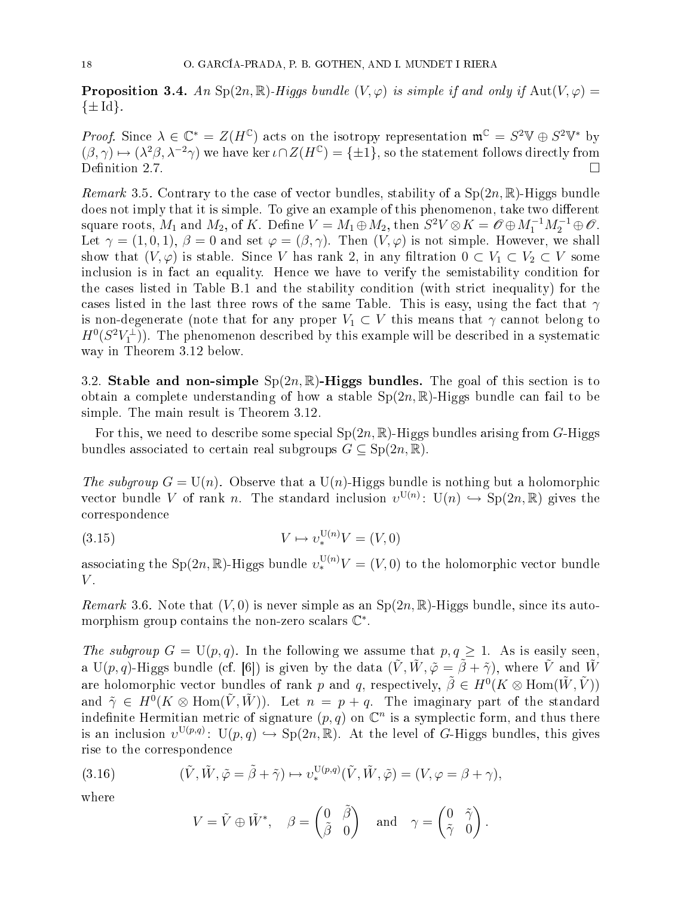**Proposition 3.4.** An Sp(2n, R)-Higgs bundle  $(V, \varphi)$  is simple if and only if  $Aut(V, \varphi)$  $\{\pm \mathrm{Id}\}.$ 

*Proof.* Since  $\lambda \in \mathbb{C}^* = Z(H^{\mathbb{C}})$  acts on the isotropy representation  $\mathfrak{m}^{\mathbb{C}} = S^2 \mathbb{V} \oplus S^2 \mathbb{V}^*$  by  $(\beta, \gamma) \mapsto (\lambda^2 \beta, \lambda^{-2} \gamma)$  we have ker  $\iota \cap Z(H^{\mathbb{C}}) = {\pm 1}$ , so the statement follows directly from Definition 2.7.

*Remark* 3.5. Contrary to the case of vector bundles, stability of a  $Sp(2n,\mathbb{R})$ -Higgs bundle does not imply that it is simple. To give an example of this phenomenon, take two different square roots,  $M_1$  and  $M_2$ , of K. Define  $V = M_1 \oplus M_2$ , then  $S^2 V \otimes K = \mathscr{O} \oplus M_1^{-1} M_2^{-1} \oplus \mathscr{O}$ . Let  $\gamma = (1, 0, 1), \beta = 0$  and set  $\varphi = (\beta, \gamma)$ . Then  $(V, \varphi)$  is not simple. However, we shall show that  $(V, \varphi)$  is stable. Since V has rank 2, in any filtration  $0 \subset V_1 \subset V_2 \subset V$  some inclusion is in fact an equality. Hence we have to verify the semistability condition for the ases listed in Table B.1 and the stability ondition (with stri
t inequality) for the cases listed in the last three rows of the same Table. This is easy, using the fact that  $\gamma$ is non-degenerate (note that for any proper  $V_1 \subset V$  this means that  $\gamma$  cannot belong to  $H^0(S^2 V_1^{\perp})$ ). The phenomenon described by this example will be described in a systematic way in Theorem 3.12 below.

3.2. Stable and non-simple  $Sp(2n,\mathbb{R})$ -Higgs bundles. The goal of this section is to obtain a complete understanding of how a stable  $Sp(2n,\mathbb{R})$ -Higgs bundle can fail to be simple. The main result is Theorem 3.12.

For this, we need to describe some special  $Sp(2n,\mathbb{R})$ -Higgs bundles arising from G-Higgs bundles associated to certain real subgroups  $G \subseteq \text{Sp}(2n, \mathbb{R})$ .

The subgroup  $G = U(n)$ . Observe that a  $U(n)$ -Higgs bundle is nothing but a holomorphic vector bundle V of rank n. The standard inclusion  $v^{U(n)}$ :  $U(n) \hookrightarrow Sp(2n, \mathbb{R})$  gives the orresponden
e

$$
(3.15)\t\t\t V \mapsto v_*^{\mathcal{U}(n)}V = (V,0)
$$

associating the Sp(2n, R)-Higgs bundle  $v_*^{U(n)}V = (V, 0)$  to the holomorphic vector bundle  $V$ .

*Remark* 3.6. Note that  $(V, 0)$  is never simple as an  $Sp(2n, \mathbb{R})$ -Higgs bundle, since its automorphism group contains the non-zero scalars  $\mathbb{C}^*.$ 

The subgroup  $G = U(p,q)$ . In the following we assume that  $p, q \ge 1$ . As is easily seen, a U(p, q)-Higgs bundle (cf. [6]) is given by the data  $(\tilde{V}, \tilde{W}, \tilde{\varphi} = \tilde{\beta} + \tilde{\gamma})$ , where  $\tilde{V}$  and  $\tilde{W}$ are holomorphic vector bundles of rank  $p$  and  $q$ , respectively,  $\tilde{\beta}\in H^0(K\otimes \text{Hom}(\tilde{W},\tilde{V}))$ and  $\tilde{\gamma} \in H^0(K \otimes \text{Hom}(\tilde{V}, \tilde{W}))$ . Let  $n = p + q$ . The imaginary part of the standard indefinite Hermitian metric of signature  $(p, q)$  on  $\mathbb{C}^n$  is a symplectic form, and thus there is an inclusion  $v^{\mathrm{U}(p,q)}\colon\, \mathrm{U}(p,q)\hookrightarrow \mathrm{Sp}(2n,\mathbb{R}).$  At the level of G-Higgs bundles, this gives rise to the orresponden
e

(3.16) 
$$
(\tilde{V}, \tilde{W}, \tilde{\varphi} = \tilde{\beta} + \tilde{\gamma}) \mapsto v_*^{\mathrm{U}(p,q)}(\tilde{V}, \tilde{W}, \tilde{\varphi}) = (V, \varphi = \beta + \gamma),
$$

where

$$
V = \tilde{V} \oplus \tilde{W}^*, \quad \beta = \begin{pmatrix} 0 & \tilde{\beta} \\ \tilde{\beta} & 0 \end{pmatrix} \quad \text{and} \quad \gamma = \begin{pmatrix} 0 & \tilde{\gamma} \\ \tilde{\gamma} & 0 \end{pmatrix}.
$$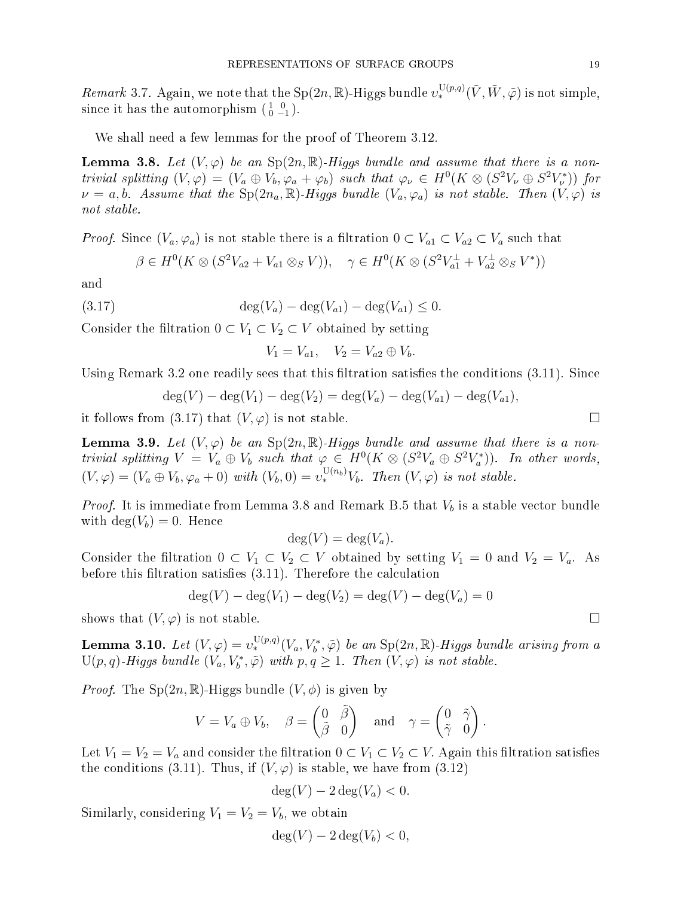Remark 3.7. Again, we note that the  $Sp(2n,\mathbb{R})$ -Higgs bundle  $v_*^{\mathrm{U}(p,q)}(\tilde{V},\tilde{W},\tilde{\varphi})$  is not simple, since it has the automorphism  $\begin{pmatrix} 1 & 0 \\ 0 & -1 \end{pmatrix}$ .

We shall need a few lemmas for the proof of Theorem 3.12.

**Lemma 3.8.** Let  $(V, \varphi)$  be an  $Sp(2n, \mathbb{R})$ -Higgs bundle and assume that there is a nontrivial splitting  $(V, \varphi) = (V_a \oplus V_b, \varphi_a + \varphi_b)$  such that  $\varphi_{\nu} \in H^0(K \otimes (S^2 V_{\nu} \oplus S^2 V_{\nu}^*))$  for  $\nu = a, b$ . Assume that the  $Sp(2n_a, \mathbb{R})$ -Higgs bundle  $(V_a, \varphi_a)$  is not stable. Then  $(V, \varphi)$  is not stable.

*Proof.* Since  $(V_a, \varphi_a)$  is not stable there is a filtration  $0 \subset V_{a1} \subset V_{a2} \subset V_a$  such that

$$
\beta \in H^0(K \otimes (S^2 V_{a2} + V_{a1} \otimes_S V)), \quad \gamma \in H^0(K \otimes (S^2 V_{a1}^\perp + V_{a2}^\perp \otimes_S V^*))
$$

and

$$
(3.17) \qquad \deg(V_a) - \deg(V_{a1}) - \deg(V_{a1}) \le 0.
$$

Consider the filtration  $0 \subset V_1 \subset V_2 \subset V$  obtained by setting

$$
V_1 = V_{a1}, \quad V_2 = V_{a2} \oplus V_b.
$$

Using Remark 3.2 one readily sees that this filtration satisfies the conditions  $(3.11)$ . Since

$$
\deg(V) - \deg(V_1) - \deg(V_2) = \deg(V_a) - \deg(V_{a1}) - \deg(V_{a1}),
$$

it follows from (3.17) that  $(V, \varphi)$  is not stable.

**Lemma 3.9.** Let  $(V, \varphi)$  be an  $Sp(2n, \mathbb{R})$ -Higgs bundle and assume that there is a nontrivial splitting  $V = V_a \oplus V_b$  such that  $\varphi \in H^0(K \otimes (S^2 V_a \oplus S^2 V_a^*))$ . In other words,  $(V, \varphi) = (V_a \oplus V_b, \varphi_a + 0) \text{ with } (V_b, 0) = v_*^{U(n_b)} V_b$ . Then  $(V, \varphi)$  is not stable.

*Proof.* It is immediate from Lemma 3.8 and Remark B.5 that  $V_b$  is a stable vector bundle with  $\deg(V_b) = 0$ . Hence

$$
\deg(V) = \deg(V_a).
$$

Consider the filtration  $0 \subset V_1 \subset V_2 \subset V$  obtained by setting  $V_1 = 0$  and  $V_2 = V_a$ . As before this filtration satisfies  $(3.11)$ . Therefore the calculation

$$
deg(V) - deg(V_1) - deg(V_2) = deg(V) - deg(V_a) = 0
$$

shows that  $(V, \varphi)$  is not stable.

**Lemma 3.10.** Let  $(V, \varphi) = v_*^{U(p,q)}(V_a, V_b^*, \tilde{\varphi})$  be an  $Sp(2n, \mathbb{R})$ -Higgs bundle arising from a  $\mathrm{U}(p,q)$ -Higgs bundle  $(V_a,V_b^*,\tilde{\varphi})$  with  $p,q\geq 1$ . Then  $(V,\varphi)$  is not stable.

*Proof.* The  $Sp(2n,\mathbb{R})$ -Higgs bundle  $(V,\phi)$  is given by

$$
V = V_a \oplus V_b, \quad \beta = \begin{pmatrix} 0 & \tilde{\beta} \\ \tilde{\beta} & 0 \end{pmatrix} \quad \text{and} \quad \gamma = \begin{pmatrix} 0 & \tilde{\gamma} \\ \tilde{\gamma} & 0 \end{pmatrix}.
$$

Let  $V_1 = V_2 = V_a$  and consider the filtration  $0 \subset V_1 \subset V_2 \subset V$ . Again this filtration satisfies the conditions (3.11). Thus, if  $(V, \varphi)$  is stable, we have from (3.12)

$$
\deg(V) - 2\deg(V_a) < 0.
$$

Similarly, considering  $V_1 = V_2 = V_b$ , we obtain

$$
\deg(V) - 2\deg(V_b) < 0,
$$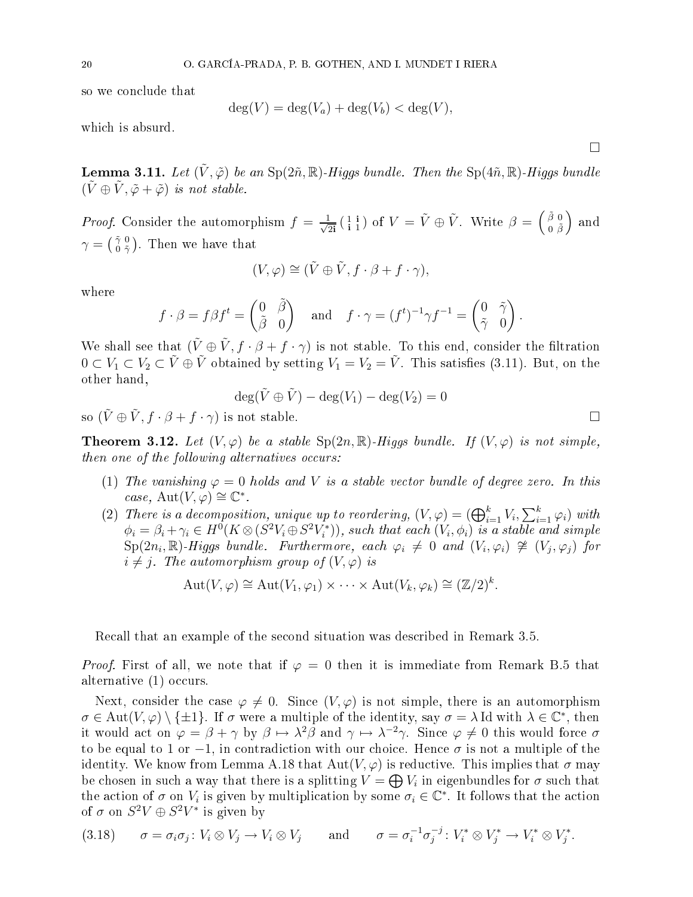so we on
lude that

$$
\deg(V) = \deg(V_a) + \deg(V_b) < \deg(V),
$$

which is absurd.

**Lemma 3.11.** Let  $(\tilde{V}, \tilde{\varphi})$  be an  $Sp(2\tilde{n}, \mathbb{R})$ -Higgs bundle. Then the  $Sp(4\tilde{n}, \mathbb{R})$ -Higgs bundle  $(\tilde{V} \oplus \tilde{V}, \tilde{\varphi} + \tilde{\varphi})$  is not stable.

*Proof.* Consider the automorphism  $f = \frac{1}{\sqrt{2}i} \begin{pmatrix} 1 & i \\ i & 1 \end{pmatrix}$  of  $V = \tilde{V} \oplus \tilde{V}$ . Write  $\beta = \begin{pmatrix} \tilde{\beta} & 0 \\ 0 & \tilde{\beta} \end{pmatrix}$  $0 \not \tilde\beta$ ) and  $\gamma = \bigl( \begin{smallmatrix} \tilde{\gamma} & 0 \ 0 & \tilde{\gamma} \end{smallmatrix} \bigr)$  $\left(\begin{smallmatrix} \tilde{\gamma} & 0 \\ 0 & \tilde{\gamma} \end{smallmatrix}\right)$ . Then we have that

$$
(V, \varphi) \cong (\tilde{V} \oplus \tilde{V}, f \cdot \beta + f \cdot \gamma),
$$

where

$$
f \cdot \beta = f\beta f^t = \begin{pmatrix} 0 & \tilde{\beta} \\ \tilde{\beta} & 0 \end{pmatrix}
$$
 and  $f \cdot \gamma = (f^t)^{-1} \gamma f^{-1} = \begin{pmatrix} 0 & \tilde{\gamma} \\ \tilde{\gamma} & 0 \end{pmatrix}$ .

We shall see that  $(\tilde{V} \oplus \tilde{V}, f \cdot \beta + f \cdot \gamma)$  is not stable. To this end, consider the filtration  $0 \subset V_1 \subset V_2 \subset \tilde{V} \oplus \tilde{V}$  obtained by setting  $V_1 = V_2 = \tilde{V}$ . This satisfies (3.11). But, on the other hand,

$$
\deg(\tilde{V} \oplus \tilde{V}) - \deg(V_1) - \deg(V_2) = 0
$$

so  $(\tilde{V} \oplus \tilde{V}, f \cdot \beta + f \cdot \gamma)$  is not stable.

**Theorem 3.12.** Let  $(V, \varphi)$  be a stable  $Sp(2n, \mathbb{R})$ -Higgs bundle. If  $(V, \varphi)$  is not simple, then one of the following alternatives occurs:

- (1) The vanishing  $\varphi = 0$  holds and V is a stable vector bundle of degree zero. In this case,  $Aut(V, \varphi) \cong \mathbb{C}^*$ .
- (2) There is a decomposition, unique up to reordering,  $(V, \varphi) = (\bigoplus_{i=1}^k V_i, \sum_{i=1}^k \varphi_i)$  with  $\phi_i = \beta_i + \gamma_i \in H^0(K \otimes (S^2V_i \oplus S^2V_i^*)),$  such that each  $(V_i, \phi_i)$  is a stable and simple  $\text{Sp}(2n_i,\mathbb{R})$ -Higgs bundle. Furthermore, each  $\varphi_i \neq 0$  and  $(V_i,\varphi_i) \ncong (V_j,\varphi_j)$  for  $i \neq j$ . The automorphism group of  $(V, \varphi)$  is

$$
Aut(V, \varphi) \cong Aut(V_1, \varphi_1) \times \cdots \times Aut(V_k, \varphi_k) \cong (\mathbb{Z}/2)^k.
$$

Re
all that an example of the se
ond situation was des
ribed in Remark 3.5.

*Proof.* First of all, we note that if  $\varphi = 0$  then it is immediate from Remark B.5 that alternative (1) occurs.

Next, consider the case  $\varphi \neq 0$ . Since  $(V, \varphi)$  is not simple, there is an automorphism  $\sigma \in \text{Aut}(V, \varphi) \setminus \{\pm 1\}.$  If  $\sigma$  were a multiple of the identity, say  $\sigma = \lambda \text{ Id with } \lambda \in \mathbb{C}^*$ , then it would act on  $\varphi = \beta + \gamma$  by  $\beta \mapsto \lambda^2 \beta$  and  $\gamma \mapsto \lambda^{-2} \gamma$ . Since  $\varphi \neq 0$  this would force  $\sigma$ to be equal to 1 or  $-1$ , in contradiction with our choice. Hence  $\sigma$  is not a multiple of the identity. We know from Lemma A.18 that  $Aut(V,\varphi)$  is reductive. This implies that  $\sigma$  may be chosen in such a way that there is a splitting  $V = \bigoplus V_i$  in eigenbundles for  $\sigma$  such that the action of  $\sigma$  on  $V_i$  is given by multiplication by some  $\sigma_i \in \mathbb{C}^*$ . It follows that the action of  $\sigma$  on  $S^2V \oplus S^2V^*$  is given by

$$
(3.18) \qquad \sigma = \sigma_i \sigma_j \colon V_i \otimes V_j \to V_i \otimes V_j \qquad \text{and} \qquad \sigma = \sigma_i^{-1} \sigma_j^{-j} \colon V_i^* \otimes V_j^* \to V_i^* \otimes V_j^*.
$$

 $\Box$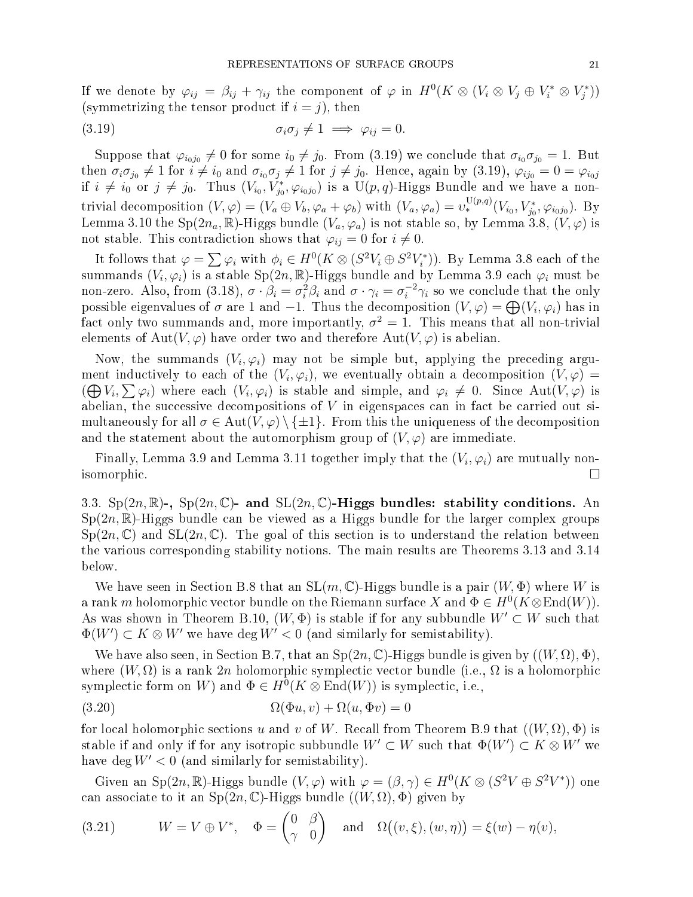If we denote by  $\varphi_{ij} = \beta_{ij} + \gamma_{ij}$  the component of  $\varphi$  in  $H^0(K \otimes (V_i \otimes V_j \oplus V_i^* \otimes V_j^*))$ (symmetrizing the tensor product if  $i = j$ ), then

(3.19) 
$$
\sigma_i \sigma_j \neq 1 \implies \varphi_{ij} = 0.
$$

Suppose that  $\varphi_{i_0j_0}\neq 0$  for some  $i_0\neq j_0$ . From (3.19) we conclude that  $\sigma_{i_0}\sigma_{j_0}=1$ . But then  $\sigma_i\sigma_{j_0}\neq 1$  for  $i\neq i_0$  and  $\sigma_{i_0}\sigma_j\neq 1$  for  $j\neq j_0$ . Hence, again by  $(3.19)$ ,  $\varphi_{ij_0}=0=\varphi_{i_0j}$ if  $i \neq i_0$  or  $j \neq j_0$ . Thus  $(V_{i_0}, V_{j_0}^*, \varphi_{i_0j_0})$  is a  $\mathrm{U}(p,q)$ -Higgs Bundle and we have a nontrivial decomposition  $(V, \varphi) = (V_a \oplus V_b, \varphi_a + \varphi_b)$  with  $(V_a, \varphi_a) = v_*^{U(p,q)}(V_{i_0}, V_{j_0}, \varphi_{i_0 j_0})$ . By Lemma 3.10 the Sp( $2n_a$ , R)-Higgs bundle  $(V_a, \varphi_a)$  is not stable so, by Lemma 3.8,  $(V, \varphi)$  is not stable. This contradiction shows that  $\varphi_{ij} = 0$  for  $i \neq 0$ .

It follows that  $\varphi = \sum \varphi_i$  with  $\phi_i \in H^0(K \otimes (S^2 V_i \oplus S^2 V_i^*))$ . By Lemma 3.8 each of the summands  $(V_i,\varphi_i)$  is a stable  $\mathrm{Sp}(2n,\mathbb{R})$ -Higgs bundle and by Lemma 3.9 each  $\varphi_i$  must be non-zero. Also, from (3.18),  $\sigma \cdot \beta_i = \sigma_i^2 \beta_i$  and  $\sigma \cdot \gamma_i = \sigma_i^{-2} \gamma_i$  so we conclude that the only possible eigenvalues of  $\sigma$  are 1 and -1. Thus the decomposition  $(V, \varphi) = \bigoplus (V_i, \varphi_i)$  has in fact only two summands and, more importantly,  $\sigma^2 = 1$ . This means that all non-trivial elements of Aut $(V, \varphi)$  have order two and therefore Aut $(V, \varphi)$  is abelian.

Now, the summands  $(V_i,\varphi_i)$  may not be simple but, applying the preceding argument inductively to each of the  $(V_i,\varphi_i),$  we eventually obtain a decomposition  $(V,\varphi)$  =  $(\bigoplus V_i, \sum \varphi_i)$  where each  $(V_i, \varphi_i)$  is stable and simple, and  $\varphi_i \neq 0$ . Since  $Aut(V, \varphi)$  is abelian, the successive decompositions of  $V$  in eigenspaces can in fact be carried out simultaneously for all  $\sigma \in Aut(V, \varphi) \setminus {\{\pm 1\}}$ . From this the uniqueness of the decomposition and the statement about the automorphism group of  $(V, \varphi)$  are immediate.

Finally, Lemma 3.9 and Lemma 3.11 together imply that the  $(V_i, \varphi_i)$  are mutually nonisomorphic. □

3.3.  $Sp(2n,\mathbb{R})$ -,  $Sp(2n,\mathbb{C})$ - and  $SL(2n,\mathbb{C})$ -Higgs bundles: stability conditions. An  $Sp(2n,\mathbb{R})$ -Higgs bundle can be viewed as a Higgs bundle for the larger complex groups  $Sp(2n,\mathbb{C})$  and  $SL(2n,\mathbb{C})$ . The goal of this section is to understand the relation between the various orresponding stability notions. The main results are Theorems 3.13 and 3.14 below.

We have seen in Section B.8 that an  $SL(m, \mathbb{C})$ -Higgs bundle is a pair  $(W, \Phi)$  where W is a rank m holomorphic vector bundle on the Riemann surface X and  $\Phi \in H^0(K \otimes \text{End}(W))$ . As was shown in Theorem B.10,  $(W, \Phi)$  is stable if for any subbundle  $W' \subset W$  such that  $\Phi(W') \subset K \otimes W'$  we have  $\deg W' < 0$  (and similarly for semistability).

We have also seen, in Section B.7, that an  $Sp(2n,\mathbb{C})$ -Higgs bundle is given by  $((W,\Omega),\Phi)$ , where  $(W, \Omega)$  is a rank 2n holomorphic symplectic vector bundle (i.e.,  $\Omega$  is a holomorphic symplectic form on W) and  $\Phi \in H^0(K \otimes \text{End}(W))$  is symplectic, i.e.,

(3.20) 
$$
\Omega(\Phi u, v) + \Omega(u, \Phi v) = 0
$$

for local holomorphic sections u and v of W. Recall from Theorem B.9 that  $((W,\Omega),\Phi)$  is stable if and only if for any isotropic subbundle  $W'\subset W$  such that  $\Phi(W')\subset K\otimes W'$  we have deg  $W' < 0$  (and similarly for semistability).

Given an Sp $(2n,\mathbb{R})$ -Higgs bundle  $(V,\varphi)$  with  $\varphi = (\beta,\gamma) \in H^0(K \otimes (S^2 V \oplus S^2 V^*))$  one can associate to it an  $Sp(2n, \mathbb{C})$ -Higgs bundle  $((W, \Omega), \Phi)$  given by

(3.21) 
$$
W = V \oplus V^*
$$
,  $\Phi = \begin{pmatrix} 0 & \beta \\ \gamma & 0 \end{pmatrix}$  and  $\Omega((v, \xi), (w, \eta)) = \xi(w) - \eta(v)$ ,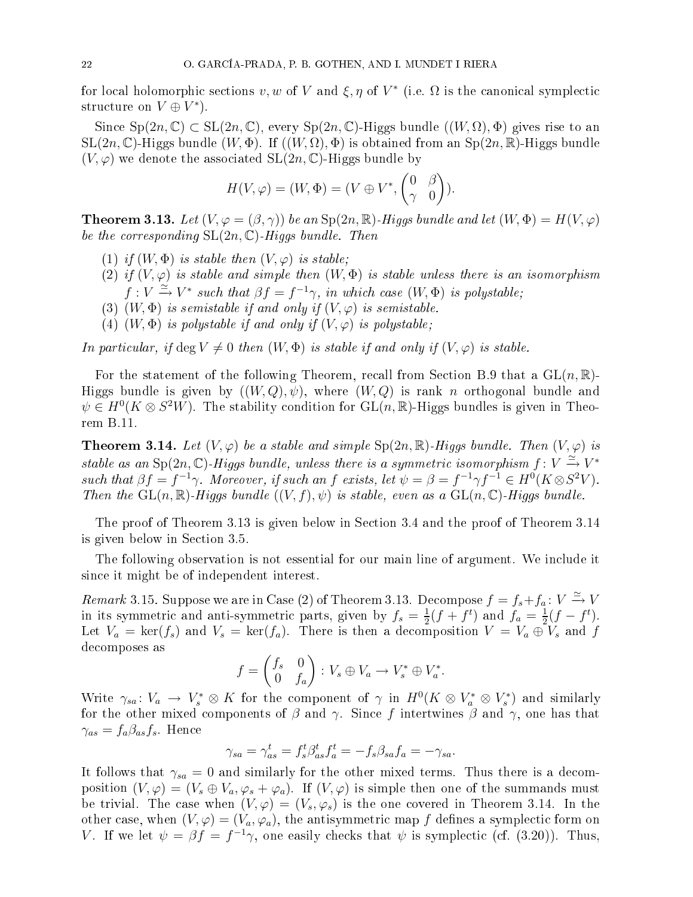for local holomorphic sections  $v, w$  of V and  $\xi, \eta$  of  $V^*$  (i.e.  $\Omega$  is the canonical symplectic structure on  $V\oplus V^*$ ).

Since  $Sp(2n, \mathbb{C}) \subset SL(2n, \mathbb{C})$ , every  $Sp(2n, \mathbb{C})$ -Higgs bundle  $((W, \Omega), \Phi)$  gives rise to an  $SL(2n, \mathbb{C})$ -Higgs bundle  $(W, \Phi)$ . If  $((W, \Omega), \Phi)$  is obtained from an  $Sp(2n, \mathbb{R})$ -Higgs bundle  $(V, \varphi)$  we denote the associated  $SL(2n, \mathbb{C})$ -Higgs bundle by

$$
H(V, \varphi) = (W, \Phi) = (V \oplus V^*, \begin{pmatrix} 0 & \beta \\ \gamma & 0 \end{pmatrix}).
$$

**Theorem 3.13.** Let  $(V, \varphi = (\beta, \gamma))$  be an Sp(2n, R)-Higgs bundle and let  $(W, \Phi) = H(V, \varphi)$ be the corresponding  $SL(2n,\mathbb{C})$ -Higgs bundle. Then

- (1) if  $(W, \Phi)$  is stable then  $(V, \varphi)$  is stable;
- (2) if  $(V, \varphi)$  is stable and simple then  $(W, \Phi)$  is stable unless there is an isomorphism  $f: V \xrightarrow{\simeq} V^*$  such that  $\beta f = f^{-1}\gamma$ , in which case  $(W, \Phi)$  is polystable;
- (3)  $(W, \Phi)$  is semistable if and only if  $(V, \varphi)$  is semistable.
- (4)  $(W, \Phi)$  is polystable if and only if  $(V, \varphi)$  is polystable;

In particular, if deg  $V \neq 0$  then  $(W, \Phi)$  is stable if and only if  $(V, \varphi)$  is stable.

For the statement of the following Theorem, recall from Section B.9 that a  $GL(n,\mathbb{R})$ -Higgs bundle is given by  $((W,Q), \psi)$ , where  $(W,Q)$  is rank n orthogonal bundle and  $\psi \in H^0(K \otimes S^2 W)$ . The stability condition for  $\mathrm{GL}(n,\mathbb{R})$ -Higgs bundles is given in Theorem B.11.

**Theorem 3.14.** Let  $(V, \varphi)$  be a stable and simple  $Sp(2n, \mathbb{R})$ -Higgs bundle. Then  $(V, \varphi)$  is stable as an Sp $(2n, \mathbb{C})$ -Higgs bundle, unless there is a symmetric isomorphism  $f \colon V \xrightarrow{\simeq} V^*$ such that  $\beta f = f^{-1}\gamma$ . Moreover, if such an f exists, let  $\psi = \beta = f^{-1}\gamma f^{-1} \in H^0(K \otimes S^2 V)$ . Then the  $GL(n,\mathbb{R})$ -Higgs bundle  $((V, f), \psi)$  is stable, even as a  $GL(n,\mathbb{C})$ -Higgs bundle.

The proof of Theorem 3.13 is given below in Section 3.4 and the proof of Theorem 3.14 is given below in Se
tion 3.5.

The following observation is not essential for our main line of argument. We include it sin
e it might be of independent interest.

*Remark* 3.15. Suppose we are in Case (2) of Theorem 3.13. Decompose  $f = f_s + f_a : V \xrightarrow{\simeq} V$ in its symmetric and anti-symmetric parts, given by  $f_s = \frac{1}{2}$  $\frac{1}{2}(f+f^t)$  and  $f_a = \frac{1}{2}$  $\frac{1}{2}(f-f^t).$ Let  $V_a = \text{ker}(f_s)$  and  $V_s = \text{ker}(f_a)$ . There is then a decomposition  $V = V_a \oplus V_s$  and f de
omposes as

$$
f = \begin{pmatrix} f_s & 0 \\ 0 & f_a \end{pmatrix} : V_s \oplus V_a \to V_s^* \oplus V_a^*.
$$

Write  $\gamma_{sa} \colon V_a \to V_s^* \otimes K$  for the component of  $\gamma$  in  $H^0(K \otimes V_a^* \otimes V_s^*)$  and similarly for the other mixed components of  $\beta$  and  $\gamma$ . Since f intertwines  $\beta$  and  $\gamma$ , one has that  $\gamma_{as} = f_a \beta_{as} f_s$ . Hence

$$
\gamma_{sa} = \gamma_{as}^t = f_s^t \beta_{as}^t f_a^t = -f_s \beta_{sa} f_a = -\gamma_{sa}.
$$

It follows that  $\gamma_{sa} = 0$  and similarly for the other mixed terms. Thus there is a decomposition  $(V, \varphi) = (V_s \oplus V_a, \varphi_s + \varphi_a)$ . If  $(V, \varphi)$  is simple then one of the summands must be trivial. The case when  $(V, \varphi) = (V_s, \varphi_s)$  is the one covered in Theorem 3.14. In the other case, when  $(V, \varphi) = (V_a, \varphi_a)$ , the antisymmetric map f defines a symplectic form on V. If we let  $\psi = \beta f = f^{-1}\gamma$ , one easily checks that  $\psi$  is symplectic (cf. (3.20)). Thus,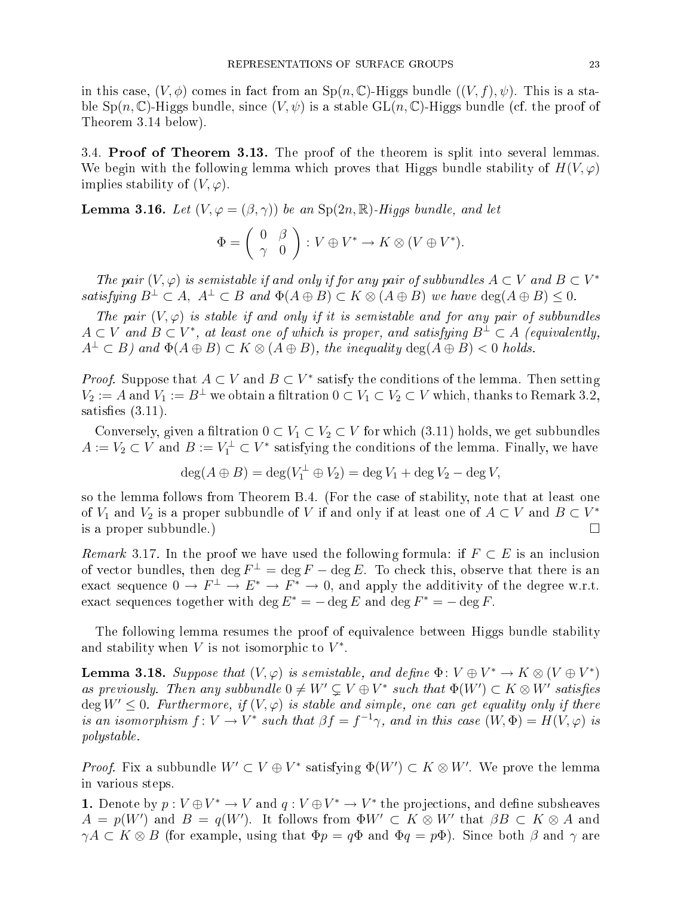in this case,  $(V, \phi)$  comes in fact from an  $\text{Sp}(n, \mathbb{C})$ -Higgs bundle  $((V, f), \psi)$ . This is a stable  $Sp(n, \mathbb{C})$ -Higgs bundle, since  $(V, \psi)$  is a stable  $GL(n, \mathbb{C})$ -Higgs bundle (cf. the proof of Theorem 3.14 below).

3.4. Proof of Theorem 3.13. The proof of the theorem is split into several lemmas. We begin with the following lemma which proves that Higgs bundle stability of  $H(V,\varphi)$ implies stability of  $(V, \varphi)$ .

**Lemma 3.16.** Let  $(V, \varphi = (\beta, \gamma))$  be an Sp(2n, R)-Higgs bundle, and let

$$
\Phi = \left( \begin{array}{cc} 0 & \beta \\ \gamma & 0 \end{array} \right) : V \oplus V^* \to K \otimes (V \oplus V^*).
$$

The pair  $(V, \varphi)$  is semistable if and only if for any pair of subbundles  $A \subset V$  and  $B \subset V^*$ satisfying  $B^{\perp} \subset A$ ,  $A^{\perp} \subset B$  and  $\Phi(A \oplus B) \subset K \otimes (A \oplus B)$  we have  $\deg(A \oplus B) \leq 0$ .

The pair  $(V, \varphi)$  is stable if and only if it is semistable and for any pair of subbundles  $A\subset V$  and  $B\subset V^*,$  at least one of which is proper, and satisfying  $B^\perp\subset A$  (equivalently,  $A^{\perp} \subset B$ ) and  $\Phi(A \oplus B) \subset K \otimes (A \oplus B)$ , the inequality  $\deg(A \oplus B) < 0$  holds.

*Proof.* Suppose that  $A \subset V$  and  $B \subset V^*$  satisfy the conditions of the lemma. Then setting  $V_2 := A$  and  $V_1 := B^{\perp}$  we obtain a filtration  $0 \subset V_1 \subset V_2 \subset V$  which, thanks to Remark 3.2, satisfies  $(3.11)$ .

Conversely, given a filtration  $0 \subset V_1 \subset V_2 \subset V$  for which (3.11) holds, we get subbundles  $A := V_2 \subset V$  and  $B := V_1^{\perp} \subset V^*$  satisfying the conditions of the lemma. Finally, we have

$$
\deg(A \oplus B) = \deg(V_1^{\perp} \oplus V_2) = \deg V_1 + \deg V_2 - \deg V,
$$

so the lemma follows from Theorem B.4. (For the ase of stability, note that at least one of  $V_1$  and  $V_2$  is a proper subbundle of  $V$  if and only if at least one of  $A\subset V$  and  $B\subset V^*$ is a proper subbundle.)

Remark 3.17. In the proof we have used the following formula: if  $F \subset E$  is an inclusion of vector bundles, then  $\deg F^{\perp} = \deg F - \deg E$ . To check this, observe that there is an exact sequence  $0 \to F^{\perp} \to E^* \to F^* \to 0$ , and apply the additivity of the degree w.r.t. exact sequences together with  $\deg E^* = -\deg E$  and  $\deg F^* = -\deg F$ .

The following lemma resumes the proof of equivalen
e between Higgs bundle stability and stability when  $V$  is not isomorphic to  $V^*$ .

**Lemma 3.18.** Suppose that  $(V, \varphi)$  is semistable, and define  $\Phi \colon V \oplus V^* \to K \otimes (V \oplus V^*)$ as previously. Then any subbundle  $0 \neq W' \subsetneq V \oplus V^*$  such that  $\Phi(W') \subset K \otimes W'$  satisfies  $\deg W' \leq 0$ . Furthermore, if  $(V, \varphi)$  is stable and simple, one can get equality only if there is an isomorphism  $f: V \to V^*$  such that  $\beta f = f^{-1}\gamma$ , and in this case  $(W, \Phi) = H(V, \varphi)$  is polystable.

*Proof.* Fix a subbundle  $W' \subset V \oplus V^*$  satisfying  $\Phi(W') \subset K \otimes W'$ . We prove the lemma in various steps.

**1.** Denote by  $p: V \oplus V^* \to V$  and  $q: V \oplus V^* \to V^*$  the projections, and define subsheaves  $A\,=\,p(W')$  and  $B\,=\,q(W')$ . It follows from  $\Phi W'\, \subset\, K\otimes W'$  that  $\beta B\, \subset\, K\otimes A$  and  $\gamma A \subset K \otimes B$  (for example, using that  $\Phi p = q\Phi$  and  $\Phi q = p\Phi$ ). Since both  $\beta$  and  $\gamma$  are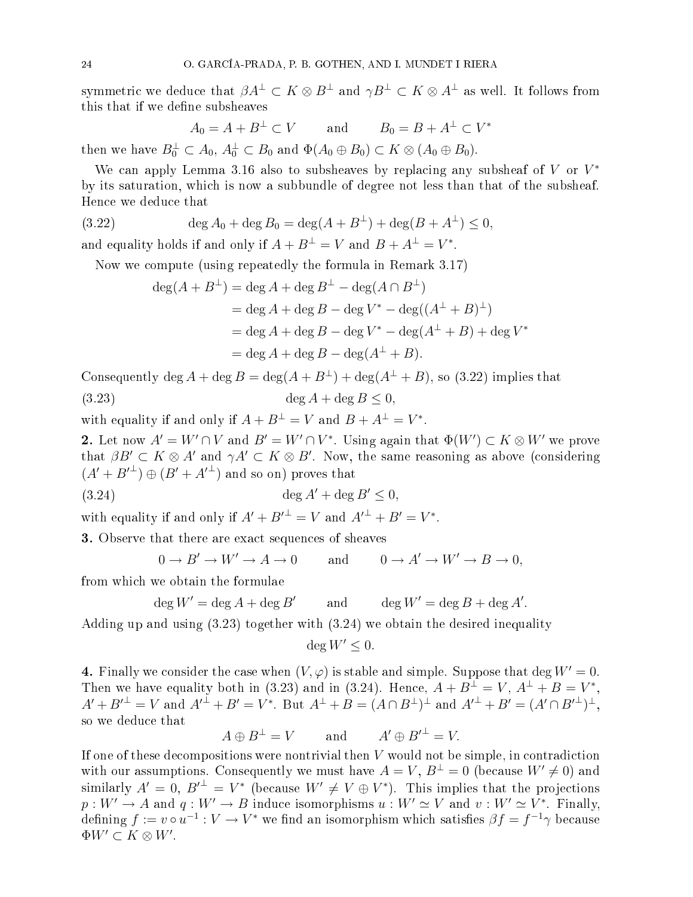symmetric we deduce that  $\beta A^\perp\subset K\otimes B^\perp$  and  $\gamma B^\perp\subset K\otimes A^\perp$  as well. It follows from this that if we define subsheaves

$$
A_0 = A + B^{\perp} \subset V \qquad \text{and} \qquad B_0 = B + A^{\perp} \subset V^*
$$

then we have  $B_0^{\perp} \subset A_0$ ,  $A_0^{\perp} \subset B_0$  and  $\Phi(A_0 \oplus B_0) \subset K \otimes (A_0 \oplus B_0)$ .

We can apply Lemma 3.16 also to subsheaves by replacing any subsheaf of  $V$  or  $V^*$ by its saturation, whi
h is now a subbundle of degree not less than that of the subsheaf. Hen
e we dedu
e that

(3.22) 
$$
\deg A_0 + \deg B_0 = \deg(A + B^{\perp}) + \deg(B + A^{\perp}) \le 0,
$$

and equality holds if and only if  $A + B^{\perp} = V$  and  $B + A^{\perp} = V^*$ .

Now we compute (using repeatedly the formula in Remark 3.17)

$$
deg(A + B^{\perp}) = deg A + deg B^{\perp} - deg(A \cap B^{\perp})
$$
  
= deg A + deg B - deg V<sup>\*</sup> - deg((A<sup>\perp</sup> + B)<sup>\perp</sup>)  
= deg A + deg B - deg V<sup>\*</sup> - deg(A<sup>\perp</sup> + B) + deg V<sup>\*</sup>  
= deg A + deg B - deg(A<sup>\perp</sup> + B).

Consequently deg  $A + \deg B = \deg(A + B^{\perp}) + \deg(A^{\perp} + B)$ , so (3.22) implies that (3.23)  $\deg A + \deg B \le 0$ ,

with equality if and only if  $A + B^{\perp} = V$  and  $B + A^{\perp} = V^*$ .

2. Let now  $A'=W'\cap V$  and  $B'=W'\cap V^*.$  Using again that  $\Phi(W')\subset K\otimes W'$  we prove that  $\beta B' \subset K \otimes A'$  and  $\gamma A' \subset K \otimes B'$ . Now, the same reasoning as above (considering  $(A' + B'^{\perp}) \oplus (B' + A'^{\perp})$  and so on) proves that

$$
(3.24) \qquad \deg A' + \deg B' \le 0,
$$

with equality if and only if  $A' + B'^{\perp} = V$  and  $A'^{\perp} + B' = V^*$ .

**3.** Observe that there are exact sequences of sheaves

$$
0 \to B' \to W' \to A \to 0 \quad \text{and} \quad 0 \to A' \to W' \to B \to 0,
$$

from which we obtain the formulae

$$
\deg W' = \deg A + \deg B' \qquad \text{and} \qquad \deg W' = \deg B + \deg A'.
$$

Adding up and using (3.23) together with (3.24) we obtain the desired inequality

$$
\deg W' \leq 0.
$$

4. Finally we consider the case when  $(V, \varphi)$  is stable and simple. Suppose that deg  $W' = 0$ . Then we have equality both in (3.23) and in (3.24). Hence,  $A + B^{\perp} = V$ ,  $A^{\perp} + B = V^*$ ,  $A' + B'^{\perp} = V$  and  $A'^{\perp} + B' = V^*$ . But  $A^{\perp} + B = (A \cap B^{\perp})^{\perp}$  and  $A'^{\perp} + B' = (A' \cap B'^{\perp})^{\perp}$ , so we dedu
e that

$$
A \oplus B^{\perp} = V
$$
 and  $A' \oplus B'^{\perp} = V$ .

If one of these decompositions were nontrivial then V would not be simple, in contradiction with our assumptions. Consequently we must have  $A = V, B^{\perp} = 0$  (because  $W' \neq 0$ ) and similarly  $A' = 0$ ,  $B'^{\perp} = V^*$  (because  $W' \neq V \oplus V^*$ ). This implies that the projections  $p:W'\to A$  and  $q:W'\to B$  induce isomorphisms  $u:W'\simeq V$  and  $v:W'\simeq V^*.$  Finally, defining  $f := v \circ u^{-1} : V \to V^*$  we find an isomorphism which satisfies  $\beta f = f^{-1} \gamma$  because  $\Phi W' \subset K \otimes W'.$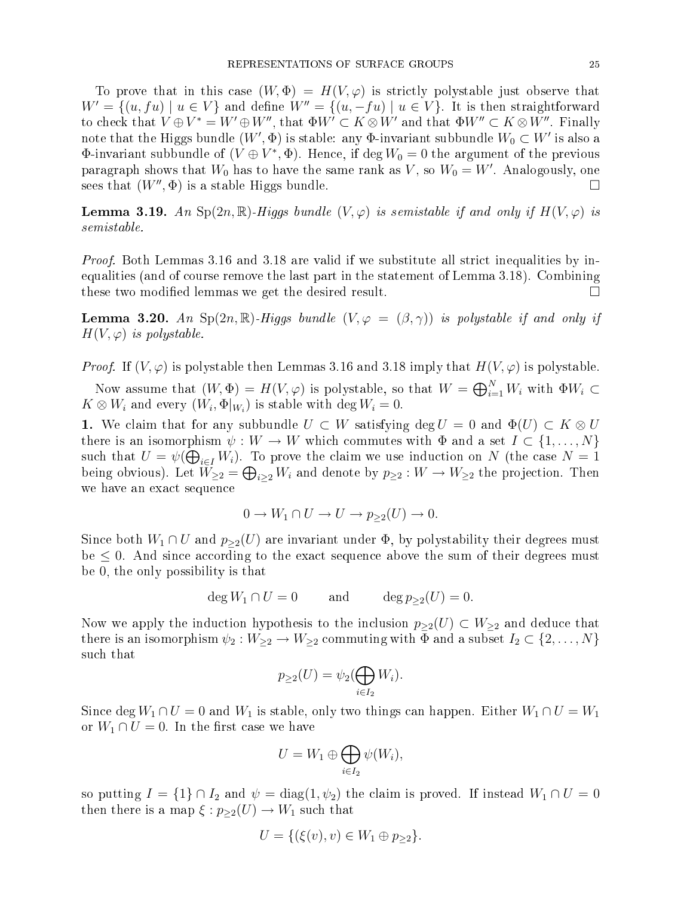To prove that in this case  $(W, \Phi) = H(V, \varphi)$  is strictly polystable just observe that  $W' = \{(u, fu) | u \in V\}$  and define  $W'' = \{(u, -fu) | u \in V\}$ . It is then straightforward to check that  $V\oplus V^*=W'\oplus W'',$  that  $\Phi W'\subset K\otimes W'$  and that  $\Phi W''\subset K\otimes W''.$  Finally note that the Higgs bundle  $(W',\Phi)$  is stable: any  $\Phi\text{-invariant subbundle }W_0\subset W'$  is also a  $\Phi\text{-invariant subbundle of } (V\oplus V^*,\Phi).$  Hence, if  $\deg W_0=0$  the argument of the previous paragraph shows that  $W_0$  has to have the same rank as  $V,$  so  $W_0=W'.$  Analogously, one sees that  $(W'', \Phi)$  is a stable Higgs bundle.

**Lemma 3.19.** An Sp(2n, R)-Higgs bundle  $(V, \varphi)$  is semistable if and only if  $H(V, \varphi)$  is semistable.

Proof. Both Lemmas 3.16 and 3.18 are valid if we substitute all strict inequalities by inequalities (and of ourse remove the last part in the statement of Lemma 3.18). Combining these two modified lemmas we get the desired result.  $\Box$ 

**Lemma 3.20.** An Sp(2n, R)-Higgs bundle  $(V, \varphi = (\beta, \gamma))$  is polystable if and only if  $H(V, \varphi)$  is polystable.

*Proof.* If  $(V, \varphi)$  is polystable then Lemmas 3.16 and 3.18 imply that  $H(V, \varphi)$  is polystable.

Now assume that  $(W, \Phi) = H(V, \varphi)$  is polystable, so that  $W = \bigoplus_{i=1}^{N} W_i$  with  $\Phi W_i \subset$  $K \otimes W_i$  and every  $(W_i, \Phi|_{W_i})$  is stable with  $\deg W_i = 0$ .

1. We claim that for any subbundle  $U \subset W$  satisfying deg  $U = 0$  and  $\Phi(U) \subset K \otimes U$ there is an isomorphism  $\psi: W \to W$  which commutes with  $\Phi$  and a set  $I \subset \{1, ..., N\}$ such that  $U = \psi(\bigoplus_{i \in I} W_i)$ . To prove the claim we use induction on N (the case  $N = 1$ ) being obvious). Let  $W_{\geq 2} = \bigoplus_{i \geq 2} W_i$  and denote by  $p_{\geq 2} : W \to W_{\geq 2}$  the projection. Then we have an exa
t sequen
e

$$
0 \to W_1 \cap U \to U \to p_{\geq 2}(U) \to 0.
$$

Since both  $W_1 \cap U$  and  $p_{\geq 2}(U)$  are invariant under  $\Phi$ , by polystability their degrees must be  $\leq 0$ . And since according to the exact sequence above the sum of their degrees must be 0, the only possibility is that

$$
\deg W_1 \cap U = 0 \qquad \text{and} \qquad \deg p_{\geq 2}(U) = 0.
$$

Now we apply the induction hypothesis to the inclusion  $p_{\geq 2}(U) \subset W_{\geq 2}$  and deduce that there is an isomorphism  $\psi_2: W_{\geq 2} \to W_{\geq 2}$  commuting with  $\Phi$  and a subset  $I_2 \subset \{2, \ldots, N\}$ su
h that

$$
p_{\geq 2}(U) = \psi_2(\bigoplus_{i \in I_2} W_i).
$$

Since deg  $W_1 \cap U = 0$  and  $W_1$  is stable, only two things can happen. Either  $W_1 \cap U = W_1$ or  $W_1 \cap U = 0$ . In the first case we have

$$
U = W_1 \oplus \bigoplus_{i \in I_2} \psi(W_i),
$$

so putting  $I = \{1\} \cap I_2$  and  $\psi = \text{diag}(1, \psi_2)$  the claim is proved. If instead  $W_1 \cap U = 0$ then there is a map  $\xi : p_{\geq 2}(U) \to W_1$  such that

$$
U = \{ (\xi(v), v) \in W_1 \oplus p_{\geq 2} \}.
$$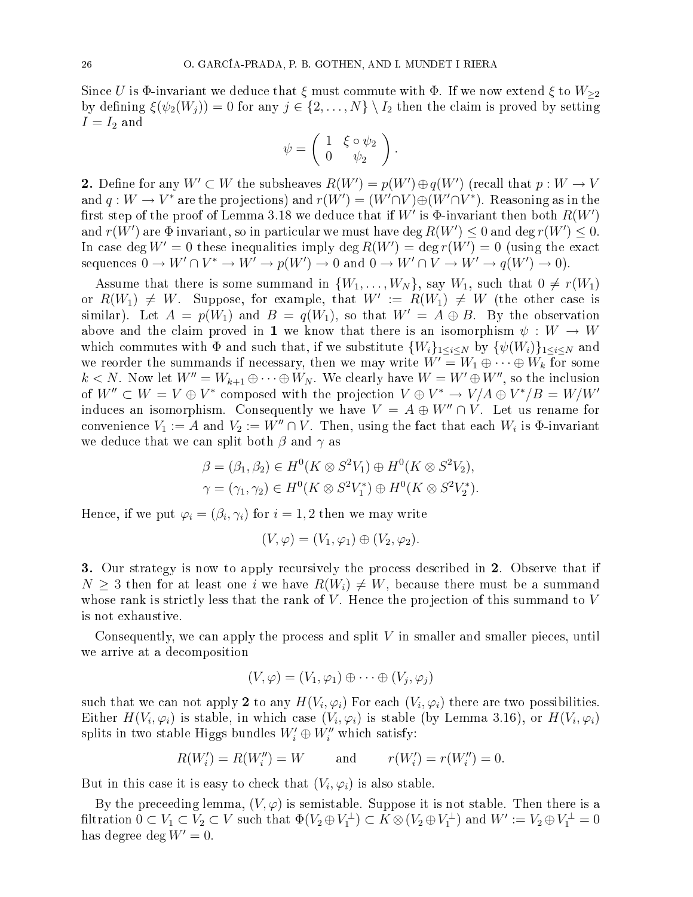Since U is  $\Phi$ -invariant we deduce that  $\xi$  must commute with  $\Phi$ . If we now extend  $\xi$  to  $W_{\geq 2}$ by defining  $\xi(\psi_2(W_j)) = 0$  for any  $j \in \{2, ..., N\} \setminus I_2$  then the claim is proved by setting  $I = I_2$  and

$$
\psi = \left( \begin{array}{cc} 1 & \xi \circ \psi_2 \\ 0 & \psi_2 \end{array} \right).
$$

2. Define for any  $W'\subset W$  the subsheaves  $R(W')=p(W')\oplus q(W')$  (recall that  $p:W\to V$ and  $q:W\to V^*$  are the projections) and  $r(W')=(W'\cap V)\oplus (W'\cap V^*)$ . Reasoning as in the first step of the proof of Lemma 3.18 we deduce that if  $W'$  is  $\Phi$ -invariant then both  $R(W')$ and  $r(W')$  are  $\Phi$  invariant, so in particular we must have  $\deg R(W') \leq 0$  and  $\deg r(W') \leq 0.$ In case deg  $W'=0$  these inequalities imply  $\deg R(W')=\deg r(W')=0$  (using the exact sequences  $0 \to W' \cap V^* \to W' \to p(W') \to 0$  and  $0 \to W' \cap V \to W' \to q(W') \to 0$ .

Assume that there is some summand in  $\{W_1, \ldots, W_N\}$ , say  $W_1$ , such that  $0 \neq r(W_1)$ or  $R(W_1) \neq W$ . Suppose, for example, that  $W' \ := \ R(W_1) \ \neq \ W$  (the other case is similar). Let  $A = p(W_1)$  and  $B = q(W_1)$ , so that  $W' = A \oplus B$ . By the observation above and the claim proved in 1 we know that there is an isomorphism  $\psi : W \to W$ which commutes with  $\Phi$  and such that, if we substitute  $\{W_i\}_{1\leq i\leq N}$  by  $\{\psi(W_i)\}_{1\leq i\leq N}$  and we reorder the summands if necessary, then we may write  $W' = W_1 \oplus \cdots \oplus W_k$  for some  $k < N$ . Now let  $W'' = W_{k+1} \oplus \cdots \oplus W_N$ . We clearly have  $W = W' \oplus W''$ , so the inclusion of  $W'' \subset W = V \oplus V^*$  composed with the projection  $V \oplus V^* \to V/A \oplus V^*/B = W/W'$ induces an isomorphism. Consequently we have  $V = A \oplus W'' \cap V$ . Let us rename for convenience  $V_1 := A$  and  $V_2 := W'' \cap V$ . Then, using the fact that each  $W_i$  is  $\Phi$ -invariant we deduce that we can split both  $\beta$  and  $\gamma$  as

$$
\beta = (\beta_1, \beta_2) \in H^0(K \otimes S^2 V_1) \oplus H^0(K \otimes S^2 V_2),
$$
  

$$
\gamma = (\gamma_1, \gamma_2) \in H^0(K \otimes S^2 V_1^*) \oplus H^0(K \otimes S^2 V_2^*).
$$

Hence, if we put  $\varphi_i = (\beta_i, \gamma_i)$  for  $i = 1, 2$  then we may write

$$
(V, \varphi) = (V_1, \varphi_1) \oplus (V_2, \varphi_2).
$$

3. Our strategy is now to apply recursively the process described in 2. Observe that if  $N \geq 3$  then for at least one i we have  $R(W_i) \neq W$ , because there must be a summand whose rank is strictly less that the rank of  $V$ . Hence the projection of this summand to  $V$ is not exhaustive.

Consequently, we can apply the process and split  $V$  in smaller and smaller pieces, until we arrive at a de
omposition

$$
(V, \varphi) = (V_1, \varphi_1) \oplus \cdots \oplus (V_j, \varphi_j)
$$

such that we can not apply 2 to any  $H(V_i,\varphi_i)$  For each  $(V_i,\varphi_i)$  there are two possibilities. Either  $H(V_i, \varphi_i)$  is stable, in which case  $(V_i, \varphi_i)$  is stable (by Lemma 3.16), or  $H(V_i, \varphi_i)$ splits in two stable Higgs bundles  $W'_i \oplus W''_i$  which satisfy:

$$
R(W_i') = R(W_i'') = W
$$
 and  $r(W_i') = r(W_i'') = 0.$ 

But in this case it is easy to check that  $(V_i, \varphi_i)$  is also stable.

By the preceeding lemma,  $(V, \varphi)$  is semistable. Suppose it is not stable. Then there is a filtration  $0 \subset V_1 \subset V_2 \subset V$  such that  $\Phi(V_2 \oplus V_1^{\perp}) \subset K \otimes (V_2 \oplus V_1^{\perp})$  and  $W' := V_2 \oplus V_1^{\perp} = 0$ has degree deg  $W' = 0$ .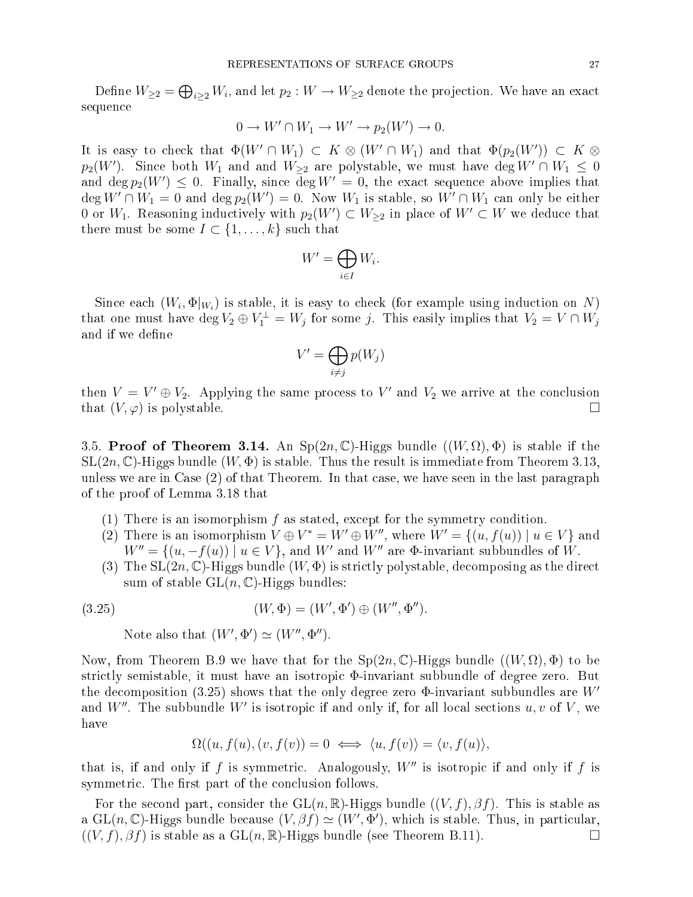Define  $W_{\geq 2} = \bigoplus_{i \geq 2} W_i$ , and let  $p_2: W \to W_{\geq 2}$  denote the projection. We have an exact sequen
e

$$
0 \to W' \cap W_1 \to W' \to p_2(W') \to 0.
$$

It is easy to check that  $\Phi(W' \cap W_1) \subset K \otimes (W' \cap W_1)$  and that  $\Phi(p_2(W')) \subset K \otimes$  $p_2(W')$ . Since both  $W_1$  and and  $W_{\geq 2}$  are polystable, we must have deg  $W' \cap W_1 \leq 0$ and  $\deg p_2(W') \leq 0$ . Finally, since  $\deg W' = 0$ , the exact sequence above implies that  $\deg W' \cap W_1 = 0$  and  $\deg p_2(W') = 0$ . Now  $W_1$  is stable, so  $W' \cap W_1$  can only be either 0 or  $W_1$ . Reasoning inductively with  $p_2(W') \subset W_{\geq 2}$  in place of  $W' \subset W$  we deduce that there must be some  $I \subset \{1, \ldots, k\}$  such that

$$
W'=\bigoplus_{i\in I}W_i.
$$

Since each  $(W_i, \Phi|_{W_i})$  is stable, it is easy to check (for example using induction on N) that one must have  $\deg V_2 \oplus V_1^{\perp} = W_j$  for some j. This easily implies that  $V_2 = V \cap W_j$ and if we define

$$
V' = \bigoplus_{i \neq j} p(W_j)
$$

then  $V = V' \oplus V_2$ . Applying the same process to  $V'$  and  $V_2$  we arrive at the conclusion that  $(V, \varphi)$  is polystable.

3.5. Proof of Theorem 3.14. An  $Sp(2n, \mathbb{C})$ -Higgs bundle  $((W, \Omega), \Phi)$  is stable if the  $SL(2n,\mathbb{C})$ -Higgs bundle  $(W,\Phi)$  is stable. Thus the result is immediate from Theorem 3.13, unless we are in Case (2) of that Theorem. In that case, we have seen in the last paragraph of the proof of Lemma 3.18 that

- (1) There is an isomorphism f as stated, ex
ept for the symmetry ondition.
- (2) There is an isomorphism  $V \oplus V^* = W' \oplus W''$ , where  $W' = \{(u, f(u)) \mid u \in V\}$  and  $W'' = \{(u, -f(u)) \mid u \in V\}$ , and W' and W'' are  $\Phi$ -invariant subbundles of W.
- (3) The  $SL(2n,\mathbb{C})$ -Higgs bundle  $(W,\Phi)$  is strictly polystable, decomposing as the direct sum of stable  $GL(n, \mathbb{C})$ -Higgs bundles:

(3.25) 
$$
(W, \Phi) = (W', \Phi') \oplus (W'', \Phi'').
$$

Note also that  $(W', \Phi') \simeq (W'', \Phi'')$ .

Now, from Theorem B.9 we have that for the  $Sp(2n,\mathbb{C})$ -Higgs bundle  $((W,\Omega),\Phi)$  to be strictly semistable, it must have an isotropic  $\Phi$ -invariant subbundle of degree zero. But the decomposition (3.25) shows that the only degree zero  $\Phi$ -invariant subbundles are  $W'$ and  $W''$ . The subbundle  $W'$  is isotropic if and only if, for all local sections  $u,v$  of  $V,$  we have

$$
\Omega((u, f(u), (v, f(v))) = 0 \iff \langle u, f(v) \rangle = \langle v, f(u) \rangle,
$$

that is, if and only if  $f$  is symmetric. Analogously,  $W''$  is isotropic if and only if  $f$  is symmetric. The first part of the conclusion follows.

For the second part, consider the  $GL(n,\mathbb{R})$ -Higgs bundle  $((V, f), \beta f)$ . This is stable as a GL(n, C)-Higgs bundle because  $(V, \beta f) \simeq (W', \Phi')$ , which is stable. Thus, in particular,  $((V, f), \beta f)$  is stable as a  $GL(n, \mathbb{R})$ -Higgs bundle (see Theorem B.11).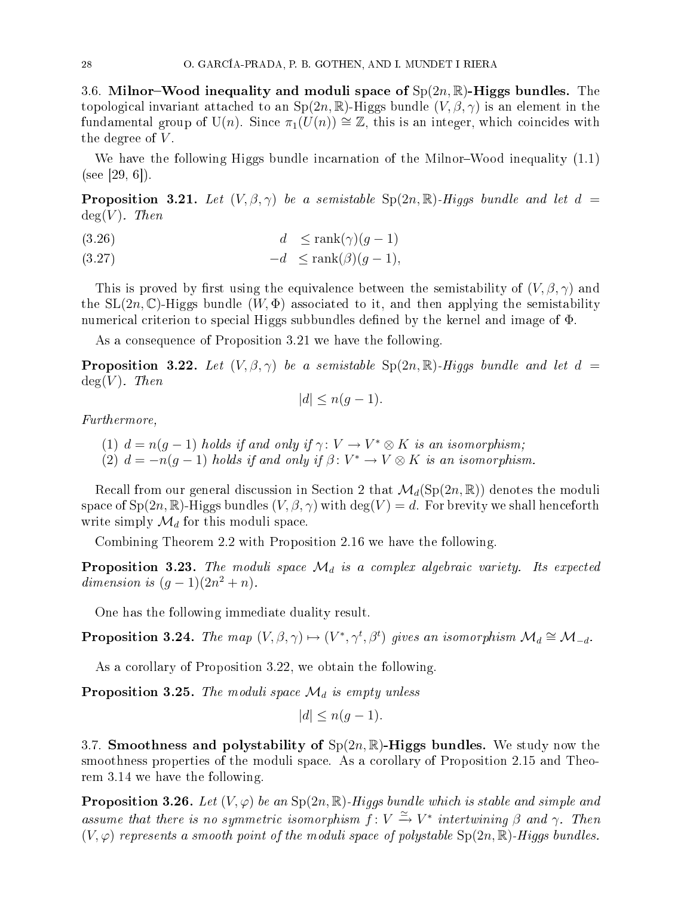3.6. Milnor–Wood inequality and moduli space of  $Sp(2n,\mathbb{R})$ -Higgs bundles. The topological invariant attached to an  $Sp(2n,\mathbb{R})$ -Higgs bundle  $(V,\beta,\gamma)$  is an element in the fundamental group of U(n). Since  $\pi_1(U(n)) \cong \mathbb{Z}$ , this is an integer, which coincides with the degree of  $V$ .

We have the following Higgs bundle incarnation of the Milnor-Wood inequality  $(1.1)$  $(see [29, 6]).$ 

**Proposition 3.21.** Let  $(V, \beta, \gamma)$  be a semistable  $\text{Sp}(2n, \mathbb{R})$ -Higgs bundle and let  $d =$  $deg(V)$ . Then

$$
(3.26) \t\t d \le \operatorname{rank}(\gamma)(g-1)
$$

$$
(3.27) \t -d \le \text{rank}(\beta)(g-1),
$$

This is proved by first using the equivalence between the semistability of  $(V, \beta, \gamma)$  and the  $SL(2n,\mathbb{C})$ -Higgs bundle  $(W,\Phi)$  associated to it, and then applying the semistability numerical criterion to special Higgs subbundles defined by the kernel and image of Φ.

As a onsequen
e of Proposition 3.21 we have the following.

**Proposition 3.22.** Let  $(V, \beta, \gamma)$  be a semistable  $\text{Sp}(2n, \mathbb{R})$ -Higgs bundle and let  $d =$  $deg(V)$ . Then

$$
|d| \le n(g-1).
$$

Furthermore,

- (1)  $d = n(g-1)$  holds if and only if  $\gamma \colon V \to V^* \otimes K$  is an isomorphism;
- (2)  $d = -n(g-1)$  holds if and only if  $\beta \colon V^* \to V \otimes K$  is an isomorphism.

Recall from our general discussion in Section 2 that  $\mathcal{M}_d(Sp(2n,\mathbb{R}))$  denotes the moduli space of  $Sp(2n,\mathbb{R})$ -Higgs bundles  $(V,\beta,\gamma)$  with  $\deg(V)=d$ . For brevity we shall henceforth write simply  $\mathcal{M}_d$  for this moduli space.

Combining Theorem 2.2 with Proposition 2.16 we have the following.

**Proposition 3.23.** The moduli space  $\mathcal{M}_d$  is a complex algebraic variety. Its expected dimension is  $(g-1)(2n^2+n)$ .

One has the following immediate duality result.

**Proposition 3.24.** The map  $(V, \beta, \gamma) \mapsto (V^*, \gamma^t, \beta^t)$  gives an isomorphism  $\mathcal{M}_d \cong \mathcal{M}_{-d}$ .

As a corollary of Proposition 3.22, we obtain the following.

**Proposition 3.25.** The moduli space  $\mathcal{M}_d$  is empty unless

$$
|d| \le n(g-1).
$$

3.7. Smoothness and polystability of  $Sp(2n, \mathbb{R})$ -Higgs bundles. We study now the smoothness properties of the moduli space. As a corollary of Proposition 2.15 and Theorem 3.14 we have the following.

**Proposition 3.26.** Let  $(V, \varphi)$  be an  $Sp(2n, \mathbb{R})$ -Higgs bundle which is stable and simple and assume that there is no symmetric isomorphism  $f: V \xrightarrow{\simeq} V^*$  intertwining  $\beta$  and  $\gamma$ . Then  $(V, \varphi)$  represents a smooth point of the moduli space of polystable  $Sp(2n, \mathbb{R})$ -Higgs bundles.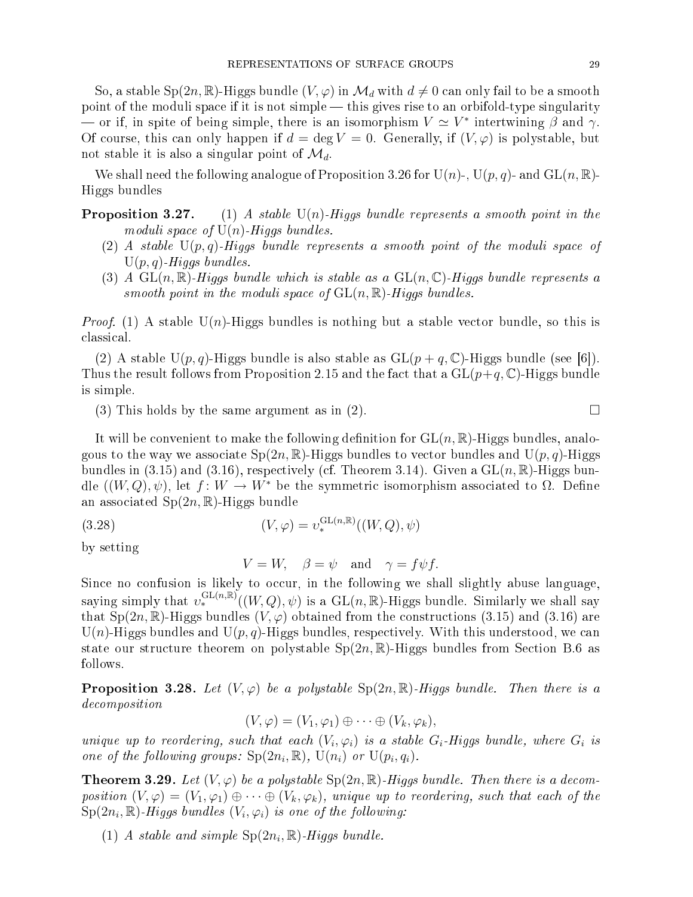So, a stable Sp(2n, R)-Higgs bundle  $(V, \varphi)$  in  $\mathcal{M}_d$  with  $d \neq 0$  can only fail to be a smooth point of the moduli space if it is not simple — this gives rise to an orbifold-type singularity  $\rightarrow$  or if, in spite of being simple, there is an isomorphism  $V \simeq V^*$  intertwining  $\beta$  and  $\gamma$ . Of course, this can only happen if  $d = \deg V = 0$ . Generally, if  $(V, \varphi)$  is polystable, but not stable it is also a singular point of  $\mathcal{M}_d$ .

We shall need the following analogue of Proposition 3.26 for U(n)-, U(p, q)- and  $GL(n, \mathbb{R})$ -Higgs bundles

- **Proposition 3.27.** (1) A stable  $U(n)$ -Higgs bundle represents a smooth point in the moduli space of  $U(n)$ -Higgs bundles.
	- (2) A stable  $U(p,q)$ -Higgs bundle represents a smooth point of the moduli space of  $U(p,q)$ -Higgs bundles.
	- (3) A  $GL(n,\mathbb{R})$ -Higgs bundle which is stable as a  $GL(n,\mathbb{C})$ -Higgs bundle represents a smooth point in the moduli space of  $GL(n,\mathbb{R})$ -Higgs bundles.

*Proof.* (1) A stable  $U(n)$ -Higgs bundles is nothing but a stable vector bundle, so this is lassi
al.

(2) A stable U(p, q)-Higgs bundle is also stable as  $GL(p+q, \mathbb{C})$ -Higgs bundle (see [6]). Thus the result follows from Proposition 2.15 and the fact that a  $GL(p+q, \mathbb{C})$ -Higgs bundle is simple.

(3) This holds by the same argument as in (2).  $\square$ 

It will be convenient to make the following definition for  $GL(n, \mathbb{R})$ -Higgs bundles, analogous to the way we associate  $Sp(2n,\mathbb{R})$ -Higgs bundles to vector bundles and  $U(p,q)$ -Higgs bundles in (3.15) and (3.16), respectively (cf. Theorem 3.14). Given a  $GL(n,\mathbb{R})$ -Higgs bundle  $((W,Q), \psi)$ , let  $f: W \to W^*$  be the symmetric isomorphism associated to  $\Omega$ . Define an associated  $Sp(2n,\mathbb{R})$ -Higgs bundle

(3.28) 
$$
(V, \varphi) = v_*^{\text{GL}(n,\mathbb{R})}((W, Q), \psi)
$$

by setting

$$
V = W, \quad \beta = \psi \quad \text{and} \quad \gamma = f \psi f.
$$

Since no confusion is likely to occur, in the following we shall slightly abuse language, saying simply that  $v_*^{\mathrm{GL}(n,\mathbb{R})}((W,Q),\psi)$  is a  $\mathrm{GL}(n,\mathbb{R})$ -Higgs bundle. Similarly we shall say that Sp(2n, R)-Higgs bundles (V,  $\varphi$ ) obtained from the constructions (3.15) and (3.16) are  $U(n)$ -Higgs bundles and  $U(p, q)$ -Higgs bundles, respectively. With this understood, we can state our structure theorem on polystable  $Sp(2n,\mathbb{R})$ -Higgs bundles from Section B.6 as follows.

**Proposition 3.28.** Let  $(V, \varphi)$  be a polystable  $Sp(2n, \mathbb{R})$ -Higgs bundle. Then there is a de
omposition

$$
(V, \varphi) = (V_1, \varphi_1) \oplus \cdots \oplus (V_k, \varphi_k),
$$

unique up to reordering, such that each  $(V_i, \varphi_i)$  is a stable  $G_i$ -Higgs bundle, where  $G_i$  is one of the following groups:  $\text{Sp}(2n_i, \mathbb{R})$ ,  $\text{U}(n_i)$  or  $\text{U}(p_i, q_i)$ .

**Theorem 3.29.** Let  $(V, \varphi)$  be a polystable  $Sp(2n, \mathbb{R})$ -Higgs bundle. Then there is a decomposition  $(V, \varphi) = (V_1, \varphi_1) \oplus \cdots \oplus (V_k, \varphi_k)$ , unique up to reordering, such that each of the  $\mathrm{Sp}(2n_i,\mathbb{R})$ -Higgs bundles  $(V_i,\varphi_i)$  is one of the following:

(1) A stable and simple  $\text{Sp}(2n_i, \mathbb{R})$ -Higgs bundle.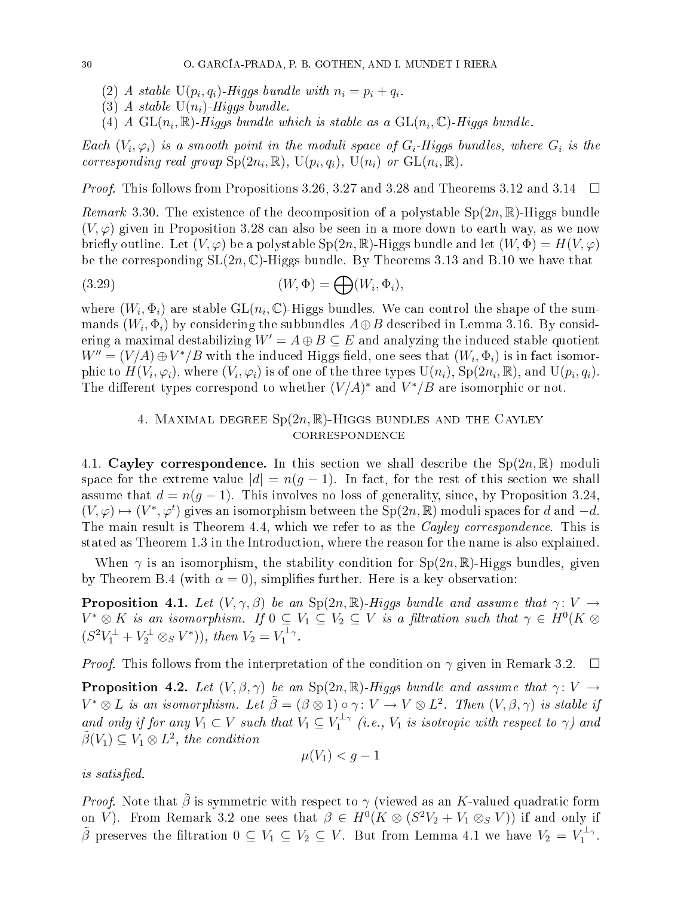- (2) A stable  $U(p_i, q_i)$ -Higgs bundle with  $n_i = p_i + q_i$ .
- (3) A stable  $U(n_i)$ -Higgs bundle.
- (4) A  $\text{GL}(n_i,\mathbb{R})$ -Higgs bundle which is stable as a  $\text{GL}(n_i,\mathbb{C})$ -Higgs bundle.

Each  $(V_i, \varphi_i)$  is a smooth point in the moduli space of  $G_i$ -Higgs bundles, where  $G_i$  is the corresponding real group  $\text{Sp}(2n_i,\mathbb{R})$ ,  $\text{U}(p_i,q_i)$ ,  $\text{U}(n_i)$  or  $\text{GL}(n_i,\mathbb{R})$ .

*Proof.* This follows from Propositions 3.26, 3.27 and 3.28 and Theorems 3.12 and 3.14  $\Box$ 

*Remark* 3.30. The existence of the decomposition of a polystable  $Sp(2n,\mathbb{R})$ -Higgs bundle  $(V, \varphi)$  given in Proposition 3.28 can also be seen in a more down to earth way, as we now briefly outline. Let  $(V, \varphi)$  be a polystable  $Sp(2n, \mathbb{R})$ -Higgs bundle and let  $(W, \Phi) = H(V, \varphi)$ be the corresponding  $SL(2n, \mathbb{C})$ -Higgs bundle. By Theorems 3.13 and B.10 we have that

(3.29) 
$$
(W, \Phi) = \bigoplus (W_i, \Phi_i),
$$

where  $(W_i, \Phi_i)$  are stable  $\mathrm{GL}(n_i,\mathbb{C})$ -Higgs bundles. We can control the shape of the summands  $(W_i, \Phi_i)$  by considering the subbundles  $A \oplus B$  described in Lemma 3.16. By considering a maximal destabilizing  $W' = A \oplus B \subseteq E$  and analyzing the induced stable quotient  $W''=(V/A) \oplus V^*/B$  with the induced Higgs field, one sees that  $(W_i,\Phi_i)$  is in fact isomorphic to  $H(V_i,\varphi_i)$ , where  $(V_i,\varphi_i)$  is of one of the three types  $\mathrm{U}(n_i),\,\mathrm{Sp}(2n_i,\mathbb{R}),$  and  $\mathrm{U}(p_i,q_i).$ The different types correspond to whether  $(V/A)^*$  and  $V^*/B$  are isomorphic or not.

## 4. MAXIMAL DEGREE  $Sp(2n,\mathbb{R})$ -HIGGS BUNDLES AND THE CAYLEY **CORRESPONDENCE**

4.1. Cayley correspondence. In this section we shall describe the  $Sp(2n,\mathbb{R})$  moduli space for the extreme value  $|d| = n(q-1)$ . In fact, for the rest of this section we shall assume that  $d = n(g - 1)$ . This involves no loss of generality, since, by Proposition 3.24,  $(V, \varphi) \mapsto (V^*, \varphi^t)$  gives an isomorphism between the Sp(2n, R) moduli spaces for d and  $-d$ . The main result is Theorem 4.4, which we refer to as the *Cayley correspondence*. This is stated as Theorem 1.3 in the Introdu
tion, where the reason for the name is also explained.

When  $\gamma$  is an isomorphism, the stability condition for  $Sp(2n,\mathbb{R})$ -Higgs bundles, given by Theorem B.4 (with  $\alpha = 0$ ), simplifies further. Here is a key observation:

**Proposition 4.1.** Let  $(V, \gamma, \beta)$  be an Sp(2n, R)-Higgs bundle and assume that  $\gamma: V \rightarrow$  $V^*\otimes K$  is an isomorphism. If  $0\subseteq V_1\subseteq V_2\subseteq V$  is a filtration such that  $\gamma\in H^0(K\otimes V_1)$  $(S^2V_1^{\perp} + V_2^{\perp} \otimes_S V^*)), \text{ then } V_2 = V_1^{\perp_{\gamma}}.$ 

*Proof.* This follows from the interpretation of the condition on  $\gamma$  given in Remark 3.2.  $\Box$ 

**Proposition 4.2.** Let  $(V, \beta, \gamma)$  be an Sp(2n, R)-Higgs bundle and assume that  $\gamma: V \to$  $V^* \otimes L$  is an isomorphism. Let  $\tilde{\beta} = (\beta \otimes 1) \circ \gamma \colon V \to V \otimes L^2$ . Then  $(V, \beta, \gamma)$  is stable if and only if for any  $V_1 \subset V$  such that  $V_1 \subseteq V_1^{\perp_{\gamma}}$  (i.e.,  $V_1$  is isotropic with respect to  $\gamma$ ) and  $\tilde{\beta}(V_1) \subseteq V_1 \otimes L^2$ , the condition

*is satisfied.* is satised.

$$
\mu(V_1) < g - 1
$$

*Proof.* Note that  $\tilde{\beta}$  is symmetric with respect to  $\gamma$  (viewed as an K-valued quadratic form on V). From Remark 3.2 one sees that  $\beta \in H^0(K \otimes (S^2V_2 + V_1 \otimes_S V))$  if and only if  $\tilde{\beta}$  preserves the filtration  $0 \subseteq V_1 \subseteq V_2 \subseteq V$ . But from Lemma 4.1 we have  $V_2 = V_1^{\perp_{\gamma}}$ .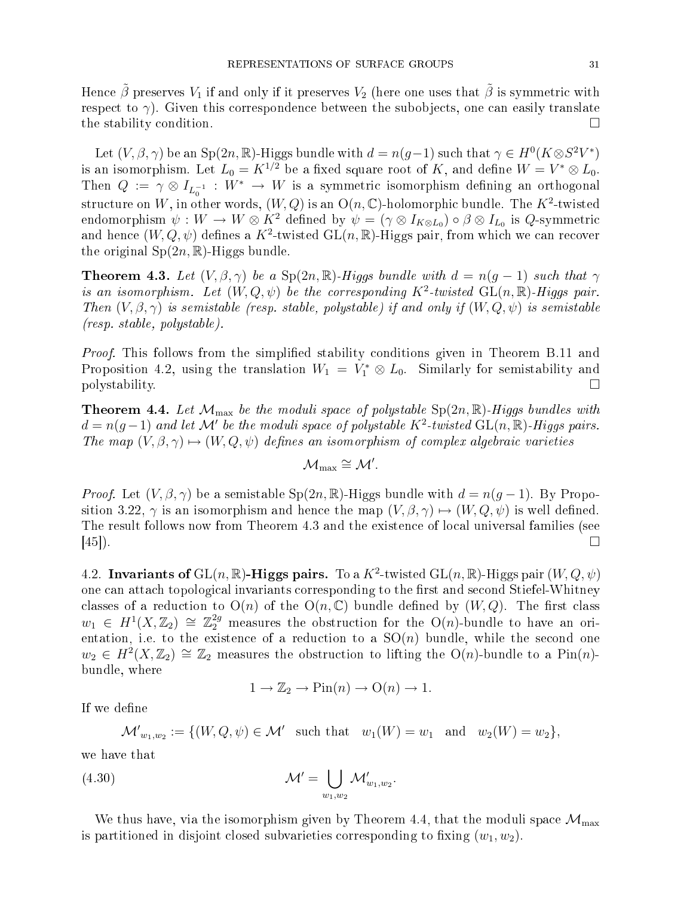Hence  $\tilde{\beta}$  preserves  $V_1$  if and only if it preserves  $V_2$  (here one uses that  $\tilde{\beta}$  is symmetric with respect to  $\gamma$ ). Given this correspondence between the subobjects, one can easily translate the stability condition.

Let  $(V, \beta, \gamma)$  be an Sp $(2n, \mathbb{R})$ -Higgs bundle with  $d = n(g-1)$  such that  $\gamma \in H^0(K \otimes S^2 V^*)$ is an isomorphism. Let  $L_0 = K^{1/2}$  be a fixed square root of K, and define  $W = V^* \otimes L_0$ . Then  $Q := \gamma \otimes I_{L_0^{-1}} : W^* \to W$  is a symmetric isomorphism defining an orthogonal structure on W, in other words,  $(W,Q)$  is an  $O(n,\mathbb{C})$ -holomorphic bundle. The  $K^2$ -twisted endomorphism  $\psi: W \to W \otimes K^2$  defined by  $\psi = (\gamma \otimes I_{K \otimes L_0}) \circ \beta \otimes I_{L_0}$  is  $Q$ -symmetric and hence  $(W,Q,\psi)$  defines a  $K^2$ -twisted  ${\rm GL}(n,\mathbb{R})$ -Higgs pair, from which we can recover the original  $Sp(2n,\mathbb{R})$ -Higgs bundle.

**Theorem 4.3.** Let  $(V, \beta, \gamma)$  be a Sp(2n, R)-Higgs bundle with  $d = n(g - 1)$  such that  $\gamma$ is an isomorphism. Let  $(W, Q, \psi)$  be the corresponding  $K^2$ -twisted  $GL(n, \mathbb{R})$ -Higgs pair. Then  $(V, \beta, \gamma)$  is semistable (resp. stable, polystable) if and only if  $(W, Q, \psi)$  is semistable (resp. stable, polystable).

*Proof.* This follows from the simplified stability conditions given in Theorem B.11 and Proposition 4.2, using the translation  $W_1 = V_1^* \otimes L_0$ . Similarly for semistability and polystability.

**Theorem 4.4.** Let  $\mathcal{M}_{\text{max}}$  be the moduli space of polystable  $\text{Sp}(2n,\mathbb{R})$ -Higgs bundles with  $d = n(g-1)$  and let M' be the moduli space of polystable  $K^2$ -twisted  $GL(n,\mathbb{R})$ -Higgs pairs. The map  $(V, \beta, \gamma) \mapsto (W, Q, \psi)$  defines an isomorphism of complex algebraic varieties

$$
\mathcal{M}_{\max}\cong \mathcal{M}'.
$$

*Proof.* Let  $(V, \beta, \gamma)$  be a semistable  $Sp(2n, \mathbb{R})$ -Higgs bundle with  $d = n(g-1)$ . By Proposition 3.22,  $\gamma$  is an isomorphism and hence the map  $(V, \beta, \gamma) \mapsto (W, Q, \psi)$  is well defined. The result follows now from Theorem 4.3 and the existen
e of lo
al universal families (see  $[45]$ ).

4.2. Invariants of  $\mathrm{GL}(n,\mathbb{R})$ -Higgs pairs. To a  $K^2$ -twisted  $\mathrm{GL}(n,\mathbb{R})$ -Higgs pair  $(W,Q,\psi)$ one can attach topological invariants corresponding to the first and second Stiefel-Whitney classes of a reduction to  $O(n)$  of the  $O(n, \mathbb{C})$  bundle defined by  $(W, Q)$ . The first class  $w_1 \in H^1(X,\mathbb{Z}_2) \cong \mathbb{Z}_2^{2g}$  measures the obstruction for the O(n)-bundle to have an orientation, i.e. to the existence of a reduction to a  $\mathrm{SO}(n)$  bundle, while the second one  $w_2 \in H^2(X,\mathbb{Z}_2) \cong \mathbb{Z}_2$  measures the obstruction to lifting the  $O(n)$ -bundle to a Pin $(n)$ bundle, where

$$
1 \to \mathbb{Z}_2 \to \text{Pin}(n) \to \text{O}(n) \to 1.
$$

If we define

$$
\mathcal{M'}_{w_1,w_2} := \{ (W,Q,\psi) \in \mathcal{M'} \text{ such that } w_1(W) = w_1 \text{ and } w_2(W) = w_2 \},
$$

we have that

$$
\mathcal{M}' = \bigcup_{w_1, w_2} \mathcal{M}'_{w_1, w_2}.
$$

We thus have, via the isomorphism given by Theorem 4.4, that the moduli space  $\mathcal{M}_{\text{max}}$ is partitioned in disjoint closed subvarieties corresponding to fixing  $(w_1, w_2)$ .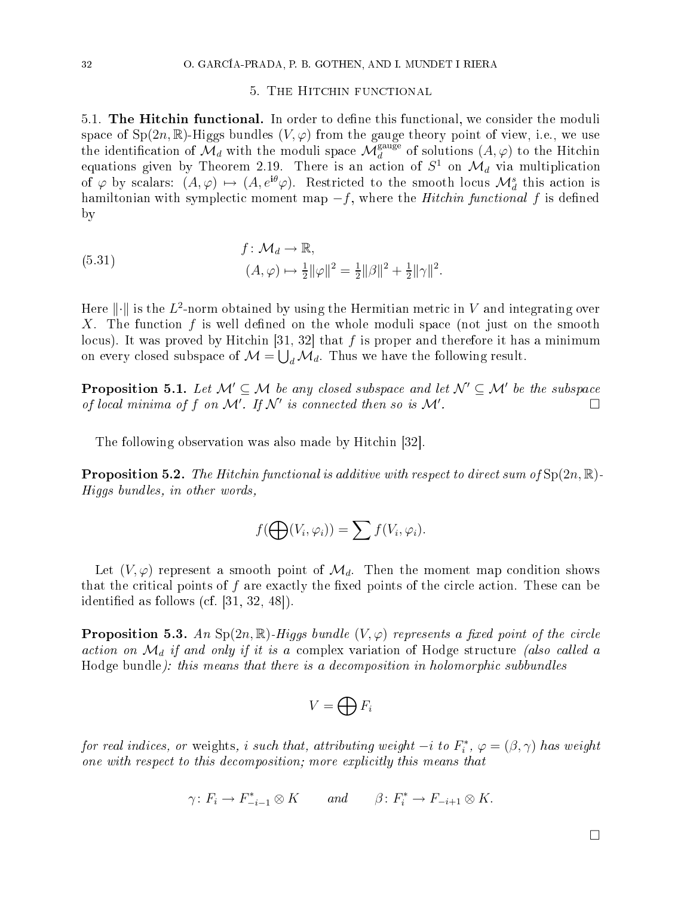#### 5. THE HITCHIN FUNCTIONAL

5.1. The Hitchin functional. In order to define this functional, we consider the moduli space of  $Sp(2n,\mathbb{R})$ -Higgs bundles  $(V,\varphi)$  from the gauge theory point of view, i.e., we use the identification of  $\mathcal{M}_d$  with the moduli space  $\mathcal{M}_d^{\text{gauge}}$  of solutions  $(A, \varphi)$  to the Hitchin equations given by Theorem 2.19. There is an action of  $S^1$  on  $\mathcal{M}_d$  via multiplication of  $\varphi$  by scalars:  $(A, \varphi) \mapsto (A, e^{i\theta}\varphi)$ . Restricted to the smooth locus  $\mathcal{M}_d^s$  this action is hamiltonian with symplectic moment map  $-f$ , where the *Hitchin functional* f is defined by

(5.31) 
$$
f: \mathcal{M}_d \to \mathbb{R}, (A, \varphi) \mapsto \frac{1}{2} ||\varphi||^2 = \frac{1}{2} ||\beta||^2 + \frac{1}{2} ||\gamma||^2.
$$

Here  $\lVert \cdot \rVert$  is the  $L^2$ -norm obtained by using the Hermitian metric in  $V$  and integrating over X. The function f is well defined on the whole moduli space (not just on the smooth locus). It was proved by Hitchin [31, 32] that f is proper and therefore it has a minimum on every closed subspace of  $\mathcal{M} = \bigcup_{d} \mathcal{M}_d$ . Thus we have the following result.

**Proposition 5.1.** Let  $\mathcal{M}' \subseteq \mathcal{M}$  be any closed subspace and let  $\mathcal{N}' \subseteq \mathcal{M}'$  be the subspace of local minima of f on M'. If N' is connected then so is M' . В последните последните под последните и последните под последните под последните под последните под последн<br>В последните последните под последните под последните под под последните под под последните под последните под

The following observation was also made by Hitchin [32].

**Proposition 5.2.** The Hitchin functional is additive with respect to direct sum of  $Sp(2n, \mathbb{R})$ . Higgs bundles, in other words,

$$
f(\bigoplus(V_i,\varphi_i))=\sum f(V_i,\varphi_i).
$$

Let  $(V, \varphi)$  represent a smooth point of  $\mathcal{M}_d$ . Then the moment map condition shows that the critical points of  $f$  are exactly the fixed points of the circle action. These can be identified as follows (cf.  $[31, 32, 48]$ ).

**Proposition 5.3.** An Sp $(2n, \mathbb{R})$ -Higgs bundle  $(V, \varphi)$  represents a fixed point of the circle action on  $\mathcal{M}_d$  if and only if it is a complex variation of Hodge structure (also called a Hodge bundle): this means that there is a decomposition in holomorphic subbundles

$$
V=\bigoplus F_i
$$

for real indices, or weights, i such that, attributing weight  $-i$  to  $F_i^*,\,\varphi=(\beta,\gamma)$  has weight one with respect to this decomposition; more explicitly this means that

$$
\gamma\colon F_i\to F_{-i-1}^*\otimes K\qquad\text{and}\qquad \beta\colon F_i^*\to F_{-i+1}\otimes K.
$$

 $\Box$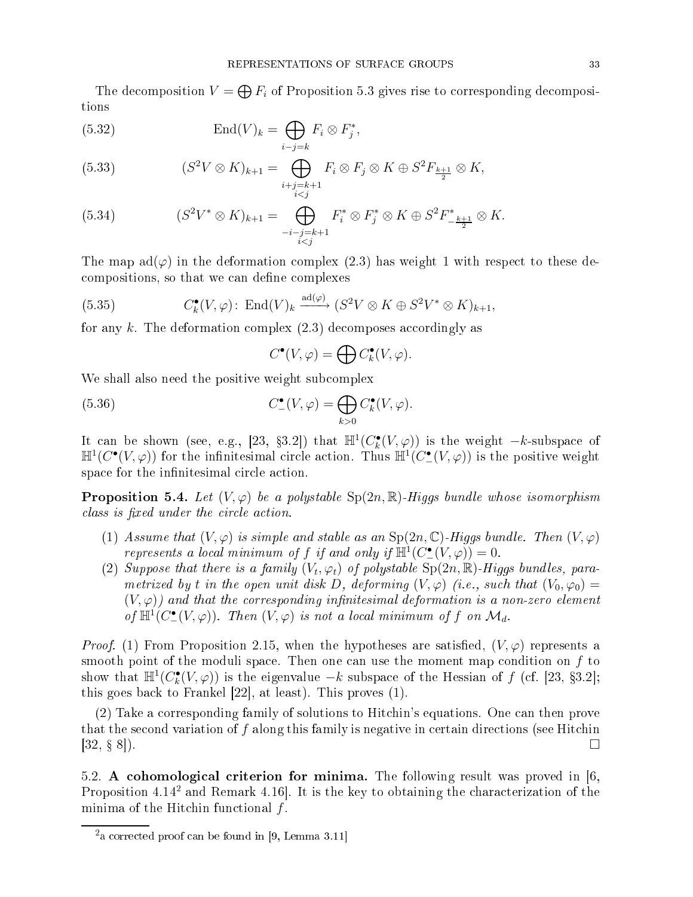The decomposition  $V = \bigoplus F_i$  of Proposition 5.3 gives rise to corresponding decompositions

(5.32) 
$$
\operatorname{End}(V)_k = \bigoplus_{i-j=k} F_i \otimes F_j^*,
$$

(5.33) 
$$
(S^2V \otimes K)_{k+1} = \bigoplus_{\substack{i+j=k+1 \ i
$$

(5.34) 
$$
(S^2V^* \otimes K)_{k+1} = \bigoplus_{\substack{-i-j=k+1 \\ i
$$

The map  $ad(\varphi)$  in the deformation complex (2.3) has weight 1 with respect to these decompositions, so that we can define complexes

(5.35) 
$$
C_k^{\bullet}(V,\varphi) \colon \operatorname{End}(V)_k \xrightarrow{\operatorname{ad}(\varphi)} (S^2V \otimes K \oplus S^2V^* \otimes K)_{k+1},
$$

for any k. The deformation complex  $(2.3)$  decomposes accordingly as

$$
C^{\bullet}(V, \varphi) = \bigoplus C^{\bullet}_k(V, \varphi).
$$

We shall also need the positive weight subcomplex

(5.36) 
$$
C_{-}^{\bullet}(V,\varphi) = \bigoplus_{k>0} C_{k}^{\bullet}(V,\varphi).
$$

It can be shown (see, e.g., [23, §3.2]) that  $\mathbb{H}^1(C^{\bullet}_{k}(V,\varphi))$  is the weight  $-k$ -subspace of  $\mathbb{H}^1(C^{\bullet}(V,\varphi))$  for the infinitesimal circle action. Thus  $\mathbb{H}^1(C^{\bullet}(V,\varphi))$  is the positive weight space for the infinitesimal circle action.

**Proposition 5.4.** Let  $(V, \varphi)$  be a polystable  $\text{Sp}(2n, \mathbb{R})$ -Higgs bundle whose isomorphism class is fixed under the circle action.

- (1) Assume that  $(V, \varphi)$  is simple and stable as an  $Sp(2n, \mathbb{C})$ -Higgs bundle. Then  $(V, \varphi)$ represents a local minimum of f if and only if  $\mathbb{H}^1(C^{\bullet}_{-}(V, \varphi)) = 0$ .
- (2) Suppose that there is a family  $(V_t, \varphi_t)$  of polystable  $\text{Sp}(2n,\mathbb{R})$ -Higgs bundles, parametrized by t in the open unit disk D, deforming  $(V, \varphi)$  (i.e., such that  $(V_0, \varphi_0)$  =  $(V, \varphi)$  and that the corresponding infinitesimal deformation is a non-zero element of  $\mathbb{H}^1(C^{\bullet}_{-}(V, \varphi))$ . Then  $(V, \varphi)$  is not a local minimum of f on  $\mathcal{M}_d$ .

*Proof.* (1) From Proposition 2.15, when the hypotheses are satisfied,  $(V, \varphi)$  represents a smooth point of the moduli space. Then one can use the moment map condition on  $f$  to show that  $\mathbb{H}^1(C^{\bullet}_{k}(V, \varphi))$  is the eigenvalue  $-k$  subspace of the Hessian of f (cf. [23, §3.2]; this goes back to Frankel  $[22]$ , at least). This proves  $(1)$ .

(2) Take a orresponding family of solutions to Hit
hin's equations. One an then prove that the second variation of  $f$  along this family is negative in certain directions (see Hitchin  $[32, 8, 8]$ ).

5.2. A cohomological criterion for minima. The following result was proved in [6, Proposition 4.14° and Remark 4.10]. It is the key to obtaining the characterization of the minima of the Hitchin functional  $f$ .

<sup>-</sup>a corrected proof can be found in [9, Lemma 3.11]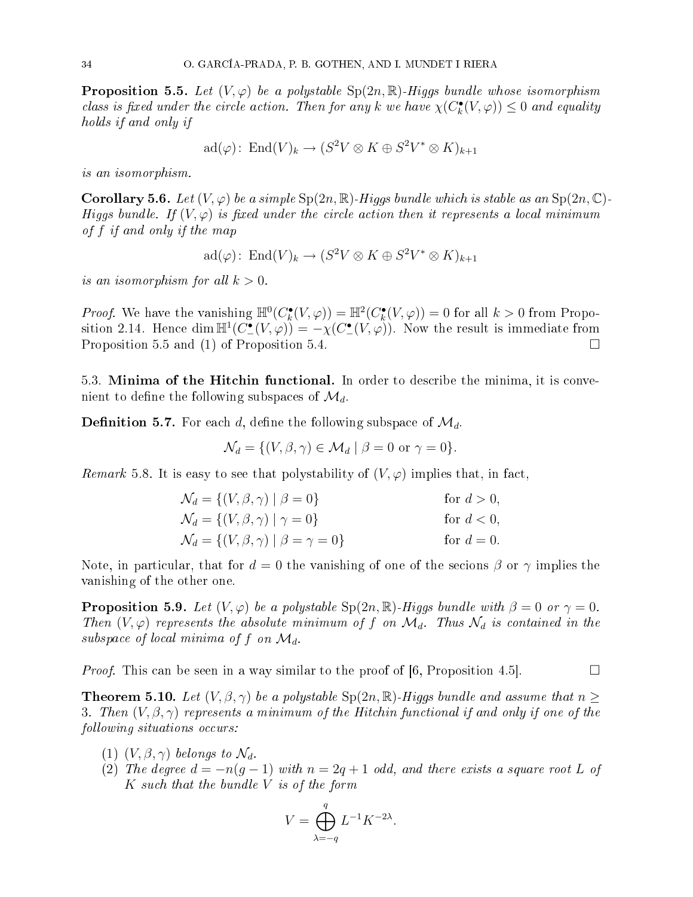**Proposition 5.5.** Let  $(V, \varphi)$  be a polystable  $Sp(2n, \mathbb{R})$ -Higgs bundle whose isomorphism class is fixed under the circle action. Then for any k we have  $\chi(C^{\bullet}_{k}(V, \varphi)) \leq 0$  and equality holds if and only if

$$
\mathrm{ad}(\varphi)\colon \mathrm{End}(V)_k \to (S^2V \otimes K \oplus S^2V^* \otimes K)_{k+1}
$$

is an isomorphism.

Corollary 5.6. Let  $(V, \varphi)$  be a simple  $\text{Sp}(2n, \mathbb{R})$ -Higgs bundle which is stable as an  $\text{Sp}(2n, \mathbb{C})$ -Higgs bundle. If  $(V, \varphi)$  is fixed under the circle action then it represents a local minimum of f if and only if the map

$$
\mathrm{ad}(\varphi)\colon \operatorname{End}(V)_k \to (S^2V \otimes K \oplus S^2V^* \otimes K)_{k+1}
$$

is an isomorphism for all  $k > 0$ .

*Proof.* We have the vanishing  $\mathbb{H}^0(C_k^{\bullet}(V, \varphi)) = \mathbb{H}^2(C_k^{\bullet}(V, \varphi)) = 0$  for all  $k > 0$  from Proposition 2.14. Hence  $\dim \mathbb{H}^1(C^{\bullet}_{-}(V, \varphi)) = -\chi(C^{\bullet}_{-}(V, \varphi))$ . Now the result is immediate from Proposition 5.5 and (1) of Proposition 5.4.

5.3. Minima of the Hitchin functional. In order to describe the minima, it is convenient to define the following subspaces of  $\mathcal{M}_d$ .

**Definition 5.7.** For each d, define the following subspace of  $\mathcal{M}_d$ .

$$
\mathcal{N}_d = \{ (V, \beta, \gamma) \in \mathcal{M}_d \mid \beta = 0 \text{ or } \gamma = 0 \}.
$$

Remark 5.8. It is easy to see that polystability of  $(V, \varphi)$  implies that, in fact,

$$
\mathcal{N}_d = \{ (V, \beta, \gamma) \mid \beta = 0 \} \qquad \text{for } d > 0,
$$
  
\n
$$
\mathcal{N}_d = \{ (V, \beta, \gamma) \mid \gamma = 0 \} \qquad \text{for } d < 0,
$$
  
\n
$$
\mathcal{N}_d = \{ (V, \beta, \gamma) \mid \beta = \gamma = 0 \} \qquad \text{for } d = 0.
$$

Note, in particular, that for  $d=0$  the vanishing of one of the secions  $\beta$  or  $\gamma$  implies the vanishing of the other one.

**Proposition 5.9.** Let  $(V, \varphi)$  be a polystable  $Sp(2n, \mathbb{R})$ -Higgs bundle with  $\beta = 0$  or  $\gamma = 0$ . Then  $(V, \varphi)$  represents the absolute minimum of f on  $\mathcal{M}_d$ . Thus  $\mathcal{N}_d$  is contained in the subspace of local minima of f on  $\mathcal{M}_d$ .

*Proof.* This can be seen in a way similar to the proof of  $(6,$  Proposition 4.5.

**Theorem 5.10.** Let  $(V, \beta, \gamma)$  be a polystable  $Sp(2n, \mathbb{R})$ -Higgs bundle and assume that  $n \geq$ 3. Then  $(V, \beta, \gamma)$  represents a minimum of the Hitchin functional if and only if one of the following situations occurs:

- (1)  $(V, \beta, \gamma)$  belongs to  $\mathcal{N}_d$ .
- (2) The degree  $d = -n(g-1)$  with  $n = 2g+1$  odd, and there exists a square root L of  $K$  such that the bundle  $V$  is of the form

$$
V = \bigoplus_{\lambda = -q}^{q} L^{-1} K^{-2\lambda}.
$$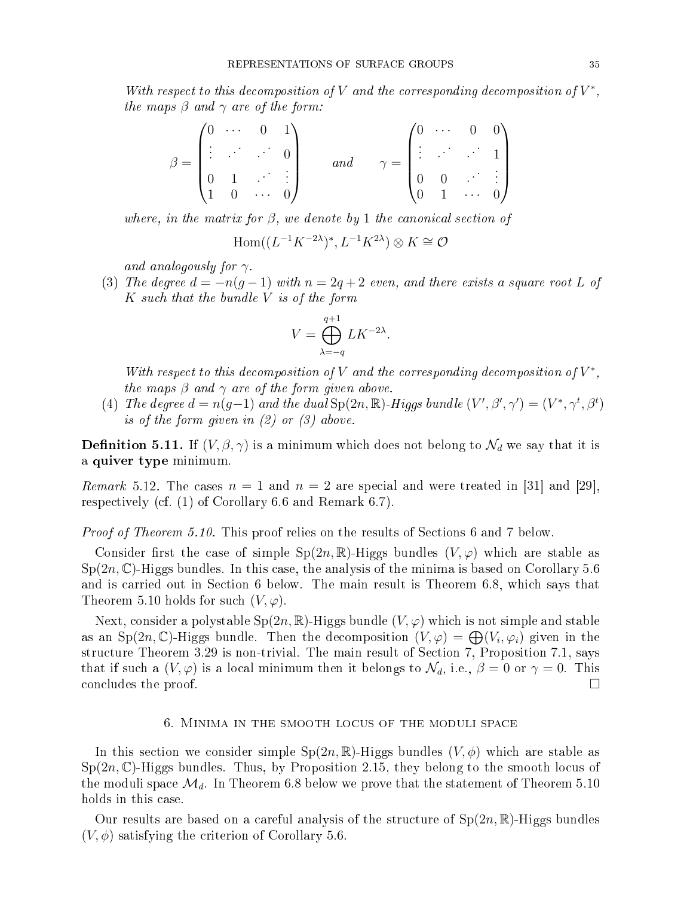With respect to this decomposition of V and the corresponding decomposition of  $V^*$ , the maps  $\beta$  and  $\gamma$  are of the form:

$$
\beta = \begin{pmatrix} 0 & \cdots & 0 & 1 \\ \vdots & \ddots & \ddots & 0 \\ 0 & 1 & \cdots & \vdots \\ 1 & 0 & \cdots & 0 \end{pmatrix} \quad \text{and} \quad \gamma = \begin{pmatrix} 0 & \cdots & 0 & 0 \\ \vdots & \ddots & \ddots & 1 \\ 0 & 0 & \cdots & \vdots \\ 0 & 1 & \cdots & 0 \end{pmatrix}
$$

where, in the matrix for  $\beta$ , we denote by 1 the canonical section of

$$
\mathrm{Hom}((L^{-1}K^{-2\lambda})^*, L^{-1}K^{2\lambda})\otimes K\cong \mathcal{O}
$$

and analogously for  $\gamma$ .

(3) The degree  $d = -n(q-1)$  with  $n = 2q+2$  even, and there exists a square root L of  $K$  such that the bundle  $V$  is of the form

$$
V = \bigoplus_{\lambda = -q}^{q+1} L K^{-2\lambda}.
$$

With respect to this decomposition of V and the corresponding decomposition of  $V^*$ , the maps  $\beta$  and  $\gamma$  are of the form given above.

(4) The degree  $d = n(g-1)$  and the dual  $Sp(2n, \mathbb{R})$ -Higgs bundle  $(V', \beta', \gamma') = (V^*, \gamma^t, \beta^t)$ is of the form given in  $(2)$  or  $(3)$  above.

**Definition 5.11.** If  $(V, \beta, \gamma)$  is a minimum which does not belong to  $\mathcal{N}_d$  we say that it is a quiver type minimum.

*Remark* 5.12. The cases  $n = 1$  and  $n = 2$  are special and were treated in [31] and [29], respe
tively (
f. (1) of Corollary 6.6 and Remark 6.7).

*Proof of Theorem 5.10.* This proof relies on the results of Sections 6 and 7 below.

Consider first the case of simple  $Sp(2n,\mathbb{R})$ -Higgs bundles  $(V,\varphi)$  which are stable as  $Sp(2n,\mathbb{C})$ -Higgs bundles. In this case, the analysis of the minima is based on Corollary 5.6 and is carried out in Section 6 below. The main result is Theorem 6.8, which says that Theorem 5.10 holds for such  $(V, \varphi)$ .

Next, consider a polystable  $Sp(2n, \mathbb{R})$ -Higgs bundle  $(V, \varphi)$  which is not simple and stable as an Sp $(2n, \mathbb{C})$ -Higgs bundle. Then the decomposition  $(V, \varphi) = \bigoplus (V_i, \varphi_i)$  given in the structure Theorem 3.29 is non-trivial. The main result of Section 7, Proposition 7.1, says that if such a  $(V, \varphi)$  is a local minimum then it belongs to  $\mathcal{N}_d$ , i.e.,  $\beta = 0$  or  $\gamma = 0$ . This concludes the proof.  $\Box$ 

### 6. MINIMA IN THE SMOOTH LOCUS OF THE MODULI SPACE

In this section we consider simple  $Sp(2n,\mathbb{R})$ -Higgs bundles  $(V,\phi)$  which are stable as  $Sp(2n,\mathbb{C})$ -Higgs bundles. Thus, by Proposition 2.15, they belong to the smooth locus of the moduli space  $\mathcal{M}_d$ . In Theorem 6.8 below we prove that the statement of Theorem 5.10 holds in this case.

Our results are based on a careful analysis of the structure of  $Sp(2n, \mathbb{R})$ -Higgs bundles  $(V, \phi)$  satisfying the criterion of Corollary 5.6.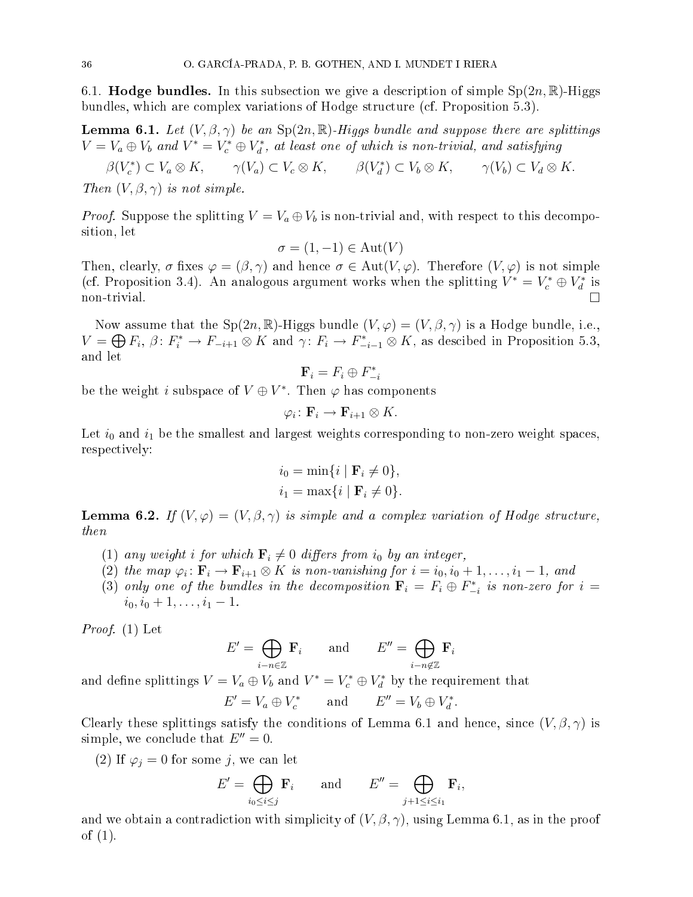6.1. **Hodge bundles.** In this subsection we give a description of simple  $Sp(2n,\mathbb{R})$ -Higgs bundles, whi
h are omplex variations of Hodge stru
ture (
f. Proposition 5.3).

**Lemma 6.1.** Let  $(V, \beta, \gamma)$  be an  $Sp(2n, \mathbb{R})$ -Higgs bundle and suppose there are splittings  $V = V_a \oplus V_b$  and  $V^* = V_c^* \oplus V_d^*$ , at least one of which is non-trivial, and satisfying

 $\beta(V_c^*) \subset V_a \otimes K$ ,  $\gamma(V_a) \subset V_c \otimes K$ ,  $\beta(V_d^*) \subset V_b \otimes K$ ,  $\gamma(V_b) \subset V_d \otimes K$ . Then  $(V, \beta, \gamma)$  is not simple.

*Proof.* Suppose the splitting  $V = V_a \oplus V_b$  is non-trivial and, with respect to this decomposition, let

$$
\sigma = (1, -1) \in \text{Aut}(V)
$$

Then, clearly,  $\sigma$  fixes  $\varphi = (\beta, \gamma)$  and hence  $\sigma \in Aut(V, \varphi)$ . Therefore  $(V, \varphi)$  is not simple (cf. Proposition 3.4). An analogous argument works when the splitting  $V^* = V_c^* \oplus V_d^*$  is non-trivial.

Now assume that the Sp(2n, R)-Higgs bundle  $(V, \varphi) = (V, \beta, \gamma)$  is a Hodge bundle, i.e.,  $V = \bigoplus F_i$ ,  $\beta: F_i^* \to F_{-i+1} \otimes K$  and  $\gamma: F_i \to F_{-i-1}^* \otimes K$ , as descibed in Proposition 5.3, and let

$$
\mathbf{F}_i = F_i \oplus F_{-i}^*
$$

be the weight  $i$  subspace of  $V\oplus V^*.$  Then  $\varphi$  has components

$$
\varphi_i\colon \mathbf{F}_i\to \mathbf{F}_{i+1}\otimes K.
$$

Let  $i_0$  and  $i_1$  be the smallest and largest weights corresponding to non-zero weight spaces, respe
tively:

$$
i_0 = \min\{i \mid \mathbf{F}_i \neq 0\},\
$$
  

$$
i_1 = \max\{i \mid \mathbf{F}_i \neq 0\}.
$$

**Lemma 6.2.** If  $(V, \varphi) = (V, \beta, \gamma)$  is simple and a complex variation of Hodge structure, then

- (1) any weight i for which  $\mathbf{F}_i \neq 0$  differs from  $i_0$  by an integer,
- (2) the map  $\varphi_i \colon \mathbf{F}_i \to \mathbf{F}_{i+1} \otimes K$  is non-vanishing for  $i = i_0, i_0 + 1, \ldots, i_1 1$ , and
- (3) only one of the bundles in the decomposition  $\mathbf{F}_i = F_i \oplus F_{-i}^*$  is non-zero for  $i =$  $i_0, i_0 + 1, \ldots, i_1 - 1.$

Proof. (1) Let

$$
E' = \bigoplus_{i-n \in \mathbb{Z}} \mathbf{F}_i \quad \text{and} \quad E'' = \bigoplus_{i-n \notin \mathbb{Z}} \mathbf{F}_i
$$

and define splittings  $V = V_a \oplus V_b$  and  $V^* = V_c^* \oplus V_d^*$  by the requirement that

$$
E' = V_a \oplus V_c^* \qquad \text{and} \qquad E'' = V_b \oplus V_d^*.
$$

Clearly these splittings satisfy the conditions of Lemma 6.1 and hence, since  $(V, \beta, \gamma)$  is simple, we conclude that  $E'' = 0$ .

(2) If  $\varphi_i = 0$  for some j, we can let

$$
E' = \bigoplus_{i_0 \le i \le j} \mathbf{F}_i \quad \text{and} \quad E'' = \bigoplus_{j+1 \le i \le i_1} \mathbf{F}_i,
$$

and we obtain a contradiction with simplicity of  $(V, \beta, \gamma)$ , using Lemma 6.1, as in the proof of (1).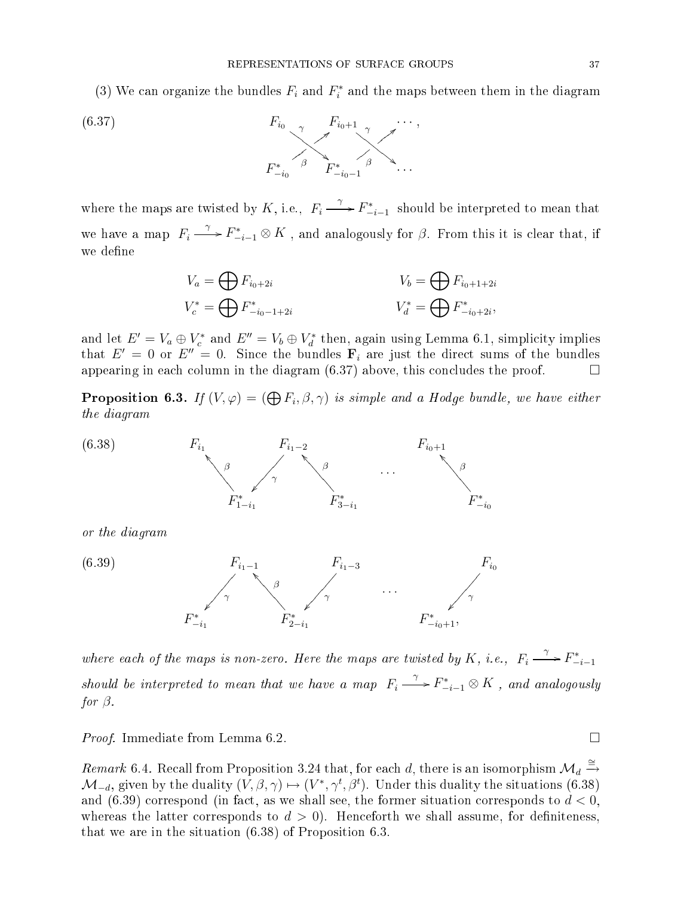(3) We can organize the bundles  $F_i$  and  $F_i^*$  and the maps between them in the diagram



where the maps are twisted by K, i.e.,  $F_i \xrightarrow{\gamma} F_{-i-1}^*$  should be interpreted to mean that we have a map  $F_i \xrightarrow{\gamma} F_{-i-1}^* \otimes K$ , and analogously for  $\beta$ . From this it is clear that, if we define

$$
V_a = \bigoplus F_{i_0+2i}
$$
  
\n
$$
V_b = \bigoplus F_{i_0+1+2i}
$$
  
\n
$$
V_b^* = \bigoplus F_{i_0+1+2i}
$$
  
\n
$$
V_d^* = \bigoplus F_{i_0+2i}^*,
$$

and let  $E'=V_a\oplus V_c^*$  and  $E''=V_b\oplus V_d^*$  then, again using Lemma 6.1, simplicity implies that  $E' = 0$  or  $E'' = 0$ . Since the bundles  $\mathbf{F}_i$  are just the direct sums of the bundles appearing in each column in the diagram  $(6.37)$  above, this concludes the proof.  $\Box$ 

**Proposition 6.3.** If  $(V, \varphi) = (\bigoplus F_i, \beta, \gamma)$  is simple and a Hodge bundle, we have either the diagram



where each of the maps is non-zero. Here the maps are twisted by K, i.e.,  $F_i \xrightarrow{\gamma} F_{-i-1}^*$ should be interpreted to mean that we have a map  $F_i \stackrel{\gamma}{\longrightarrow} F_{-i-1}^* \otimes K$  , and analogously for  $\beta$ .

*Proof.* Immediate from Lemma 6.2.

Remark 6.4. Recall from Proposition 3.24 that, for each d, there is an isomorphism  $\mathcal{M}_d \stackrel{\cong}{\to}$  $\mathcal{M}_{-d}$ , given by the duality  $(V, \beta, \gamma) \mapsto (V^*, \gamma^t, \beta^t)$ . Under this duality the situations (6.38) and (6.39) correspond (in fact, as we shall see, the former situation corresponds to  $d < 0$ , whereas the latter corresponds to  $d > 0$ . Henceforth we shall assume, for definiteness, that we are in the situation (6.38) of Proposition 6.3.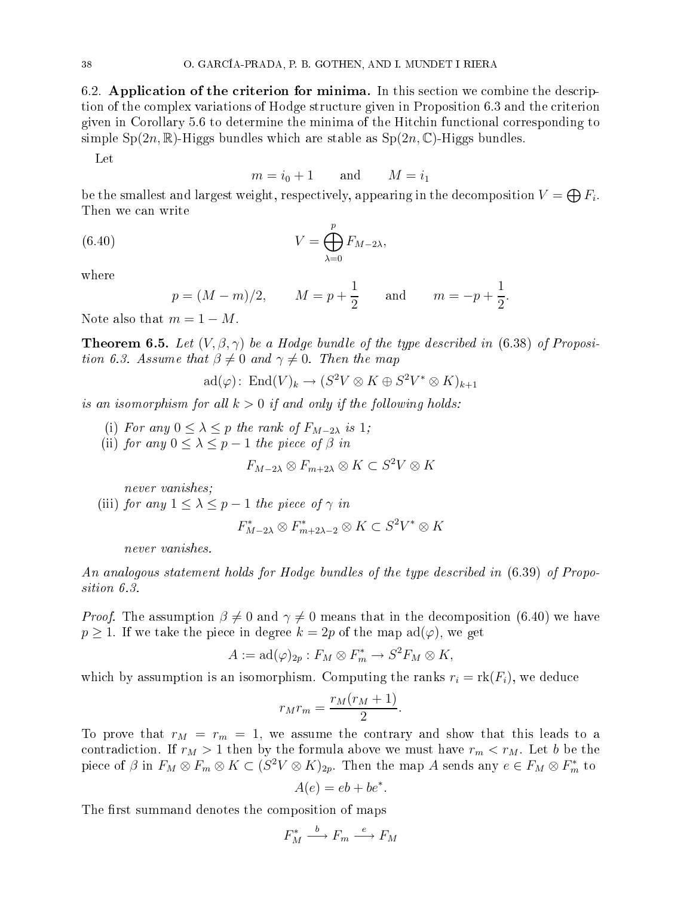6.2. Application of the criterion for minima. In this section we combine the description of the complex variations of Hodge structure given in Proposition 6.3 and the criterion given in Corollary 5.6 to determine the minima of the Hit
hin fun
tional orresponding to simple  $Sp(2n,\mathbb{R})$ -Higgs bundles which are stable as  $Sp(2n,\mathbb{C})$ -Higgs bundles.

Let

$$
m = i_0 + 1 \qquad \text{and} \qquad M = i_1
$$

be the smallest and largest weight, respectively, appearing in the decomposition  $V=\bigoplus F_i.$ Then we an write

(6.40) 
$$
V = \bigoplus_{\lambda=0}^{p} F_{M-2\lambda},
$$

where

$$
p = (M - m)/2,
$$
  $M = p + \frac{1}{2}$  and  $m = -p + \frac{1}{2}.$ 

Note also that  $m = 1 - M$ .

**Theorem 6.5.** Let  $(V, \beta, \gamma)$  be a Hodge bundle of the type described in (6.38) of Proposition 6.3. Assume that  $\beta \neq 0$  and  $\gamma \neq 0$ . Then the map

$$
\mathrm{ad}(\varphi)\colon \operatorname{End}(V)_k \to (S^2V \otimes K \oplus S^2V^* \otimes K)_{k+1}
$$

is an isomorphism for all  $k > 0$  if and only if the following holds:

- (i) For any  $0 \leq \lambda \leq p$  the rank of  $F_{M-2\lambda}$  is 1;
- (ii) for any  $0 \leq \lambda \leq p-1$  the piece of  $\beta$  in

$$
F_{M-2\lambda} \otimes F_{m+2\lambda} \otimes K \subset S^2 V \otimes K
$$

never vanishes;

(iii) for any  $1 \leq \lambda \leq p-1$  the piece of  $\gamma$  in

$$
F_{M-2\lambda}^* \otimes F_{m+2\lambda-2}^* \otimes K \subset S^2 V^* \otimes K
$$

never vanishes.

An analogous statement holds for Hodge bundles of the type described in  $(6.39)$  of Proposition 6.3.

*Proof.* The assumption  $\beta \neq 0$  and  $\gamma \neq 0$  means that in the decomposition (6.40) we have  $p \geq 1$ . If we take the piece in degree  $k = 2p$  of the map  $ad(\varphi)$ , we get

$$
A := \mathrm{ad}(\varphi)_{2p} : F_M \otimes F_m^* \to S^2 F_M \otimes K,
$$

which by assumption is an isomorphism. Computing the ranks  $r_i = \text{rk}(F_i)$ , we deduce

$$
r_M r_m = \frac{r_M(r_M + 1)}{2}.
$$

To prove that  $r_M = r_m = 1$ , we assume the contrary and show that this leads to a contradiction. If  $r_M > 1$  then by the formula above we must have  $r_m < r_M$ . Let b be the piece of  $\beta$  in  $F_M \otimes F_m \otimes K \subset (S^2V \otimes K)_{2p}$ . Then the map A sends any  $e \in F_M \otimes F_m^*$  to

$$
A(e) = eb + be^*.
$$

The first summand denotes the composition of maps

$$
F_M^* \xrightarrow{b} F_m \xrightarrow{e} F_M
$$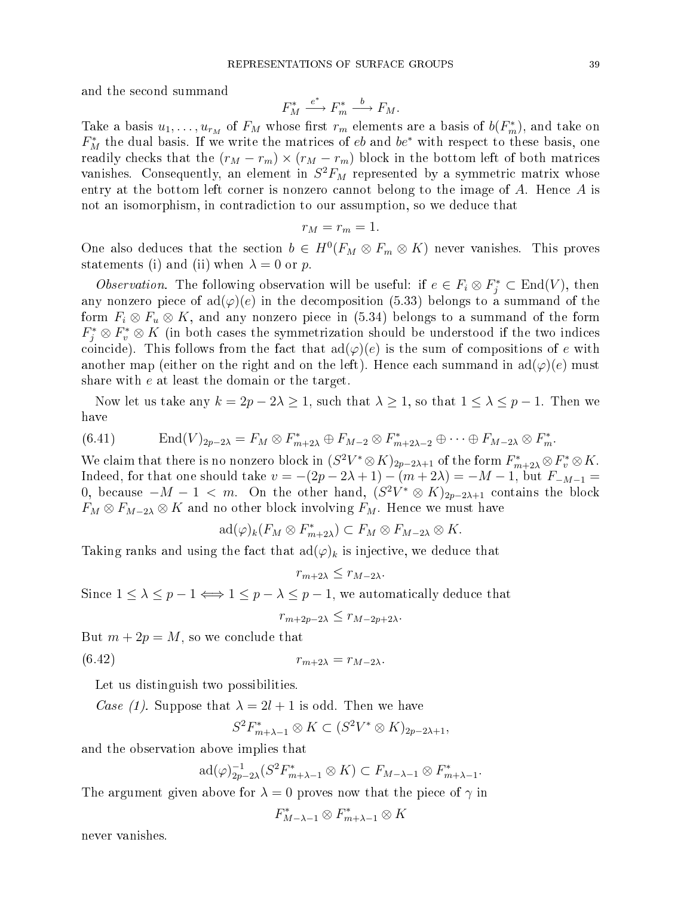and the se
ond summand

$$
F_M^* \xrightarrow{e^*} F_m^* \xrightarrow{b} F_M.
$$

Take a basis  $u_1, \ldots, u_{r_M}$  of  $F_M$  whose first  $r_m$  elements are a basis of  $b(F_m^*)$ , and take on  $F_M^*$  the dual basis. If we write the matrices of  $eb$  and  $be^*$  with respect to these basis, one readily checks that the  $(r_M - r_m) \times (r_M - r_m)$  block in the bottom left of both matrices vanishes. Consequently, an element in  $S^2F_M$  represented by a symmetric matrix whose entry at the bottom left corner is nonzero cannot belong to the image of  $A$ . Hence  $A$  is not an isomorphism, in ontradi
tion to our assumption, so we dedu
e that

$$
r_M=r_m=1.
$$

One also deduces that the section  $b \in H^0(F_M \otimes F_m \otimes K)$  never vanishes. This proves statements (i) and (ii) when  $\lambda = 0$  or p.

*Observation*. The following observation will be useful: if  $e \in F_i \otimes F_j^* \subset End(V)$ , then any nonzero piece of  $\text{ad}(\varphi)(e)$  in the decomposition (5.33) belongs to a summand of the form  $F_i \otimes F_u \otimes K$ , and any nonzero piece in (5.34) belongs to a summand of the form  $F_j^* \otimes F_v^* \otimes K$  (in both cases the symmetrization should be understood if the two indices coincide). This follows from the fact that  $ad(\varphi)(e)$  is the sum of compositions of e with another map (either on the right and on the left). Hence each summand in  $\text{ad}(\varphi)(e)$  must share with e at least the domain or the target.

Now let us take any  $k = 2p - 2\lambda \ge 1$ , such that  $\lambda \ge 1$ , so that  $1 \le \lambda \le p - 1$ . Then we have

$$
(6.41) \t\text{End}(V)_{2p-2\lambda} = F_M \otimes F_{m+2\lambda}^* \oplus F_{M-2} \otimes F_{m+2\lambda-2}^* \oplus \cdots \oplus F_{M-2\lambda} \otimes F_m^*.
$$

We claim that there is no nonzero block in  $(S^2V^*\otimes K)_{2p-2\lambda+1}$  of the form  $F_{m+2\lambda}^*\otimes F_v^*\otimes K$ . Indeed, for that one should take  $v = -(2p - 2\lambda + 1) - (m + 2\lambda) = -M - 1$ , but  $F_{-M-1} =$ 0, because  $-M-1 < m$ . On the other hand,  $(S^2V^* \otimes K)_{2p-2\lambda+1}$  contains the block  $F_M \otimes F_{M-2\lambda} \otimes K$  and no other block involving  $F_M$ . Hence we must have

$$
\mathrm{ad}(\varphi)_k(F_M \otimes F_{m+2\lambda}^*) \subset F_M \otimes F_{M-2\lambda} \otimes K.
$$

Taking ranks and using the fact that  $\text{ad}(\varphi)_k$  is injective, we deduce that

$$
r_{m+2\lambda} \le r_{M-2\lambda}.
$$

Since  $1 \leq \lambda \leq p-1 \Longleftrightarrow 1 \leq p-\lambda \leq p-1$ , we automatically deduce that

$$
r_{m+2p-2\lambda}\leq r_{M-2p+2\lambda}.
$$

But  $m + 2p = M$ , so we conclude that

$$
(6.42) \t\t\t\t\t r_{m+2\lambda} = r_{M-2\lambda}.
$$

Let us distinguish two possibilities.

Case (1). Suppose that  $\lambda = 2l + 1$  is odd. Then we have

$$
S^2F_{m+\lambda-1}^* \otimes K \subset (S^2V^* \otimes K)_{2p-2\lambda+1},
$$

and the observation above implies that

$$
\mathrm{ad}(\varphi)_{2p-2\lambda}^{-1}(S^2F_{m+\lambda-1}^*\otimes K)\subset F_{M-\lambda-1}\otimes F_{m+\lambda-1}^*.
$$

The argument given above for  $\lambda = 0$  proves now that the piece of  $\gamma$  in

$$
F_{M-\lambda-1}^* \otimes F_{m+\lambda-1}^* \otimes K
$$

never vanishes.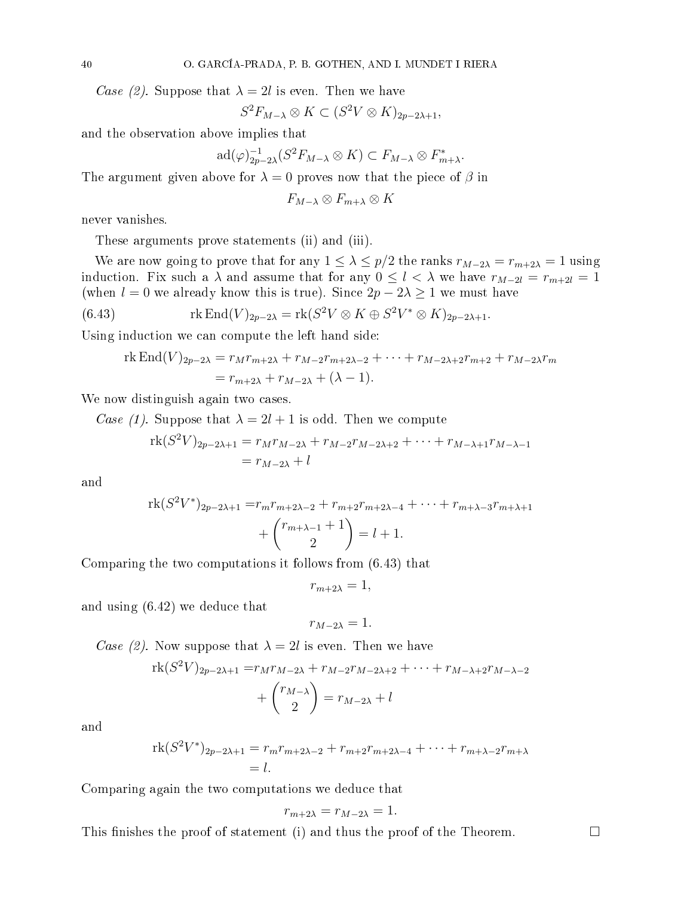Case (2). Suppose that  $\lambda = 2l$  is even. Then we have

$$
S^2F_{M-\lambda} \otimes K \subset (S^2V \otimes K)_{2p-2\lambda+1},
$$

and the observation above implies that

$$
\mathrm{ad}(\varphi)_{2p-2\lambda}^{-1}(S^2F_{M-\lambda}\otimes K)\subset F_{M-\lambda}\otimes F_{m+\lambda}^*.
$$

The argument given above for  $\lambda = 0$  proves now that the piece of  $\beta$  in

 $F_{M-\lambda} \otimes F_{m+\lambda} \otimes K$ 

never vanishes.

These arguments prove statements (ii) and (iii).

We are now going to prove that for any  $1 \leq \lambda \leq p/2$  the ranks  $r_{M-2\lambda} = r_{m+2\lambda} = 1$  using induction. Fix such a  $\lambda$  and assume that for any  $0 \leq l < \lambda$  we have  $r_{M-2l} = r_{m+2l} = 1$ (when  $l = 0$  we already know this is true). Since  $2p - 2\lambda \geq 1$  we must have

(6.43) 
$$
\operatorname{rk} \operatorname{End}(V)_{2p-2\lambda} = \operatorname{rk} (S^2 V \otimes K \oplus S^2 V^* \otimes K)_{2p-2\lambda+1}.
$$

Using indu
tion we an ompute the left hand side:

rk End(V)<sub>2p-2
$$
\lambda
$$</sub> =  $r_M r_{m+2\lambda} + r_{M-2} r_{m+2\lambda-2} + \cdots + r_{M-2\lambda+2} r_{m+2} + r_{M-2\lambda} r_m$   
=  $r_{m+2\lambda} + r_{M-2\lambda} + (\lambda - 1)$ .

We now distinguish again two cases.

Case (1). Suppose that  $\lambda = 2l + 1$  is odd. Then we compute

$$
rk(S^{2}V)_{2p-2\lambda+1} = r_{M}r_{M-2\lambda} + r_{M-2}r_{M-2\lambda+2} + \dots + r_{M-\lambda+1}r_{M-\lambda-1}
$$
  
=  $r_{M-2\lambda} + l$ 

and

$$
\operatorname{rk}(S^2V^*)_{2p-2\lambda+1} = r_m r_{m+2\lambda-2} + r_{m+2} r_{m+2\lambda-4} + \dots + r_{m+\lambda-3} r_{m+\lambda+1} + {r_{m+\lambda-1}+1 \choose 2} = l+1.
$$

Comparing the two omputations it follows from (6.43) that

$$
r_{m+2\lambda}=1,
$$

and using (6.42) we dedu
e that

$$
r_{M-2\lambda}=1.
$$

Case (2). Now suppose that  $\lambda = 2l$  is even. Then we have

$$
rk(S^{2}V)_{2p-2\lambda+1} = r_{M}r_{M-2\lambda} + r_{M-2}r_{M-2\lambda+2} + \dots + r_{M-\lambda+2}r_{M-\lambda-2} + {r_{M-\lambda}\choose 2} = r_{M-2\lambda} + l
$$

and

$$
rk(S^{2}V^{*})_{2p-2\lambda+1} = r_{m}r_{m+2\lambda-2} + r_{m+2}r_{m+2\lambda-4} + \cdots + r_{m+\lambda-2}r_{m+\lambda} = l.
$$

Comparing again the two omputations we dedu
e that

$$
r_{m+2\lambda} = r_{M-2\lambda} = 1.
$$

This finishes the proof of statement (i) and thus the proof of the Theorem.  $\Box$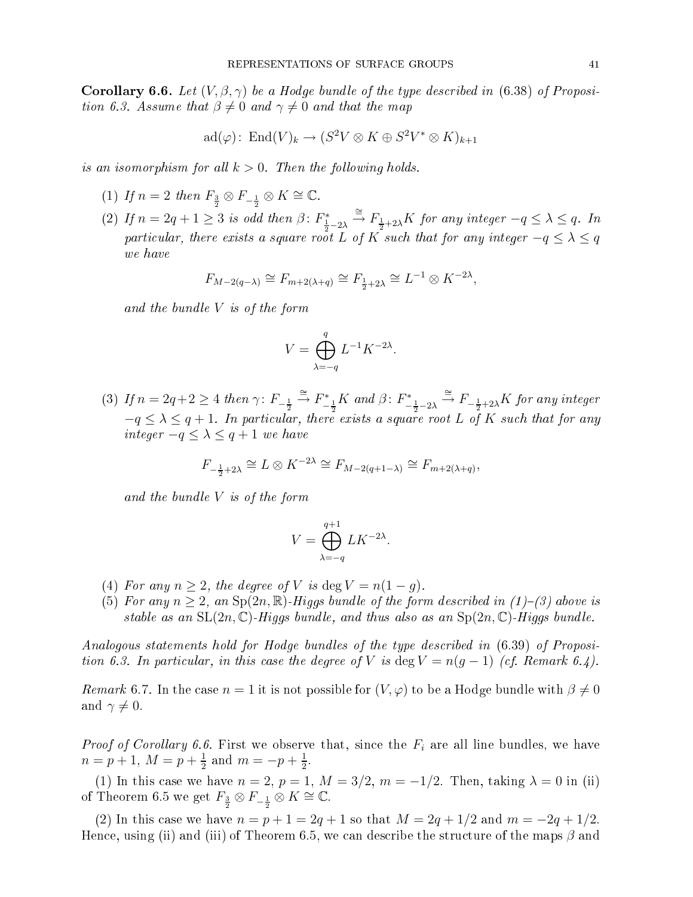**Corollary 6.6.** Let  $(V, \beta, \gamma)$  be a Hodge bundle of the type described in (6.38) of Proposition 6.3. Assume that  $\beta \neq 0$  and  $\gamma \neq 0$  and that the map

$$
\mathrm{ad}(\varphi)\colon \mathrm{End}(V)_k \to (S^2V \otimes K \oplus S^2V^* \otimes K)_{k+1}
$$

is an isomorphism for all  $k > 0$ . Then the following holds.

- (1) If  $n=2$  then  $F_{\frac{3}{2}} \otimes F_{-\frac{1}{2}} \otimes K \cong \mathbb{C}$ .
- (2) If  $n = 2q + 1 \geq 3$  is odd then  $\beta \colon F_{\frac{1}{2}-2\lambda}^* \stackrel{\cong}{\to} F_{\frac{1}{2}+2\lambda}K$  for any integer  $-q \leq \lambda \leq q$ . In particular, there exists a square root L of K such that for any integer  $-q \leq \lambda \leq q$ we have

$$
F_{M-2(q-\lambda)} \cong F_{m+2(\lambda+q)} \cong F_{\frac{1}{2}+2\lambda} \cong L^{-1} \otimes K^{-2\lambda},
$$

and the bundle  $V$  is of the form

$$
V = \bigoplus_{\lambda = -q}^{q} L^{-1} K^{-2\lambda}.
$$

(3) If  $n = 2q+2 \ge 4$  then  $\gamma: F_{-\frac{1}{2}} \stackrel{\cong}{\to} F_{-\frac{1}{2}}^*K$  and  $\beta: F_{-\frac{1}{2}-2\lambda}^* \stackrel{\cong}{\to} F_{-\frac{1}{2}+2\lambda}K$  for any integer  $-q \leq \lambda \leq q+1$ . In particular, there exists a square root L of K such that for any integer  $-q \leq \lambda \leq q+1$  we have

$$
F_{-\frac{1}{2}+2\lambda} \cong L \otimes K^{-2\lambda} \cong F_{M-2(q+1-\lambda)} \cong F_{m+2(\lambda+q)},
$$

and the bundle  $V$  is of the form

$$
V = \bigoplus_{\lambda = -q}^{q+1} L K^{-2\lambda}.
$$

- (4) For any  $n \geq 2$ , the degree of V is deg  $V = n(1 g)$ .
- (5) For any  $n \geq 2$ , an  $Sp(2n, \mathbb{R})$ -Higgs bundle of the form described in (1)-(3) above is stable as an  $SL(2n, \mathbb{C})$ -Higgs bundle, and thus also as an  $Sp(2n, \mathbb{C})$ -Higgs bundle.

Analogous statements hold for Hodge bundles of the type described in  $(6.39)$  of Proposition 6.3. In particular, in this case the degree of V is  $\deg V = n(g-1)$  (cf. Remark 6.4).

Remark 6.7. In the case  $n = 1$  it is not possible for  $(V, \varphi)$  to be a Hodge bundle with  $\beta \neq 0$ and  $\gamma \neq 0$ .

*Proof of Corollary 6.6.* First we observe that, since the  $F_i$  are all line bundles, we have  $n = p + 1, M = p + \frac{1}{2}$  $\frac{1}{2}$  and  $m = -p + \frac{1}{2}$  $2^{\degree}$ 

(1) In this case we have  $n = 2$ ,  $p = 1$ ,  $M = 3/2$ ,  $m = -1/2$ . Then, taking  $\lambda = 0$  in (ii) of Theorem 6.5 we get  $F_{\frac{3}{2}} \otimes F_{-\frac{1}{2}} \otimes K \cong \mathbb{C}$ .

(2) In this case we have  $n = p + 1 = 2q + 1$  so that  $M = 2q + 1/2$  and  $m = -2q + 1/2$ . Hence, using (ii) and (iii) of Theorem 6.5, we can describe the structure of the maps  $\beta$  and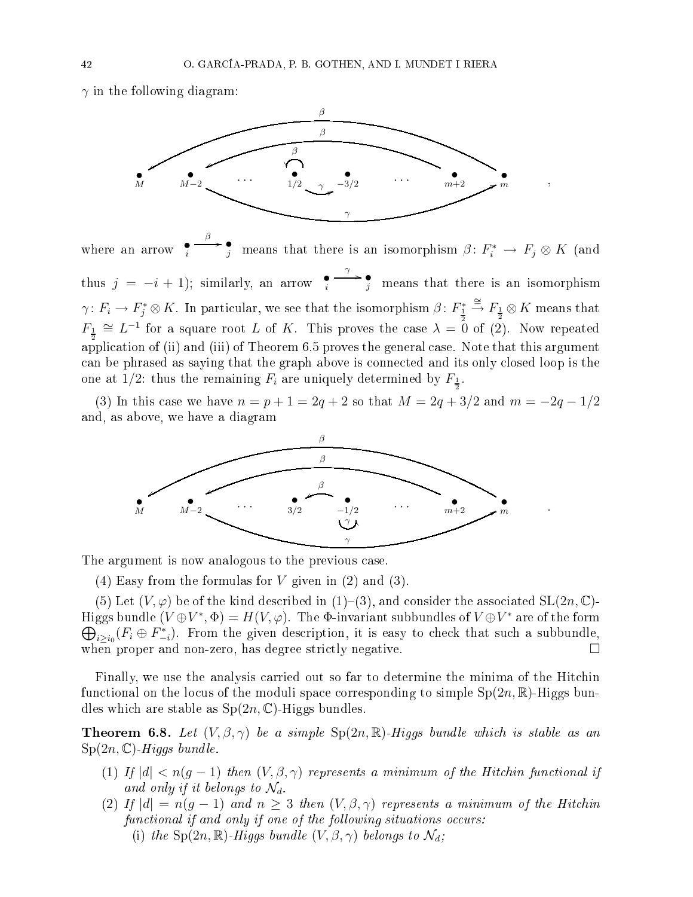$\gamma$  in the following diagram:



,

.

where an arrow  $\bullet_i$ β /• j means that there is an isomorphism  $\beta\colon F_i^*\to F_j\otimes K$  (and thus  $j = -i + 1$ ); similarly, an arrow  $\bullet$  $\frac{\gamma}{j}$  means that there is an isomorphism  $\gamma\colon F_i\to F_j^*\otimes K.$  In particular, we see that the isomorphism  $\beta\colon F_{\frac{1}{2}}^*\stackrel{\cong}{\to} F_{\frac{1}{2}}\otimes K$  means that  $F_{\frac{1}{2}} \cong L^{-1}$  for a square root L of K. This proves the case  $\lambda = 0$  of (2). Now repeated application of (ii) and (iii) of Theorem 6.5 proves the general case. Note that this argument an be phrased as saying that the graph above is onne
ted and its only losed loop is the one at 1/2: thus the remaining  $F_i$  are uniquely determined by  $F_{\frac{1}{2}}$ .

(3) In this case we have  $n = p + 1 = 2q + 2$  so that  $M = 2q + 3/2$  and  $m = -2q - 1/2$ and, as above, we have a diagram



The argument is now analogous to the previous case.

(4) Easy from the formulas for  $V$  given in (2) and (3).

(5) Let  $(V, \varphi)$  be of the kind described in (1)–(3), and consider the associated  $SL(2n, \mathbb{C})$ -Higgs bundle  $(V\oplus V^*,\Phi)=H(V,\varphi).$  The  $\Phi$ -invariant subbundles of  $V\oplus V^*$  are of the form  $\bigoplus_{i\geq i_0} (F_i \oplus F_{-i}^*)$ . From the given description, it is easy to check that such a subbundle, when proper and non-zero, has degree strictly negative.  $\Box$ 

Finally, we use the analysis carried out so far to determine the minima of the Hitchin functional on the locus of the moduli space corresponding to simple  $Sp(2n,\mathbb{R})$ -Higgs bundles which are stable as  $Sp(2n, \mathbb{C})$ -Higgs bundles.

**Theorem 6.8.** Let  $(V, \beta, \gamma)$  be a simple  $Sp(2n, \mathbb{R})$ -Higgs bundle which is stable as an  $Sp(2n, \mathbb{C})$ -Higgs bundle.

- (1) If  $|d| < n(q-1)$  then  $(V, \beta, \gamma)$  represents a minimum of the Hitchin functional if and only if it belongs to  $\mathcal{N}_d$ .
- (2) If  $|d| = n(g-1)$  and  $n \geq 3$  then  $(V, \beta, \gamma)$  represents a minimum of the Hitchin functional if and only if one of the following situations occurs: (i) the Sp(2n, R)-Higgs bundle  $(V, \beta, \gamma)$  belongs to  $\mathcal{N}_d$ ;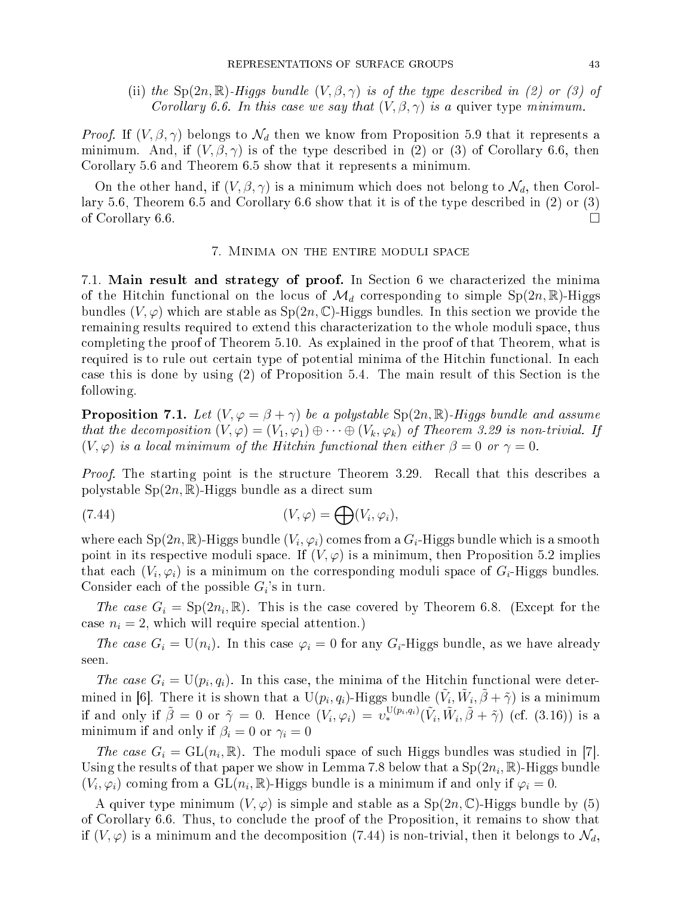(ii) the  $Sp(2n,\mathbb{R})$ -Higgs bundle  $(V,\beta,\gamma)$  is of the type described in (2) or (3) of Corollary 6.6. In this case we say that  $(V, \beta, \gamma)$  is a quiver type minimum.

*Proof.* If  $(V, \beta, \gamma)$  belongs to  $\mathcal{N}_d$  then we know from Proposition 5.9 that it represents a minimum. And, if  $(V, \beta, \gamma)$  is of the type described in (2) or (3) of Corollary 6.6, then Corollary 5.6 and Theorem 6.5 show that it represents a minimum.

On the other hand, if  $(V, \beta, \gamma)$  is a minimum which does not belong to  $\mathcal{N}_d$ , then Corollary 5.6, Theorem 6.5 and Corollary 6.6 show that it is of the type described in (2) or (3) of Corollary 6.6.

#### 7. MINIMA ON THE ENTIRE MODULI SPACE

7.1. Main result and strategy of proof. In Section 6 we characterized the minima of the Hitchin functional on the locus of  $\mathcal{M}_d$  corresponding to simple  $Sp(2n,\mathbb{R})$ -Higgs bundles  $(V, \varphi)$  which are stable as  $Sp(2n, \mathbb{C})$ -Higgs bundles. In this section we provide the remaining results required to extend this hara
terization to the whole moduli spa
e, thus ompleting the proof of Theorem 5.10. As explained in the proof of that Theorem, what is required is to rule out certain type of potential minima of the Hitchin functional. In each case this is done by using  $(2)$  of Proposition 5.4. The main result of this Section is the following.

**Proposition 7.1.** Let  $(V, \varphi = \beta + \gamma)$  be a polystable Sp(2n, R)-Higgs bundle and assume that the decomposition  $(V, \varphi) = (V_1, \varphi_1) \oplus \cdots \oplus (V_k, \varphi_k)$  of Theorem 3.29 is non-trivial. If  $(V, \varphi)$  is a local minimum of the Hitchin functional then either  $\beta = 0$  or  $\gamma = 0$ .

Proof. The starting point is the structure Theorem 3.29. Recall that this describes a polystable  $Sp(2n,\mathbb{R})$ -Higgs bundle as a direct sum

(7.44) 
$$
(V, \varphi) = \bigoplus (V_i, \varphi_i),
$$

where each Sp $(2n,\mathbb{R})$ -Higgs bundle  $(V_i,\varphi_i)$  comes from a  $G_i$ -Higgs bundle which is a smooth point in its respective moduli space. If  $(V, \varphi)$  is a minimum, then Proposition 5.2 implies that each  $(V_i, \varphi_i)$  is a minimum on the corresponding moduli space of  $G_i$ -Higgs bundles. Consider each of the possible  $G_i$ 's in turn.

The case  $G_i = \text{Sp}(2n_i, \mathbb{R})$ . This is the case covered by Theorem 6.8. (Except for the case  $n_i = 2$ , which will require special attention.)

The case  $G_i = U(n_i)$ . In this case  $\varphi_i = 0$  for any  $G_i$ -Higgs bundle, as we have already seen.

The case  $G_i = U(p_i, q_i)$ . In this case, the minima of the Hitchin functional were determined in [6]. There it is shown that a U( $p_i, q_i$ )-Higgs bundle  $(\tilde{V}_i, \tilde{W}_i, \tilde{\beta} + \tilde{\gamma})$  is a minimum if and only if  $\tilde{\beta} = 0$  or  $\tilde{\gamma} = 0$ . Hence  $(V_i, \varphi_i) = v_*^{\mathrm{U}(p_i, q_i)}(\tilde{V}_i, \tilde{W}_i, \tilde{\beta} + \tilde{\gamma})$  (cf. (3.16)) is a minimum if and only if  $\beta_i = 0$  or  $\gamma_i = 0$ 

The case  $G_i = GL(n_i, \mathbb{R})$ . The moduli space of such Higgs bundles was studied in [7]. Using the results of that paper we show in Lemma 7.8 below that a  $\mathrm{Sp}(2n_i,\mathbb{R})$ -Higgs bundle  $(V_i, \varphi_i)$  coming from a  $\mathrm{GL}(n_i, \mathbb{R})$ -Higgs bundle is a minimum if and only if  $\varphi_i = 0$ .

A quiver type minimum  $(V, \varphi)$  is simple and stable as a  $Sp(2n, \mathbb{C})$ -Higgs bundle by (5) of Corollary 6.6. Thus, to on
lude the proof of the Proposition, it remains to show that if  $(V, \varphi)$  is a minimum and the decomposition (7.44) is non-trivial, then it belongs to  $\mathcal{N}_d$ ,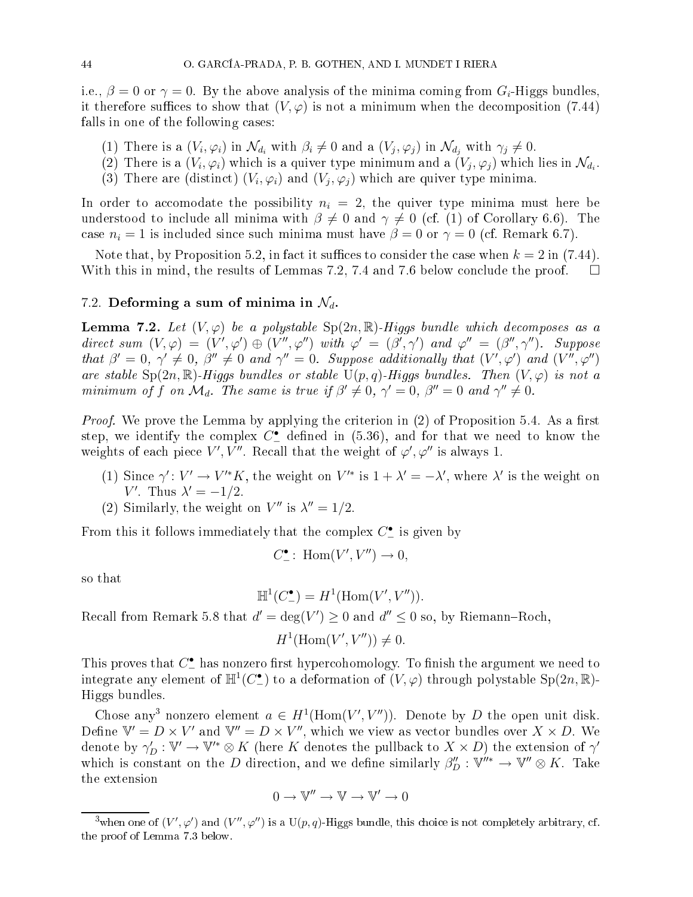i.e.,  $\beta = 0$  or  $\gamma = 0$ . By the above analysis of the minima coming from  $G_i$ -Higgs bundles, it therefore suffices to show that  $(V, \varphi)$  is not a minimum when the decomposition (7.44) falls in one of the following cases:

- (1) There is a  $(V_i, \varphi_i)$  in  $\mathcal{N}_{d_i}$  with  $\beta_i \neq 0$  and a  $(V_j, \varphi_j)$  in  $\mathcal{N}_{d_j}$  with  $\gamma_j \neq 0$ .
- (2) There is a  $(V_i, \varphi_i)$  which is a quiver type minimum and a  $(V_j, \varphi_j)$  which lies in  $\mathcal{N}_{d_i}$ .
- (3) There are (distinct)  $(V_i, \varphi_i)$  and  $(V_j, \varphi_j)$  which are quiver type minima.

In order to accomodate the possibility  $n_i = 2$ , the quiver type minima must here be understood to include all minima with  $\beta \neq 0$  and  $\gamma \neq 0$  (cf. (1) of Corollary 6.6). The case  $n_i = 1$  is included since such minima must have  $\beta = 0$  or  $\gamma = 0$  (cf. Remark 6.7).

Note that, by Proposition 5.2, in fact it suffices to consider the case when  $k = 2$  in (7.44). With this in mind, the results of Lemmas 7.2, 7.4 and 7.6 below conclude the proof.  $\square$ 

### 7.2. Deforming a sum of minima in  $\mathcal{N}_d$ .

**Lemma 7.2.** Let  $(V, \varphi)$  be a polystable  $\text{Sp}(2n, \mathbb{R})$ -Higgs bundle which decomposes as a direct sum  $(V, \varphi) = (V', \varphi') \oplus (V'', \varphi'')$  with  $\varphi' = (\beta', \gamma')$  and  $\varphi'' = (\beta'', \gamma'')$ . Suppose that  $\beta' = 0$ ,  $\gamma' \neq 0$ ,  $\beta'' \neq 0$  and  $\gamma'' = 0$ . Suppose additionally that  $(V', \varphi')$  and  $(V'', \varphi'')$ are stable  $Sp(2n,\mathbb{R})$ -Higgs bundles or stable  $U(p,q)$ -Higgs bundles. Then  $(V,\varphi)$  is not a minimum of f on  $\mathcal{M}_d$ . The same is true if  $\beta' \neq 0$ ,  $\gamma' = 0$ ,  $\beta'' = 0$  and  $\gamma'' \neq 0$ .

*Proof.* We prove the Lemma by applying the criterion in  $(2)$  of Proposition 5.4. As a first step, we identify the complex  $C^{\bullet}_{-}$ weights of each piece  $V', V''$ . Recall that the weight of  $\varphi', \varphi''$  is always 1.

- (1) Since  $\gamma': V' \to V'^*K$ , the weight on  $V'^*$  is  $1 + \lambda' = -\lambda'$ , where  $\lambda'$  is the weight on V'. Thus  $\lambda' = -1/2$ .
- (2) Similarly, the weight on  $V''$  is  $\lambda'' = 1/2$ .

From this it follows immediately that the complex  $C^{\bullet}_{-}$  is given by

$$
C^{\bullet}_{-} \colon \operatorname{Hom}(V', V'') \to 0,
$$

so that

$$
\mathbb{H}^1(C^{\bullet}_{-})=H^1(\mathrm{Hom}(V',V'')).
$$

Recall from Remark 5.8 that  $d' = \deg(V') \ge 0$  and  $d'' \le 0$  so, by Riemann–Roch,

$$
H^1(\text{Hom}(V', V'')) \neq 0.
$$

This proves that  $C^{\bullet}_{-}$ integrate any element of  $\mathbb{H}^1(C^{\bullet}_{-})$  to a deformation of  $(V, \varphi)$  through polystable Sp $(2n, \mathbb{R})$ -Higgs bundles.

Chose any<sup>3</sup> nonzero element  $a \in H^1(\text{Hom}(V', V''))$ . Denote by D the open unit disk. Define  $\mathbb{V}' = D \times V'$  and  $\mathbb{V}'' = D \times V''$ , which we view as vector bundles over  $X \times D$ . We denote by  $\gamma'_D: \mathbb{V}' \to \mathbb{V}'^* \otimes K$  (here  $K$  denotes the pullback to  $X \times D)$  the extension of  $\gamma'$ which is constant on the D direction, and we define similarly  $\beta''_D : \mathbb{V}''^* \to \mathbb{V}'' \otimes K$ . Take the extension

$$
0 \to \mathbb{V}'' \to \mathbb{V} \to \mathbb{V}' \to 0
$$

<sup>&</sup>lt;sup>3</sup>when one of  $(V',\varphi')$  and  $(V'',\varphi'')$  is a U $(p,q)$ -Higgs bundle, this choice is not completely arbitrary, cf. the proof of Lemma 7.3 below.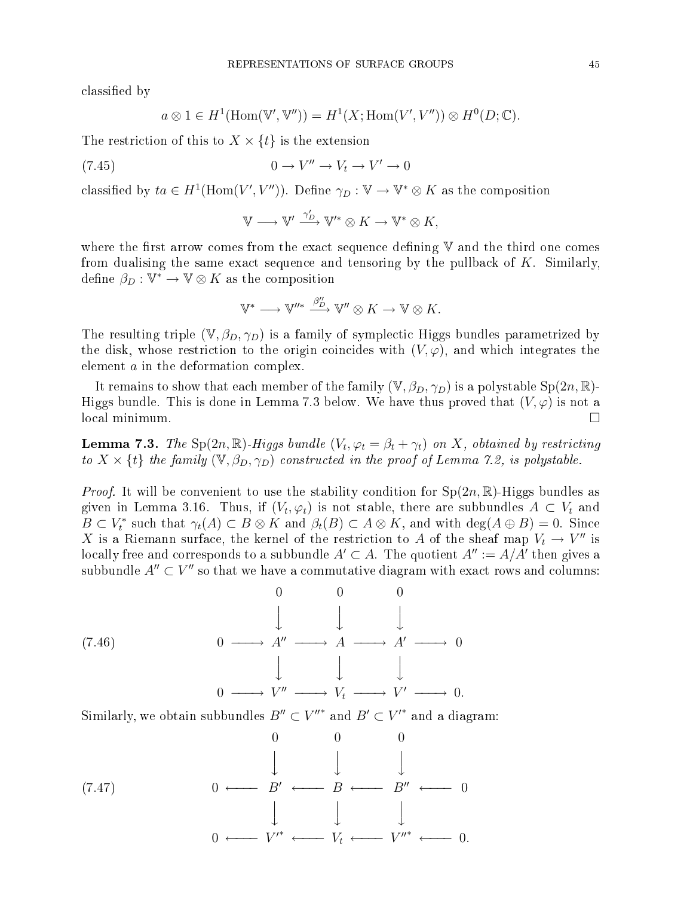classified by

$$
a \otimes 1 \in H^1(\text{Hom}(\mathbb{V}', \mathbb{V}'')) = H^1(X; \text{Hom}(V', V'')) \otimes H^0(D; \mathbb{C}).
$$

The restriction of this to  $X \times \{t\}$  is the extension

(7.45) 
$$
0 \to V'' \to V_t \to V' \to 0
$$

classified by  $ta \in H^1(\text{Hom}(V', V''))$ . Define  $\gamma_D : \mathbb{V} \to \mathbb{V}^* \otimes K$  as the composition

$$
\mathbb{V} \longrightarrow \mathbb{V}' \xrightarrow{\gamma'_D} \mathbb{V}'^* \otimes K \longrightarrow \mathbb{V}^* \otimes K,
$$

where the first arrow comes from the exact sequence defining  $V$  and the third one comes from dualising the same exact sequence and tensoring by the pullback of  $K$ . Similarly, define  $\beta_D: {\mathbb V}^* \to {\mathbb V} \otimes K$  as the composition

$$
\mathbb V^*\longrightarrow \mathbb V''^* \stackrel{\beta''_D}\longrightarrow \mathbb V''\otimes K\to \mathbb V\otimes K.
$$

The resulting triple  $(\mathbb{V}, \beta_D, \gamma_D)$  is a family of symplectic Higgs bundles parametrized by the disk, whose restriction to the origin coincides with  $(V, \varphi)$ , and which integrates the element *a* in the deformation complex.

It remains to show that each member of the family  $(\mathbb{V}, \beta_D, \gamma_D)$  is a polystable  $Sp(2n, \mathbb{R})$ -Higgs bundle. This is done in Lemma 7.3 below. We have thus proved that  $(V, \varphi)$  is not a local minimum. □

**Lemma 7.3.** The Sp $(2n,\mathbb{R})$ -Higgs bundle  $(V_t, \varphi_t = \beta_t + \gamma_t)$  on  $X$ , obtained by restricting to  $X \times \{t\}$  the family  $(\mathbb{V}, \beta_D, \gamma_D)$  constructed in the proof of Lemma 7.2, is polystable.

*Proof.* It will be convenient to use the stability condition for  $Sp(2n,\mathbb{R})$ -Higgs bundles as given in Lemma 3.16. Thus, if  $(V_t,\varphi_t)$  is not stable, there are subbundles  $A\,\subset\,V_t$  and  $B \subset V_t^*$  such that  $\gamma_t(A) \subset B \otimes K$  and  $\beta_t(B) \subset A \otimes K$ , and with  $\deg(A \oplus B) = 0$ . Since X is a Riemann surface, the kernel of the restriction to A of the sheaf map  $V_t \to V''$  is locally free and corresponds to a subbundle  $A'\subset A.$  The quotient  $A'':=A/A'$  then gives a subbundle  $A''\subset V''$  so that we have a commutative diagram with exact rows and columns:

(7.46)  
\n
$$
0 \longrightarrow A'' \longrightarrow A \longrightarrow A' \longrightarrow 0
$$
\n
$$
\downarrow \qquad \downarrow \qquad \downarrow
$$
\n
$$
0 \longrightarrow V'' \longrightarrow V_t \longrightarrow V' \longrightarrow 0.
$$

Similarly, we obtain subbundles  $B''\subset V''^*$  and  $B'\subset V'^*$  and a diagram:

$$
(7.47) \quad 0 \longleftarrow B' \longleftarrow B \longleftarrow B'' \longleftarrow 0
$$
\n
$$
\downarrow \qquad \downarrow \qquad \downarrow
$$
\n
$$
0 \longleftarrow V'^* \longleftarrow V_t \longleftarrow V''^* \longleftarrow 0.
$$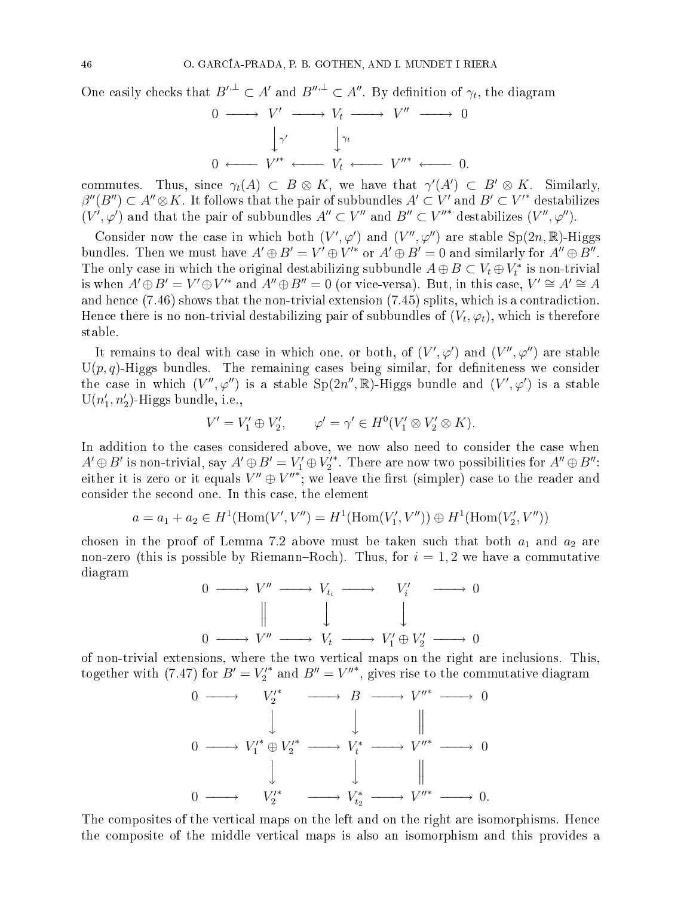One easily checks that  $B'^{1} \subset A'$  and  $B''^{1} \subset A''$ . By definition of  $\gamma_t$ , the diagram

$$
0 \longrightarrow V' \longrightarrow V_t \longrightarrow V'' \longrightarrow 0
$$
  

$$
\downarrow \gamma' \qquad \downarrow \gamma_t
$$
  

$$
0 \longleftarrow V'^* \longleftarrow V_t \longleftarrow V''^* \longleftarrow 0.
$$

commutes. Thus, since  $\gamma_t(A) \,\subset\, B \,\otimes\, K,$  we have that  $\gamma'(A') \,\subset\, B' \,\otimes\, K.$  Similarly,  $\beta''(B'')\subset A''\mathop{\otimes} K.$  It follows that the pair of subbundles  $A'\subset V'$  and  $B'\subset V'^*$  destabilizes  $(V',\varphi')$  and that the pair of subbundles  $A''\subset V''$  and  $B''\subset V''^*$  destabilizes  $(V'',\varphi'')$ .

Consider now the case in which both  $(V',\varphi')$  and  $(V'',\varphi'')$  are stable  $Sp(2n,\mathbb{R})$ -Higgs bundles. Then we must have  $A' \oplus B' = V' \oplus V'^*$  or  $A' \oplus B' = 0$  and similarly for  $A'' \oplus B''$ . The only case in which the original destabilizing subbundle  $A \oplus B \subset V_t \oplus V_t^*$  is non-trivial is when  $A' \oplus B' = V' \oplus V'^*$  and  $A'' \oplus B'' = 0$  (or vice-versa). But, in this case,  $V' \cong A' \cong A$ and hence (7.46) shows that the non-trivial extension (7.45) splits, which is a contradiction. Hence there is no non-trivial destabilizing pair of subbundles of  $(V_t,\varphi_t),$  which is therefore stable.

It remains to deal with case in which one, or both, of  $(V',\varphi')$  and  $(V'',\varphi'')$  are stable  $U(p,q)$ -Higgs bundles. The remaining cases being similar, for definiteness we consider the case in which  $(V'', \varphi'')$  is a stable  $Sp(2n'', \mathbb{R})$ -Higgs bundle and  $(V', \varphi')$  is a stable  $U(n'_1, n'_2)$ -Higgs bundle, i.e.,

$$
V' = V'_1 \oplus V'_2, \qquad \varphi' = \gamma' \in H^0(V'_1 \otimes V'_2 \otimes K).
$$

In addition to the cases considered above, we now also need to consider the case when  $A'\oplus B'$  is non-trivial, say  $A'\oplus B'=V'_1\oplus V''_2$ . There are now two possibilities for  $A''\oplus B''$ : either it is zero or it equals  $V'' \oplus V''^*$ ; we leave the first (simpler) case to the reader and onsider the se
ond one. In this ase, the element

$$
a = a_1 + a_2 \in H^1(\text{Hom}(V', V'') = H^1(\text{Hom}(V'_1, V'')) \oplus H^1(\text{Hom}(V'_2, V''))
$$

chosen in the proof of Lemma 7.2 above must be taken such that both  $a_1$  and  $a_2$  are non-zero (this is possible by Riemann–Roch). Thus, for  $i = 1, 2$  we have a commutative diagram

$$
\begin{array}{ccccccc}\n0 & \longrightarrow & V'' & \longrightarrow & V_{t_i} & \longrightarrow & V_i' & \longrightarrow & 0 \\
 & & & & & & & \\
\parallel & & & & & & & & \\
0 & \longrightarrow & V'' & \longrightarrow & V_t & \longrightarrow & V_1' \oplus V_2' & \longrightarrow & 0\n\end{array}
$$

of non-trivial extensions, where the two verti
al maps on the right are in
lusions. This, together with (7.47) for  $B' = V'^*_{2}$  and  $B'' = V''^*$ , gives rise to the commutative diagram

$$
\begin{array}{ccccccc}\n0 & \longrightarrow & V_2^{\prime*} & \longrightarrow & B & \longrightarrow & V^{\prime\prime*} & \longrightarrow & 0 \\
& & & & & & & & & \\
0 & \longrightarrow & V_1^{\prime*} \oplus V_2^{\prime*} & \longrightarrow & V_t^* & \longrightarrow & V^{\prime\prime*} & \longrightarrow & 0 \\
& & & & & & & & & & \\
0 & \longrightarrow & V_2^{\prime*} & \longrightarrow & V_{t_2}^* & \longrightarrow & V^{\prime\prime*} & \longrightarrow & 0.\n\end{array}
$$

The composites of the vertical maps on the left and on the right are isomorphisms. Hence the omposite of the middle verti
al maps is also an isomorphism and this provides a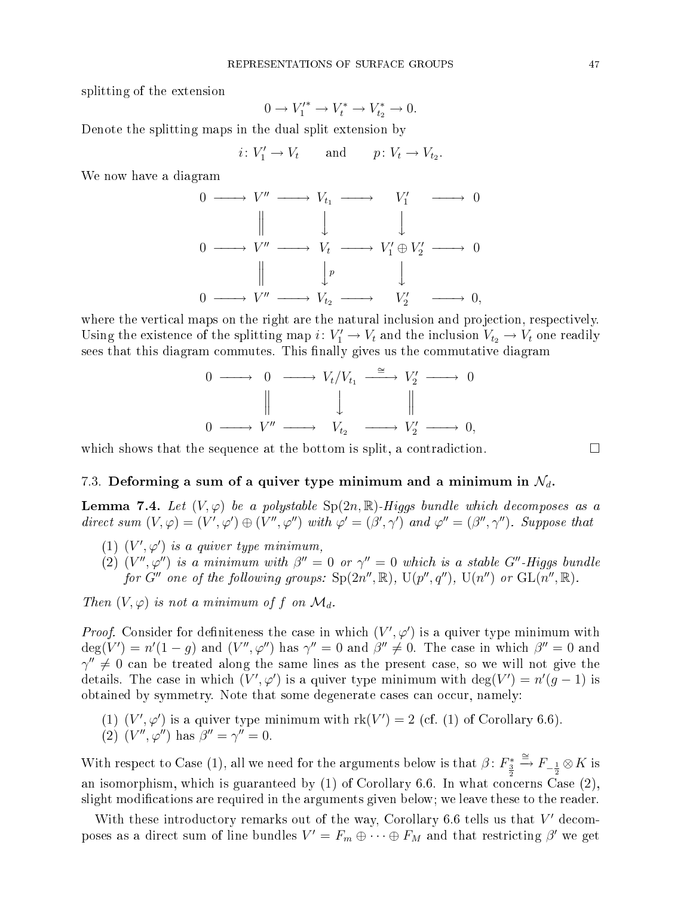splitting of the extension

$$
0 \to V'^*_1 \to V^*_t \to V^*_{t_2} \to 0.
$$

Denote the splitting maps in the dual split extension by

$$
i\colon V'_1\to V_t \qquad \text{and} \qquad p\colon V_t\to V_{t_2}.
$$

We now have a diagram

$$
\begin{array}{ccc}\n0 & \longrightarrow & V'' \longrightarrow V_{t_1} \longrightarrow & V'_1 \longrightarrow & 0 \\
\parallel & \downarrow & \downarrow & \downarrow & \\
0 & \longrightarrow & V'' \longrightarrow V_t \longrightarrow V'_1 \oplus V'_2 \longrightarrow & 0 \\
\parallel & \downarrow & \downarrow & \downarrow & \\
0 & \longrightarrow & V'' \longrightarrow V_{t_2} \longrightarrow & V'_2 \longrightarrow & 0,\n\end{array}
$$

where the vertical maps on the right are the natural inclusion and projection, respectively. Using the existence of the splitting map  $i\colon V'_1\to V_t$  and the inclusion  $V_{t_2}\to V_t$  one readily sees that this diagram commutes. This finally gives us the commutative diagram

$$
\begin{array}{ccccccc}\n0 & \longrightarrow & 0 & \longrightarrow & V_t/V_{t_1} & \xrightarrow{\cong} & V_2' & \longrightarrow & 0 \\
 & & & & & & & \\
 & & & & & & & & \\
0 & \longrightarrow & V'' & \longrightarrow & V_{t_2} & \longrightarrow & V_2' & \longrightarrow & 0,\n\end{array}
$$

which shows that the sequence at the bottom is split, a contradiction.  $\Box$ 

#### 7.3. Deforming a sum of a quiver type minimum and a minimum in  $\mathcal{N}_d$ .

**Lemma 7.4.** Let  $(V, \varphi)$  be a polystable  $Sp(2n, \mathbb{R})$ -Higgs bundle which decomposes as a direct sum  $(V, \varphi) = (V', \varphi') \oplus (V'', \varphi'')$  with  $\varphi' = (\beta', \gamma')$  and  $\varphi'' = (\beta'', \gamma'')$ . Suppose that

- (1)  $(V', \varphi')$  is a quiver type minimum,
- (2)  $(V'',\varphi'')$  is a minimum with  $\beta''=0$  or  $\gamma''=0$  which is a stable  $G''$ -Higgs bundle for G'' one of the following groups:  $Sp(2n'', \mathbb{R}), U(p'', q''), U(n'')$  or  $GL(n'', \mathbb{R}).$

Then  $(V, \varphi)$  is not a minimum of f on  $\mathcal{M}_d$ .

*Proof.* Consider for definiteness the case in which  $(V', \varphi')$  is a quiver type minimum with  $\deg(V')=n'(1-g)$  and  $(V'',\varphi'')$  has  $\gamma''=0$  and  $\beta''\neq 0$ . The case in which  $\beta''=0$  and  $\gamma''\neq 0$  can be treated along the same lines as the present case, so we will not give the details. The case in which  $(V',\varphi')$  is a quiver type minimum with  $\deg(V')=n'(g-1)$  is obtained by symmetry. Note that some degenerate cases can occur, namely:

- (1)  $(V', \varphi')$  is a quiver type minimum with  $rk(V') = 2$  (cf. (1) of Corollary 6.6).
- (2)  $(V'', \varphi'')$  has  $\beta'' = \gamma'' = 0$ .

With respect to Case (1), all we need for the arguments below is that  $\beta\colon F_{\frac{3}{2}}^*\stackrel{\cong}{\to}F_{-\frac{1}{2}}\otimes K$  is an isomorphism, which is guaranteed by  $(1)$  of Corollary 6.6. In what concerns Case  $(2)$ , slight modifications are required in the arguments given below; we leave these to the reader.

With these introductory remarks out of the way, Corollary 6.6 tells us that  $V'$  decomposes as a direct sum of line bundles  $V' = F_m \oplus \cdots \oplus F_M$  and that restricting  $\beta'$  we get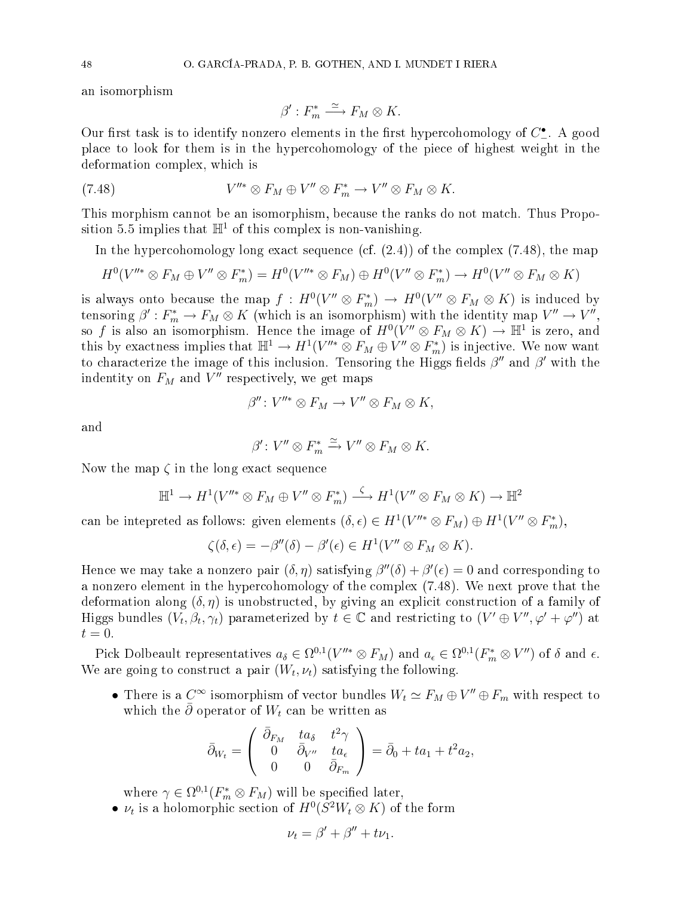an isomorphism

$$
\beta': F_m^* \xrightarrow{\simeq} F_M \otimes K.
$$

Our first task is to identify nonzero elements in the first hypercohomology of  $C^\bullet_$ place to look for them is in the hypercohomology of the piece of highest weight in the deformation omplex, whi
h is

(7.48) 
$$
V''^* \otimes F_M \oplus V'' \otimes F_m^* \to V'' \otimes F_M \otimes K.
$$

This morphism cannot be an isomorphism, because the ranks do not match. Thus Proposition 5.5 implies that  $\mathbb{H}^1$  of this complex is non-vanishing.

In the hypercohomology long exact sequence (cf.  $(2.4)$ ) of the complex  $(7.48)$ , the map

$$
H^0(V''^* \otimes F_M \oplus V'' \otimes F_m^*) = H^0(V''^* \otimes F_M) \oplus H^0(V'' \otimes F_m^*) \to H^0(V'' \otimes F_M \otimes K)
$$

is always onto because the map  $f: H^0(V'' \otimes F_m^*) \to H^0(V'' \otimes F_M \otimes K)$  is induced by tensoring  $\beta': F_m^* \to F_M \otimes K$  (which is an isomorphism) with the identity map  $V'' \to V'',$ so f is also an isomorphism. Hence the image of  $H^0(V'' \otimes F_M \otimes K) \to \mathbb{H}^1$  is zero, and this by exactness implies that  $\mathbb{H}^1 \to H^1(V''^* \otimes F_M \oplus V'' \otimes F_m^*)$  is injective. We now want to characterize the image of this inclusion. Tensoring the Higgs fields  $\beta''$  and  $\beta'$  with the indentity on  $F_M$  and  $V''$  respectively, we get maps

$$
\beta''\colon V''^* \otimes F_M \to V'' \otimes F_M \otimes K,
$$

and

$$
\beta'\colon V''\otimes F_m^*\xrightarrow{\simeq} V''\otimes F_M\otimes K.
$$

Now the map  $\zeta$  in the long exact sequence

$$
\mathbb{H}^1 \to H^1(V''^* \otimes F_M \oplus V'' \otimes F_m^*) \xrightarrow{\zeta} H^1(V'' \otimes F_M \otimes K) \to \mathbb{H}^2
$$

can be intepreted as follows: given elements  $(\delta, \epsilon) \in H^1(V''^* \otimes F_M) \oplus H^1(V'' \otimes F_m^*),$ 

$$
\zeta(\delta,\epsilon) = -\beta''(\delta) - \beta'(\epsilon) \in H^1(V'' \otimes F_M \otimes K).
$$

Hence we may take a nonzero pair  $(\delta, \eta)$  satisfying  $\beta''(\delta) + \beta'(\epsilon) = 0$  and corresponding to a nonzero element in the hyper
ohomology of the omplex (7.48). We next prove that the deformation along  $(\delta, \eta)$  is unobstructed, by giving an explicit construction of a family of Higgs bundles  $(V_t,\beta_t,\gamma_t)$  parameterized by  $t\in\mathbb{C}$  and restricting to  $(V'\oplus V'',\varphi'+\varphi'')$  at  $t=0.$ 

Pick Dolbeault representatives  $a_{\delta} \in \Omega^{0,1}(V''^{*} \otimes F_M)$  and  $a_{\epsilon} \in \Omega^{0,1}(F_{m}^{*} \otimes V'')$  of  $\delta$  and  $\epsilon$ . We are going to construct a pair  $(W_t, \nu_t)$  satisfying the following.

• There is a  $C^{\infty}$  isomorphism of vector bundles  $W_t \simeq F_M \oplus V'' \oplus F_m$  with respect to which the  $\bar{\partial}$  operator of  $W_t$  can be written as

$$
\bar{\partial}_{W_t} = \begin{pmatrix} \bar{\partial}_{F_M} & ta_{\delta} & t^2 \gamma \\ 0 & \bar{\partial}_{V''} & ta_{\epsilon} \\ 0 & 0 & \bar{\partial}_{F_m} \end{pmatrix} = \bar{\partial}_0 + ta_1 + t^2 a_2,
$$

where  $\gamma \in \Omega^{0,1}(F_m^* \otimes F_M)$  will be specified later,

•  $\nu_t$  is a holomorphic section of  $H^0(S^2W_t \otimes K)$  of the form

$$
\nu_t = \beta' + \beta'' + t\nu_1.
$$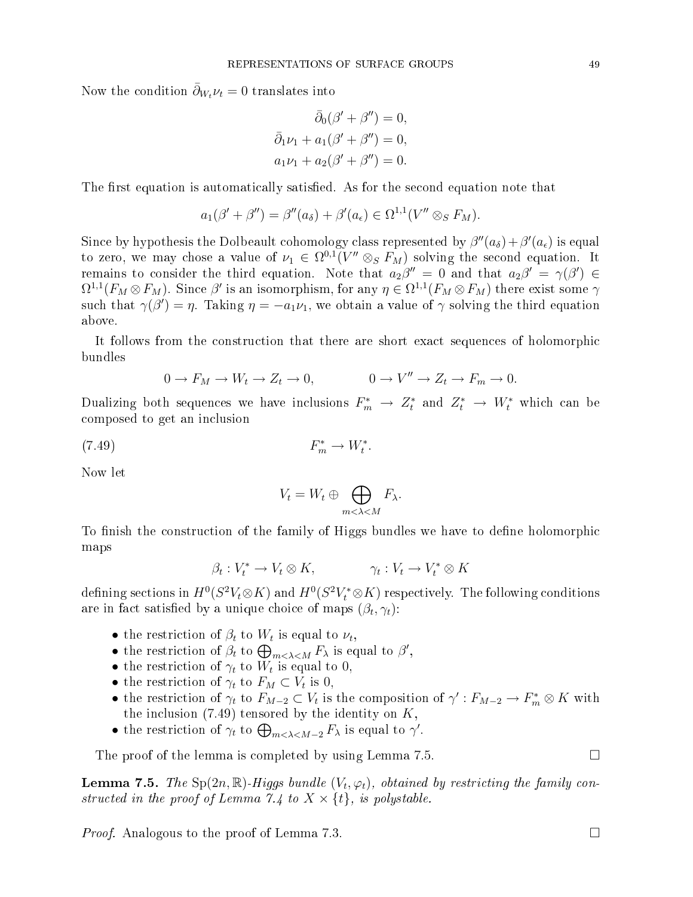Now the condition  $\partial_{W_t} \nu_t = 0$  translates into

$$
\bar{\partial}_0(\beta' + \beta'') = 0, \n\bar{\partial}_1\nu_1 + a_1(\beta' + \beta'') = 0, \na_1\nu_1 + a_2(\beta' + \beta'') = 0.
$$

The first equation is automatically satisfied. As for the second equation note that

$$
a_1(\beta'+\beta'') = \beta''(a_\delta) + \beta'(a_\epsilon) \in \Omega^{1,1}(V'' \otimes_S F_M).
$$

Since by hypothesis the Dolbeault cohomology class represented by  $\beta''(a_\delta) + \beta'(a_\epsilon)$  is equal to zero, we may chose a value of  $\nu_1 \in \Omega^{0,1}(V'' \otimes_S F_M)$  solving the second equation. It remains to consider the third equation. Note that  $a_2\beta'' = 0$  and that  $a_2\beta' = \gamma(\beta') \in$  $\Omega^{1,1}(F_M \otimes F_M)$ . Since  $\beta'$  is an isomorphism, for any  $\eta \in \Omega^{1,1}(F_M \otimes F_M)$  there exist some  $\gamma$ such that  $\gamma(\beta')=\eta$ . Taking  $\eta=-a_1\nu_1$ , we obtain a value of  $\gamma$  solving the third equation above.

It follows from the construction that there are short exact sequences of holomorphic bundles

$$
0 \to F_M \to W_t \to Z_t \to 0, \qquad 0 \to V'' \to Z_t \to F_m \to 0.
$$

Dualizing both sequences we have inclusions  $F_m^* \to Z_t^*$  and  $Z_t^* \to W_t^*$  which can be omposed to get an in
lusion

$$
F_m^* \to W_t^*.
$$

Now let

$$
V_t = W_t \oplus \bigoplus_{m < \lambda < M} F_\lambda.
$$

To finish the construction of the family of Higgs bundles we have to define holomorphic maps

$$
\beta_t: V_t^* \to V_t \otimes K, \qquad \gamma_t: V_t \to V_t^* \otimes K
$$

defining sections in  $H^0(S^2 V_t \otimes K)$  and  $H^0(S^2 V_t^* \otimes K)$  respectively. The following conditions are in fact satisfied by a unique choice of maps  $(\beta_t, \gamma_t)$ :

- the restriction of  $\beta_t$  to  $W_t$  is equal to  $\nu_t$ ,
- the restriction of  $\beta_t$  to  $\bigoplus_{m<\lambda\leq M}F_{\lambda}$  is equal to  $\beta'$ ,
- the restriction of  $\gamma_t$  to  $W_t$  is equal to 0,
- the restriction of  $\gamma_t$  to  $F_M \subset V_t$  is 0,
- the restriction of  $\gamma_t$  to  $F_{M-2} \subset V_t$  is the composition of  $\gamma' : F_{M-2} \to F_m^* \otimes K$  with the inclusion  $(7.49)$  tensored by the identity on  $K$ ,
- the restriction of  $\gamma_t$  to  $\bigoplus_{m<\lambda is equal to  $\gamma'$ .$

The proof of the lemma is completed by using Lemma 7.5.  $\Box$ 

**Lemma 7.5.** The Sp $(2n,\mathbb{R})$ -Higgs bundle  $(V_t,\varphi_t)$ , obtained by restricting the family constructed in the proof of Lemma 7.4 to  $X \times \{t\}$ , is polystable.

*Proof.* Analogous to the proof of Lemma 7.3.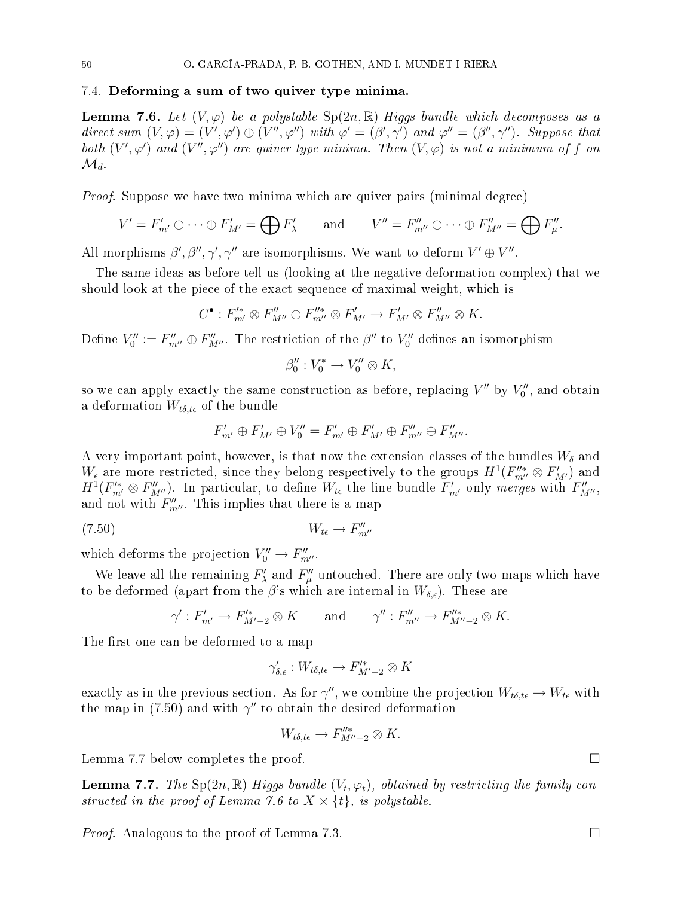#### 7.4. Deforming a sum of two quiver type minima.

**Lemma 7.6.** Let  $(V, \varphi)$  be a polystable  $Sp(2n, \mathbb{R})$ -Higgs bundle which decomposes as a direct sum  $(V, \varphi) = (V', \varphi') \oplus (V'', \varphi'')$  with  $\varphi' = (\beta', \gamma')$  and  $\varphi'' = (\beta'', \gamma'')$ . Suppose that both  $(V',\varphi')$  and  $(V'',\varphi'')$  are quiver type minima. Then  $(V,\varphi)$  is not a minimum of f on  $\mathcal{M}_d$ .

Proof. Suppose we have two minima whi
h are quiver pairs (minimal degree)

$$
V' = F'_{m'} \oplus \cdots \oplus F'_{M'} = \bigoplus F'_{\lambda} \quad \text{and} \quad V'' = F''_{m''} \oplus \cdots \oplus F''_{M''} = \bigoplus F''_{\mu}.
$$

All morphisms  $\beta', \beta'', \gamma', \gamma''$  are isomorphisms. We want to deform  $V' \oplus V''$ .

The same ideas as before tell us (looking at the negative deformation complex) that we should look at the piece of the exact sequence of maximal weight, which is

$$
C^{\bullet}: F'^{*}_{m'} \otimes F''_{M''} \oplus F''^{*}_{m''} \otimes F'_{M'} \to F'_{M'} \otimes F''_{M''} \otimes K.
$$

Define  $V_0'':=F_{m''}''\oplus F_{M''}''$ . The restriction of the  $\beta''$  to  $V_0''$  defines an isomorphism

$$
\beta_0'' : V_0^* \to V_0'' \otimes K,
$$

so we can apply exactly the same construction as before, replacing  $V''$  by  $V''_0$ , and obtain a deformation  $W_{t\delta,t\epsilon}$  of the bundle

$$
F'_{m'} \oplus F'_{M'} \oplus V''_0 = F'_{m'} \oplus F'_{M'} \oplus F''_{m''} \oplus F''_{M''}.
$$

A very important point, however, is that now the extension classes of the bundles  $W_{\delta}$  and  $W_{\epsilon}$  are more restricted, since they belong respectively to the groups  $H^1(F''''_{m''}\otimes F'_{M'})$  and  $H^1(F_{m'}^*\otimes F_{M''}''')$ . In particular, to define  $W_{t\epsilon}$  the line bundle  $F_{m'}'$  only merges with  $F_{M''}''$ , and not with  $F''_{m''}$ . This implies that there is a map

$$
(7.50) \t\t W_{t\epsilon} \to F''_{m''}
$$

which deforms the projection  $V_0'' \to F_{m''}''$ .

We leave all the remaining  $F'_{\lambda}$  and  $F''_{\mu}$  untouched. There are only two maps which have to be deformed (apart from the  $\beta$ 's which are internal in  $W_{\delta,\epsilon}$ ). These are

$$
\gamma': F'_{m'} \to F'^*_{M'-2} \otimes K \qquad \text{and} \qquad \gamma'': F''_{m''} \to F''^*_{M''-2} \otimes K.
$$

The first one can be deformed to a map

$$
\gamma'_{\delta,\epsilon}:W_{t\delta,t\epsilon}\to F'^*_{M'-2}\otimes K
$$

exactly as in the previous section. As for  $\gamma''$ , we combine the projection  $W_{t\delta, t\epsilon}\to W_{t\epsilon}$  with the map in (7.50) and with  $\gamma''$  to obtain the desired deformation

$$
W_{t\delta,t\epsilon} \to F''_{M''-2} \otimes K.
$$

Lemma 7.7 below completes the proof.

**Lemma 7.7.** The Sp $(2n,\mathbb{R})$ -Higgs bundle  $(V_t,\varphi_t)$ , obtained by restricting the family constructed in the proof of Lemma 7.6 to  $X \times \{t\}$ , is polystable.

*Proof.* Analogous to the proof of Lemma 7.3.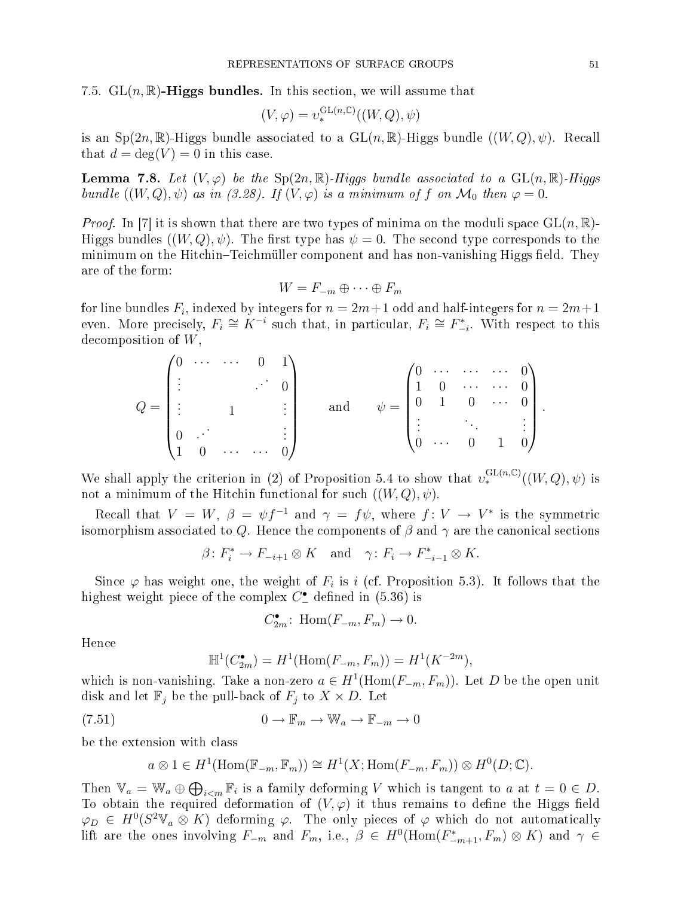#### 7.5.  $GL(n,\mathbb{R})$ -Higgs bundles. In this section, we will assume that

$$
(V, \varphi) = v^{\operatorname{GL}(n, \mathbb{C})}_*((W, Q), \psi)
$$

is an  $Sp(2n,\mathbb{R})$ -Higgs bundle associated to a  $GL(n,\mathbb{R})$ -Higgs bundle  $((W,Q),\psi)$ . Recall that  $d = \deg(V) = 0$  in this case.

**Lemma 7.8.** Let  $(V, \varphi)$  be the  $Sp(2n, \mathbb{R})$ -Higgs bundle associated to a  $GL(n, \mathbb{R})$ -Higgs bundle  $((W, Q), \psi)$  as in (3.28). If  $(V, \varphi)$  is a minimum of f on  $\mathcal{M}_0$  then  $\varphi = 0$ .

*Proof.* In [7] it is shown that there are two types of minima on the moduli space  $GL(n,\mathbb{R})$ -Higgs bundles  $((W,Q), \psi)$ . The first type has  $\psi = 0$ . The second type corresponds to the minimum on the Hitchin–Teichmüller component and has non-vanishing Higgs field. They are of the form:

$$
W = F_{-m} \oplus \cdots \oplus F_m
$$

for line bundles  $F_i$ , indexed by integers for  $n=2m+1$  odd and half-integers for  $n=2m+1$ even. More precisely,  $F_i \cong K^{-i}$  such that, in particular,  $F_i \cong F_{-i}^*$ . With respect to this decomposition of  $W$ ,

$$
Q = \begin{pmatrix} 0 & \cdots & \cdots & 0 & 1 \\ \vdots & & & \vdots & \\ \vdots & & & 1 & & \vdots \\ 0 & & & & \vdots \\ 1 & 0 & \cdots & \cdots & 0 \end{pmatrix} \quad \text{and} \quad \psi = \begin{pmatrix} 0 & \cdots & \cdots & \cdots & 0 \\ 1 & 0 & \cdots & \cdots & 0 \\ 0 & 1 & 0 & \cdots & 0 \\ \vdots & & \ddots & & \vdots \\ 0 & \cdots & 0 & 1 & 0 \end{pmatrix}.
$$

We shall apply the criterion in (2) of Proposition 5.4 to show that  $v_*^{\text{GL}(n,\mathbb{C})}((W,Q),\psi)$  is not a minimum of the Hitchin functional for such  $((W,Q), \psi)$ .

Recall that  $V = W, \ \beta = \psi f^{-1}$  and  $\gamma = f\psi$ , where  $f: V \to V^*$  is the symmetric isomorphism associated to Q. Hence the components of  $\beta$  and  $\gamma$  are the canonical sections

$$
\beta \colon F_i^* \to F_{-i+1} \otimes K \quad \text{and} \quad \gamma \colon F_i \to F_{-i-1}^* \otimes K.
$$

Since  $\varphi$  has weight one, the weight of  $F_i$  is i (cf. Proposition 5.3). It follows that the highest weight piece of the complex  $C_{-}^{\bullet}$  defined in (5.36) is

$$
C_{2m}^{\bullet} \colon \operatorname{Hom}(F_{-m}, F_m) \to 0.
$$

Hen
e

$$
\mathbb{H}^{1}(C_{2m}^{\bullet}) = H^{1}(\text{Hom}(F_{-m}, F_{m})) = H^{1}(K^{-2m}),
$$

which is non-vanishing. Take a non-zero  $a \in H^1(\text{Hom}(F_{-m}, F_m))$ . Let D be the open unit disk and let  $\mathbb{F}_j$  be the pull-back of  $F_j$  to  $X \times D$ . Let

(7.51) 
$$
0 \to \mathbb{F}_m \to \mathbb{W}_a \to \mathbb{F}_{-m} \to 0
$$

be the extension with lass

$$
a \otimes 1 \in H^1(\text{Hom}(\mathbb{F}_{-m}, \mathbb{F}_m)) \cong H^1(X; \text{Hom}(F_{-m}, F_m)) \otimes H^0(D; \mathbb{C}).
$$

Then  $\mathbb{V}_a = \mathbb{W}_a \oplus \bigoplus_{i \leq m} \mathbb{F}_i$  is a family deforming V which is tangent to a at  $t = 0 \in D$ . To obtain the required deformation of  $(V, \varphi)$  it thus remains to define the Higgs field  $\varphi_D \in H^0(S^2 \mathbb{V}_a \otimes K)$  deforming  $\varphi$ . The only pieces of  $\varphi$  which do not automatically lift are the ones involving  $F_{-m}$  and  $F_m$ , i.e.,  $\beta \in H^0(\text{Hom}(F_{-m+1}^*, F_m) \otimes K)$  and  $\gamma \in$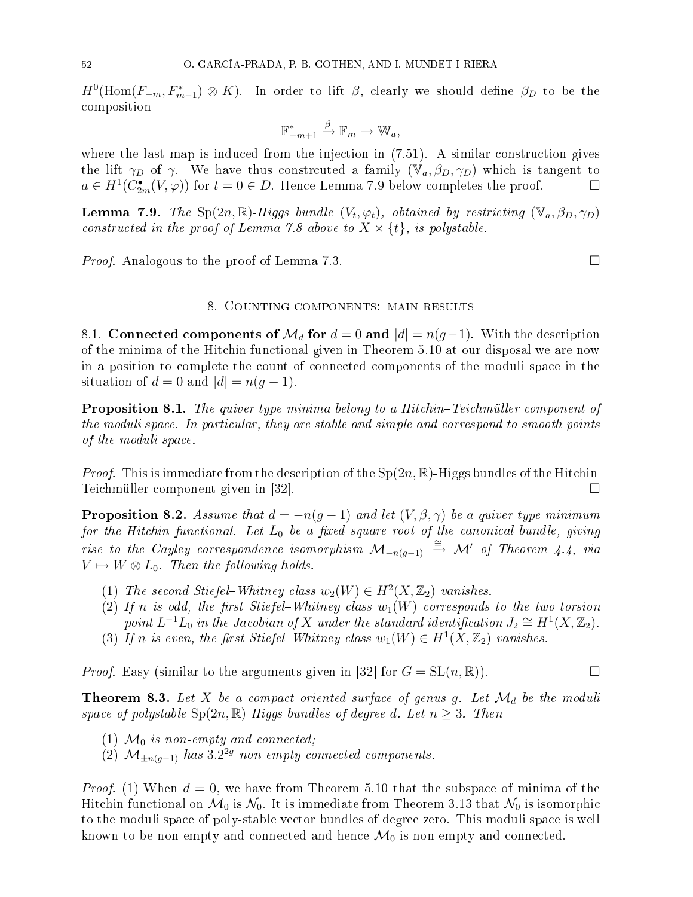$H^0(\text{Hom}(F_{-m}, F_{m-1}^*)\otimes K)$ . In order to lift  $\beta$ , clearly we should define  $\beta_D$  to be the omposition

$$
\mathbb{F}_{-m+1}^* \xrightarrow{\beta} \mathbb{F}_m \to \mathbb{W}_a,
$$

where the last map is induced from the injection in  $(7.51)$ . A similar construction gives the lift  $\gamma_D$  of  $\gamma$ . We have thus constrauted a family  $(\mathbb{V}_a, \beta_D, \gamma_D)$  which is tangent to  $a \in H^1(C_{2m}^{\bullet}(V, \varphi))$  for  $t = 0 \in D$ . Hence Lemma 7.9 below completes the proof.

**Lemma 7.9.** The Sp $(2n,\mathbb{R})$ -Higgs bundle  $(V_t,\varphi_t)$ , obtained by restricting  $(\mathbb{V}_a,\beta_D,\gamma_D)$ constructed in the proof of Lemma 7.8 above to  $X \times \{t\}$ , is polystable.

*Proof.* Analogous to the proof of Lemma 7.3.

#### 8. COUNTING COMPONENTS: MAIN RESULTS

8.1. Connected components of  $\mathcal{M}_d$  for  $d = 0$  and  $|d| = n(g-1)$ . With the description of the minima of the Hit
hin fun
tional given in Theorem 5.10 at our disposal we are now in a position to omplete the ount of onne
ted omponents of the moduli spa
e in the situation of  $d = 0$  and  $|d| = n(g - 1)$ .

**Proposition 8.1.** The quiver type minima belong to a Hitchin–Teichmüller component of the moduli space. In particular, they are stable and simple and correspond to smooth points of the moduli spa
e.

*Proof.* This is immediate from the description of the  $Sp(2n, \mathbb{R})$ -Higgs bundles of the Hitchin-Teichmüller component given in  $|32|$ .

**Proposition 8.2.** Assume that  $d = -n(g-1)$  and let  $(V, \beta, \gamma)$  be a quiver type minimum for the Hitchin functional. Let  $L_0$  be a fixed square root of the canonical bundle, giving rise to the Cayley correspondence isomorphism  $\mathcal{M}_{-n(g-1)} \stackrel{\cong}{\rightarrow} \mathcal{M}'$  of Theorem 4.4, via  $V \mapsto W \otimes L_0$ . Then the following holds.

- (1) The second Stiefel–Whitney class  $w_2(W) \in H^2(X, \mathbb{Z}_2)$  vanishes.
- (2) If n is odd, the first Stiefel-Whitney class  $w_1(W)$  corresponds to the two-torsion point  $L^{-1}L_0$  in the Jacobian of X under the standard identification  $J_2 \cong H^1(X,\mathbb{Z}_2)$ .
- (3) If n is even, the first Stiefel-Whitney class  $w_1(W) \in H^1(X, \mathbb{Z}_2)$  vanishes.

*Proof.* Easy (similar to the arguments given in [32] for  $G = SL(n, \mathbb{R})$ .

**Theorem 8.3.** Let X be a compact oriented surface of genus g. Let  $\mathcal{M}_d$  be the moduli space of polystable  $Sp(2n, \mathbb{R})$ -Higgs bundles of degree d. Let  $n \geq 3$ . Then

- (1)  $\mathcal{M}_0$  is non-empty and connected;
- (2)  $\mathcal{M}_{\pm n(g-1)}$  has 3.2<sup>2g</sup> non-empty connected components.

*Proof.* (1) When  $d = 0$ , we have from Theorem 5.10 that the subspace of minima of the Hitchin functional on  $\mathcal{M}_0$  is  $\mathcal{N}_0$ . It is immediate from Theorem 3.13 that  $\mathcal{N}_0$  is isomorphic to the moduli spa
e of poly-stable ve
tor bundles of degree zero. This moduli spa
e is well known to be non-empty and connected and hence  $\mathcal{M}_0$  is non-empty and connected.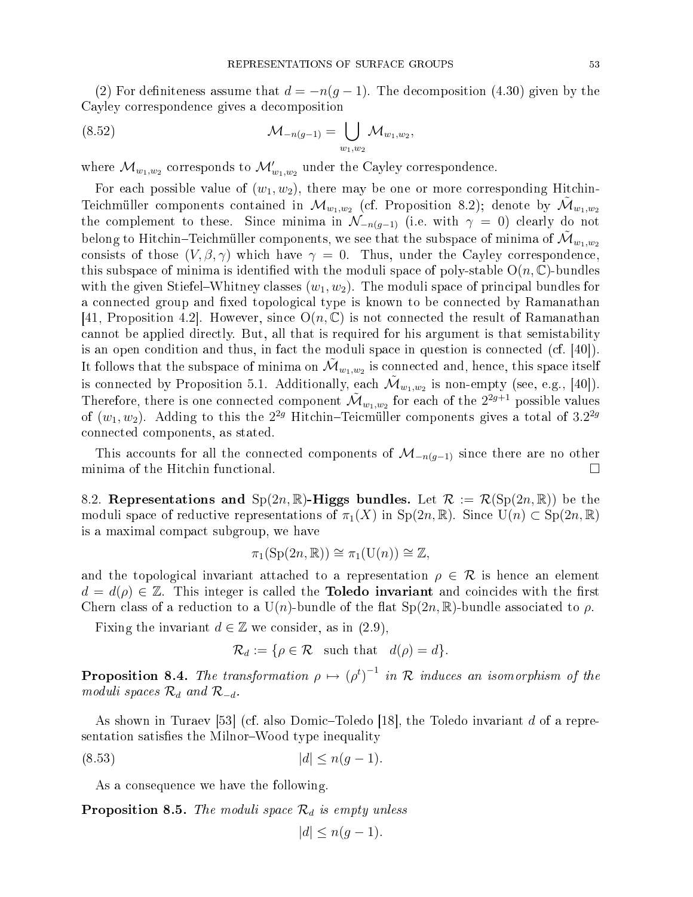(2) For definiteness assume that  $d = -n(g-1)$ . The decomposition (4.30) given by the Cayley orresponden
e gives a de
omposition

(8.52) 
$$
\mathcal{M}_{-n(g-1)} = \bigcup_{w_1, w_2} \mathcal{M}_{w_1, w_2},
$$

where  $\mathcal{M}_{w_1,w_2}$  corresponds to  $\mathcal{M}'_{w_1,w_2}$  under the Cayley correspondence.

For each possible value of  $(w_1, w_2)$ , there may be one or more corresponding Hitchin-Teichmüller components contained in  $\mathcal{M}_{w_1,w_2}$  (cf. Proposition 8.2); denote by  $\mathcal{\tilde{M}}_{w_1,w_2}$ the complement to these. Since minima in  $\mathcal{N}_{-n(g-1)}$  (i.e. with  $\gamma = 0$ ) clearly do not belong to Hitchin–Teichmüller components, we see that the subspace of minima of  $\tilde{\mathcal{M}}_{w_1,w_2}$ consists of those  $(V, \beta, \gamma)$  which have  $\gamma = 0$ . Thus, under the Cayley correspondence, this subspace of minima is identified with the moduli space of poly-stable  $O(n, \mathbb{C})$ -bundles with the given Stiefel–Whitney classes  $(w_1, w_2)$ . The moduli space of principal bundles for a connected group and fixed topological type is known to be connected by Ramanathan [41, Proposition 4.2]. However, since  $O(n, \mathbb{C})$  is not connected the result of Ramanathan cannot be applied directly. But, all that is required for his argument is that semistability is an open condition and thus, in fact the moduli space in question is connected (cf.  $|40|$ ). It follows that the subspace of minima on  $\tilde{\mathcal{M}}_{w_1,w_2}$  is connected and, hence, this space itself is connected by Proposition 5.1. Additionally, each  $\mathcal{\tilde{M}}_{w_1,w_2}$  is non-empty (see, e.g., [40]). Therefore, there is one connected component  $\tilde{\cal M}_{w_1,w_2}$  for each of the  $2^{2g+1}$  possible values of  $(w_1, w_2)$ . Adding to this the  $2^{2g}$  Hitchin–Teicmüller components gives a total of  $3.2^{2g}$ onne
ted omponents, as stated.

This accounts for all the connected components of  $\mathcal{M}_{-n(g-1)}$  since there are no other inima of the Hitchin functional. minima of the Hitchin functional.

8.2. Representations and  $Sp(2n,\mathbb{R})$ -Higgs bundles. Let  $\mathcal{R} := \mathcal{R}(Sp(2n,\mathbb{R}))$  be the moduli space of reductive representations of  $\pi_1(X)$  in  $Sp(2n,\mathbb{R})$ . Since  $U(n) \subset Sp(2n,\mathbb{R})$ is a maximal ompa
t subgroup, we have

$$
\pi_1(\mathrm{Sp}(2n,\mathbb{R})) \cong \pi_1(\mathrm{U}(n)) \cong \mathbb{Z},
$$

and the topological invariant attached to a representation  $\rho \in \mathcal{R}$  is hence an element  $d = d(\rho) \in \mathbb{Z}$ . This integer is called the **Toledo invariant** and coincides with the first Chern class of a reduction to a U(n)-bundle of the flat  $Sp(2n,\mathbb{R})$ -bundle associated to  $\rho$ .

Fixing the invariant  $d \in \mathbb{Z}$  we consider, as in (2.9),

$$
\mathcal{R}_d := \{ \rho \in \mathcal{R} \text{ such that } d(\rho) = d \}.
$$

**Proposition 8.4.** The transformation  $\rho \mapsto (\rho^t)^{-1}$  in R induces an isomorphism of the moduli spaces  $\mathcal{R}_d$  and  $\mathcal{R}_{-d}$ .

As shown in Turaev [53] (cf. also Domic–Toledo [18], the Toledo invariant d of a representation satisfies the Milnor-Wood type inequality

$$
(8.53) \t\t |d| \le n(g-1).
$$

As a onsequen
e we have the following.

**Proposition 8.5.** The moduli space  $\mathcal{R}_d$  is empty unless

$$
|d| \le n(g-1).
$$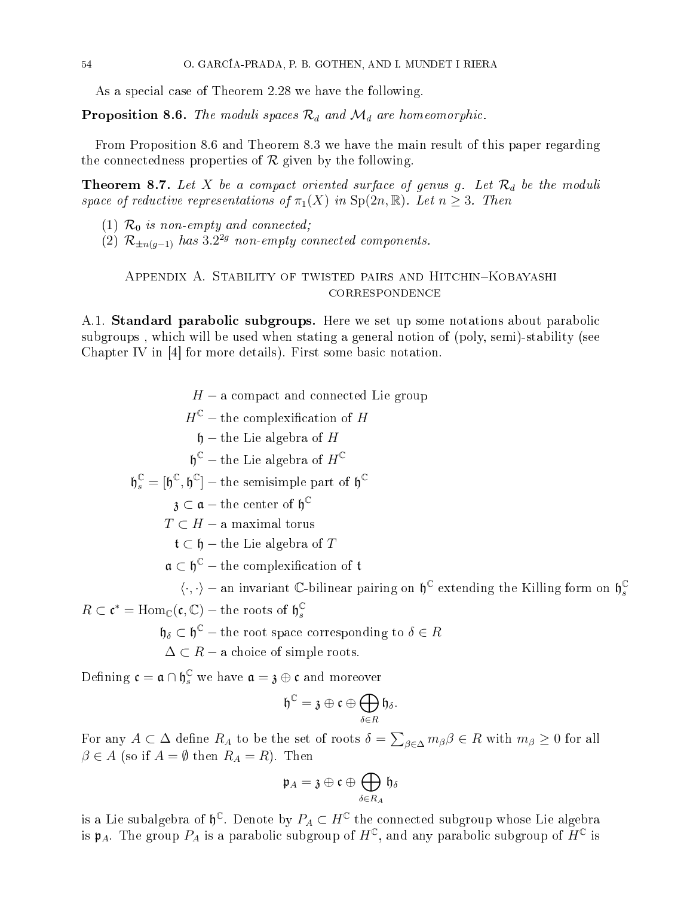As a special case of Theorem 2.28 we have the following.

**Proposition 8.6.** The moduli spaces  $\mathcal{R}_d$  and  $\mathcal{M}_d$  are homeomorphic.

From Proposition 8.6 and Theorem 8.3 we have the main result of this paper regarding the connectedness properties of  $R$  given by the following.

**Theorem 8.7.** Let X be a compact oriented surface of genus g. Let  $\mathcal{R}_d$  be the moduli space of reductive representations of  $\pi_1(X)$  in  $Sp(2n,\mathbb{R})$ . Let  $n \geq 3$ . Then

- (1)  $\mathcal{R}_0$  is non-empty and connected;
- (2)  $\mathcal{R}_{\pm n(g-1)}$  has  $3.2^{2g}$  non-empty connected components.

## APPENDIX A. STABILITY OF TWISTED PAIRS AND HITCHIN-KOBAYASHI **CORRESPONDENCE**

A.1. **Standard parabolic subgroups.** Here we set up some notations about parabolic subgroups, which will be used when stating a general notion of (poly, semi)-stability (see Chapter IV in [4] for more details). First some basic notation.

 $H - a$  compact and connected Lie group  $H^{\mathbb{C}}$  – the complexification of H  $h$  – the Lie algebra of H  $\mathfrak{h}^{\mathbb{C}}$  – the Lie algebra of  $H^{\mathbb{C}}$  $\mathfrak{h}_s^{\mathbb{C}} = [\mathfrak{h}^{\mathbb{C}}, \mathfrak{h}^{\mathbb{C}}] - \text{the semisimple part of } \mathfrak{h}^{\mathbb{C}}$  $\mathfrak z \subset \mathfrak a - \text{the center of } \mathfrak h^\mathbb C$  $T \subset H$  – a maximal torus  $\mathfrak{t} \subset \mathfrak{h}$  – the Lie algebra of T  $\mathfrak{a}\subset \mathfrak{h}^{\mathbb{C}}-$  the complexification of  $\mathfrak{t}$  $\langle \cdot, \cdot \rangle$  – an invariant C-bilinear pairing on  $\mathfrak{h}^{\mathbb{C}}$  extending the Killing form on  $\mathfrak{h}^{\mathbb{C}}_s$  $R \subset \mathfrak{c}^* = \text{Hom}_{\mathbb{C}}(\mathfrak{c}, \mathbb{C}) - \text{the roots of } \mathfrak{h}_s^{\mathbb{C}}$ s  $\mathfrak{h}_{\delta} \subset \mathfrak{h}^{\mathbb{C}}$  – the root space corresponding to  $\delta \in R$  $\Delta \subset R$  – a choice of simple roots. Defining  $\mathfrak{c} = \mathfrak{a} \cap \mathfrak{h}_s^{\mathbb{C}}$  we have  $\mathfrak{a} = \mathfrak{z} \oplus \mathfrak{c}$  and moreover

$$
\mathfrak{h}^{\mathbb{C}}=\mathfrak{z}\oplus\mathfrak{c}\oplus\bigoplus_{\delta\in R}\mathfrak{h}_{\delta}.
$$

s

For any  $A \subset \Delta$  define  $R_A$  to be the set of roots  $\delta = \sum_{\beta \in \Delta} m_{\beta} \beta \in R$  with  $m_{\beta} \geq 0$  for all  $\beta \in A$  (so if  $A = \emptyset$  then  $R_A = R$ ). Then

$$
\mathfrak{p}_A = \mathfrak{z} \oplus \mathfrak{c} \oplus \bigoplus_{\delta \in R_A} \mathfrak{h}_{\delta}
$$

is a Lie subalgebra of  $\mathfrak{h}^{\mathbb{C}}$ . Denote by  $P_A \subset H^{\mathbb{C}}$  the connected subgroup whose Lie algebra<br>is  $\mathfrak{p}_A$ . The group  $P_A$  is a parabolic subgroup of  $H^{\mathbb{C}}$ , and any parabolic subgroup of  $H^{\mathbb{C}}$  is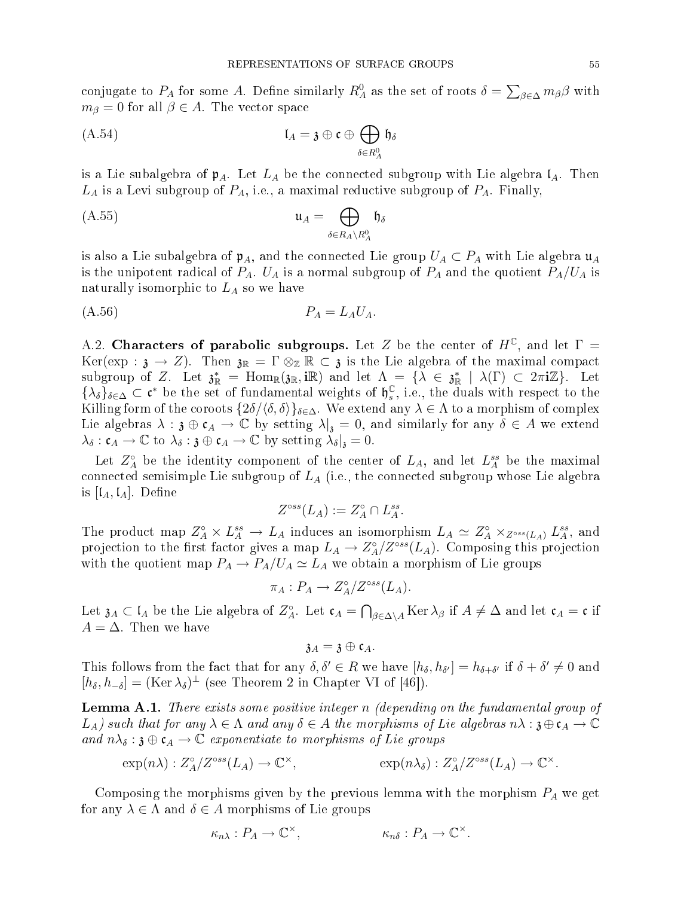conjugate to  $P_A$  for some A. Define similarly  $R_A^0$  as the set of roots  $\delta = \sum_{\beta \in \Delta} m_{\beta} \beta$  with  $m_{\beta} = 0$  for all  $\beta \in A$ . The vector space

(A.54) 
$$
\mathfrak{l}_A = \mathfrak{z} \oplus \mathfrak{c} \oplus \bigoplus_{\delta \in R_A^0} \mathfrak{h}_\delta
$$

is a Lie subalgebra of  $\mathfrak{p}_A$ . Let  $L_A$  be the connected subgroup with Lie algebra  $\mathfrak{l}_A$ . Then  $L_A$  is a Levi subgroup of  $P_A$ , i.e., a maximal reductive subgroup of  $P_A$ . Finally,

$$
\mathfrak{u}_A = \bigoplus_{\delta \in R_A \backslash R_A^0} \mathfrak{h}_{\delta}
$$

is also a Lie subalgebra of  $\mathfrak{p}_A$ , and the connected Lie group  $U_A \subset P_A$  with Lie algebra  $\mathfrak{u}_A$ is the unipotent radical of  $P_A$ .  $U_A$  is a normal subgroup of  $P_A$  and the quotient  $P_A/U_A$  is naturally isomorphic to  $L_A$  so we have

$$
(A.56) \t\t P_A = L_A U_A.
$$

A.2. Characters of parabolic subgroups. Let Z be the center of  $H^{\mathbb{C}}$ , and let  $\Gamma =$ Ker(exp :  $\mathfrak{z} \to Z$ ). Then  $\mathfrak{z}_{\mathbb{R}} = \Gamma \otimes_{\mathbb{Z}} \mathbb{R} \subset \mathfrak{z}$  is the Lie algebra of the maximal compact subgroup of Z. Let  $\mathfrak{z}^*_{\mathbb{R}} = \text{Hom}_{\mathbb{R}}(\mathfrak{z}_{\mathbb{R}}, i\mathbb{R})$  and let  $\Lambda = {\{\lambda \in \mathfrak{z}_{\mathbb{R}}^* \mid \lambda(\Gamma) \subset 2\pi i\mathbb{Z}}\}$ . Let  $\{\lambda_{\delta}\}_{\delta\in\Delta}\subset\mathfrak{c}^*$  be the set of fundamental weights of  $\mathfrak{h}_s^{\mathbb{C}}$  $_s$ , i.e., the duals with respect to the Killing form of the coroots  $\{2\delta/\langle \delta, \delta \rangle\}_{\delta \in \Delta}$ . We extend any  $\lambda \in \Lambda$  to a morphism of complex Lie algebras  $\lambda : \mathfrak{z} \oplus \mathfrak{c}_A \to \mathbb{C}$  by setting  $\lambda|_{\mathfrak{z}} = 0$ , and similarly for any  $\delta \in A$  we extend  $\lambda_{\delta} : \mathfrak{c}_A \to \mathbb{C}$  to  $\lambda_{\delta} : \mathfrak{z} \oplus \mathfrak{c}_A \to \mathbb{C}$  by setting  $\lambda_{\delta}|_{\mathfrak{z}} = 0$ .

Let  $Z_A^{\circ}$  be the identity component of the center of  $L_A$ , and let  $L_A^{ss}$  be the maximal connected semisimple Lie subgroup of  $L_A$  (i.e., the connected subgroup whose Lie algebra is  $[I_A, I_A]$ . Define

$$
Z^{\circ ss}(L_A) := Z_A^{\circ} \cap L_A^{ss}.
$$

The product map  $Z_A^{\circ} \times L_A^{ss} \to L_A$  induces an isomorphism  $L_A \simeq Z_A^{\circ} \times_{Z^{\circ ss}(L_A)} L_A^{ss}$ , and projection to the first factor gives a map  $L_A \to Z_A^{\circ}/Z^{\circ ss}(L_A)$ . Composing this projection with the quotient map  $P_A \to P_A/U_A \simeq L_A$  we obtain a morphism of Lie groups

$$
\pi_A: P_A \to Z_A^{\circ}/Z^{\circ ss}(L_A).
$$

Let  $\mathfrak{z}_A \subset \mathfrak{l}_A$  be the Lie algebra of  $Z_A^{\circ}$ . Let  $\mathfrak{c}_A = \bigcap_{\beta \in \Delta \setminus A} \text{Ker } \lambda_\beta$  if  $A \neq \Delta$  and let  $\mathfrak{c}_A = \mathfrak{c}$  if  $A = \Delta$ . Then we have

 $a_A = a \oplus c_A$ .

This follows from the fact that for any  $\delta, \delta' \in R$  we have  $[h_\delta, h_{\delta'}] = h_{\delta + \delta'}$  if  $\delta + \delta' \neq 0$  and  $[h_{\delta}, h_{-\delta}] = (\text{Ker }\lambda_{\delta})^{\perp}$  (see Theorem 2 in Chapter VI of [46]).

**Lemma A.1.** There exists some positive integer n (depending on the fundamental group of  $L_A$ ) such that for any  $\lambda \in \Lambda$  and any  $\delta \in A$  the morphisms of Lie algebras  $n\lambda : \mathfrak{z} \oplus \mathfrak{c}_A \to \mathbb{C}$ and  $n\lambda_{\delta} : \mathfrak{z} \oplus \mathfrak{c}_{A} \to \mathbb{C}$  exponentiate to morphisms of Lie groups

$$
\exp(n\lambda) : Z^{\circ}_A/Z^{\circ ss}(L_A) \to \mathbb{C}^{\times}, \qquad \qquad \exp(n\lambda_{\delta}) : Z^{\circ}_A/Z^{\circ ss}(L_A) \to \mathbb{C}^{\times}.
$$

Composing the morphisms given by the previous lemma with the morphism  $P_A$  we get for any  $\lambda \in \Lambda$  and  $\delta \in A$  morphisms of Lie groups

$$
\kappa_{n\lambda}: P_A \to \mathbb{C}^\times, \qquad \qquad \kappa_{n\delta}: P_A \to \mathbb{C}^\times.
$$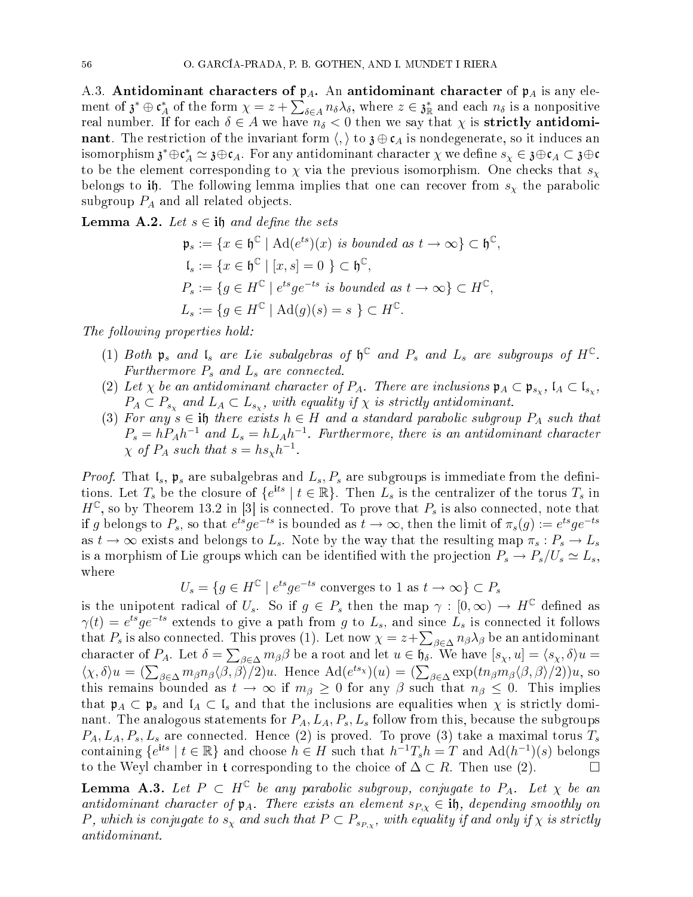A.3. Antidominant characters of  $p_A$ . An antidominant character of  $p_A$  is any element of  $\mathfrak{z}^* \oplus \mathfrak{c}_A^*$  of the form  $\chi = z + \sum_{\delta \in A} n_{\delta} \lambda_{\delta}$ , where  $z \in \mathfrak{z}_R^*$  and each  $n_{\delta}$  is a nonpositive real number. If for each  $\delta \in A$  we have  $n_{\delta} < 0$  then we say that  $\chi$  is **strictly antidominant**. The restriction of the invariant form  $\langle, \rangle$  to  $\mathfrak{z} \oplus \mathfrak{c}_A$  is nondegenerate, so it induces an isomorphism  $\mathfrak{z}^*\oplus \mathfrak{c}_A^*\simeq \mathfrak{z}\oplus\mathfrak{c}_A$ . For any antidominant character  $\chi$  we define  $s_\chi\in\mathfrak{z}\oplus\mathfrak{c}_A\subset\mathfrak{z}\oplus\mathfrak{c}$ to be the element corresponding to  $\chi$  via the previous isomorphism. One checks that  $s_{\chi}$ belongs to ih. The following lemma implies that one can recover from  $s<sub>x</sub>$  the parabolic subgroup  $P_A$  and all related objects.

**Lemma A.2.** Let  $s \in \mathbf{N}$  and define the sets

$$
\mathfrak{p}_s := \{ x \in \mathfrak{h}^{\mathbb{C}} \mid \mathrm{Ad}(e^{ts})(x) \text{ is bounded as } t \to \infty \} \subset \mathfrak{h}^{\mathbb{C}},
$$
  
\n
$$
\mathfrak{l}_s := \{ x \in \mathfrak{h}^{\mathbb{C}} \mid [x, s] = 0 \} \subset \mathfrak{h}^{\mathbb{C}},
$$
  
\n
$$
P_s := \{ g \in H^{\mathbb{C}} \mid e^{ts} g e^{-ts} \text{ is bounded as } t \to \infty \} \subset H^{\mathbb{C}},
$$
  
\n
$$
L_s := \{ g \in H^{\mathbb{C}} \mid \mathrm{Ad}(g)(s) = s \} \subset H^{\mathbb{C}}.
$$

The following properties hold:

- (1) Both  $\mathfrak{p}_s$  and  $\mathfrak{l}_s$  are Lie subalgebras of  $\mathfrak{h}^{\mathbb{C}}$  and  $P_s$  and  $L_s$  are subgroups of  $H^{\mathbb{C}}$ . Furthermore  $P_s$  and  $L_s$  are connected.
- (2) Let  $\chi$  be an antidominant character of  $P_A$ . There are inclusions  $\mathfrak{p}_A \subset \mathfrak{p}_{s_\chi}$ ,  $\mathfrak{l}_A \subset \mathfrak{l}_{s_\chi}$ ,  $P_A \subset P_{s_\chi}$  and  $L_A \subset L_{s_\chi}$ , with equality if  $\chi$  is strictly antidominant.
- (3) For any  $s \in \mathbf{h}$  there exists  $h \in H$  and a standard parabolic subgroup  $P_A$  such that  $P_s = hP_Ah^{-1}$  and  $L_s = hL_Ah^{-1}$ . Furthermore, there is an antidominant character  $\chi$  of  $P_A$  such that  $s = h s_\chi h^{-1}$ .

*Proof.* That  $\mathfrak{l}_s$ ,  $\mathfrak{p}_s$  are subalgebras and  $L_s$ ,  $P_s$  are subgroups is immediate from the definitions. Let  $T_s$  be the closure of  $\{e^{its} \mid t \in \mathbb{R}\}$ . Then  $L_s$  is the centralizer of the torus  $T_s$  in  $H^{\mathbb{C}}$ , so by Theorem 13.2 in [3] is connected. To prove that  $P_s$  is also connected, note that if g belongs to  $P_s$ , so that  $e^{ts}ge^{-ts}$  is bounded as  $t\to\infty$ , then the limit of  $\pi_s(g):=e^{ts}ge^{-ts}$ as  $t \to \infty$  exists and belongs to  $L_s$ . Note by the way that the resulting map  $\pi_s : P_s \to L_s$ is a morphism of Lie groups which can be identified with the projection  $P_s \to P_s/U_s \simeq L_s$ , where

$$
U_s = \{ g \in H^{\mathbb{C}} \mid e^{ts} g e^{-ts} \text{ converges to } 1 \text{ as } t \to \infty \} \subset P_s
$$

is the unipotent radical of  $U_s$ . So if  $g \in P_s$  then the map  $\gamma : [0, \infty) \to H^{\mathbb{C}}$  defined as  $\gamma(t) = e^{ts} g e^{-ts}$  extends to give a path from g to  $L_s$ , and since  $L_s$  is connected it follows that  $P_s$  is also connected. This proves (1). Let now  $\chi = z + \sum_{\beta \in \Delta} n_\beta \lambda_\beta$  be an antidominant character of  $P_A$ . Let  $\delta = \sum_{\beta \in \Delta} m_{\beta} \beta$  be a root and let  $u \in \mathfrak{h}_{\delta}$ . We have  $[s_{\chi}, u] = \langle s_{\chi}, \delta \rangle u =$  $\langle \chi, \delta \rangle u = \left( \sum_{\beta \in \Delta} m_{\beta} n_{\beta} \langle \beta, \beta \rangle / 2 \right) u$ . Hence  $\text{Ad}(e^{ts_{\chi}})(u) = \left( \sum_{\beta \in \Delta} \exp(t n_{\beta} m_{\beta} \langle \beta, \beta \rangle / 2) \right) u$ , so this remains bounded as  $t \to \infty$  if  $m_\beta \geq 0$  for any  $\beta$  such that  $n_\beta \leq 0$ . This implies that  $\mathfrak{p}_A \subset \mathfrak{p}_s$  and  $\mathfrak{l}_A \subset \mathfrak{l}_s$  and that the inclusions are equalities when  $\chi$  is strictly dominant. The analogous statements for  $P_A$ ,  $L_A$ ,  $P_s$ ,  $L_s$  follow from this, because the subgroups  $P_A, L_A, P_s, L_s$  are connected. Hence (2) is proved. To prove (3) take a maximal torus  $T_s$ containing  $\{e^{its} \mid t \in \mathbb{R}\}\$  and choose  $h \in H$  such that  $h^{-1}T_sh = T$  and  $\text{Ad}(h^{-1})(s)$  belongs to the Weyl chamber in t corresponding to the choice of  $\Delta \subset R$ . Then use (2).

**Lemma A.3.** Let  $P \subset H^{\mathbb{C}}$  be any parabolic subgroup, conjugate to  $P_A$ . Let  $\chi$  be an antidominant character of  $\mathfrak{p}_A$ . There exists an element  $s_{P,x} \in \mathbf{if}$ , depending smoothly on P, which is conjugate to  $s_\chi$  and such that  $P \subset P_{s_{P,\chi}}$ , with equality if and only if  $\chi$  is strictly antidominant.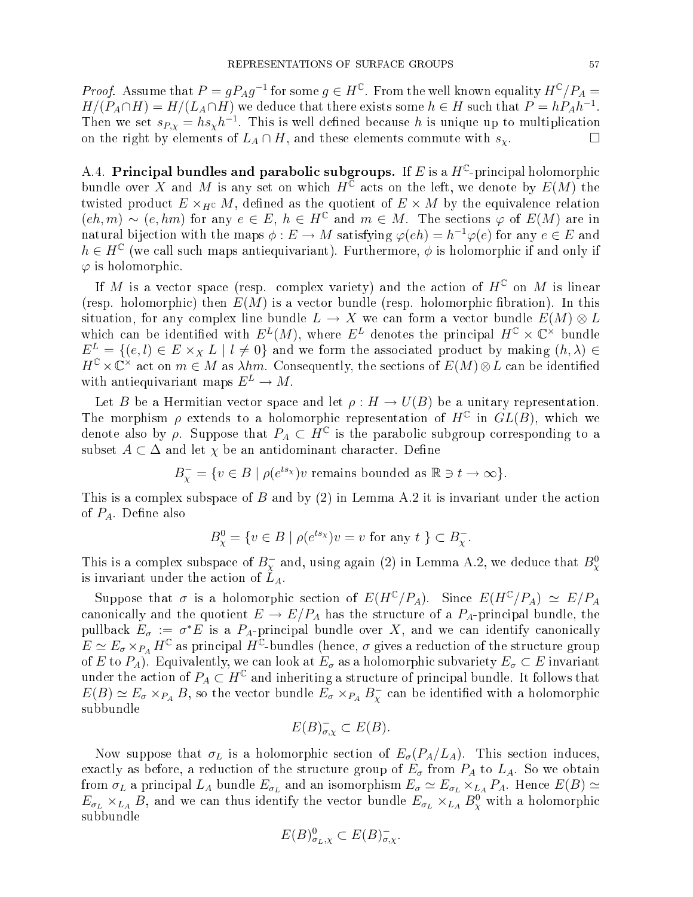*Proof.* Assume that  $P = gP_Ag^{-1}$  for some  $g \in H^{\mathbb{C}}$ . From the well known equality  $H^{\mathbb{C}}/P_A =$  $H/(P_A \cap H) = H/(L_A \cap H)$  we deduce that there exists some  $h \in H$  such that  $P = hP_Ah^{-1}$ . Then we set  $s_{P,\chi} = h s_{\chi} h^{-1}$ . This is well defined because h is unique up to multiplication on the right by elements of  $L_A \cap H$ , and these elements commute with  $s_\chi$ .

A.4. Principal bundles and parabolic subgroups. If E is a  $H^\mathbb{C}\text{-principal holomorphic}$ bundle over X and M is any set on which  $H^{\mathbb{C}}$  acts on the left, we denote by  $E(M)$  the twisted product  $E \times_{H^{\mathbb{C}}} M$ , defined as the quotient of  $E \times M$  by the equivalence relation  $(eh, m) \sim (e, hm)$  for any  $e \in E$ ,  $h \in H^{\mathbb{C}}$  and  $m \in M$ . The sections  $\varphi$  of  $E(M)$  are in natural bijection with the maps  $\phi: E \to M$  satisfying  $\varphi(eh) = h^{-1} \varphi(e)$  for any  $e \in E$  and  $h \in H^{\mathbb{C}}$  (we call such maps antiequivariant). Furthermore,  $\phi$  is holomorphic if and only if  $\varphi$  is holomorphic.

If M is a vector space (resp. complex variety) and the action of  $H^{\mathbb{C}}$  on M is linear (resp. holomorphic) then  $E(M)$  is a vector bundle (resp. holomorphic fibration). In this situation, for any complex line bundle  $L \to X$  we can form a vector bundle  $E(M) \otimes L$ which can be identified with  $E^L(M)$ , where  $E^L$  denotes the principal  $H^{\mathbb{C}} \times \mathbb{C}^{\times}$  bundle  $E^L = \{(e, l) \in E \times_X L \mid l \neq 0\}$  and we form the associated product by making  $(h, \lambda) \in$  $H^{\mathbb{C}} \times \mathbb{C}^{\times}$  act on  $m \in M$  as  $\lambda hm$ . Consequently, the sections of  $E(M) \otimes L$  can be identified with antiequivariant maps  $E^L \to M$ .

Let B be a Hermitian vector space and let  $\rho: H \to U(B)$  be a unitary representation. The morphism  $\rho$  extends to a holomorphic representation of  $H^{\mathbb{C}}$  in  $GL(B)$ , which we denote also by  $\rho$ . Suppose that  $P_A \subset \overline{H}^{\mathbb{C}}$  is the parabolic subgroup corresponding to a subset  $A \subset \Delta$  and let  $\chi$  be an antidominant character. Define

$$
B_{\chi}^- = \{ v \in B \mid \rho(e^{ts_{\chi}}) v \text{ remains bounded as } \mathbb{R} \ni t \to \infty \}.
$$

This is a complex subspace of  $B$  and by  $(2)$  in Lemma A.2 it is invariant under the action of  $P_A$ . Define also

$$
B^0_\chi = \{ v \in B \mid \rho(e^{ts_\chi})v = v \text{ for any } t \} \subset B^-_\chi.
$$

This is a complex subspace of  $B_\chi^-$  and, using again (2) in Lemma A.2, we deduce that  $B_\chi^0$ is invariant under the action of  $L_A$ .

Suppose that  $\sigma$  is a holomorphic section of  $E(H^{\mathbb{C}}/P_A)$ . Since  $E(H^{\mathbb{C}}/P_A) \simeq E/P_A$ canonically and the quotient  $E \to E/P_A$  has the structure of a  $P_A$ -principal bundle, the pullback  $E_{\sigma} := \sigma^*E$  is a  $P_A$ -principal bundle over  $X$ , and we can identify canonically  $E \simeq E_\sigma \times_{P_A} H^\mathbb{C}$  as principal  $H^\mathbb{C}$ -bundles (hence,  $\sigma$  gives a reduction of the structure group of E to P<sub>A</sub>). Equivalently, we can look at  $E_{\sigma}$  as a holomorphic subvariety  $E_{\sigma} \subset E$  invariant under the action of  $P_A \subset H^{\mathbb{C}}$  and inheriting a structure of principal bundle. It follows that  $E(B) \simeq E_{\sigma} \times_{P_A} B$ , so the vector bundle  $E_{\sigma} \times_{P_A} B_{\chi}^-$  can be identified with a holomorphic subbundle

$$
E(B)_{\sigma,\chi}^- \subset E(B).
$$

Now suppose that  $\sigma_L$  is a holomorphic section of  $E_{\sigma}(P_A/L_A)$ . This section induces, exactly as before, a reduction of the structure group of  $E_{\sigma}$  from  $P_A$  to  $L_A$ . So we obtain from  $\sigma_L$  a principal  $L_A$  bundle  $E_{\sigma_L}$  and an isomorphism  $E_{\sigma} \simeq E_{\sigma_L} \times_{L_A} P_A$ . Hence  $E(B) \simeq$  $E_{\sigma_L} \times_{L_A} B$ , and we can thus identify the vector bundle  $E_{\sigma_L} \times_{L_A} B^0_\chi$  with a holomorphic subbundle

$$
E(B)_{\sigma_L,\chi}^0 \subset E(B)_{\sigma,\chi}^-.
$$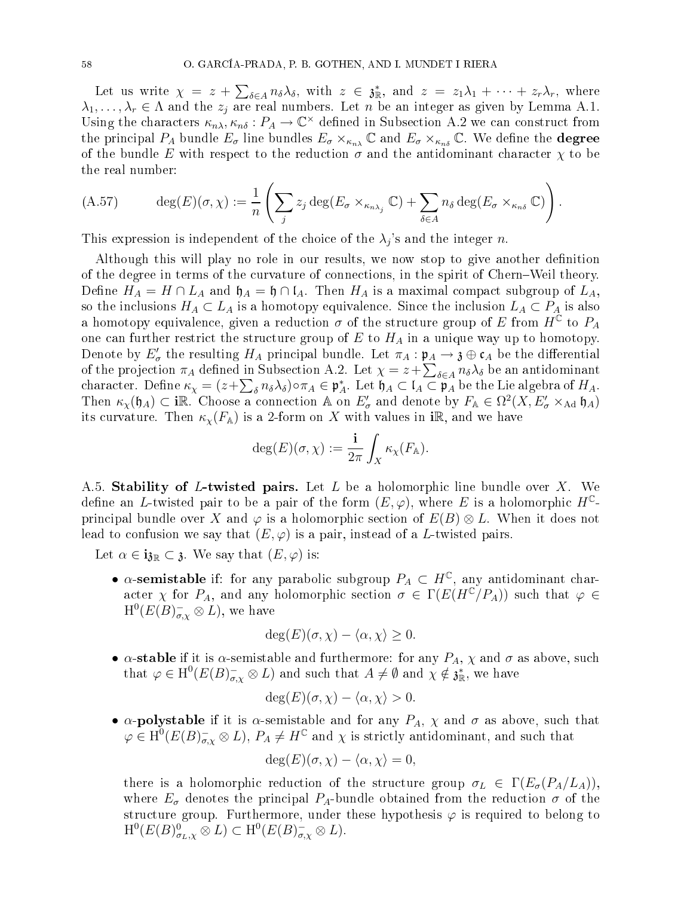Let us write  $\chi = z + \sum_{\delta \in A} n_{\delta} \lambda_{\delta}$ , with  $z \in \mathfrak{z}_{\mathbb{R}}^*$ , and  $z = z_1 \lambda_1 + \cdots + z_r \lambda_r$ , where  $\lambda_1, \ldots, \lambda_r \in \Lambda$  and the  $z_j$  are real numbers. Let n be an integer as given by Lemma A.1. Using the characters  $\kappa_{n\lambda}, \kappa_{n\delta}: P_A \to \mathbb{C}^\times$  defined in Subsection A.2 we can construct from the principal  $P_A$  bundle  $E_{\sigma}$  line bundles  $E_{\sigma} \times_{\kappa_{n\lambda}} \mathbb{C}$  and  $E_{\sigma} \times_{\kappa_{n\delta}} \mathbb{C}$ . We define the **degree** of the bundle E with respect to the reduction  $\sigma$  and the antidominant character  $\chi$  to be the real number:

(A.57) 
$$
\deg(E)(\sigma,\chi) := \frac{1}{n} \left( \sum_j z_j \deg(E_\sigma \times_{\kappa_{n\lambda_j}} \mathbb{C}) + \sum_{\delta \in A} n_{\delta} \deg(E_\sigma \times_{\kappa_{n\delta}} \mathbb{C}) \right).
$$

This expression is independent of the choice of the  $\lambda_j$ 's and the integer n.

Although this will play no role in our results, we now stop to give another definition of the degree in terms of the curvature of connections, in the spirit of Chern–Weil theory. Define  $H_A = H \cap L_A$  and  $\mathfrak{h}_A = \mathfrak{h} \cap \mathfrak{l}_A$ . Then  $H_A$  is a maximal compact subgroup of  $L_A$ , so the inclusions  $H_A \subset L_A$  is a homotopy equivalence. Since the inclusion  $L_A \subset P_A$  is also a homotopy equivalence, given a reduction  $\sigma$  of the structure group of E from  $H^{\mathbb{C}}$  to  $P_A$ one can further restrict the structure group of  $E$  to  $H_A$  in a unique way up to homotopy. Denote by  $E'_\sigma$  the resulting  $H_A$  principal bundle. Let  $\pi_A : \mathfrak{p}_A \to \mathfrak{z} \oplus \mathfrak{c}_A$  be the differential of the projection  $\pi_A$  defined in Subsection A.2. Let  $\chi = z + \sum_{\delta \in A} n_{\delta} \lambda_{\delta}$  be an antidominant character. Define  $\kappa_{\chi} = (z + \sum_{\delta} n_{\delta} \lambda_{\delta}) \circ \pi_A \in \mathfrak{p}_A^*$ . Let  $\mathfrak{h}_A \subset \mathfrak{l}_A \subset \mathfrak{p}_A$  be the Lie algebra of  $H_A$ . Then  $\kappa_\chi(\mathfrak{h}_A) \subset \mathbf{i}\mathbb{R}$ . Choose a connection  $\mathbb{A}$  on  $E'_\sigma$  and denote by  $F_\mathbb{A} \in \Omega^2(X, E'_\sigma \times_{\text{Ad}} \mathfrak{h}_A)$ its curvature. Then  $\kappa_{\chi}(F_{A})$  is a 2-form on X with values in iR, and we have

$$
\deg(E)(\sigma,\chi):=\frac{\mathbf{i}}{2\pi}\int_X\kappa_\chi(F_{\mathbb{A}}).
$$

A.5. Stability of L-twisted pairs. Let L be a holomorphic line bundle over X. We define an L-twisted pair to be a pair of the form  $(E, \varphi)$ , where E is a holomorphic  $H^{\mathbb{C}}$ principal bundle over X and  $\varphi$  is a holomorphic section of  $E(B) \otimes L$ . When it does not lead to confusion we say that  $(E, \varphi)$  is a pair, instead of a L-twisted pairs.

Let  $\alpha \in \mathbf{i}_{\mathfrak{Z}\mathbb{R}} \subset \mathfrak{z}$ . We say that  $(E, \varphi)$  is:

•  $\alpha$ -semistable if: for any parabolic subgroup  $P_A \subset H^{\mathbb{C}}$ , any antidominant character  $\chi$  for  $P_A$ , and any holomorphic section  $\sigma \in \Gamma(E(H^{\mathbb{C}}/P_A))$  such that  $\varphi \in$  $\mathrm{H}^{0}(E(B)_{\sigma,\chi}^{-}\otimes L),$  we have

$$
\deg(E)(\sigma, \chi) - \langle \alpha, \chi \rangle \ge 0.
$$

•  $\alpha$ -stable if it is  $\alpha$ -semistable and furthermore: for any  $P_A$ ,  $\chi$  and  $\sigma$  as above, such that  $\varphi \in H^0(E(B)_{\sigma,\chi}^- \otimes L)$  and such that  $A \neq \emptyset$  and  $\chi \notin \mathfrak{z}_\mathbb{R}^*$ , we have

$$
\deg(E)(\sigma,\chi)-\langle\alpha,\chi\rangle>0.
$$

•  $\alpha$ -polystable if it is  $\alpha$ -semistable and for any  $P_A$ ,  $\chi$  and  $\sigma$  as above, such that  $\varphi \in H^0(E(B)_{\sigma,\chi}^- \otimes L)$ ,  $P_A \neq H^{\mathbb{C}}$  and  $\chi$  is strictly antidominant, and such that

$$
\deg(E)(\sigma,\chi)-\langle\alpha,\chi\rangle=0,
$$

there is a holomorphic reduction of the structure group  $\sigma_L \in \Gamma(E_{\sigma}(P_A/L_A)),$ where  $E_{\sigma}$  denotes the principal  $P_A$ -bundle obtained from the reduction  $\sigma$  of the structure group. Furthermore, under these hypothesis  $\varphi$  is required to belong to  $\mathrm{H}^0(E(B)_{\sigma_L,\chi}^0\otimes L)\subset \mathrm{H}^0(E(B)_{\sigma,\chi}^-\otimes L).$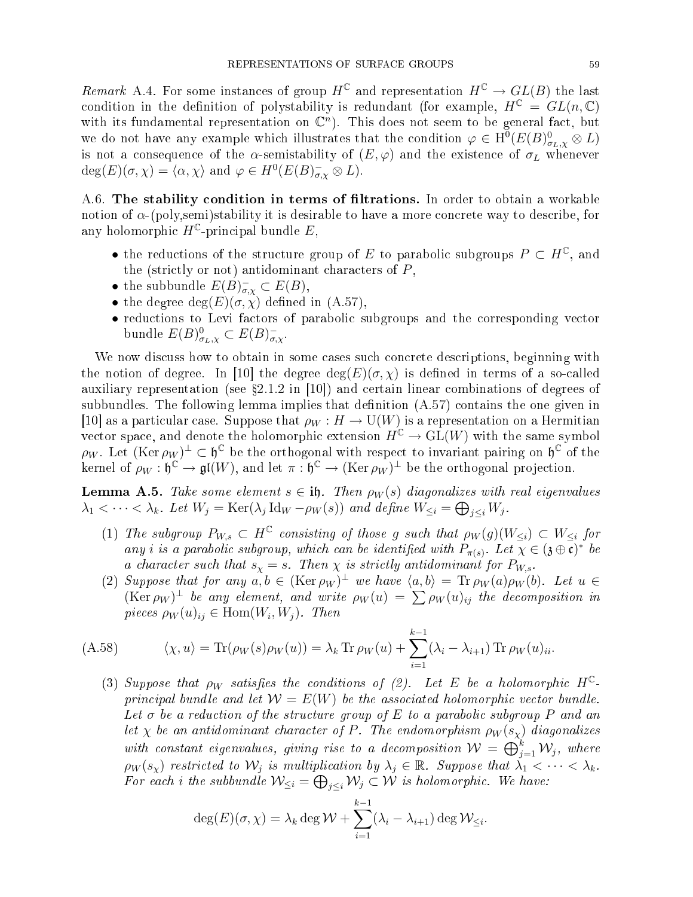Remark A.4. For some instances of group  $H^{\mathbb{C}}$  and representation  $H^{\mathbb{C}} \to GL(B)$  the last condition in the definition of polystability is redundant (for example,  $H^{\mathbb{C}} = GL(n, \mathbb{C})$ with its fundamental representation on  $\mathbb{C}^n$ ). This does not seem to be general fact, but we do not have any example which illustrates that the condition  $\varphi \in H^0(E(B)_{\sigma_L,\chi}^0 \otimes L)$ is not a consequence of the  $\alpha$ -semistability of  $(E, \varphi)$  and the existence of  $\sigma_L$  whenever  $deg(E)(\sigma, \chi) = \langle \alpha, \chi \rangle$  and  $\varphi \in H^0(E(B)_{\sigma, \chi}^- \otimes L).$ 

A.6. The stability condition in terms of filtrations. In order to obtain a workable notion of  $\alpha$ -(poly,semi)stability it is desirable to have a more concrete way to describe, for any holomorphic  $H^{\mathbb{C}}$ -principal bundle E,

- the reductions of the structure group of E to parabolic subgroups  $P \subset H^{\mathbb{C}}$ , and the (strictly or not) antidominant characters of  $P$ ,
- the subbundle  $E(B)_{\sigma,\chi}^- \subset E(B)$ ,
- the degree  $deg(E)(\sigma, \chi)$  defined in  $(A.57)$ ,
- reductions to Levi factors of parabolic subgroups and the corresponding vector bundle  $E(B)_{\sigma_L,\chi}^0 \subset E(B)_{\sigma,\chi}^-$ .

We now discuss how to obtain in some cases such concrete descriptions, beginning with the notion of degree. In [10] the degree  $deg(E)(\sigma, \chi)$  is defined in terms of a so-called auxiliary representation (see  $\S 2.1.2$  in [10]) and certain linear combinations of degrees of subbundles. The following lemma implies that definition  $(A.57)$  contains the one given in [10] as a particular case. Suppose that  $\rho_W : H \to U(W)$  is a representation on a Hermitian vector space, and denote the holomorphic extension  $H^{\mathbb{C}} \to GL(W)$  with the same symbol  $\rho_W$ . Let  $(\text{Ker } \rho_W)^{\perp} \subset \mathfrak{h}^{\mathbb{C}}$  be the orthogonal with respect to invariant pairing on  $\mathfrak{h}^{\mathbb{C}}$  of the kernel of  $\rho_W : \mathfrak{h}^{\mathbb{C}} \to \mathfrak{gl}(W)$ , and let  $\pi : \mathfrak{h}^{\mathbb{C}} \to (\text{Ker } \rho_W)^{\perp}$  be the orthogonal projection.

**Lemma A.5.** Take some element  $s \in \mathbf{i}$ , Then  $\rho_W(s)$  diagonalizes with real eigenvalues  $\lambda_1 < \cdots < \lambda_k$ . Let  $W_j = \text{Ker}(\lambda_j \text{Id}_W - \rho_W(s))$  and define  $W_{\leq i} = \bigoplus_{j \leq i} W_j$ .

- (1) The subgroup  $P_{W,s} \subset H^{\mathbb{C}}$  consisting of those g such that  $\rho_W(g)(W_{\leq i}) \subset W_{\leq i}$  for any i is a parabolic subgroup, which can be identified with  $P_{\pi(s)}$ . Let  $\chi \in (\mathfrak{z} \oplus \mathfrak{c})^*$  be a character such that  $s_{\chi} = s$ . Then  $\chi$  is strictly antidominant for  $P_{W,s}$ .
- (2) Suppose that for any  $a, b \in (\text{Ker } \rho_W)^{\perp}$  we have  $\langle a, b \rangle = \text{Tr } \rho_W(a) \rho_W(b)$ . Let  $u \in$  $(\text{Ker } \rho_W)^{\perp}$  be any element, and write  $\rho_W(u) = \sum \rho_W(u)_{ij}$  the decomposition in pieces  $\rho_W(u)_{ij} \in \text{Hom}(W_i, W_j)$ . Then

$$
(A.58) \qquad \langle \chi, u \rangle = \text{Tr}(\rho_W(s)\rho_W(u)) = \lambda_k \text{Tr}\,\rho_W(u) + \sum_{i=1}^{k-1} (\lambda_i - \lambda_{i+1}) \text{Tr}\,\rho_W(u)_{ii}.
$$

(3) Suppose that  $\rho_W$  satisfies the conditions of (2). Let E be a holomorphic  $H^{\mathbb{C}}$ principal bundle and let  $W = E(W)$  be the associated holomorphic vector bundle. Let  $\sigma$  be a reduction of the structure group of E to a parabolic subgroup P and an let  $\chi$  be an antidominant character of P. The endomorphism  $\rho_W(s_\chi)$  diagonalizes with constant eigenvalues, giving rise to a decomposition  $\mathcal{W} = \bigoplus_{j=1}^k \mathcal{W}_j$ , where  $\rho_W(s_\chi)$  restricted to  $\mathcal{W}_j$  is multiplication by  $\lambda_j \in \mathbb{R}$ . Suppose that  $\lambda_1 < \cdots < \lambda_k$ . For each i the subbundle  $\mathcal{W}_{\leq i} = \bigoplus_{j\leq i} \mathcal{W}_j \subset \mathcal{W}$  is holomorphic. We have:

$$
\deg(E)(\sigma, \chi) = \lambda_k \deg \mathcal{W} + \sum_{i=1}^{k-1} (\lambda_i - \lambda_{i+1}) \deg \mathcal{W}_{\leq i}.
$$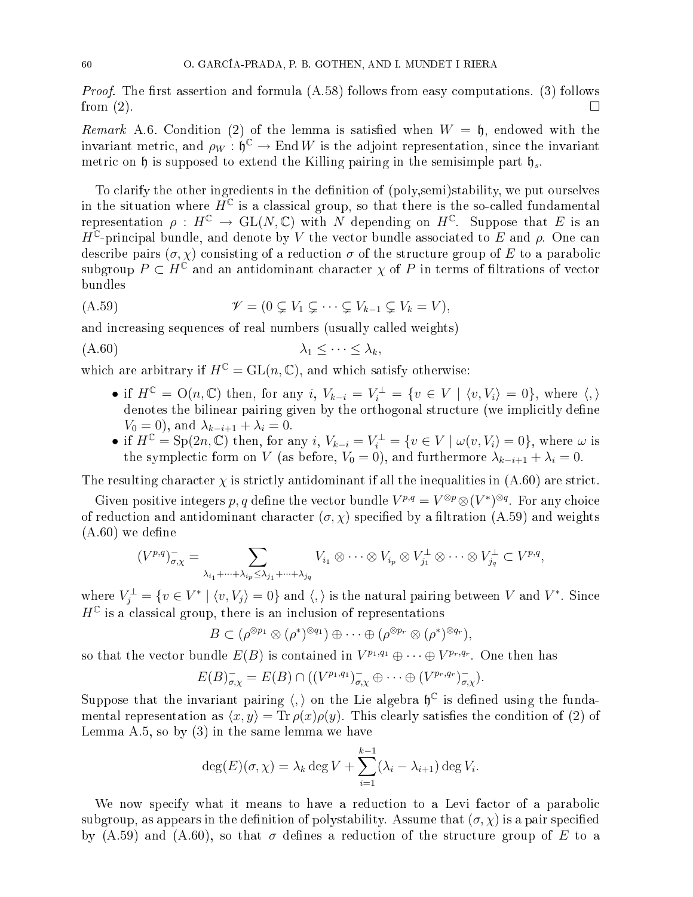*Proof.* The first assertion and formula  $(A.58)$  follows from easy computations. (3) follows from  $(2)$ .

Remark A.6. Condition (2) of the lemma is satisfied when  $W = \mathfrak{h}$ , endowed with the invariant metric, and  $\rho_W : \mathfrak{h}^{\mathbb{C}} \to \mathrm{End}\,W$  is the adjoint representation, since the invariant metric on  $\mathfrak h$  is supposed to extend the Killing pairing in the semisimple part  $\mathfrak h_s$ .

To clarify the other ingredients in the definition of (poly, semi)stability, we put ourselves in the situation where  $\tilde{H}^{\mathbb{C}}$  is a classical group, so that there is the so-called fundamental representation  $\rho: H^{\mathbb{C}} \to \text{GL}(N, \mathbb{C})$  with N depending on  $H^{\mathbb{C}}$ . Suppose that E is an  $H^{\mathbb{C}}$ -principal bundle, and denote by V the vector bundle associated to E and  $\rho$ . One can describe pairs  $(\sigma, \chi)$  consisting of a reduction  $\sigma$  of the structure group of E to a parabolic subgroup  $P \subset H^{\mathbb{C}}$  and an antidominant character  $\chi$  of P in terms of filtrations of vector bundles

$$
(A.59) \t\t\t \mathscr{V} = (0 \subsetneq V_1 \subsetneq \cdots \subsetneq V_{k-1} \subsetneq V_k = V),
$$

and increasing sequences of real numbers (usually called weights)

$$
\lambda_1 \leq \cdots \leq \lambda_k,
$$

which are arbitrary if  $H^{\mathbb{C}} = GL(n, \mathbb{C})$ , and which satisfy otherwise:

- if  $H^{\mathbb{C}} = O(n, \mathbb{C})$  then, for any i,  $V_{k-i} = V_i^{\perp} = \{v \in V \mid \langle v, V_i \rangle = 0\}$ , where  $\langle, \rangle$ denotes the bilinear pairing given by the orthogonal structure (we implicitly define  $V_0 = 0$ , and  $\lambda_{k-i+1} + \lambda_i = 0$ .
- if  $H^{\mathbb{C}} = \text{Sp}(2n, \mathbb{C})$  then, for any  $i, V_{k-i} = V_i^{\perp} = \{v \in V \mid \omega(v, V_i) = 0\}$ , where  $\omega$  is the symplectic form on V (as before,  $V_0 = 0$ ), and furthermore  $\lambda_{k-i+1} + \lambda_i = 0$ .

The resulting character  $\chi$  is strictly antidominant if all the inequalities in (A.60) are strict.

Given positive integers p, q define the vector bundle  $V^{p,q} = V^{\otimes p} \otimes (V^*)^{\otimes q}$ . For any choice of reduction and antidominant character  $(\sigma, \chi)$  specified by a filtration (A.59) and weights  $(A.60)$  we define

$$
(V^{p,q})_{\sigma,\chi}^- = \sum_{\lambda_{i_1}+\cdots+\lambda_{i_p}\leq \lambda_{j_1}+\cdots+\lambda_{j_q}} V_{i_1}\otimes\cdots\otimes V_{i_p}\otimes V_{j_1}^\perp\otimes\cdots\otimes V_{j_q}^\perp\subset V^{p,q},
$$

where  $V_j^{\perp}=\{v\in V^*\mid \langle v,V_j\rangle=0\}$  and  $\langle,\rangle$  is the natural pairing between  $V$  and  $V^*.$  Since  $H^{\mathbb{C}}$  is a classical group, there is an inclusion of representations

$$
B \subset (\rho^{\otimes p_1} \otimes (\rho^*)^{\otimes q_1}) \oplus \cdots \oplus (\rho^{\otimes p_r} \otimes (\rho^*)^{\otimes q_r}),
$$

so that the vector bundle  $E(B)$  is contained in  $V^{p_1,q_1} \oplus \cdots \oplus V^{p_r,q_r}$ . One then has

$$
E(B)_{\sigma,\chi}^- = E(B) \cap ((V^{p_1,q_1})_{\sigma,\chi}^- \oplus \cdots \oplus (V^{p_r,q_r})_{\sigma,\chi}^-).
$$

Suppose that the invariant pairing  $\langle,\rangle$  on the Lie algebra  $\mathfrak{h}^{\mathbb{C}}$  is defined using the fundamental representation as  $\langle x, y \rangle = \text{Tr} \rho(x) \rho(y)$ . This clearly satisfies the condition of (2) of Lemma A.5, so by (3) in the same lemma we have

$$
\deg(E)(\sigma, \chi) = \lambda_k \deg V + \sum_{i=1}^{k-1} (\lambda_i - \lambda_{i+1}) \deg V_i.
$$

We now specify what it means to have a reduction to a Levi factor of a parabolic subgroup, as appears in the definition of polystability. Assume that  $(\sigma, \chi)$  is a pair specified by (A.59) and (A.60), so that  $\sigma$  defines a reduction of the structure group of E to a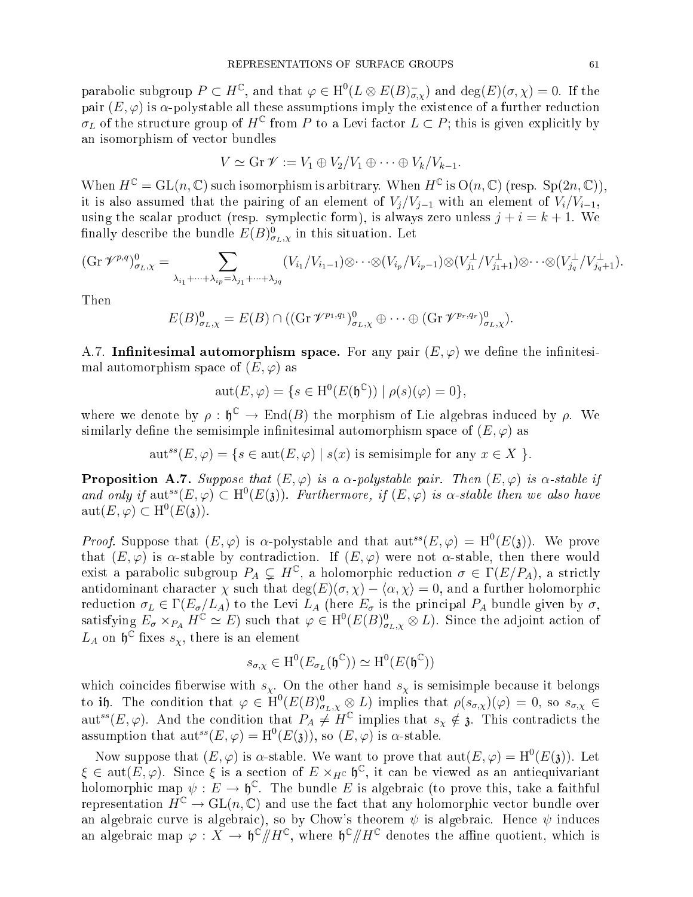parabolic subgroup  $P \subset H^{\mathbb{C}}$ , and that  $\varphi \in H^0(L \otimes E(B)_{\sigma,\chi}^-)$  and  $\deg(E)(\sigma,\chi) = 0$ . If the pair  $(E, \varphi)$  is  $\alpha$ -polystable all these assumptions imply the existence of a further reduction  $\sigma_L$  of the structure group of  $H^{\mathbb{C}}$  from P to a Levi factor  $L \subset P$ ; this is given explicitly by an isomorphism of ve
tor bundles

$$
V \simeq \mathrm{Gr} \, \mathscr{V} := V_1 \oplus V_2 / V_1 \oplus \cdots \oplus V_k / V_{k-1}.
$$

When  $H^{\mathbb{C}} = GL(n, \mathbb{C})$  such isomorphism is arbitrary. When  $H^{\mathbb{C}}$  is  $O(n, \mathbb{C})$  (resp.  $Sp(2n, \mathbb{C})$ ), it is also assumed that the pairing of an element of  $V_i/V_{i-1}$  with an element of  $V_i/V_{i-1}$ , using the scalar product (resp. symplectic form), is always zero unless  $j + i = k + 1$ . We finally describe the bundle  $E(B)_{\sigma_L,\chi}^0$  in this situation. Let

$$
(\text{Gr }\mathscr{V}^{p,q})_{\sigma_L,\chi}^0 = \sum_{\lambda_{i_1}+\cdots+\lambda_{i_p}=\lambda_{j_1}+\cdots+\lambda_{j_q}} (V_{i_1}/V_{i_1-1})\otimes \cdots \otimes (V_{i_p}/V_{i_p-1})\otimes (V_{j_1}^{\perp}/V_{j_1+1}^{\perp})\otimes \cdots \otimes (V_{j_q}^{\perp}/V_{j_q+1}^{\perp}).
$$

Then

$$
E(B)_{\sigma_L,\chi}^0 = E(B) \cap ((\text{Gr }\mathscr{V}^{p_1,q_1})_{\sigma_L,\chi}^0 \oplus \cdots \oplus (\text{Gr }\mathscr{V}^{p_r,q_r})_{\sigma_L,\chi}^0).
$$

A.7. Infinitesimal automorphism space. For any pair  $(E, \varphi)$  we define the infinitesimal automorphism space of  $(E, \varphi)$  as

$$
aut(E, \varphi) = \{ s \in H^0(E(\mathfrak{h}^{\mathbb{C}})) \mid \rho(s)(\varphi) = 0 \},
$$

where we denote by  $\rho : \mathfrak{h}^{\mathbb{C}} \to \text{End}(B)$  the morphism of Lie algebras induced by  $\rho$ . We similarly define the semisimple infinitesimal automorphism space of  $(E, \varphi)$  as

aut<sup>ss</sup> $(E, \varphi) = \{s \in \text{aut}(E, \varphi) \mid s(x) \text{ is semisimple for any } x \in X \}.$ 

**Proposition A.7.** Suppose that  $(E, \varphi)$  is a  $\alpha$ -polystable pair. Then  $(E, \varphi)$  is  $\alpha$ -stable if and only if  $\text{aut}^{ss}(E,\varphi) \subset \text{H}^0(E(3))$ . Furthermore, if  $(E,\varphi)$  is  $\alpha$ -stable then we also have  $\text{aut}(E, \varphi) \subset \text{H}^0(E(\mathfrak{z})).$ 

*Proof.* Suppose that  $(E, \varphi)$  is  $\alpha$ -polystable and that  $\text{aut}^{ss}(E, \varphi) = H^0(E(\mathfrak{z}))$ . We prove that  $(E, \varphi)$  is  $\alpha$ -stable by contradiction. If  $(E, \varphi)$  were not  $\alpha$ -stable, then there would exist a parabolic subgroup  $P_A \subsetneq H^{\mathbb{C}}$ , a holomorphic reduction  $\sigma \in \Gamma(E/P_A)$ , a strictly antidominant character  $\chi$  such that  $\deg(E)(\sigma, \chi) - \langle \alpha, \chi \rangle = 0$ , and a further holomorphic reduction  $\sigma_L \in \Gamma(E_{\sigma}/L_A)$  to the Levi  $\bar{L}_A$  (here  $E_{\sigma}$  is the principal  $P_A$  bundle given by  $\sigma$ , satisfying  $E_{\sigma} \times_{P_A} H^{\mathbb{C}} \simeq E$ ) such that  $\varphi \in H^0(E(B)_{\sigma_L,\chi}^0 \otimes L)$ . Since the adjoint action of  $L_A$  on  $\mathfrak{h}^{\mathbb{C}}$  fixes  $s_\chi$ , there is an element

$$
s_{\sigma,\chi}\in \mathrm{H}^{0}(E_{\sigma_{L}}(\mathfrak{h}^{\mathbb{C}}))\simeq \mathrm{H}^{0}(E(\mathfrak{h}^{\mathbb{C}}))
$$

which coincides fiberwise with  $s_\chi$ . On the other hand  $s_\chi$  is semisimple because it belongs to ih. The condition that  $\varphi \in H^0(E(B)_{\sigma_L,\chi}^0 \otimes L)$  implies that  $\rho(s_{\sigma,\chi})(\varphi) = 0$ , so  $s_{\sigma,\chi} \in$ aut<sup>ss</sup>(E,  $\varphi$ ). And the condition that  $P_A \neq H^{\mathbb{C}}$  implies that  $s_\chi \notin \mathfrak{z}$ . This contradicts the assumption that  $\mathrm{aut}^{ss}(E,\varphi)=\mathrm{H}^0(E(\mathfrak{z})),$  so  $(E,\varphi)$  is  $\alpha$ -stable.

Now suppose that  $(E, \varphi)$  is  $\alpha$ -stable. We want to prove that  $\text{aut}(E, \varphi) = \text{H}^0(E(\mathfrak{z}))$ . Let  $\xi \in \text{aut}(E,\varphi)$ . Since  $\xi$  is a section of  $E\times_{H^{\mathbb{C}}}\mathfrak{h}^{\mathbb{C}},$  it can be viewed as an antiequivariant holomorphic map  $\psi: E \to \mathfrak{h}^{\mathbb{C}}$ . The bundle E is algebraic (to prove this, take a faithful representation  $H^{\mathbb{C}} \to GL(n, \mathbb{C})$  and use the fact that any holomorphic vector bundle over an algebraic curve is algebraic), so by Chow's theorem  $\psi$  is algebraic. Hence  $\psi$  induces an algebraic map  $\varphi: X \to \mathfrak{h}^\mathbb{C}/\!\!/H^\mathbb{C}$ , where  $\mathfrak{h}^\mathbb{C}/\!\!/H^\mathbb{C}$  denotes the affine quotient, which is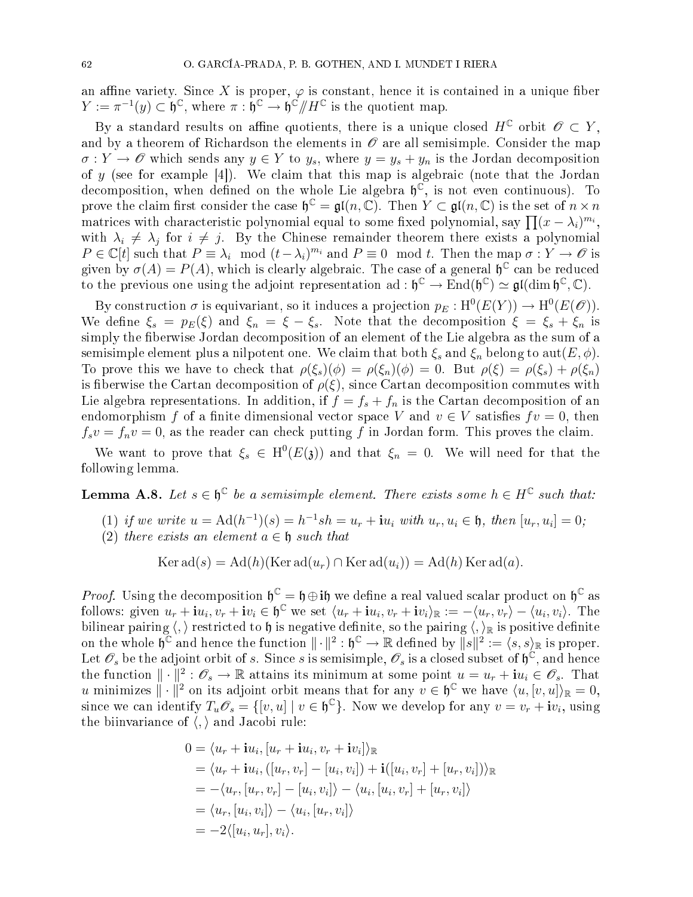an affine variety. Since X is proper,  $\varphi$  is constant, hence it is contained in a unique fiber  $Y := \pi^{-1}(y) \subset \mathfrak{h}^{\mathbb{C}},$  where  $\pi : \mathfrak{h}^{\mathbb{C}} \to \mathfrak{h}^{\mathbb{C}}/\!\!/H^{\mathbb{C}}$  is the quotient map.

By a standard results on affine quotients, there is a unique closed  $H^{\mathbb{C}}$  orbit  $\mathscr{O} \subset Y$ , and by a theorem of Richardson the elements in  $\mathscr O$  are all semisimple. Consider the map  $\sigma: Y \to \mathscr{O}$  which sends any  $y \in Y$  to  $y_s$ , where  $y = y_s + y_n$  is the Jordan decomposition of y (see for example  $[4]$ ). We claim that this map is algebraic (note that the Jordan decomposition, when defined on the whole Lie algebra  $\mathfrak{h}^{\mathbb{C}}$ , is not even continuous). To prove the claim first consider the case  $\mathfrak{h}^{\mathbb{C}} = \mathfrak{gl}(n, \mathbb{C})$ . Then  $Y \subset \mathfrak{gl}(n, \mathbb{C})$  is the set of  $n \times n$ matrices with characteristic polynomial equal to some fixed polynomial, say  $\prod (x - \lambda_i)^{m_i}$ , with  $\lambda_i \neq \lambda_j$  for  $i \neq j$ . By the Chinese remainder theorem there exists a polynomial  $P \in \mathbb{C}[t]$  such that  $P \equiv \lambda_i \mod (t - \lambda_i)^{m_i}$  and  $P \equiv 0 \mod t$ . Then the map  $\sigma: Y \to \mathscr{O}$  is given by  $\sigma(A) = P(A)$ , which is clearly algebraic. The case of a general  $\mathfrak{h}^{\mathbb{C}}$  can be reduced to the previous one using the adjoint representation ad:  $\mathfrak{h}^{\mathbb{C}} \to \text{End}(\mathfrak{h}^{\mathbb{C}}) \simeq \mathfrak{gl}(\dim \mathfrak{h}^{\mathbb{C}}, \mathbb{C}).$ 

By construction  $\sigma$  is equivariant, so it induces a projection  $p_E: \mathrm{H}^0(E(Y)) \to \mathrm{H}^0(E(\mathscr{O})).$ We define  $\xi_s = p_E(\xi)$  and  $\xi_n = \xi - \xi_s$ . Note that the decomposition  $\xi = \xi_s + \xi_n$  is simply the fiberwise Jordan decomposition of an element of the Lie algebra as the sum of a semisimple element plus a nilpotent one. We claim that both  $\xi_s$  and  $\xi_n$  belong to aut $(E, \phi)$ . To prove this we have to check that  $\rho(\xi_s)(\phi) = \rho(\xi_n)(\phi) = 0$ . But  $\rho(\xi) = \rho(\xi_s) + \rho(\xi_n)$ is fiberwise the Cartan decomposition of  $\rho(\xi)$ , since Cartan decomposition commutes with Lie algebra representations. In addition, if  $f = f_s + f_n$  is the Cartan decomposition of an endomorphism f of a finite dimensional vector space V and  $v \in V$  satisfies  $f v = 0$ , then  $f_s v = f_n v = 0$ , as the reader can check putting f in Jordan form. This proves the claim.

We want to prove that  $\xi_s \in H^0(E(\mathfrak{z}))$  and that  $\xi_n = 0$ . We will need for that the following lemma.

**Lemma A.8.** Let  $s \in \mathfrak{h}^{\mathbb{C}}$  be a semisimple element. There exists some  $h \in H^{\mathbb{C}}$  such that:

- (1) if we write  $u = \text{Ad}(h^{-1})(s) = h^{-1}sh = u_r + \mathbf{i}u_i$  with  $u_r, u_i \in \mathfrak{h}$ , then  $[u_r, u_i] = 0$ ;
- (2) there exists an element  $a \in \mathfrak{h}$  such that

$$
Ker ad(s) = Ad(h)(Ker ad(ur) \cap Ker ad(ui)) = Ad(h) Ker ad(a).
$$

*Proof.* Using the decomposition  $\mathfrak{h}^{\mathbb{C}} = \mathfrak{h} \oplus \mathfrak{ib}$  we define a real valued scalar product on  $\mathfrak{h}^{\mathbb{C}}$  as follows: given  $u_r + i u_i, v_r + i v_i \in \mathfrak{h}^{\mathbb{C}}$  we set  $\langle u_r + i u_i, v_r + i v_i \rangle_{\mathbb{R}} := -\langle u_r, v_r \rangle - \langle u_i, v_i \rangle$ . The bilinear pairing  $\langle, \rangle$  restricted to h is negative definite, so the pairing  $\langle, \rangle_{\mathbb{R}}$  is positive definite on the whole  $\mathfrak{h}^{\mathbb{C}}$  and hence the function  $\|\cdot\|^2: \mathfrak{h}^{\mathbb{C}} \to \mathbb{R}$  defined by  $\|s\|^2 := \langle s, s \rangle_{\mathbb{R}}$  is proper. Let  $\mathscr{O}_s$  be the adjoint orbit of s. Since s is semisimple,  $\mathscr{O}_s$  is a closed subset of  $\mathfrak{h}^{\mathbb{C}},$  and hence the function  $\|\cdot\|^2: \mathscr{O}_s \to \mathbb{R}$  attains its minimum at some point  $u = u_r + i u_i \in \mathscr{O}_s$ . That u minimizes  $\|\cdot\|^2$  on its adjoint orbit means that for any  $v \in \mathfrak{h}^{\mathbb{C}}$  we have  $\langle u, [v, u] \rangle_{\mathbb{R}} = 0$ , since we can identify  $T_u \mathscr{O}_s = \{ [v, u] \mid v \in \mathfrak{h}^{\mathbb{C}} \}$ . Now we develop for any  $v = v_r + \mathbf{i} v_i$ , using the biinvariance of  $\langle , \rangle$  and Jacobi rule:

$$
0 = \langle u_r + iu_i, [u_r + iu_i, v_r + iv_i] \rangle \mathbb{R}
$$
  
=  $\langle u_r + iu_i, ([u_r, v_r] - [u_i, v_i]) + i([u_i, v_r] + [u_r, v_i]) \rangle \mathbb{R}$   
=  $-\langle u_r, [u_r, v_r] - [u_i, v_i] \rangle - \langle u_i, [u_i, v_r] + [u_r, v_i] \rangle$   
=  $\langle u_r, [u_i, v_i] \rangle - \langle u_i, [u_r, v_i] \rangle$   
=  $-2\langle [u_i, u_r], v_i \rangle$ .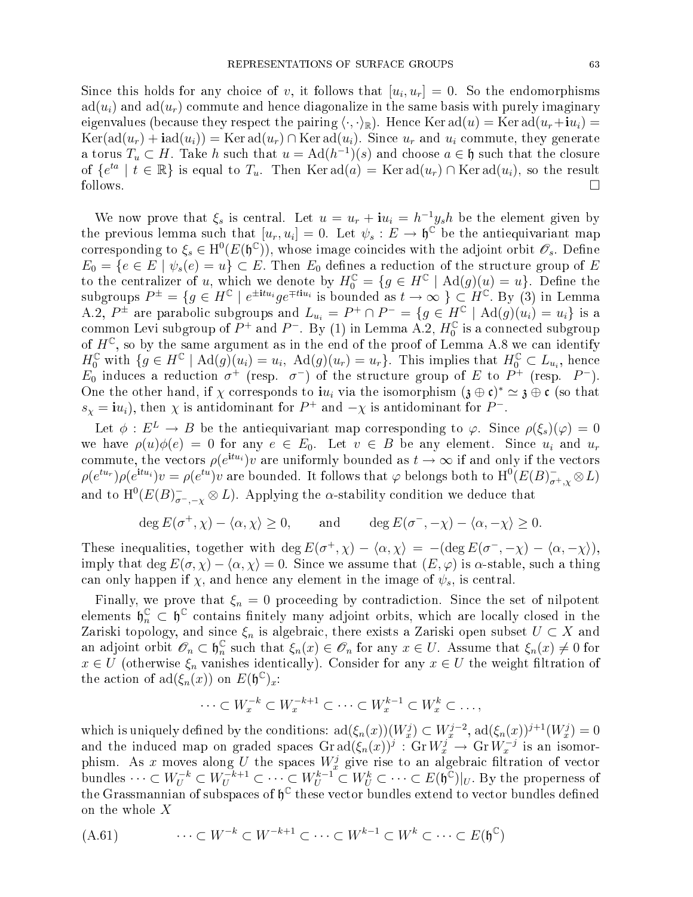Since this holds for any choice of v, it follows that  $[u_i, u_r] = 0$ . So the endomorphisms  $ad(u_i)$  and  $ad(u_r)$  commute and hence diagonalize in the same basis with purely imaginary eigenvalues (because they respect the pairing  $\langle \cdot, \cdot \rangle_{\mathbb{R}}$ ). Hence Ker ad $(u) = \text{Ker ad}(u_r + iu_i) =$  $Ker(\text{ad}(u_r) + \text{iad}(u_i)) = \text{Ker}\text{ad}(u_r) \cap \text{Ker}\text{ad}(u_i)$ . Since  $u_r$  and  $u_i$  commute, they generate a torus  $T_u \subset H$ . Take h such that  $u = \text{Ad}(h^{-1})(s)$  and choose  $a \in \mathfrak{h}$  such that the closure of  $\{e^{ta} \mid t \in \mathbb{R}\}$  is equal to  $T_u$ . Then Ker  $\text{ad}(a) = \text{Ker} \text{ad}(u_r) \cap \text{Ker} \text{ad}(u_i)$ , so the result  $\Box$  follows.

We now prove that  $\xi_s$  is central. Let  $u = u_r + i u_i = h^{-1} y_s h$  be the element given by the previous lemma such that  $[u_r, u_i] = 0$ . Let  $\psi_s : E \to \mathfrak{h}^{\mathbb{C}}$  be the antiequivariant map corresponding to  $\xi_s \in H^0(E(\mathfrak{h}^{\mathbb{C}}))$ , whose image coincides with the adjoint orbit  $\mathscr{O}_s$ . Define  $E_0 = \{e \in E \mid \psi_s(e) = u\} \subset E$ . Then  $E_0$  defines a reduction of the structure group of E to the centralizer of u, which we denote by  $H_0^{\mathbb{C}} = \{g \in H^{\mathbb{C}} \mid \text{Ad}(g)(u) = u\}.$  Define the subgroups  $P^{\pm} = \{g \in H^{\mathbb{C}} \mid e^{\pm itu_i}ge^{\mp tiu_i} \text{ is bounded as } t \to \infty \} \subset H^{\mathbb{C}}$ . By (3) in Lemma A.2,  $P^{\pm}$  are parabolic subgroups and  $L_{u_i} = P^{\pm} \cap P^- = \{g \in H^{\mathbb{C}} \mid \text{Ad}(g)(u_i) = u_i\}$  is a common Levi subgroup of  $P^+$  and  $P^-$ . By (1) in Lemma A.2,  $H_0^{\mathbb{C}}$  is a connected subgroup of  $H^{\mathbb{C}}$ , so by the same argument as in the end of the proof of Lemma A.8 we can identify  $H_0^{\mathbb{C}}$  with  $\{g \in H^{\mathbb{C}} \mid \text{Ad}(g)(u_i) = u_i, \text{ Ad}(g)(u_r) = u_r\}$ . This implies that  $H_0^{\mathbb{C}} \subset L_{u_i}$ , hence  $E_0$  induces a reduction  $\sigma^+$  (resp.  $\sigma^-$ ) of the structure group of E to  $P^+$  (resp.  $P^-$ ). One the other hand, if  $\chi$  corresponds to  $i u_i$  via the isomorphism  $(\mathfrak{z} \oplus \mathfrak{c})^* \simeq \mathfrak{z} \oplus \mathfrak{c}$  (so that  $s_{\chi} = i u_i$ , then  $\chi$  is antidominant for  $P^+$  and  $-\chi$  is antidominant for  $P^-$ .

Let  $\phi: E^L \to B$  be the antiequivariant map corresponding to  $\varphi$ . Since  $\rho(\xi_s)(\varphi) = 0$ we have  $\rho(u)\phi(e) = 0$  for any  $e \in E_0$ . Let  $v \in B$  be any element. Since  $u_i$  and  $u_r$ commute, the vectors  $\rho(e^{\mathbf{i}tu_i})v$  are uniformly bounded as  $t \to \infty$  if and only if the vectors  $\rho(e^{itu_r})\rho(e^{itu_i})v = \rho(e^{tu})v$  are bounded. It follows that  $\varphi$  belongs both to  $\text{H}^0(E(B)_{\sigma^+,\chi}^-\otimes L)$ and to  $\mathrm{H} ^{0}(E(B)_{\sigma^-, -\chi}^{-}\otimes L).$  Applying the  $\alpha$ -stability condition we deduce that

$$
\deg E(\sigma^+, \chi) - \langle \alpha, \chi \rangle \ge 0, \quad \text{and} \quad \deg E(\sigma^-, -\chi) - \langle \alpha, -\chi \rangle \ge 0.
$$

These inequalities, together with  $\deg E(\sigma^+,\chi) - \langle \alpha,\chi \rangle = -(\deg E(\sigma^-,-\chi) - \langle \alpha,-\chi \rangle),$ imply that deg  $E(\sigma, \chi) - \langle \alpha, \chi \rangle = 0$ . Since we assume that  $(E, \varphi)$  is  $\alpha$ -stable, such a thing can only happen if  $\chi$ , and hence any element in the image of  $\psi_s$ , is central.

Finally, we prove that  $\xi_n = 0$  proceeding by contradiction. Since the set of nilpotent elements  $\mathfrak{h}_n^{\mathbb{C}} \subset \mathfrak{h}^{\mathbb{C}}$  contains finitely many adjoint orbits, which are locally closed in the Zariski topology, and since  $\xi_n$  is algebraic, there exists a Zariski open subset  $U \subset X$  and an adjoint orbit  $\mathscr{O}_n \subset \mathfrak{h}_n^{\mathbb{C}}$  $\frac{\mathbb{C}}{n}$  such that  $\xi_n(x) \in \mathscr{O}_n$  for any  $x \in U$ . Assume that  $\xi_n(x) \neq 0$  for  $x \in U$  (otherwise  $\xi_n$  vanishes identically). Consider for any  $x \in U$  the weight filtration of the action of  $\text{ad}(\xi_n(x))$  on  $E(\mathfrak{h}^{\mathbb{C}})_x$ :

$$
\cdots \subset W_x^{-k} \subset W_x^{-k+1} \subset \cdots \subset W_x^{k-1} \subset W_x^k \subset \ldots,
$$

which is uniquely defined by the conditions:  $\text{ad}(\xi_n(x))(W_x^j) \subset W_x^{j-2}$ ,  $\text{ad}(\xi_n(x))^{j+1}(W_x^j) = 0$ and the induced map on graded spaces  $\text{Gr}\,\text{ad}(\xi_n(x))^j$  :  $\text{Gr}\,W_x^j \to \text{Gr}\,W_x^{-j}$  is an isomorphism. As x moves along U the spaces  $W_x^j$  give rise to an algebraic filtration of vector bundles  $\cdots \subset W_U^{-k} \subset W_U^{-k+1} \subset \cdots \subset W_U^{k-1} \subset W_U^k \subset \cdots \subset E(\mathfrak{h}^{\mathbb{C}})|_U$ . By the properness of the Grassmannian of subspaces of  $\mathfrak{h}^{\mathbb{C}}$  these vector bundles extend to vector bundles defined on the whole X

$$
(A.61) \qquad \cdots \subset W^{-k} \subset W^{-k+1} \subset \cdots \subset W^{k-1} \subset W^k \subset \cdots \subset E(\mathfrak{h}^{\mathbb{C}})
$$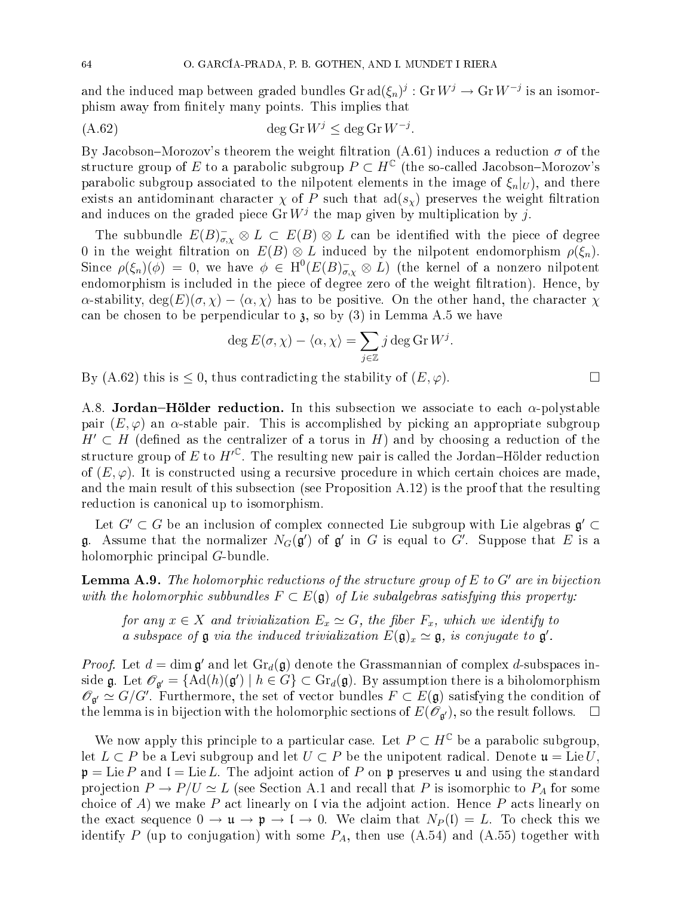and the induced map between graded bundles  $\mathrm{Gr\,ad}(\xi_n)^j:\mathrm{Gr\,} W^j\to \mathrm{Gr\,} W^{-j}$  is an isomorphism away from finitely many points. This implies that

$$
(A.62) \qquad \deg \operatorname{Gr} W^j \le \deg \operatorname{Gr} W^{-j}.
$$

By Jacobson–Morozov's theorem the weight filtration (A.61) induces a reduction  $\sigma$  of the structure group of E to a parabolic subgroup  $P \subset H^{\mathbb{C}}$  (the so-called Jacobson–Morozov's parabolic subgroup associated to the nilpotent elements in the image of  $\xi_n|_U$ , and there exists an antidominant character  $\chi$  of P such that  $\text{ad}(s_{\chi})$  preserves the weight filtration and induces on the graded piece  $\mathrm{Gr}\,W^j$  the map given by multiplication by j.

The subbundle  $E(B)_{\sigma,\chi}^- \otimes L \, \subset \, E(B) \otimes L$  can be identified with the piece of degree 0 in the weight filtration on  $E(B) \otimes L$  induced by the nilpotent endomorphism  $\rho(\xi_n)$ . Since  $\rho(\xi_n)(\phi) = 0$ , we have  $\phi \in H^0(E(B)_{\sigma,\chi}^- \otimes L)$  (the kernel of a nonzero nilpotent endomorphism is included in the piece of degree zero of the weight filtration). Hence, by  $\alpha$ -stability,  $\deg(E)(\sigma, \chi) - \langle \alpha, \chi \rangle$  has to be positive. On the other hand, the character  $\chi$ can be chosen to be perpendicular to  $\lambda$ , so by (3) in Lemma A.5 we have

$$
\deg E(\sigma, \chi) - \langle \alpha, \chi \rangle = \sum_{j \in \mathbb{Z}} j \deg \operatorname{Gr} W^j.
$$

By (A.62) this is  $\leq$  0, thus contradicting the stability of  $(E, \varphi)$ .

A.8. Jordan–Hölder reduction. In this subsection we associate to each  $\alpha$ -polystable pair  $(E, \varphi)$  an  $\alpha$ -stable pair. This is accomplished by picking an appropriate subgroup  $H' \subset H$  (defined as the centralizer of a torus in H) and by choosing a reduction of the structure group of E to  $H'^{\mathbb{C}}$ . The resulting new pair is called the Jordan–Hölder reduction of  $(E, \varphi)$ . It is constructed using a recursive procedure in which certain choices are made, and the main result of this subsection (see Proposition  $(A.12)$ ) is the proof that the resulting reduction is canonical up to isomorphism.

Let  $G' \subset G$  be an inclusion of complex connected Lie subgroup with Lie algebras  $\mathfrak{g}' \subset$ **g**. Assume that the normalizer  $N_G(\mathfrak{g}')$  of  $\mathfrak{g}'$  in  $G$  is equal to  $G'$ . Suppose that  $E$  is a holomorphic principal G-bundle.

**Lemma A.9.** The holomorphic reductions of the structure group of  $E$  to  $G'$  are in bijection with the holomorphic subbundles  $F \subset E(\mathfrak{g})$  of Lie subalgebras satisfying this property:

for any  $x \in X$  and trivialization  $E_x \simeq G$ , the fiber  $F_x$ , which we identify to a subspace of  $\mathfrak g$  via the induced trivialization  $E(\mathfrak g)_x \simeq \mathfrak g$ , is conjugate to  $\mathfrak g'$ .

*Proof.* Let  $d = \dim \mathfrak{g}'$  and let  $\text{Gr}_d(\mathfrak{g})$  denote the Grassmannian of complex d-subspaces inside  $\mathfrak{g}$ . Let  $\mathscr{O}_{\mathfrak{g}'} = \{ \mathrm{Ad}(h)(\mathfrak{g}') \mid h \in G \} \subset \mathrm{Gr}_d(\mathfrak{g})$ . By assumption there is a biholomorphism  $\mathscr{O}_{\mathfrak{g}'} \simeq G/G'$ . Furthermore, the set of vector bundles  $F \subset E(\mathfrak{g})$  satisfying the condition of the lemma is in bijection with the holomorphic sections of  $E(\mathscr{O}_{\mathfrak{a}'})$ , so the result follows.  $\Box$ 

We now apply this principle to a particular case. Let  $P \subset H^{\mathbb{C}}$  be a parabolic subgroup, let  $L \subset P$  be a Levi subgroup and let  $U \subset P$  be the unipotent radical. Denote  $\mathfrak{u} = \text{Lie } U$ ,  $\mathfrak{p} = \text{Lie } P$  and  $\mathfrak{l} = \text{Lie } L$ . The adjoint action of P on p preserves u and using the standard projection  $P \to P/U \simeq L$  (see Section A.1 and recall that P is isomorphic to  $P_A$  for some choice of A) we make P act linearly on I via the adjoint action. Hence P acts linearly on the exact sequence  $0 \to \mathfrak{u} \to \mathfrak{p} \to \mathfrak{l} \to 0$ . We claim that  $N_P(\mathfrak{l}) = L$ . To check this we identify P (up to conjugation) with some  $P_A$ , then use  $(A.54)$  and  $(A.55)$  together with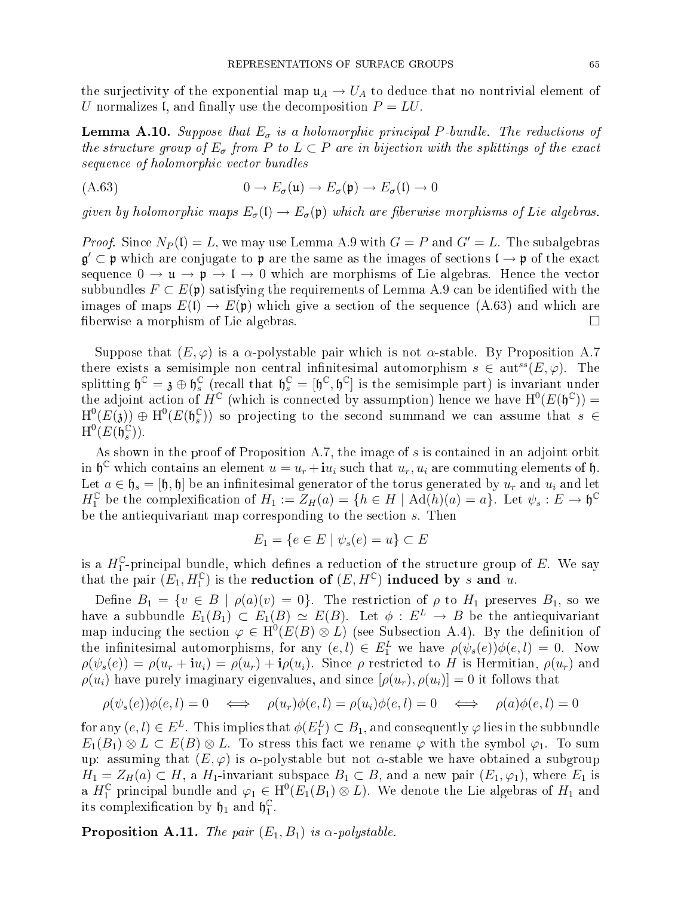the surjectivity of the exponential map  $\mu_A \to U_A$  to deduce that no nontrivial element of U normalizes I, and finally use the decomposition  $P = LU$ .

**Lemma A.10.** Suppose that  $E_{\sigma}$  is a holomorphic principal P-bundle. The reductions of the structure group of  $E_{\sigma}$  from P to  $L \subset P$  are in bijection with the splittings of the exact sequence of holomorphic vector bundles

$$
(A.63) \t\t 0 \to E_{\sigma}(\mathfrak{u}) \to E_{\sigma}(\mathfrak{p}) \to E_{\sigma}(\mathfrak{l}) \to 0
$$

given by holomorphic maps  $E_{\sigma}(\mathfrak{t}) \to E_{\sigma}(\mathfrak{p})$  which are fiberwise morphisms of Lie algebras.

*Proof.* Since  $N_P(\mathfrak{l}) = L$ , we may use Lemma A.9 with  $G = P$  and  $G' = L$ . The subalgebras  $\mathfrak{g}'\subset\mathfrak{p}$  which are conjugate to  $\mathfrak{p}$  are the same as the images of sections  $\mathfrak{l}\to\mathfrak{p}$  of the exact sequence  $0 \to \mathfrak{u} \to \mathfrak{p} \to \mathfrak{l} \to 0$  which are morphisms of Lie algebras. Hence the vector subbundles  $F \subset E(\mathfrak{p})$  satisfying the requirements of Lemma A.9 can be identified with the images of maps  $E(1) \to E(\mathfrak{p})$  which give a section of the sequence (A.63) and which are fiberwise a morphism of Lie algebras.

Suppose that  $(E, \varphi)$  is a  $\alpha$ -polystable pair which is not  $\alpha$ -stable. By Proposition A.7 there exists a semisimple non central infinitesimal automorphism  $s \in \text{aut}^{ss}(E, \varphi)$ . The splitting  $\mathfrak{h}^{\mathbb{C}} = \mathfrak{z} \oplus \mathfrak{h}_{s}^{\mathbb{C}}$  $\mathcal{L}_s^{\mathbb{C}}$  (recall that  $\mathfrak{h}_s^{\mathbb{C}} = [\mathfrak{h}^{\mathbb{C}}, \mathfrak{h}^{\mathbb{C}}]$  is the semisimple part) is invariant under the adjoint action of  $H^{\mathbb{C}}$  (which is connected by assumption) hence we have  $H^0(E(\mathfrak{h}^{\mathbb{C}}))$  =  $\mathrm{H}^0(E(\mathfrak{z}))\,\oplus\,\mathrm{H}^0(E(\mathfrak{h}_s^{\mathbb{C}}% )\,\oplus\,\mathrm{H}^0(E(\mathfrak{g}_s^{\mathbb{C}}\ {\rm in} \mathfrak{g}_s^{\mathbb{C}}))$  $s(\mathcal{S})$  so projecting to the second summand we can assume that  $s \in \mathcal{S}$  $\mathrm{H}^0(E(\mathfrak{h}_s^{\mathbb{C}}% ,\mathfrak{h}_s^{\mathbb{C}}))$  $\binom{C}{s}$ .

As shown in the proof of Proposition A.7, the image of s is contained in an adjoint orbit in  $\mathfrak{h}^{\mathbb{C}}$  which contains an element  $u = u_r + \mathbf{i}u_i$  such that  $u_r, u_i$  are commuting elements of  $\mathfrak{h}$ . Let  $a \in \mathfrak{h}_s = [\mathfrak{h}, \mathfrak{h}]$  be an infinitesimal generator of the torus generated by  $u_r$  and  $u_i$  and let  $H_1^{\mathbb{C}}$  be the complexification of  $H_1 := Z_H(a) = \{h \in H \mid \operatorname{Ad}(h)(a) = a\}.$  Let  $\psi_s : E \to \mathfrak{h}^{\mathbb{C}}$ be the antiequivariant map corresponding to the section s. Then

$$
E_1 = \{ e \in E \mid \psi_s(e) = u \} \subset E
$$

is a  $H_1^{\mathbb{C}}$ -principal bundle, which defines a reduction of the structure group of E. We say that the pair  $(E_1, H_1^{\mathbb{C}})$  is the reduction of  $(E, H^{\mathbb{C}})$  induced by s and u.

Define  $B_1 = \{v \in B \mid \rho(a)(v) = 0\}$ . The restriction of  $\rho$  to  $H_1$  preserves  $B_1$ , so we have a subbundle  $E_1(B_1) \subset E_1(B) \simeq E(B)$ . Let  $\phi : E^L \to B$  be the antiequivariant map inducing the section  $\varphi \in H^0(E(B) \otimes L)$  (see Subsection A.4). By the definition of the infinitesimal automorphisms, for any  $(e, l) \in E_1^L$  we have  $\rho(\psi_s(e))\phi(e, l) = 0$ . Now  $\rho(\psi_s(e)) = \rho(u_r + iu_i) = \rho(u_r) + i\rho(u_i)$ . Since  $\rho$  restricted to H is Hermitian,  $\rho(u_r)$  and  $\rho(u_i)$  have purely imaginary eigenvalues, and since  $[\rho(u_r), \rho(u_i)] = 0$  it follows that

$$
\rho(\psi_s(e))\phi(e,l) = 0 \iff \rho(u_r)\phi(e,l) = \rho(u_i)\phi(e,l) = 0 \iff \rho(a)\phi(e,l) = 0
$$

for any  $(e, l) \in E^L$ . This implies that  $\phi(E_1^L) \subset B_1$ , and consequently  $\varphi$  lies in the subbundle  $E_1(B_1) \otimes L \subset E(B) \otimes L$ . To stress this fact we rename  $\varphi$  with the symbol  $\varphi_1$ . To sum up: assuming that  $(E, \varphi)$  is  $\alpha$ -polystable but not  $\alpha$ -stable we have obtained a subgroup  $H_1 = Z_H(a) \subset H$ , a  $H_1$ -invariant subspace  $B_1 \subset B$ , and a new pair  $(E_1, \varphi_1)$ , where  $E_1$  is a  $H_1^{\mathbb{C}}$  principal bundle and  $\varphi_1 \in H^0(E_1(B_1) \otimes L)$ . We denote the Lie algebras of  $H_1$  and its complexification by  $\mathfrak{h}_1$  and  $\mathfrak{h}_1^{\mathbb{C}}$ 1 .

**Proposition A.11.** The pair  $(E_1, B_1)$  is  $\alpha$ -polystable.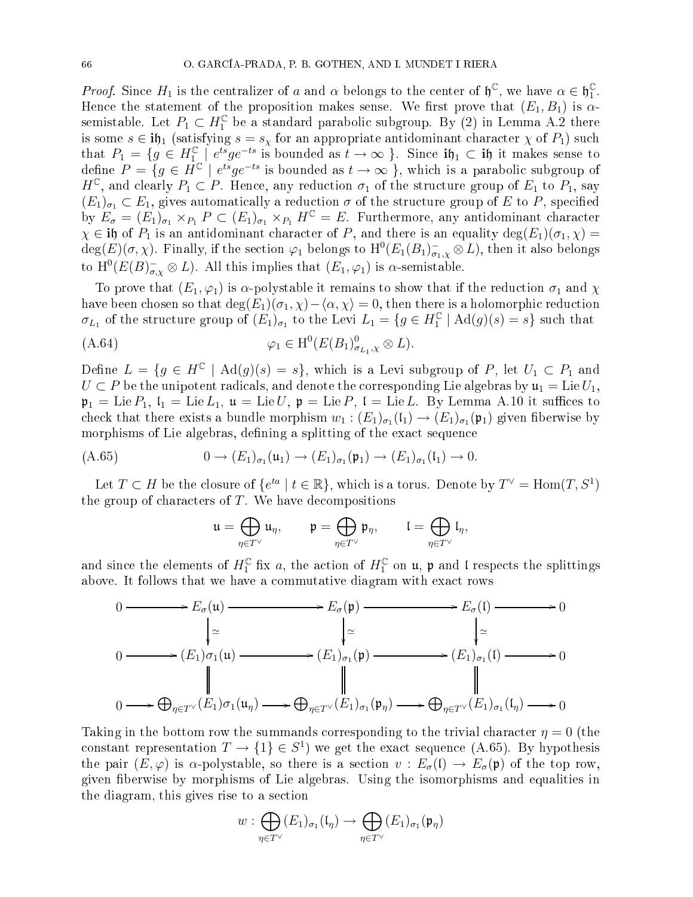*Proof.* Since  $H_1$  is the centralizer of a and  $\alpha$  belongs to the center of  $\mathfrak{h}^{\mathbb{C}}$ , we have  $\alpha \in \mathfrak{h}_1^{\mathbb{C}}$ 1 . Hence the statement of the proposition makes sense. We first prove that  $(E_1, B_1)$  is  $\alpha$ semistable. Let  $P_1 \subset H_1^{\mathbb{C}}$  be a standard parabolic subgroup. By (2) in Lemma A.2 there is some  $s \in \textbf{ih}_1$  (satisfying  $s = s_\chi$  for an appropriate antidominant character  $\chi$  of  $P_1$ ) such that  $P_1 = \{g \in H_1^{\mathbb{C}} \mid e^{ts} g e^{-ts} \text{ is bounded as } t \to \infty \}$ . Since  $\mathbf{i}\mathfrak{h}_1 \subset \mathbf{i}\mathfrak{h}$  it makes sense to define  $P = \{ g \in \overline{H}^{\mathbb{C}} \mid e^{ts} g e^{-ts} \text{ is bounded as } t \to \infty \}, \text{ which is a parabolic subgroup of } \overline{H}$  $H^{\mathbb{C}}$ , and clearly  $P_1 \subset P$ . Hence, any reduction  $\sigma_1$  of the structure group of  $E_1$  to  $P_1$ , say  $(E_1)_{\sigma_1} \subset E_1$ , gives automatically a reduction  $\sigma$  of the structure group of E to P, specified by  $E_{\sigma} = (E_1)_{\sigma_1} \times_{P_1} P \subset (E_1)_{\sigma_1} \times_{P_1} H^{\mathbb{C}} = E$ . Furthermore, any antidominant character  $\chi \in \mathbf{ij}$  of  $P_1$  is an antidominant character of P, and there is an equality deg $(E_1)(\sigma_1, \chi)$  =  $\deg(E)(\sigma,\chi)$ . Finally, if the section  $\varphi_1$  belongs to  $\mathrm{H}^0(E_1(B_1)_{\sigma_1,\chi}^- \otimes L)$ , then it also belongs to  $\mathrm{H}^{0}(E(B)_{\sigma,\chi}^{-} \otimes L)$ . All this implies that  $(E_{1},\varphi_{1})$  is  $\alpha$ -semistable.

To prove that  $(E_1, \varphi_1)$  is  $\alpha$ -polystable it remains to show that if the reduction  $\sigma_1$  and  $\chi$ have been chosen so that  $deg(E_1)(\sigma_1, \chi) - \langle \alpha, \chi \rangle = 0$ , then there is a holomorphic reduction  $\sigma_{L_1}$  of the structure group of  $(E_1)_{\sigma_1}$  to the Levi  $L_1 = \{g \in H_1^{\mathbb{C}} \mid \text{Ad}(g)(s) = s\}$  such that

$$
\varphi_1 \in \mathrm{H}^0(E(B_1)_{\sigma_{L_1}, \chi}^0 \otimes L).
$$

Define  $L = \{g \in H^{\mathbb{C}} \mid \text{Ad}(g)(s) = s\},\$  which is a Levi subgroup of P, let  $U_1 \subset P_1$  and  $U \subset P$  be the unipotent radicals, and denote the corresponding Lie algebras by  $\mathfrak{u}_1 = \text{Lie} U_1$ ,  $\mathfrak{p}_1 = \text{Lie } P_1$ ,  $\mathfrak{l}_1 = \text{Lie } L_1$ ,  $\mathfrak{u} = \text{Lie } U$ ,  $\mathfrak{p} = \text{Lie } P$ ,  $\mathfrak{l} = \text{Lie } L$ . By Lemma A.10 it suffices to check that there exists a bundle morphism  $w_1$  :  $(E_1)_{\sigma_1}(\mathfrak{l}_1) \to (E_1)_{\sigma_1}(\mathfrak{p}_1)$  given fiberwise by morphisms of Lie algebras, defining a splitting of the exact sequence

$$
(A.65) \qquad \qquad 0 \to (E_1)_{\sigma_1}(\mathfrak{u}_1) \to (E_1)_{\sigma_1}(\mathfrak{p}_1) \to (E_1)_{\sigma_1}(\mathfrak{l}_1) \to 0.
$$

Let  $T \subset H$  be the closure of  $\{e^{ta} \mid t \in \mathbb{R}\}$ , which is a torus. Denote by  $T^{\vee} = \text{Hom}(T, S^1)$ the group of characters of  $T$ . We have decompositions

$$
\mathfrak{u}=\bigoplus_{\eta\in T^\vee}\mathfrak{u}_\eta,\qquad\mathfrak{p}=\bigoplus_{\eta\in T^\vee}\mathfrak{p}_\eta,\qquad\mathfrak{l}=\bigoplus_{\eta\in T^\vee}\mathfrak{l}_\eta,
$$

and since the elements of  $H_1^{\mathbb{C}}$  fix  $a$ , the action of  $H_1^{\mathbb{C}}$  on  $\mathfrak{u}$ ,  $\mathfrak{p}$  and  ${\mathfrak l}$  respects the splittings above. It follows that we have a commutative diagram with exact rows

$$
0 \longrightarrow E_{\sigma}(\mathfrak{u}) \longrightarrow E_{\sigma}(\mathfrak{p}) \longrightarrow E_{\sigma}(\mathfrak{l}) \longrightarrow 0
$$
  
\n
$$
\downarrow \simeq \qquad \qquad \downarrow \simeq \qquad \qquad \downarrow \simeq \qquad \qquad \downarrow \simeq
$$
  
\n
$$
0 \longrightarrow (E_{1})\sigma_{1}(\mathfrak{u}) \longrightarrow (E_{1})_{\sigma_{1}}(\mathfrak{p}) \longrightarrow (E_{1})_{\sigma_{1}}(\mathfrak{l}) \longrightarrow 0
$$
  
\n
$$
\downarrow \qquad \qquad \downarrow \simeq
$$
  
\n
$$
0 \longrightarrow \bigoplus_{\eta \in T^{\vee}} (E_{1})\sigma_{1}(\mathfrak{u}_{\eta}) \longrightarrow \bigoplus_{\eta \in T^{\vee}} (E_{1})_{\sigma_{1}}(\mathfrak{p}_{\eta}) \longrightarrow \bigoplus_{\eta \in T^{\vee}} (E_{1})_{\sigma_{1}}(\mathfrak{l}_{\eta}) \longrightarrow 0
$$

Taking in the bottom row the summands corresponding to the trivial character  $\eta = 0$  (the constant representation  $T \to \{1\} \in S^1$ ) we get the exact sequence (A.65). By hypothesis the pair  $(E, \varphi)$  is  $\alpha$ -polystable, so there is a section  $v : E_{\sigma}(\mathfrak{l}) \to E_{\sigma}(\mathfrak{p})$  of the top row, given berwise by morphisms of Lie algebras. Using the isomorphisms and equalities in the diagram, this gives rise to a se
tion

$$
w: \bigoplus_{\eta \in T^\vee} (E_1)_{\sigma_1}(\mathfrak{l}_\eta) \to \bigoplus_{\eta \in T^\vee} (E_1)_{\sigma_1}(\mathfrak{p}_\eta)
$$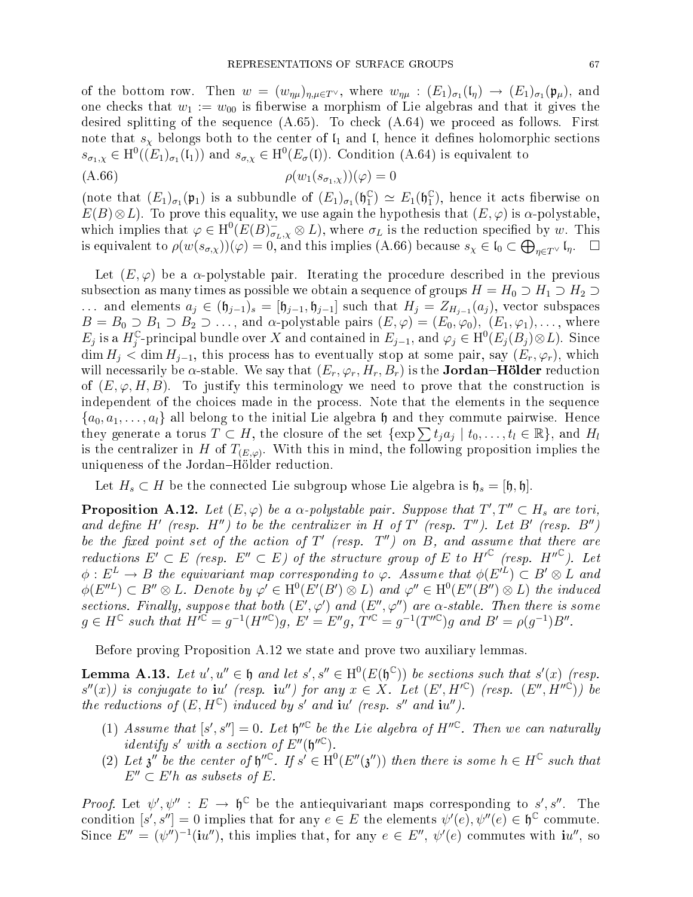of the bottom row. Then  $w = (w_{\eta\mu})_{\eta,\mu \in T^{\vee}}$ , where  $w_{\eta\mu} : (E_1)_{\sigma_1}(\mathfrak{l}_{\eta}) \to (E_1)_{\sigma_1}(\mathfrak{p}_{\mu})$ , and one checks that  $w_1 := w_{00}$  is fiberwise a morphism of Lie algebras and that it gives the desired splitting of the sequence  $(A.65)$ . To check  $(A.64)$  we proceed as follows. First note that  $s<sub>x</sub>$  belongs both to the center of  $\mathfrak{l}_1$  and  $\mathfrak{l}$ , hence it defines holomorphic sections  $s_{\sigma_1,\chi} \in H^0((E_1)_{\sigma_1}(\mathfrak{l}_1))$  and  $s_{\sigma,\chi} \in H^0(E_{\sigma}(\mathfrak{l}))$ . Condition (A.64) is equivalent to

$$
(\text{A.66}) \qquad \qquad \rho(w_1(s_{\sigma_1,\chi}))(\varphi) = 0
$$

(note that  $(E_1)_{\sigma_1}(\mathfrak{p}_1)$  is a subbundle of  $(E_1)_{\sigma_1}(\mathfrak{h}_1^{\mathbb{C}})$  $_1^{\mathbb{C}}$ )  $\simeq E_1(\mathfrak{h}_1^{\mathbb{C}})$  $_{1}^{\mathbb{C}}$ ), hence it acts fiberwise on  $E(B) \otimes L$ ). To prove this equality, we use again the hypothesis that  $(E, \varphi)$  is  $\alpha$ -polystable, which implies that  $\varphi \in H^0(E(B)_{\sigma_L,\chi}^- \otimes L)$ , where  $\sigma_L$  is the reduction specified by w. This is equivalent to  $\rho(w(s_{\sigma,\chi}))(\varphi) = 0$ , and this implies (A.66) because  $s_{\chi} \in \mathfrak{l}_0 \subset \bigoplus_{\eta \in T^{\vee}} \mathfrak{l}_{\eta}$ .  $\Box$ 

Let  $(E, \varphi)$  be a  $\alpha$ -polystable pair. Iterating the procedure described in the previous subsection as many times as possible we obtain a sequence of groups  $H = H_0 \supset H_1 \supset H_2 \supset$ ... and elements  $a_j \in (\mathfrak{h}_{j-1})_s = [\mathfrak{h}_{j-1}, \mathfrak{h}_{j-1}]$  such that  $H_j = Z_{H_{j-1}}(a_j)$ , vector subspaces  $B = B_0 \supset B_1 \supset B_2 \supset \ldots$ , and  $\alpha$ -polystable pairs  $(E, \varphi) = (E_0, \varphi_0)$ ,  $(E_1, \varphi_1), \ldots$ , where  $E_j$  is a  $H_j^{\mathbb{C}}$ -principal bundle over X and contained in  $E_{j-1}$ , and  $\varphi_j \in \mathrm{H}^0(E_j(B_j) \otimes L)$ . Since  $\dim H_i < \dim H_{i-1}$ , this process has to eventually stop at some pair, say  $(E_r, \varphi_r)$ , which will necessarily be  $\alpha$ -stable. We say that  $(E_r, \varphi_r, H_r, B_r)$  is the **Jordan–Hölder** reduction of  $(E, \varphi, H, B)$ . To justify this terminology we need to prove that the construction is independent of the choices made in the process. Note that the elements in the sequence  ${a_0, a_1, \ldots, a_l}$  all belong to the initial Lie algebra h and they commute pairwise. Hence they generate a torus  $T \subset H$ , the closure of the set  $\{\exp \sum t_j a_j \mid t_0, \ldots, t_l \in \mathbb{R}\}$ , and  $H_l$ is the centralizer in H of  $T_{(E,\varphi)}$ . With this in mind, the following proposition implies the uniqueness of the Jordan–Hölder reduction.

Let  $H_s \subset H$  be the connected Lie subgroup whose Lie algebra is  $\mathfrak{h}_s = [\mathfrak{h}, \mathfrak{h}]$ .

**Proposition A.12.** Let  $(E, \varphi)$  be a  $\alpha$ -polystable pair. Suppose that  $T', T'' \subset H_s$  are tori, and define H' (resp.  $H''$ ) to be the centralizer in H of T' (resp. T''). Let B' (resp. B'') be the fixed point set of the action of  $T'$  (resp.  $T'$ ) on  $B$ , and assume that there are reductions  $E' \subset E$  (resp.  $E'' \subset E$ ) of the structure group of E to  $H'^{\mathbb{C}}$  (resp.  $H''^{\mathbb{C}}$ ). Let  $\phi: E^L \to B$  the equivariant map corresponding to  $\varphi$ . Assume that  $\phi(E^{iL}) \subset B' \otimes L$  and  $\phi(E''^L) \subset B'' \otimes L$ . Denote by  $\varphi' \in H^0(E'(B') \otimes L)$  and  $\varphi'' \in H^0(E''(B'') \otimes L)$  the induced sections. Finally, suppose that both  $(E',\varphi')$  and  $(E'',\varphi'')$  are  $\alpha$ -stable. Then there is some  $g \in H^{\mathbb{C}}$  such that  $H^{\prime \mathbb{C}} = g^{-1}(H''^{\mathbb{C}})g$ ,  $E' = E''g$ ,  $T'^{\mathbb{C}} = g^{-1}(T''^{\mathbb{C}})g$  and  $B' = \rho(g^{-1})B''$ .

Before proving Proposition A.12 we state and prove two auxiliary lemmas.

**Lemma A.13.** Let  $u', u'' \in \mathfrak{h}$  and let  $s', s'' \in H^0(E(\mathfrak{h}^{\mathbb{C}}))$  be sections such that  $s'(x)$  (resp.  $s''(x)$ ) is conjugate to  $\mathbf{i}u'$  (resp.  $\mathbf{i}u''$ ) for any  $x \in X$ . Let  $(E', H'^{\mathbb{C}})$  (resp.  $(E'', H''^{\mathbb{C}})$ ) be the reductions of  $(E, H^{\mathbb{C}})$  induced by s' and iu' (resp. s" and iu").

- (1) Assume that  $[s', s''] = 0$ . Let  $\mathfrak{h}''^{\mathbb{C}}$  be the Lie algebra of  $H''^{\mathbb{C}}$ . Then we can naturally identify s' with a section of  $E''(\mathfrak{h}''^{\mathbb{C}})$ .
- (2) Let  $\mathfrak z''$  be the center of  $\mathfrak h''^{\mathbb C}$ . If  $s' \in \mathrm{H}^0(E''(\mathfrak z''))$  then there is some  $h \in H^{\mathbb C}$  such that  $E'' \subset E'h$  as subsets of E.

Proof. Let  $\psi', \psi'': E \to \mathfrak{h}^{\mathbb{C}}$  be the antiequivariant maps corresponding to s', s''. The condition  $[s', s''] = 0$  implies that for any  $e \in E$  the elements  $\psi'(e), \psi''(e) \in \mathfrak{h}^{\mathbb{C}}$  commute. Since  $E'' = (\psi'')^{-1} (iu'')$ , this implies that, for any  $e \in E''$ ,  $\psi'(e)$  commutes with  $iu''$ , so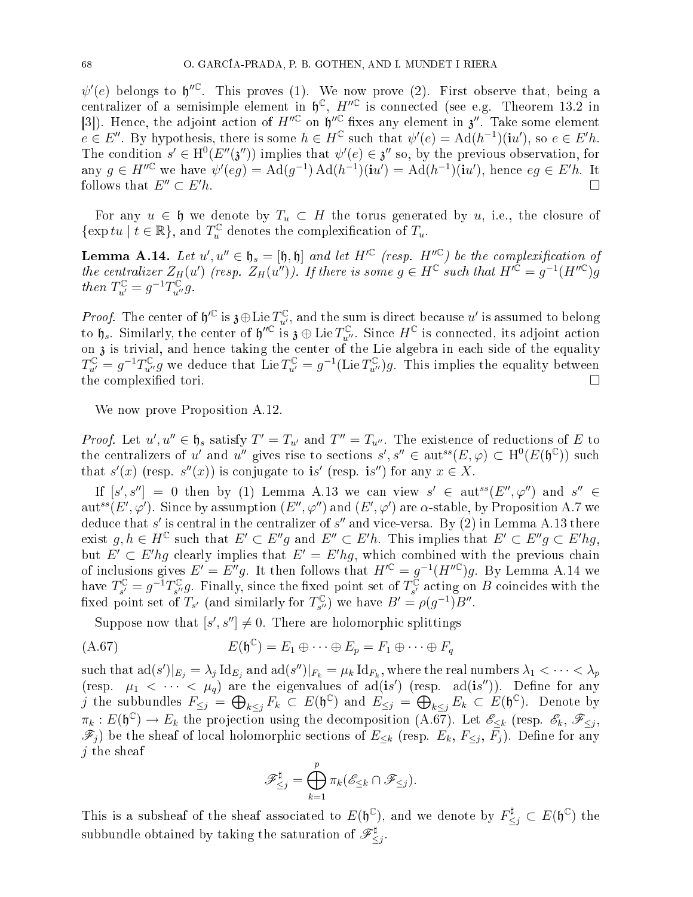$\psi'(e)$  belongs to  $\mathfrak{h}''^{\mathbb{C}}$ . This proves (1). We now prove (2). First observe that, being a centralizer of a semisimple element in  $\mathfrak{h}^{\mathbb{C}}$ ,  $H''^{\mathbb{C}}$  is connected (see e.g. Theorem 13.2 in [3]). Hence, the adjoint action of  $H''^{\mathbb{C}}$  on  $\mathfrak{h}''^{\mathbb{C}}$  fixes any element in  $\mathfrak{z}''$ . Take some element  $e \in E''$ . By hypothesis, there is some  $h \in H^{\mathbb{C}}$  such that  $\psi'(e) = \text{Ad}(h^{-1})(\mathbf{i}u')$ , so  $e \in E'h$ . The condition  $s' \in H^0(E''(\mathfrak{z}''))$  implies that  $\psi'(e) \in \mathfrak{z}''$  so, by the previous observation, for any  $g \in H^{\prime\prime\mathbb{C}}$  we have  $\psi'(eg) = \text{Ad}(g^{-1}) \text{Ad}(h^{-1})(\mathbf{i}u') = \text{Ad}(h^{-1})(\mathbf{i}u')$ , hence  $eg \in E'h$ . It follows that  $E''\subset E$  $\mathcal{L}_h$ .

For any  $u \in \mathfrak{h}$  we denote by  $T_u \subset H$  the torus generated by u, i.e., the closure of  $\{\exp tu \mid t \in \mathbb{R}\},\$  and  $T_u^{\mathbb{C}}$  denotes the complexification of  $T_u$ .

**Lemma A.14.** Let  $u', u'' \in \mathfrak{h}_s = [\mathfrak{h}, \mathfrak{h}]$  and let  $H'^{\mathbb{C}}$  (resp.  $H''^{\mathbb{C}}$ ) be the complexification of the centralizer  $Z_H(u')$  (resp.  $Z_H(u'')$ ). If there is some  $g \in H^{\mathbb{C}}$  such that  $H'^{\mathbb{C}} = g^{-1}(H''^{\mathbb{C}})$ then  $T_{u'}^{\mathbb{C}} = g^{-1} T_{u''}^{\overline{\mathbb{C}}} g$ .

*Proof.* The center of  $\mathfrak{h}^{\prime\mathbb{C}}$  is  $\mathfrak{z} \oplus \text{Lie } T_{u'}^{\mathbb{C}}$ , and the sum is direct because  $u'$  is assumed to belong to  $\mathfrak{h}_s$ . Similarly, the center of  $\mathfrak{h}^{\prime\prime\mathbb{C}}$  is  $\mathfrak{z} \oplus \text{Lie } T_{u''}^{\mathbb{$ on  $\mathfrak z$  is trivial, and hence taking the center of the Lie algebra in each side of the equality  $T_{u'}^{\mathbb{C}} = g^{-1} T_{u''}^{\mathbb{C}} g$  we deduce that  $\text{Lie } T_{u'}^{\mathbb{C}} = g^{-1}(\text{Lie } T_{u''}^{\mathbb{C}}) g$ . This implies the equality between the complexified tori.

We now prove Proposition A.12.

*Proof.* Let  $u', u'' \in \mathfrak{h}_s$  satisfy  $T' = T_{u'}$  and  $T'' = T_{u''}$ . The existence of reductions of E to the centralizers of u' and u'' gives rise to sections  $s', s'' \in \text{aut}^{ss}(E, \varphi) \subset \text{H}^0(E(\mathfrak{h}^{\mathbb{C}}))$  such that  $s'(x)$  (resp.  $s''(x)$ ) is conjugate to is' (resp. is") for any  $x \in X$ .

If  $[s', s''] = 0$  then by (1) Lemma A.13 we can view  $s' \in \text{aut}^{ss}(E'', \varphi'')$  and  $s'' \in$ aut<sup>ss</sup>(E',  $\varphi'$ ). Since by assumption  $(E'', \varphi'')$  and  $(E', \varphi')$  are  $\alpha$ -stable, by Proposition A.7 we deduce that  $s'$  is central in the centralizer of  $s''$  and vice-versa. By (2) in Lemma A.13 there exist  $g, h \in H^{\mathbb{C}}$  such that  $E' \subset E''g$  and  $E'' \subset E'h$ . This implies that  $E' \subset E''g \subset E'h$ , but  $E' \subset E'hq$  clearly implies that  $E' = E'hq$ , which combined with the previous chain of inclusions gives  $E' = E''g$ . It then follows that  $H'^{\mathbb{C}} = g^{-1}(H''^{\mathbb{C}})g$ . By Lemma A.14 we have  $T_{s'}^{\mathbb{C}}$  $S_{s'}^{\mathbb{C}}=g^{-1}T_{s''}^{\mathbb{C}}$ <sup>C</sup><sub>s</sub>"g. Finally, since the fixed point set of  $T_{s'}^{\mathbb{C}}$  $\mathcal{C}_{s'}$  acting on B coincides with the fixed point set of  $T_{s'}$  (and similarly for  $T_{s''}^{\mathbb{C}}$  $S^{\mathbb{C}}_{s''}$  we have  $B' = \rho(g^{-1})B''$ .

Suppose now that  $[s', s''] \neq 0$ . There are holomorphic splittings

$$
(A.67) \tE(\mathfrak{h}^{\mathbb{C}}) = E_1 \oplus \cdots \oplus E_p = F_1 \oplus \cdots \oplus F_q
$$

 $\text{such that } \text{ad}(s')|_{E_j} = \lambda_j \, \text{Id}_{E_j} \text{ and } \text{ad}(s'')|_{F_k} = \mu_k \, \text{Id}_{F_k}, \text{where the real numbers } \lambda_1 < \cdots < \lambda_p$ (resp.  $\mu_1 < \cdots < \mu_q$ ) are the eigenvalues of ad(is') (resp. ad(is'')). Define for any j the subbundles  $F_{\leq j} = \bigoplus_{k \leq j} F_k \subset E(\mathfrak{h}^{\mathbb{C}})$  and  $E_{\leq j} = \bigoplus_{k \leq j} E_k \subset E(\mathfrak{h}^{\mathbb{C}})$ . Denote by  $\pi_k: E(\mathfrak{h}^{\mathbb{C}}) \to E_k$  the projection using the decomposition  $(A.67)$ . Let  $\mathscr{E}_{\leq k}$  (resp.  $\mathscr{E}_k$ ,  $\mathscr{F}_{\leq j}$ ,  $\mathscr{F}_j$ ) be the sheaf of local holomorphic sections of  $E_{\leq k}$  (resp.  $E_k$ ,  $F_{\leq j}$ ,  $\overline{F}_j$ ). Define for any j the sheaf

$$
\mathscr{F}_{\leq j}^{\sharp} = \bigoplus_{k=1}^{p} \pi_{k}(\mathscr{E}_{\leq k} \cap \mathscr{F}_{\leq j}).
$$

This is a subsheaf of the sheaf associated to  $E(\mathfrak{h}^{\mathbb{C}})$ , and we denote by  $F_{\leq j}^{\sharp} \subset E(\mathfrak{h}^{\mathbb{C}})$  the subbundle obtained by taking the saturation of  $\mathscr{F}^{\sharp}$  $\leq j$ .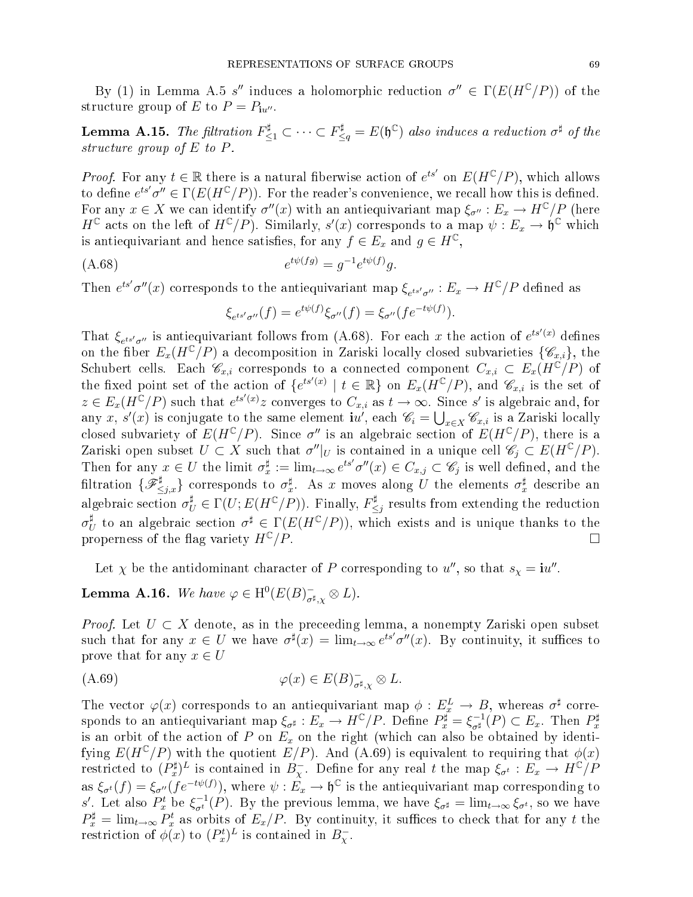By (1) in Lemma A.5 s'' induces a holomorphic reduction  $\sigma'' \in \Gamma(E(H^{\mathbb{C}}/P))$  of the structure group of E to  $P = P_{\mathbf{i}u''}$ .

**Lemma A.15.** The filtration  $F_{\leq 1}^{\sharp} \subset \cdots \subset F_{\leq q}^{\sharp} = E(\mathfrak{h}^{\mathbb{C}})$  also induces a reduction  $\sigma^{\sharp}$  of the structure group of  $E$  to  $P$ .

*Proof.* For any  $t \in \mathbb{R}$  there is a natural fiberwise action of  $e^{ts'}$  on  $E(H^{\mathbb{C}}/P)$ , which allows to define  $e^{ts'}\sigma'' \in \Gamma(E(H^{\mathbb{C}}/P)).$  For the reader's convenience, we recall how this is defined. For any  $x\in X$  we can identify  $\sigma''(x)$  with an antiequivariant map  $\xi_{\sigma''}:E_x\to H^{\mathbb{C}}/P$  (here  $H^{\mathbb{C}}$  acts on the left of  $H^{\mathbb{C}}/P$ ). Similarly,  $s'(x)$  corresponds to a map  $\psi: E_x \to \mathfrak{h}^{\mathbb{C}}$  which is antiequivariant and hence satisfies, for any  $f \in E_x$  and  $g \in H^{\mathbb{C}}$ ,

(A.68) 
$$
e^{t\psi(fg)} = g^{-1}e^{t\psi(f)}g.
$$

Then  $e^{ts'}\sigma''(x)$  corresponds to the antiequivariant map  $\xi_{e^{ts'}\sigma''}:E_x\to H^{\mathbb{C}}/P$  defined as

$$
\xi_{e^{ts'}\sigma''}(f) = e^{t\psi(f)}\xi_{\sigma''}(f) = \xi_{\sigma''}(fe^{-t\psi(f)}).
$$

That  $\xi_{e^{ts'}\sigma''}$  is antiequivariant follows from (A.68). For each x the action of  $e^{ts'(x)}$  defines on the fiber  $E_x(H^{\mathbb{C}}/P)$  a decomposition in Zariski locally closed subvarieties  $\{\mathscr{C}_{x,i}\},$  the Schubert cells. Each  $\mathscr{C}_{x,i}$  corresponds to a connected component  $C_{x,i} \subset E_x(H^{\mathbb{C}}/P)$  of the fixed point set of the action of  $\{e^{ts'(x)} \mid t \in \mathbb{R}\}$  on  $E_x(H^{\mathbb{C}}/P)$ , and  $\mathscr{C}_{x,i}$  is the set of  $z \in E_x(H^{\mathbb{C}}/P)$  such that  $e^{ts'(x)}z$  converges to  $C_{x,i}$  as  $t \to \infty$ . Since s' is algebraic and, for any x, s'(x) is conjugate to the same element  $\mathbf{i}u'$ , each  $\mathscr{C}_i = \bigcup_{x \in X} \mathscr{C}_{x,i}$  is a Zariski locally closed subvariety of  $E(H^{\mathbb{C}}/P)$ . Since  $\sigma''$  is an algebraic section of  $E(H^{\mathbb{C}}/P)$ , there is a Zariski open subset  $U \subset X$  such that  $\sigma''|_U$  is contained in a unique cell  $\mathscr{C}_j \subset E(H^{\mathbb{C}}/P)$ . Then for any  $x \in U$  the limit  $\sigma_x^{\sharp} := \lim_{t \to \infty} e^{ts'} \sigma''(x) \in C_{x,j} \subset \mathscr{C}_j$  is well defined, and the filtration  $\{\mathscr{F}_{\leq j,x}^\sharp\}$  corresponds to  $\sigma_x^\sharp$ . As x moves along U the elements  $\sigma_x^\sharp$  describe an algebraic section  $\sigma_U^{\sharp} \in \Gamma(U; E(H^{\mathbb{C}}/P)).$  Finally,  $F_{\leq}^{\sharp}$  $\leq j$  results from extending the reduction  $\sigma_l^\sharp$ <sup>‡</sup> to an algebraic section  $\sigma^{\sharp} \in \Gamma(E(H^{\mathbb{C}}/P))$ , which exists and is unique thanks to the properness of the flag variety  $H^{\mathbb{C}}/P$ .

Let  $\chi$  be the antidominant character of P corresponding to u'', so that  $s_{\chi} = i u''$ .

# **Lemma A.16.** We have  $\varphi \in H^0(E(B)_{\sigma^{\sharp},\chi}^-\otimes L)$ .

*Proof.* Let  $U \subset X$  denote, as in the preceeding lemma, a nonempty Zariski open subset such that for any  $x \in U$  we have  $\sigma^{\sharp}(x) = \lim_{t \to \infty} e^{ts'} \sigma''(x)$ . By continuity, it suffices to prove that for any  $x \in U$ 

$$
\varphi(x) \in E(B)_{\sigma^{\sharp}, \chi}^{-} \otimes L.
$$

The vector  $\varphi(x)$  corresponds to an antiequivariant map  $\phi: E_x^L \to B$ , whereas  $\sigma^{\sharp}$  corresponds to an antiequivariant map  $\xi_{\sigma^{\sharp}} : E_x \to H^{\mathbb{C}}/P$ . Define  $P_x^{\sharp} = \xi_{\sigma^{\sharp}}^{-1}(P) \subset E_x$ . Then  $P_x^{\sharp}$ is an orbit of the action of P on  $E_x$  on the right (which can also be obtained by identifying  $E(H^{\mathbb{C}}/P)$  with the quotient  $E/P$ ). And (A.69) is equivalent to requiring that  $\phi(x)$ restricted to  $(P_x^{\sharp})^L$  is contained in  $B_\chi^-$ . Define for any real t the map  $\xi_{\sigma^t}:E_x\to H^{\mathbb C}/P$ as  $\xi_{\sigma^t}(f) = \xi_{\sigma''}(fe^{-t\psi(f)})$ , where  $\psi : \hat{E_x} \to \mathfrak{h}^{\mathbb{C}}$  is the antiequivariant map corresponding to s'. Let also  $P_x^t$  be  $\xi_{\sigma^t}^{-1}(P)$ . By the previous lemma, we have  $\xi_{\sigma^{\sharp}} = \lim_{t \to \infty} \xi_{\sigma^t}$ , so we have  $P_x^{\sharp} = \lim_{t \to \infty} P_x^t$  as orbits of  $E_x/P$ . By continuity, it suffices to check that for any t the restriction of  $\phi(x)$  to  $(P_x^t)^L$  is contained in  $B_\chi^-$ .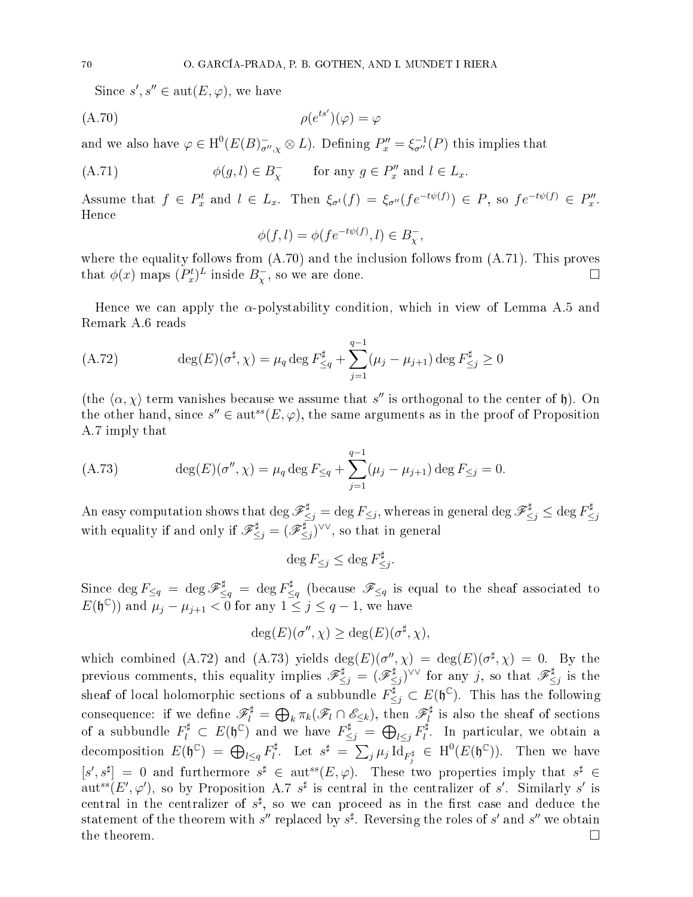Since  $s', s'' \in \text{aut}(E, \varphi)$ , we have

$$
(\text{A.70}) \qquad \qquad \rho(e^{ts'}) (\varphi) = \varphi
$$

and we also have  $\varphi \in H^0(E(B)_{\sigma'',\chi}^- \otimes L)$ . Defining  $P''_x = \xi_{\sigma''}^{-1}(P)$  this implies that

(A.71) 
$$
\phi(g, l) \in B_{\chi}^- \quad \text{for any } g \in P''_x \text{ and } l \in L_x.
$$

Assume that  $f \in P_x^t$  and  $l \in L_x$ . Then  $\xi_{\sigma^t}(f) = \xi_{\sigma^{\prime\prime}}(fe^{-t\psi(f)}) \in P$ , so  $fe^{-t\psi(f)} \in P_x^{\prime\prime}$ . Hen
e

$$
\phi(f,l) = \phi(fe^{-t\psi(f)}, l) \in B_\chi^-
$$

where the equality follows from  $(A.70)$  and the inclusion follows from  $(A.71)$ . This proves that  $\phi(x)$  maps  $(P_x^t)^L$  inside  $B_\chi^-$ , so we are done.

Hence we can apply the  $\alpha$ -polystability condition, which in view of Lemma A.5 and Remark A.6 reads

(A.72) 
$$
\deg(E)(\sigma^{\sharp}, \chi) = \mu_q \deg F_{\leq q}^{\sharp} + \sum_{j=1}^{q-1} (\mu_j - \mu_{j+1}) \deg F_{\leq j}^{\sharp} \geq 0
$$

(the  $\langle \alpha, \chi \rangle$  term vanishes because we assume that s'' is orthogonal to the center of h). On the other hand, since  $s'' \in \text{aut}^{ss}(E, \varphi)$ , the same arguments as in the proof of Proposition A.7 imply that

(A.73) 
$$
\deg(E)(\sigma'', \chi) = \mu_q \deg F_{\leq q} + \sum_{j=1}^{q-1} (\mu_j - \mu_{j+1}) \deg F_{\leq j} = 0.
$$

 $\text{An easy computation shows that } \deg \mathscr{F}_{\leq j}^\sharp = \deg F_{\leq j}, \text{ whereas in general } \deg \mathscr{F}_{\leq j}^\sharp \leq \deg F_{\leq j}^\sharp.$  $\leq j$ with equality if and only if  $\mathscr{F}_{\leq j}^{\sharp} = (\mathscr{F}_{\leq j}^{\sharp}$  $(\xi_j)^{\vee \vee}$ , so that in general

$$
\deg F_{\leq j} \leq \deg F_{\leq j}^\sharp.
$$

 $\text{Since } \deg F_{\leq q} \ = \ \deg \mathscr{F}_{\leq q}^\sharp \ = \ \deg F_{\leq q}^\sharp$ <sup>‡</sup><sub>≤q</sub> (because  $\mathscr{F}_{\leq q}$  is equal to the sheaf associated to  $E(\mathfrak{h}^{\mathbb{C}})$  and  $\mu_j - \mu_{j+1} < 0$  for any  $1 \leq j \leq q-1$ , we have

$$
\deg(E)(\sigma'', \chi) \ge \deg(E)(\sigma^{\sharp}, \chi),
$$

which combined (A.72) and (A.73) yields  $deg(E)(\sigma'', \chi) = deg(E)(\sigma^{\sharp}, \chi) = 0$ . By the previous comments, this equality implies  $\mathscr{F}^\sharp_{\leq j} = (\mathscr{F}^\sharp_{\leq j})$  $(\xi_j)^{\vee \vee}$  for any j, so that  $\mathscr{F}^\sharp_{\leq}$  $\leq j$  is the sheaf of local holomorphic sections of a subbundle  $F_{\leq j}^{\sharp} \subset E(\mathfrak{h}^{\mathbb{C}})$ . This has the following consequence: if we define  $\mathscr{F}_l^\sharp = \bigoplus_k \pi_k(\mathscr{F}_l \cap \mathscr{E}_{\leq k}),$  then  $\mathscr{F}_l^\sharp$ of a subbundle  $F_l^{\sharp} \subset E(\mathfrak{h}^{\mathbb{C}})$  and we have  $F_{\leq j}^{\sharp} = \bigoplus_{l \leq j} F_l^{\sharp}$ . In particular, we obtain a  $_{l}$ . In particular, we obtain a decomposition  $E(\mathfrak{h}^{\mathbb{C}}) = \bigoplus_{l \leq q} F_l^{\sharp}$  $\mathcal{E}_l^{\sharp}$ . Let  $s^{\sharp} = \sum_j \mu_j \, \mathrm{Id}_{F_j^{\sharp}} \in \, \mathrm{H}^0(E(\mathfrak{h}^{\mathbb{C}})).$  Then we have  $[s', s^{\sharp}] = 0$  and furthermore  $s^{\sharp} \in \text{aut}^{ss}(E, \varphi)$ . These two properties imply that  $s^{\sharp} \in$ aut<sup>ss</sup>(E',  $\varphi'$ ), so by Proposition A.7 s<sup>#</sup> is central in the centralizer of s'. Similarly s' is central in the centralizer of  $s^{\sharp}$ , so we can proceed as in the first case and deduce the statement of the theorem with  $s''$  replaced by  $s^{\sharp}$ . Reversing the roles of  $s'$  and  $s''$  we obtain the theorem.  $\Box$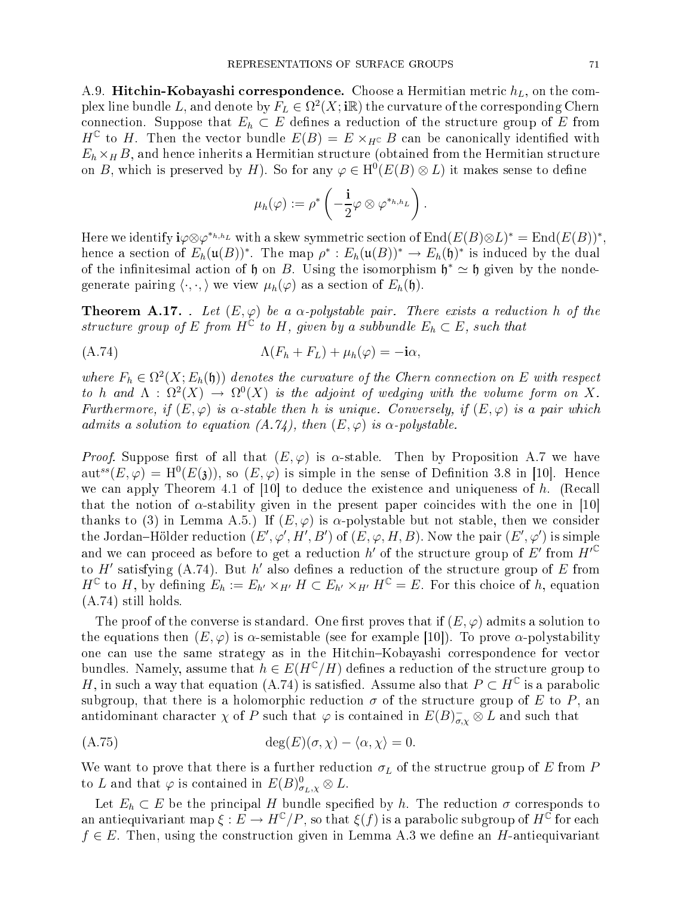A.9. Hitchin-Kobayashi correspondence. Choose a Hermitian metric  $h<sub>L</sub>$ , on the complex line bundle L, and denote by  $F_L \in \Omega^2(X;\mathbf{i}\mathbb{R})$  the curvature of the corresponding Chern connection. Suppose that  $E_h \subset E$  defines a reduction of the structure group of E from  $H^{\mathbb{C}}$  to H. Then the vector bundle  $E(B) = E \times_{H^{\mathbb{C}}} B$  can be canonically identified with  $E_h \times_H B$ , and hence inherits a Hermitian structure (obtained from the Hermitian structure on B, which is preserved by H). So for any  $\varphi \in H^0(E(B) \otimes L)$  it makes sense to define

$$
\mu_h(\varphi) := \rho^* \left( -\frac{\mathbf{i}}{2} \varphi \otimes \varphi^{*_{h,h_L}} \right).
$$

Here we identify  $\mathbf{i}\varphi\otimes\varphi^{*_{h,h_L}}$  with a skew symmetric section of  $\mathrm{End}(E(B)\otimes L)^*=\mathrm{End}(E(B))^*,$ hence a section of  $E_h(\mathfrak{u}(B))^*$ . The map  $\rho^*: E_h(\mathfrak{u}(B))^* \to E_h(\mathfrak{h})^*$  is induced by the dual of the infinitesimal action of  $\mathfrak h$  on B. Using the isomorphism  $\mathfrak h^* \simeq \mathfrak h$  given by the nondegenerate pairing  $\langle \cdot, \cdot \rangle$  we view  $\mu_h(\varphi)$  as a section of  $E_h(\mathfrak{h})$ .

**Theorem A.17.** . Let  $(E, \varphi)$  be a  $\alpha$ -polystable pair. There exists a reduction h of the structure group of E from  $H^{\mathbb{C}}$  to H, given by a subbundle  $E_h \subset E$ , such that

$$
\Lambda(F_h + F_L) + \mu_h(\varphi) = -\mathbf{i}\alpha,
$$

where  $F_h \in \Omega^2(X; E_h(\mathfrak{h}))$  denotes the curvature of the Chern connection on E with respect to h and  $\Lambda$  :  $\Omega^2(X) \to \Omega^0(X)$  is the adjoint of wedging with the volume form on X. Furthermore, if  $(E, \varphi)$  is  $\alpha$ -stable then h is unique. Conversely, if  $(E, \varphi)$  is a pair which admits a solution to equation  $(A.74)$ , then  $(E, \varphi)$  is  $\alpha$ -polystable.

*Proof.* Suppose first of all that  $(E, \varphi)$  is  $\alpha$ -stable. Then by Proposition A.7 we have  $\mathrm{aut}^{ss}(E,\varphi) = \mathrm{H}^0(E(3))$ , so  $(E,\varphi)$  is simple in the sense of Definition 3.8 in [10]. Hence we can apply Theorem 4.1 of  $[10]$  to deduce the existence and uniqueness of h. (Recall that the notion of  $\alpha$ -stability given in the present paper coincides with the one in [10] thanks to (3) in Lemma A.5.) If  $(E, \varphi)$  is  $\alpha$ -polystable but not stable, then we consider the Jordan–Hölder reduction  $(E',\varphi',H',B')$  of  $(E,\varphi,H,B)$ . Now the pair  $(E',\varphi')$  is simple and we can proceed as before to get a reduction h' of the structure group of E' from  $H'^{\mathbb{C}}$ to  $H'$  satisfying (A.74). But  $h'$  also defines a reduction of the structure group of  $E$  from  $H^{\mathbb{C}}$  to H, by defining  $E_h := E_{h'} \times_{H'} H \subset E_{h'} \times_{H'} H^{\mathbb{C}} = E$ . For this choice of h, equation (A.74) still holds.

The proof of the converse is standard. One first proves that if  $(E, \varphi)$  admits a solution to the equations then  $(E, \varphi)$  is  $\alpha$ -semistable (see for example [10]). To prove  $\alpha$ -polystability one can use the same strategy as in the Hitchin-Kobayashi correspondence for vector bundles. Namely, assume that  $h \in E(H^{\mathbb{C}}/H)$  defines a reduction of the structure group to H, in such a way that equation (A.74) is satisfied. Assume also that  $P \subset H^{\mathbb{C}}$  is a parabolic subgroup, that there is a holomorphic reduction  $\sigma$  of the structure group of E to P, an antidominant character  $\chi$  of  $P$  such that  $\varphi$  is contained in  $E(B)_{\sigma,\chi}^-\otimes L$  and such that

$$
\deg(E)(\sigma, \chi) - \langle \alpha, \chi \rangle = 0.
$$

We want to prove that there is a further reduction  $\sigma_L$  of the structrue group of E from P to L and that  $\varphi$  is contained in  $E(B)_{\sigma_L,\chi}^0 \otimes L$ .

Let  $E_h \subset E$  be the principal H bundle specified by h. The reduction  $\sigma$  corresponds to an antiequivariant map  $\xi:E\to H^\mathbb{C}/P,$  so that  $\xi(f)$  is a parabolic subgroup of  $H^\mathbb{C}$  for each  $f \in E$ . Then, using the construction given in Lemma A.3 we define an H-antiequivariant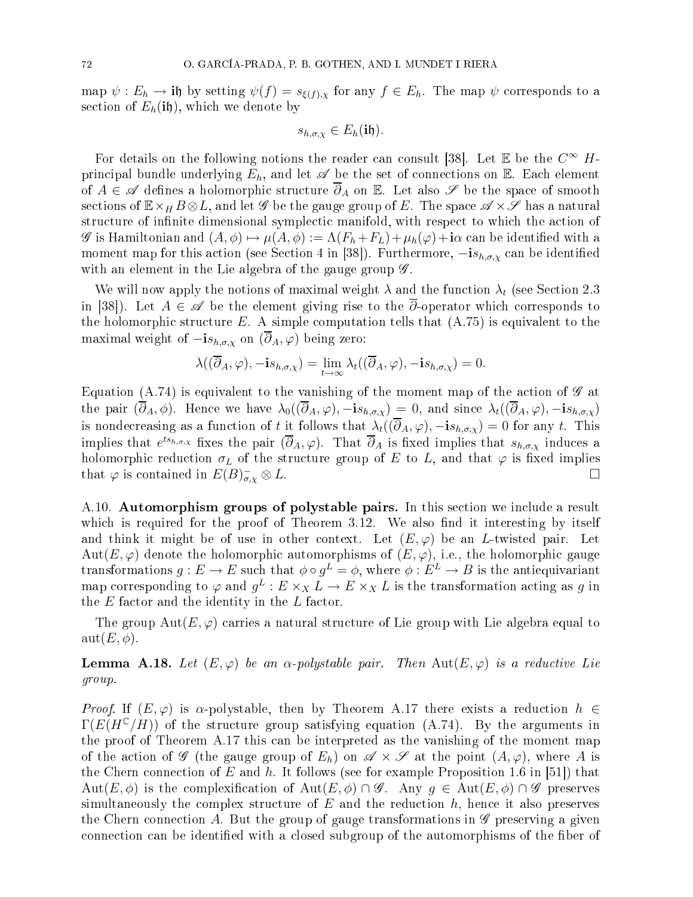map  $\psi : E_h \to \textbf{if}$  by setting  $\psi(f) = s_{\xi(f),\chi}$  for any  $f \in E_h$ . The map  $\psi$  corresponds to a section of  $E_h(i\mathfrak{h})$ , which we denote by

$$
s_{h,\sigma,\chi}\in E_h(\mathbf{if}).
$$

For details on the following notions the reader can consult [38]. Let  $\mathbb E$  be the  $C^\infty$   $H$ principal bundle underlying  $E_h$ , and let  $\mathscr A$  be the set of connections on  $\mathbb E$ . Each element of  $A \in \mathscr{A}$  defines a holomorphic structure  $\overline{\partial}_A$  on  $\mathbb{E}$ . Let also  $\mathscr{S}$  be the space of smooth sections of  $\mathbb{E} \times_H B \otimes L$ , and let  $\mathscr{G}$  be the gauge group of E. The space  $\mathscr{A} \times \mathscr{S}$  has a natural structure of infinite dimensional symplectic manifold, with respect to which the action of G is Hamiltonian and  $(A, \phi) \mapsto \mu(A, \phi) := \Lambda(F_h + F_L) + \mu_h(\phi) + i\alpha$  can be identified with a moment map for this action (see Section 4 in [38]). Furthermore,  $-i s_{h,\sigma,\chi}$  can be identified with an element in the Lie algebra of the gauge group  $\mathscr{G}$ .

We will now apply the notions of maximal weight  $\lambda$  and the function  $\lambda_t$  (see Section 2.3 in [38]). Let  $A \in \mathscr{A}$  be the element giving rise to the  $\overline{\partial}$ -operator which corresponds to the holomorphic structure  $E$ . A simple computation tells that  $(A.75)$  is equivalent to the maximal weight of  $-i s_{h,\sigma,\chi}$  on  $(\overline{\partial}_A,\varphi)$  being zero:

$$
\lambda((\overline{\partial}_A,\varphi),-\mathbf{i}s_{h,\sigma,\chi})=\lim_{t\to\infty}\lambda_t((\overline{\partial}_A,\varphi),-\mathbf{i}s_{h,\sigma,\chi})=0.
$$

Equation (A.74) is equivalent to the vanishing of the moment map of the action of  $\mathscr G$  at the pair  $(\overline{\partial}_A, \phi)$ . Hence we have  $\lambda_0((\overline{\partial}_A, \varphi), -is_{h,\sigma,\chi}) = 0$ , and since  $\lambda_t((\overline{\partial}_A, \varphi), -is_{h,\sigma,\chi})$ is nondecreasing as a function of t it follows that  $\lambda_t((\overline{\partial}_A, \varphi), -i s_{h,\sigma,\chi}) = 0$  for any t. This implies that  $e^{ts_{h,\sigma,\chi}}$  fixes the pair  $(\overline{\partial}_A,\varphi)$ . That  $\overline{\partial}_A$  is fixed implies that  $s_{h,\sigma,\chi}$  induces a holomorphic reduction  $\sigma_L$  of the structure group of  $E$  to  $L,$  and that  $\varphi$  is fixed implies that  $\varphi$  is contained in  $E(B)_{\sigma}^ \sigma_{\sigma,\chi} \otimes L.$ 

A.10. **Automorphism groups of polystable pairs.** In this section we include a result which is required for the proof of Theorem 3.12. We also find it interesting by itself and think it might be of use in other context. Let  $(E, \varphi)$  be an L-twisted pair. Let Aut $(E, \varphi)$  denote the holomorphic automorphisms of  $(E, \varphi)$ , i.e., the holomorphic gauge transformations  $g:E\to E$  such that  $\phi\circ g^{L}=\phi,$  where  $\phi:E^{L}\to B$  is the antiequivariant map corresponding to  $\varphi$  and  $g^L: E \times_X L \to E \times_X L$  is the transformation acting as g in the  $E$  factor and the identity in the  $L$  factor.

The group  $Aut(E, \varphi)$  carries a natural structure of Lie group with Lie algebra equal to  $\mathrm{aut}(E,\phi).$ 

**Lemma A.18.** Let  $(E, \varphi)$  be an  $\alpha$ -polystable pair. Then  $Aut(E, \varphi)$  is a reductive Lie group.

Proof. If  $(E, \varphi)$  is  $\alpha$ -polystable, then by Theorem A.17 there exists a reduction  $h \in$  $\Gamma(E(H^{C}/H))$  of the structure group satisfying equation (A.74). By the arguments in the proof of Theorem A.17 this an be interpreted as the vanishing of the moment map of the action of  $\mathscr G$  (the gauge group of  $E_h$ ) on  $\mathscr A \times \mathscr S$  at the point  $(A, \varphi)$ , where A is the Chern connection of E and h. It follows (see for example Proposition 1.6 in [51]) that  $Aut(E, \phi)$  is the complexification of  $Aut(E, \phi) \cap \mathscr{G}$ . Any  $g \in Aut(E, \phi) \cap \mathscr{G}$  preserves simultaneously the complex structure of  $E$  and the reduction  $h$ , hence it also preserves the Chern connection A. But the group of gauge transformations in  $\mathscr G$  preserving a given connection can be identified with a closed subgroup of the automorphisms of the fiber of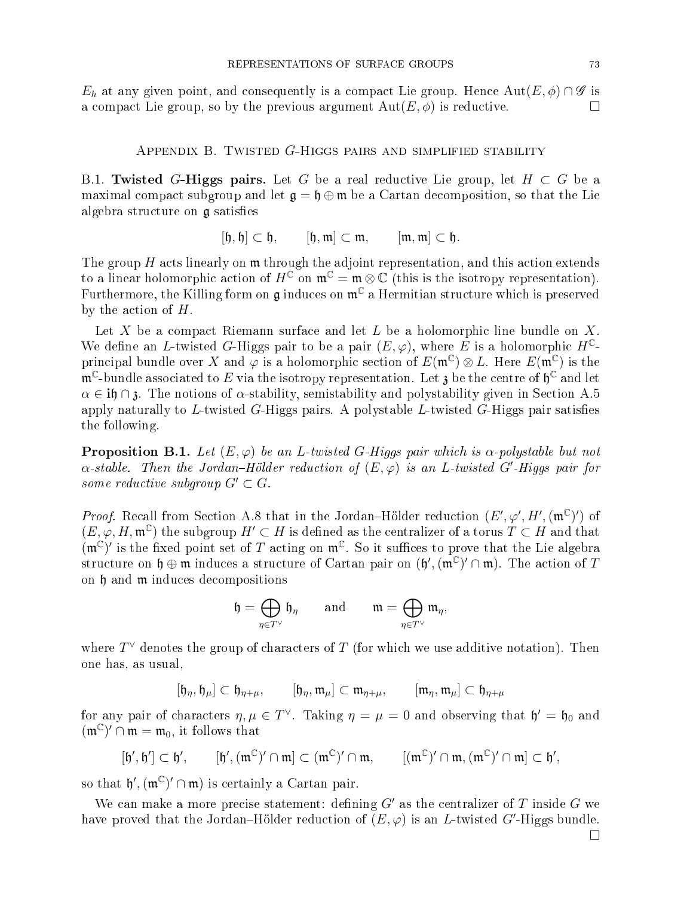$E_h$  at any given point, and consequently is a compact Lie group. Hence  $Aut(E, \phi) \cap \mathscr{G}$  is a compact Lie group, so by the previous argument  $Aut(E, \phi)$  is reductive.

Appendix B. Twisted G-Higgs pairs and simplified stability

B.1. Twisted G-Higgs pairs. Let G be a real reductive Lie group, let  $H \subset G$  be a maximal compact subgroup and let  $\mathfrak{g} = \mathfrak{h} \oplus \mathfrak{m}$  be a Cartan decomposition, so that the Lie algebra structure on  $\mathfrak g$  satisfies

$$
[\mathfrak{h},\mathfrak{h}]\subset \mathfrak{h},\qquad [\mathfrak{h},\mathfrak{m}]\subset \mathfrak{m},\qquad [\mathfrak{m},\mathfrak{m}]\subset \mathfrak{h}.
$$

The group  $H$  acts linearly on  $m$  through the adjoint representation, and this action extends to a linear holomorphic action of  $H^{\mathbb{C}}$  on  $\mathfrak{m}^{\mathbb{C}} = \mathfrak{m} \otimes \mathbb{C}$  (this is the isotropy representation). Furthermore, the Killing form on  $\mathfrak g$  induces on  $\mathfrak m^{\mathbb C}$  a Hermitian structure which is preserved by the action of  $H$ .

Let X be a compact Riemann surface and let  $L$  be a holomorphic line bundle on  $X$ . We define an L-twisted G-Higgs pair to be a pair  $(E, \varphi)$ , where E is a holomorphic  $H^{\mathbb{C}}$ principal bundle over X and  $\varphi$  is a holomorphic section of  $E(\mathfrak{m}^{\mathbb{C}}) \otimes L$ . Here  $E(\mathfrak{m}^{\mathbb{C}})$  is the  $\mathfrak{m}^\mathbb{C}\text{-}\mathrm{bundle}$  associated to  $E$  via the isotropy representation. Let  $\mathfrak z$  be the centre of  $\mathfrak h^\mathbb{C}$  and let  $\alpha \in \mathbf{if} \cap \mathbf{i}$ . The notions of  $\alpha$ -stability, semistability and polystability given in Section A.5 apply naturally to L-twisted  $G$ -Higgs pairs. A polystable L-twisted  $G$ -Higgs pair satisfies the following.

**Proposition B.1.** Let  $(E, \varphi)$  be an L-twisted G-Higgs pair which is  $\alpha$ -polystable but not  $\alpha$ -stable. Then the Jordan–Hölder reduction of  $(E,\varphi)$  is an L-twisted G'-Higgs pair for some reductive subgroup  $G' \subset G$ .

*Proof.* Recall from Section A.8 that in the Jordan-Hölder reduction  $(E', \varphi', H', (\mathfrak{m}^{\mathbb{C}})')$  of  $(E, \varphi, H, \mathfrak{m}^{\mathbb{C}})$  the subgroup  $H' \subset H$  is defined as the centralizer of a torus  $T \subset H$  and that  $(\mathfrak{m}^{\mathbb{C}})'$  is the fixed point set of T acting on  $\mathfrak{m}^{\mathbb{C}}$ . So it suffices to prove that the Lie algebra structure on  $\mathfrak{h} \oplus \mathfrak{m}$  induces a structure of Cartan pair on  $(\mathfrak{h}',(\mathfrak{m}^{\mathbb{C}})' \cap \mathfrak{m})$ . The action of T on h and m indu
es de
ompositions

$$
\mathfrak{h} = \bigoplus_{\eta \in T^{\vee}} \mathfrak{h}_{\eta} \quad \text{and} \quad \mathfrak{m} = \bigoplus_{\eta \in T^{\vee}} \mathfrak{m}_{\eta},
$$

where  $T^\vee$  denotes the group of characters of  $T$  (for which we use additive notation). Then one has, as usual,

$$
[\mathfrak{h}_{\eta},\mathfrak{h}_{\mu}]\subset \mathfrak{h}_{\eta+\mu}, \qquad [\mathfrak{h}_{\eta},\mathfrak{m}_{\mu}]\subset \mathfrak{m}_{\eta+\mu}, \qquad [\mathfrak{m}_{\eta},\mathfrak{m}_{\mu}]\subset \mathfrak{h}_{\eta+\mu}
$$

for any pair of characters  $\eta, \mu \in T^\vee$ . Taking  $\eta = \mu = 0$  and observing that  $\mathfrak{h}' = \mathfrak{h}_0$  and  $(\mathfrak{m}^{\mathbb{C}})' \cap \mathfrak{m} = \mathfrak{m}_0$ , it follows that

$$
[\mathfrak{h}',\mathfrak{h}']\subset \mathfrak{h}', \qquad [\mathfrak{h}',(\mathfrak{m}^{\mathbb{C}})'\cap \mathfrak{m}]\subset (\mathfrak{m}^{\mathbb{C}})'\cap \mathfrak{m}, \qquad [(\mathfrak{m}^{\mathbb{C}})'\cap \mathfrak{m}, (\mathfrak{m}^{\mathbb{C}})'\cap \mathfrak{m}]\subset \mathfrak{h}',
$$

so that  $\mathfrak{h}',(\mathfrak{m}^{\mathbb{C}})' \cap \mathfrak{m}$  is certainly a Cartan pair.

We can make a more precise statement: defining  $G'$  as the centralizer of  $T$  inside  $G$  we have proved that the Jordan–Hölder reduction of  $(E, \varphi)$  is an L-twisted G'-Higgs bundle.

 $\Box$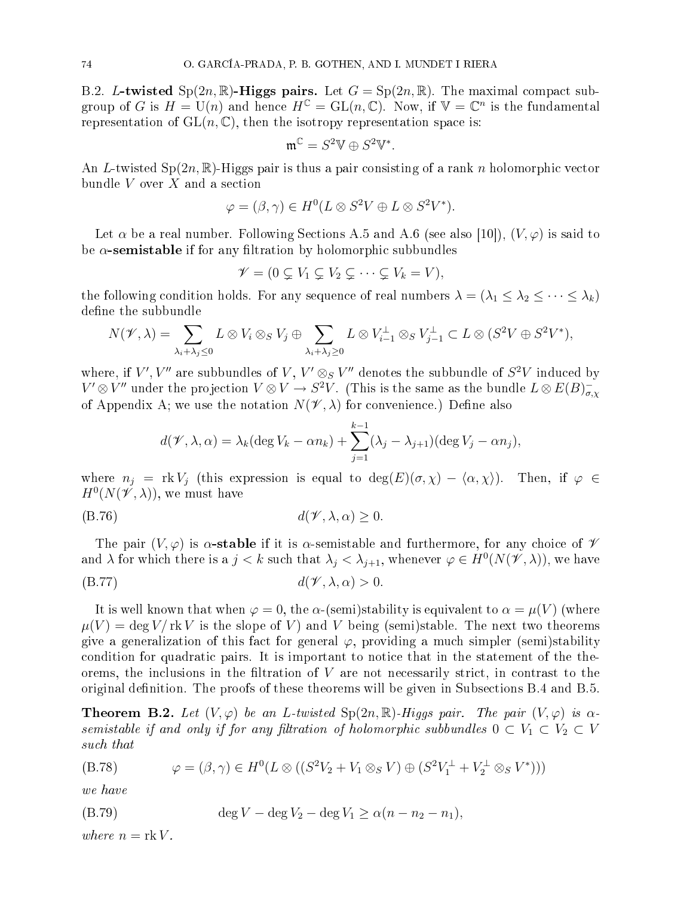B.2. L-twisted  $Sp(2n,\mathbb{R})$ -Higgs pairs. Let  $G = Sp(2n,\mathbb{R})$ . The maximal compact subgroup of G is  $H = U(n)$  and hence  $H^{\mathbb{C}} = GL(n, \mathbb{C})$ . Now, if  $\mathbb{V} = \mathbb{C}^n$  is the fundamental representation of  $GL(n, \mathbb{C})$ , then the isotropy representation space is:

$$
\mathfrak{m}^{\mathbb{C}}=S^2\mathbb{V}\oplus S^2\mathbb{V}^*.
$$

An L-twisted  $Sp(2n,\mathbb{R})$ -Higgs pair is thus a pair consisting of a rank n holomorphic vector bundle  $V$  over  $X$  and a section

$$
\varphi = (\beta, \gamma) \in H^0(L \otimes S^2 V \oplus L \otimes S^2 V^*).
$$

Let  $\alpha$  be a real number. Following Sections A.5 and A.6 (see also [10]),  $(V, \varphi)$  is said to be  $\alpha$ -semistable if for any filtration by holomorphic subbundles

$$
\mathscr{V} = (0 \subsetneq V_1 \subsetneq V_2 \subsetneq \cdots \subsetneq V_k = V),
$$

the following condition holds. For any sequence of real numbers  $\lambda = (\lambda_1 \leq \lambda_2 \leq \cdots \leq \lambda_k)$ define the subbundle

$$
N(\mathscr{V},\lambda) = \sum_{\lambda_i + \lambda_j \leq 0} L \otimes V_i \otimes_S V_j \oplus \sum_{\lambda_i + \lambda_j \geq 0} L \otimes V_{i-1}^{\perp} \otimes_S V_{j-1}^{\perp} \subset L \otimes (S^2 V \oplus S^2 V^*),
$$

where, if  $V',V''$  are subbundles of  $V,\,V'\otimes_S V''$  denotes the subbundle of  $S^2V$  induced by  $V'\otimes V''$  under the projection  $V\otimes V\to S^2 V$ . (This is the same as the bundle  $L\otimes E(B)_{\sigma,\chi}^$ of Appendix A; we use the notation  $N(\mathcal{V}, \lambda)$  for convenience.) Define also

$$
d(\mathscr{V}, \lambda, \alpha) = \lambda_k (\deg V_k - \alpha n_k) + \sum_{j=1}^{k-1} (\lambda_j - \lambda_{j+1}) (\deg V_j - \alpha n_j),
$$

where  $n_j = \text{rk } V_j$  (this expression is equal to  $\deg(E)(\sigma, \chi) - \langle \alpha, \chi \rangle$ ). Then, if  $\varphi \in$  $H^0(N(\check{\mathscr{V}},\lambda))$ , we must have

$$
d(\mathcal{V}, \lambda, \alpha) \ge 0.
$$

The pair  $(V, \varphi)$  is  $\alpha$ -stable if it is  $\alpha$ -semistable and furthermore, for any choice of  $\mathscr V$ and  $\lambda$  for which there is a  $j < k$  such that  $\lambda_j < \lambda_{j+1}$ , whenever  $\varphi \in H^0(N(\mathscr{V},\lambda))$ , we have

(B.77) 
$$
d(\mathcal{V}, \lambda, \alpha) > 0.
$$

It is well known that when  $\varphi = 0$ , the  $\alpha$ -(semi)stability is equivalent to  $\alpha = \mu(V)$  (where  $\mu(V) = \deg V/\mathrm{rk} V$  is the slope of V) and V being (semi)stable. The next two theorems give a generalization of this fact for general  $\varphi$ , providing a much simpler (semi)stability condition for quadratic pairs. It is important to notice that in the statement of the theorems, the inclusions in the filtration of  $V$  are not necessarily strict, in contrast to the original definition. The proofs of these theorems will be given in Subsections  $B.4$  and  $B.5$ .

**Theorem B.2.** Let  $(V, \varphi)$  be an L-twisted  $Sp(2n, \mathbb{R})$ -Higgs pair. The pair  $(V, \varphi)$  is  $\alpha$ semistable if and only if for any filtration of holomorphic subbundles  $0 \subset V_1 \subset V_2 \subset V$ such that

$$
(B.78) \qquad \varphi = (\beta, \gamma) \in H^0(L \otimes ((S^2V_2 + V_1 \otimes_S V) \oplus (S^2V_1^{\perp} + V_2^{\perp} \otimes_S V^*)))
$$

we have

$$
(B.79) \t\t \tdeg V - \deg V_2 - \deg V_1 \ge \alpha (n - n_2 - n_1),
$$

where  $n = \text{rk } V$ .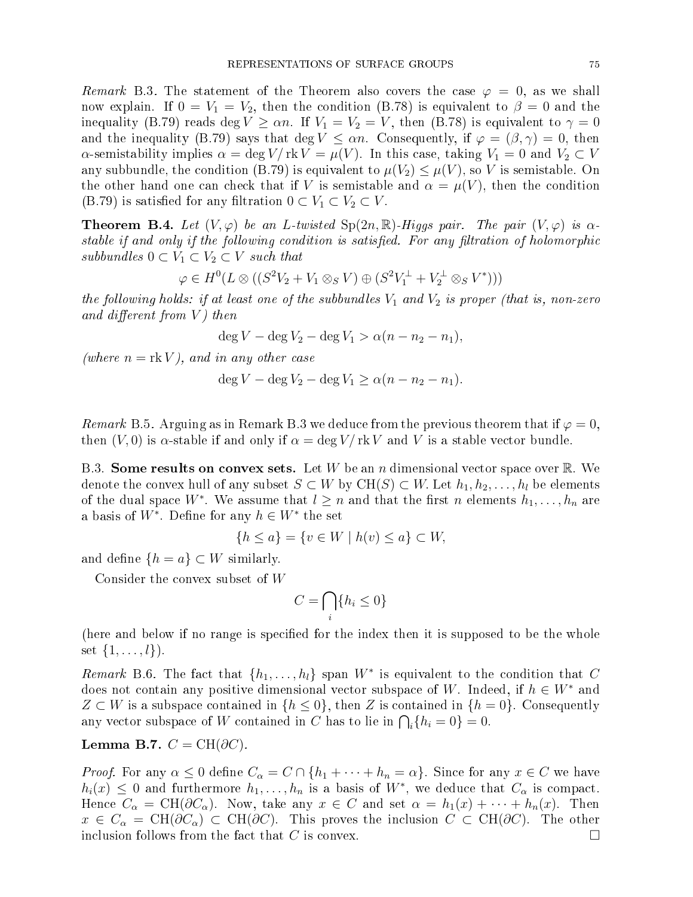Remark B.3. The statement of the Theorem also covers the case  $\varphi = 0$ , as we shall now explain. If  $0 = V_1 = V_2$ , then the condition (B.78) is equivalent to  $\beta = 0$  and the inequality (B.79) reads deg  $V \ge \alpha n$ . If  $V_1 = V_2 = V$ , then (B.78) is equivalent to  $\gamma = 0$ and the inequality (B.79) says that deg  $V \leq \alpha n$ . Consequently, if  $\varphi = (\beta, \gamma) = 0$ , then  $\alpha$ -semistability implies  $\alpha = \deg V / \operatorname{rk} V = \mu(V)$ . In this case, taking  $V_1 = 0$  and  $V_2 \subset V$ any subbundle, the condition (B.79) is equivalent to  $\mu(V_2) \leq \mu(V)$ , so V is semistable. On the other hand one can check that if V is semistable and  $\alpha = \mu(V)$ , then the condition (B.79) is satisfied for any filtration  $0 \subset V_1 \subset V_2 \subset V$ .

**Theorem B.4.** Let  $(V, \varphi)$  be an L-twisted  $Sp(2n, \mathbb{R})$ -Higgs pair. The pair  $(V, \varphi)$  is  $\alpha$ stable if and only if the following condition is satisfied. For any filtration of holomorphic subbundles  $0 \subset V_1 \subset V_2 \subset V$  such that

$$
\varphi \in H^0(L \otimes ((S^2V_2 + V_1 \otimes_S V) \oplus (S^2V_1^{\perp} + V_2^{\perp} \otimes_S V^*)))
$$

the following holds: if at least one of the subbundles  $V_1$  and  $V_2$  is proper (that is, non-zero and different from  $V$ ) then

$$
\deg V - \deg V_2 - \deg V_1 > \alpha (n - n_2 - n_1),
$$

(where  $n = \text{rk } V$ ), and in any other case

$$
\deg V - \deg V_2 - \deg V_1 \ge \alpha (n - n_2 - n_1).
$$

Remark B.5. Arguing as in Remark B.3 we deduce from the previous theorem that if  $\varphi = 0$ , then  $(V, 0)$  is  $\alpha$ -stable if and only if  $\alpha = \deg V / \operatorname{rk} V$  and V is a stable vector bundle.

B.3. Some results on convex sets. Let W be an n dimensional vector space over R. We denote the convex hull of any subset  $S \subset W$  by  $CH(S) \subset W$ . Let  $h_1, h_2, \ldots, h_l$  be elements of the dual space  $W^*$ . We assume that  $l \geq n$  and that the first n elements  $h_1, \ldots, h_n$  are a basis of  $W^*$ . Define for any  $h \in W^*$  the set

$$
\{h \le a\} = \{v \in W \mid h(v) \le a\} \subset W,
$$

and define  $\{h = a\} \subset W$  similarly.

Consider the onvex subset of W

$$
C = \bigcap_i \{h_i \le 0\}
$$

(here and below if no range is specified for the index then it is supposed to be the whole set  $\{1, \ldots, l\}$ ).

Remark B.6. The fact that  $\{h_1, \ldots, h_l\}$  span  $W^*$  is equivalent to the condition that C does not contain any positive dimensional vector subspace of W. Indeed, if  $h \in W^*$  and  $Z \subset W$  is a subspace contained in  $\{h \leq 0\}$ , then Z is contained in  $\{h = 0\}$ . Consequently any vector subspace of W contained in C has to lie in  $\bigcap_i \{h_i = 0\} = 0$ .

$$
Lemma B.7. C = CH( $\partial C$ ).
$$

*Proof.* For any  $\alpha \leq 0$  define  $C_{\alpha} = C \cap \{h_1 + \cdots + h_n = \alpha\}$ . Since for any  $x \in C$  we have  $h_i(x) \leq 0$  and furthermore  $h_1, \ldots, h_n$  is a basis of  $W^*$ , we deduce that  $C_{\alpha}$  is compact. Hence  $C_{\alpha} = \text{CH}(\partial C_{\alpha})$ . Now, take any  $x \in C$  and set  $\alpha = h_1(x) + \cdots + h_n(x)$ . Then  $x \in C_{\alpha} = \text{CH}(\partial C_{\alpha}) \subset \text{CH}(\partial C)$ . This proves the inclusion  $C \subset \text{CH}(\partial C)$ . The other inclusion follows from the fact that C is convex.  $\Box$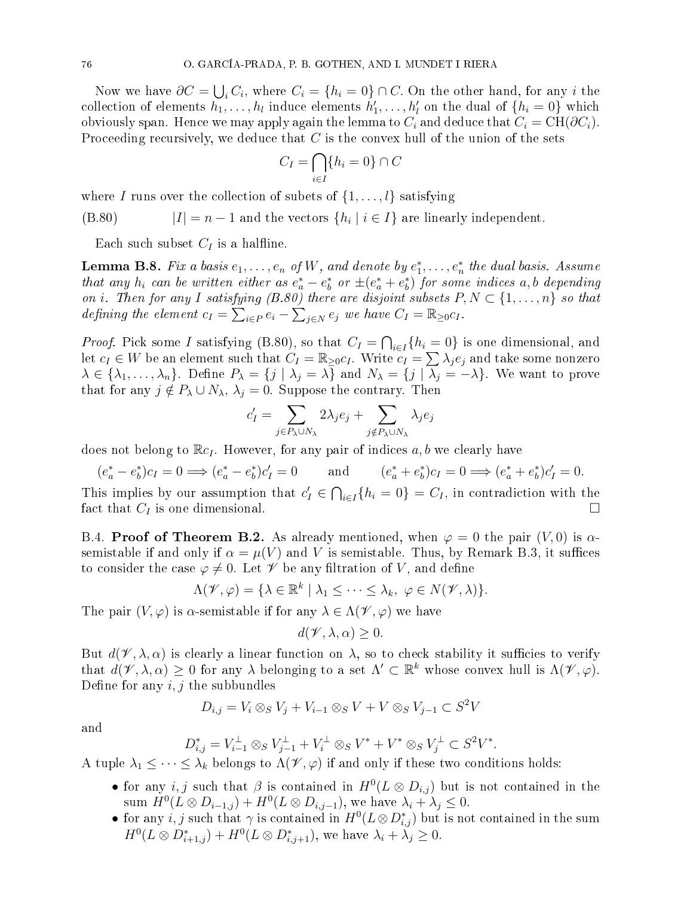Now we have  $\partial C = \bigcup_i C_i$ , where  $C_i = \{h_i = 0\} \cap C$ . On the other hand, for any i the collection of elements  $h_1, \ldots, h_l$  induce elements  $h'_1, \ldots, h'_l$  on the dual of  $\{h_i = 0\}$  which obviously span. Hence we may apply again the lemma to  $C_i$  and deduce that  $C_i = \text{CH}(\partial C_i)$ . Proceeding recursively, we deduce that  $C$  is the convex hull of the union of the sets

$$
C_I = \bigcap_{i \in I} \{h_i = 0\} \cap C
$$

where I runs over the collection of subets of  $\{1, \ldots, l\}$  satisfying

(B.80)  $|I| = n - 1$  and the vectors  $\{h_i \mid i \in I\}$  are linearly independent.

Each such subset  $C_I$  is a halfline.

**Lemma B.8.** Fix a basis  $e_1, \ldots, e_n$  of  $W$ , and denote by  $e_1^*, \ldots, e_n^*$  the dual basis. Assume that any  $h_i$  can be written either as  $e_a^* - e_b^*$  or  $\pm (e_a^* + e_b^*)$  for some indices  $a, b$  depending on i. Then for any I satisfying  $(B.80)$  there are disjoint subsets  $P, N \subset \{1, \ldots, n\}$  so that defining the element  $c_I = \sum_{i \in P} e_i - \sum_{j \in N} e_j$  we have  $C_I = \mathbb{R}_{\geq 0} c_I$ .

*Proof.* Pick some I satisfying (B.80), so that  $C_I = \bigcap_{i \in I} \{h_i = 0\}$  is one dimensional, and let  $c_I \in W$  be an element such that  $C_I = \mathbb{R}_{\geq 0} c_I$ . Write  $c_I = \sum_i \lambda_i e_i$  and take some nonzero  $\lambda \in \{\lambda_1, \ldots, \lambda_n\}.$  Define  $P_\lambda = \{j \mid \lambda_j = \lambda\}$  and  $N_\lambda = \{j \mid \overline{\lambda_j} = -\lambda\}.$  We want to prove that for any  $j \notin P_{\lambda} \cup N_{\lambda}, \lambda_j = 0$ . Suppose the contrary. Then

$$
c'_{I} = \sum_{j \in P_{\lambda} \cup N_{\lambda}} 2\lambda_{j} e_{j} + \sum_{j \notin P_{\lambda} \cup N_{\lambda}} \lambda_{j} e_{j}
$$

does not belong to  $\mathbb{R}c_I$ . However, for any pair of indices a, b we clearly have

$$
(e_a^* - e_b^*)c_I = 0 \Longrightarrow (e_a^* - e_b^*)c_I' = 0
$$
 and  $(e_a^* + e_b^*)c_I = 0 \Longrightarrow (e_a^* + e_b^*)c_I' = 0.$ 

This implies by our assumption that  $c'_I \in \bigcap_{i \in I} \{h_i = 0\} = C_I$ , in contradiction with the fact that  $C_I$  is one dimensional.

B.4. Proof of Theorem B.2. As already mentioned, when  $\varphi = 0$  the pair  $(V, 0)$  is  $\alpha$ semistable if and only if  $\alpha = \mu(V)$  and V is semistable. Thus, by Remark B.3, it suffices to consider the case  $\varphi \neq 0$ . Let  $\mathscr V$  be any filtration of V, and define

$$
\Lambda(\mathscr{V}, \varphi) = \{ \lambda \in \mathbb{R}^k \mid \lambda_1 \leq \cdots \leq \lambda_k, \ \varphi \in N(\mathscr{V}, \lambda) \}.
$$

The pair  $(V, \varphi)$  is  $\alpha$ -semistable if for any  $\lambda \in \Lambda(\mathscr{V}, \varphi)$  we have

$$
d(\mathscr{V}, \lambda, \alpha) \geq 0.
$$

But  $d(\mathscr{V}, \lambda, \alpha)$  is clearly a linear function on  $\lambda$ , so to check stability it sufficies to verify that  $d(\mathscr{V}, \lambda, \alpha) \geq 0$  for any  $\lambda$  belonging to a set  $\Lambda' \subset \mathbb{R}^k$  whose convex hull is  $\Lambda(\mathscr{V}, \varphi)$ . Define for any  $i, j$  the subbundles

$$
D_{i,j} = V_i \otimes_S V_j + V_{i-1} \otimes_S V + V \otimes_S V_{j-1} \subset S^2 V
$$

and

$$
D_{i,j}^* = V_{i-1}^{\perp} \otimes_S V_{j-1}^{\perp} + V_i^{\perp} \otimes_S V^* + V^* \otimes_S V_j^{\perp} \subset S^2 V^*.
$$

A tuple  $\lambda_1 \leq \cdots \leq \lambda_k$  belongs to  $\Lambda(\mathscr{V}, \varphi)$  if and only if these two conditions holds:

- for any *i*, *j* such that  $\beta$  is contained in  $H^0(L \otimes D_{i,j})$  but is not contained in the sum  $H^0(L \otimes D_{i-1,j}) + H^0(L \otimes D_{i,j-1}),$  we have  $\lambda_i + \lambda_j \leq 0.$
- for any  $i, j$  such that  $\gamma$  is contained in  $H^0(L \otimes D^*_{i,j})$  but is not contained in the sum  $H^0(L \otimes D^*_{i+1,j}) + H^0(L \otimes D^*_{i,j+1}),$  we have  $\lambda_i + \lambda_j \geq 0.$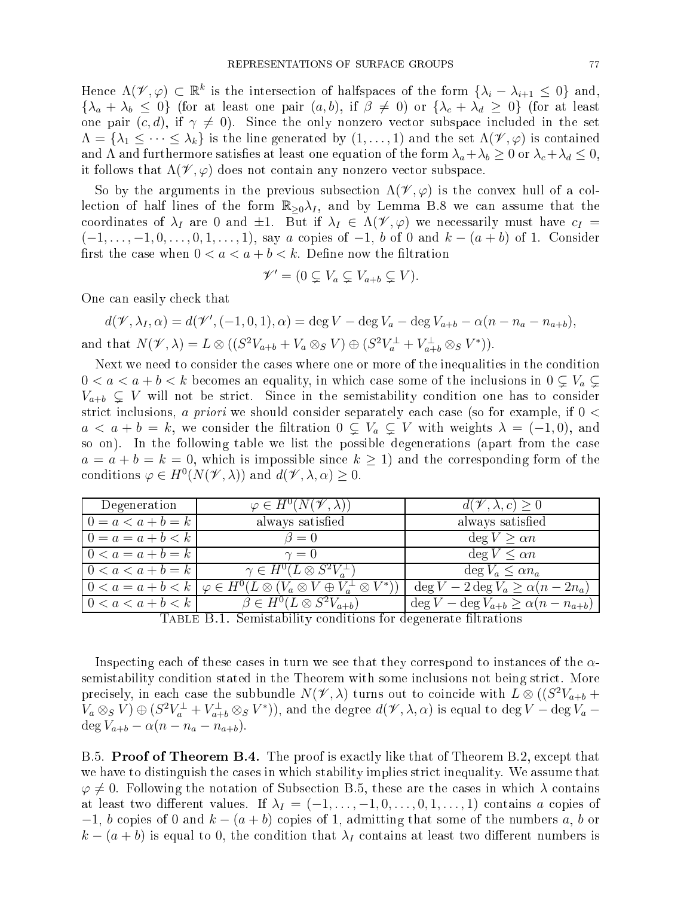Hence  $\Lambda(\mathscr{V}, \varphi) \subset \mathbb{R}^k$  is the intersection of halfspaces of the form  $\{\lambda_i - \lambda_{i+1} \leq 0\}$  and,  ${\lambda_a + \lambda_b \leq 0}$  (for at least one pair  $(a, b)$ , if  $\beta \neq 0$ ) or  ${\lambda_c + \lambda_d \geq 0}$  (for at least one pair  $(c, d)$ , if  $\gamma \neq 0$ ). Since the only nonzero vector subspace included in the set  $\Lambda = {\lambda_1 \leq \cdots \leq \lambda_k}$  is the line generated by  $(1,\ldots,1)$  and the set  $\Lambda(\mathscr{V}, \varphi)$  is contained and  $\Lambda$  and furthermore satisfies at least one equation of the form  $\lambda_a + \lambda_b \geq 0$  or  $\lambda_c + \lambda_d \leq 0$ , it follows that  $\Lambda(\mathscr{V}, \varphi)$  does not contain any nonzero vector subspace.

So by the arguments in the previous subsection  $\Lambda(\mathscr{V}, \varphi)$  is the convex hull of a collection of half lines of the form  $\mathbb{R}_{\geq 0}\lambda_I$ , and by Lemma B.8 we can assume that the coordinates of  $\lambda_I$  are 0 and  $\pm 1$ . But if  $\lambda_I \in \Lambda(\mathscr{V}, \varphi)$  we necessarily must have  $c_I =$  $(-1, \ldots, -1, 0, \ldots, 0, 1, \ldots, 1)$ , say a copies of  $-1$ , b of 0 and  $k - (a + b)$  of 1. Consider first the case when  $0 < a < a + b < k$ . Define now the filtration

$$
\mathscr{V}' = (0 \subsetneq V_a \subsetneq V_{a+b} \subsetneq V).
$$

One can easily check that

$$
d(\mathscr{V}, \lambda_I, \alpha) = d(\mathscr{V}', (-1, 0, 1), \alpha) = \deg V - \deg V_a - \deg V_{a+b} - \alpha (n - n_a - n_{a+b}),
$$
  
and that  $N(\mathscr{V}, \lambda) = L \otimes ((S^2 V_{a+b} + V_a \otimes_S V) \oplus (S^2 V_a^{\perp} + V_{a+b}^{\perp} \otimes_S V^*)).$ 

Next we need to consider the cases where one or more of the inequalities in the condition  $0 < a < a + b < k$  becomes an equality, in which case some of the inclusions in  $0 \nsubseteq V_a \nsubseteq$  $V_{a+b} \subsetneq V$  will not be strict. Since in the semistability condition one has to consider strict inclusions, a priori we should consider separately each case (so for example, if  $0 <$  $a < a + b = k$ , we consider the filtration  $0 \subsetneq V_a \subsetneq V$  with weights  $\lambda = (-1,0)$ , and so on). In the following table we list the possible degenerations (apart from the ase  $a = a + b = k = 0$ , which is impossible since  $k \geq 1$  and the corresponding form of the conditions  $\varphi \in H^0(N(\mathscr{V},\lambda))$  and  $d(\mathscr{V},\lambda,\alpha) \geq 0$ .

| Degeneration        | $\varphi \in H^0(N(\mathscr{V},\lambda))$                                                          | $d(\mathscr{V}, \lambda, c) \geq 0$                                   |
|---------------------|----------------------------------------------------------------------------------------------------|-----------------------------------------------------------------------|
| $0 = a < a + b = k$ | always satisfied                                                                                   | always satisfied                                                      |
| $0 = a = a + b < k$ | $\beta = 0$                                                                                        | $\deg V \geq \alpha n$                                                |
| $0 < a = a + b = k$ | $\gamma=0$                                                                                         | $\deg V \leq \alpha n$                                                |
| $0 < a < a + b = k$ | $\gamma \in H^0(L \otimes S^2 V_a^{\perp})$                                                        | $\deg V_a \leq \alpha n_a$                                            |
|                     | $0 < a = a + b < k \mid \varphi \in H^0(L \otimes (V_a \otimes V \oplus V_a^{\perp} \otimes V^*))$ | $\deg V - 2 \deg V_a \ge \alpha (n - 2n_a)$                           |
| $0 < a < a + b < k$ | $\beta \in H^0(L \otimes S^2 V_{a+b})$                                                             | $\deg V - \deg V_{a+b} \geq \alpha (n - n_{a+b})$                     |
|                     | $\mathbf{m}$ . $=$ $=$ $\mathbf{m}$ . $\alpha$ . $\cdots$ . $\mathbf{m}$ . $\cdots$<br>$\cdots$    | $\mathcal{C}$ is the set of $\mathcal{C}$ is the set of $\mathcal{C}$ |

TABLE B.1. Semistability conditions for degenerate filtrations

Inspecting each of these cases in turn we see that they correspond to instances of the  $\alpha$ semistability condition stated in the Theorem with some inclusions not being strict. More precisely, in each case the subbundle  $N(\mathscr{V},\lambda)$  turns out to coincide with  $L\stackrel{\sim}{\otimes} ((S^2V_{a+b} +$  $V_a \otimes_S V$   $\oplus$   $(S^2V_a^{\perp} + V_{a+b}^{\perp} \otimes_S V^*)$ ), and the degree  $d(\mathscr{V}, \lambda, \alpha)$  is equal to deg  $V - \deg V_a$  –  $\deg V_{a+b} - \alpha (n - n_a - n_{a+b}).$ 

B.5. Proof of Theorem B.4. The proof is exactly like that of Theorem B.2, except that we have to distinguish the cases in which stability implies strict inequality. We assume that  $\varphi \neq 0$ . Following the notation of Subsection B.5, these are the cases in which  $\lambda$  contains at least two different values. If  $\lambda_I = (-1, \ldots, -1, 0, \ldots, 0, 1, \ldots, 1)$  contains a copies of  $-1$ , b copies of 0 and  $k - (a + b)$  copies of 1, admitting that some of the numbers a, b or  $k - (a + b)$  is equal to 0, the condition that  $\lambda_I$  contains at least two different numbers is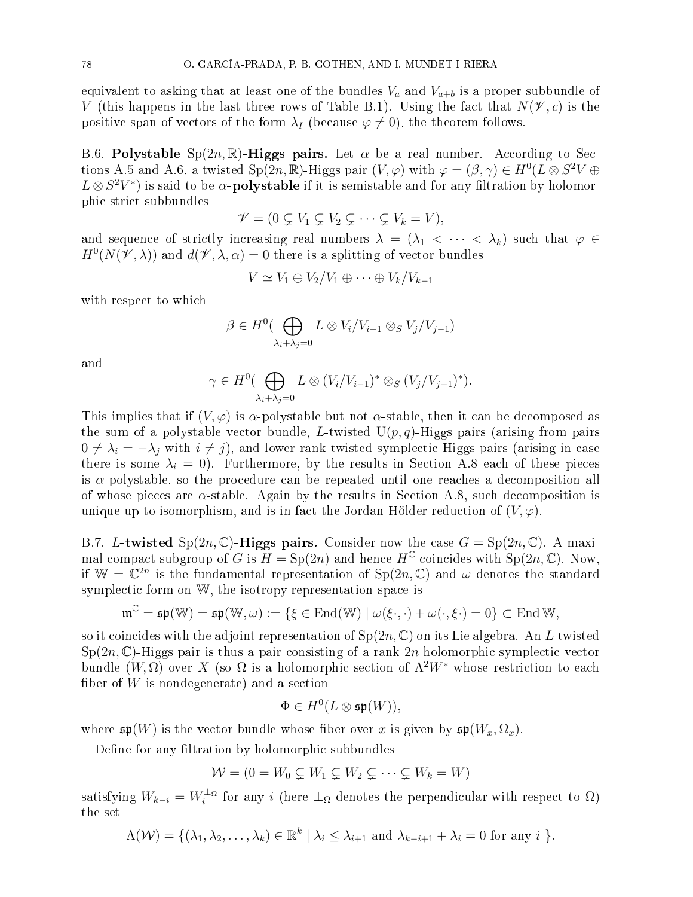equivalent to asking that at least one of the bundles  $V_a$  and  $V_{a+b}$  is a proper subbundle of V (this happens in the last three rows of Table B.1). Using the fact that  $N(\mathscr{V}, c)$  is the positive span of vectors of the form  $\lambda_I$  (because  $\varphi \neq 0$ ), the theorem follows.

B.6. Polystable  $Sp(2n,\mathbb{R})$ -Higgs pairs. Let  $\alpha$  be a real number. According to Sections A.5 and A.6, a twisted Sp(2n, R)-Higgs pair  $(V, \varphi)$  with  $\varphi = (\beta, \gamma) \in H^0(L \otimes S^2 V \oplus$  $L \otimes S^2 V^*$ ) is said to be  $\alpha$ **-polystable** if it is semistable and for any filtration by holomorphi stri
t subbundles

$$
\mathscr{V} = (0 \subsetneq V_1 \subsetneq V_2 \subsetneq \cdots \subsetneq V_k = V),
$$

and sequence of strictly increasing real numbers  $\lambda = (\lambda_1 < \cdots < \lambda_k)$  such that  $\varphi \in$  $H^0(N(\mathscr{V},\lambda))$  and  $d(\mathscr{V},\lambda,\alpha)=0$  there is a splitting of vector bundles

$$
V \simeq V_1 \oplus V_2/V_1 \oplus \cdots \oplus V_k/V_{k-1}
$$

with respect to which

$$
\beta \in H^0(\bigoplus_{\lambda_i+\lambda_j=0} L \otimes V_i/V_{i-1} \otimes_S V_j/V_{j-1})
$$

and

$$
\gamma \in H^0(\bigoplus_{\lambda_i+\lambda_j=0} L\otimes (V_i/V_{i-1})^*\otimes_S (V_j/V_{j-1})^*).
$$

This implies that if  $(V, \varphi)$  is  $\alpha$ -polystable but not  $\alpha$ -stable, then it can be decomposed as the sum of a polystable vector bundle, L-twisted  $U(p,q)$ -Higgs pairs (arising from pairs  $0 \neq \lambda_i = -\lambda_j$  with  $i \neq j$ , and lower rank twisted symplectic Higgs pairs (arising in case there is some  $\lambda_i = 0$ . Furthermore, by the results in Section A.8 each of these pieces is  $\alpha$ -polystable, so the procedure can be repeated until one reaches a decomposition all of whose pieces are  $\alpha$ -stable. Again by the results in Section A.8, such decomposition is unique up to isomorphism, and is in fact the Jordan-Hölder reduction of  $(V, \varphi)$ .

B.7. L-twisted  $Sp(2n, \mathbb{C})$ -Higgs pairs. Consider now the case  $G = Sp(2n, \mathbb{C})$ . A maximal compact subgroup of G is  $H = \text{Sp}(2n)$  and hence  $H^{\mathbb{C}}$  coincides with  $\text{Sp}(2n, \mathbb{C})$ . Now, if  $\mathbb{W} = \mathbb{C}^{2n}$  is the fundamental representation of  $\text{Sp}(2n, \mathbb{C})$  and  $\omega$  denotes the standard symplectic form on W, the isotropy representation space is

$$
\mathfrak{m}^{\mathbb{C}}=\mathfrak{sp}(\mathbb{W})=\mathfrak{sp}(\mathbb{W},\omega):=\{\xi\in\mathrm{End}(\mathbb{W})\mid\omega(\xi\cdot,\cdot)+\omega(\cdot,\xi\cdot)=0\}\subset\mathrm{End}\,\mathbb{W},
$$

so it coincides with the adjoint representation of  $Sp(2n, \mathbb{C})$  on its Lie algebra. An L-twisted  $Sp(2n,\mathbb{C})$ -Higgs pair is thus a pair consisting of a rank  $2n$  holomorphic symplectic vector bundle  $(W, \Omega)$  over X (so  $\Omega$  is a holomorphic section of  $\Lambda^2 W^*$  whose restriction to each fiber of  $W$  is nondegenerate) and a section

$$
\Phi \in H^0(L \otimes \mathfrak{sp}(W)),
$$

where  $\mathfrak{sp}(W)$  is the vector bundle whose fiber over x is given by  $\mathfrak{sp}(W_x, \Omega_x)$ .

Define for any filtration by holomorphic subbundles

$$
W = (0 = W_0 \subsetneq W_1 \subsetneq W_2 \subsetneq \cdots \subsetneq W_k = W)
$$

satisfying  $W_{k-i} = W_i^{\perp_{\Omega}}$  for any i (here  $\perp_{\Omega}$  denotes the perpendicular with respect to  $\Omega$ ) the set

$$
\Lambda(\mathcal{W}) = \{(\lambda_1, \lambda_2, \dots, \lambda_k) \in \mathbb{R}^k \mid \lambda_i \leq \lambda_{i+1} \text{ and } \lambda_{k-i+1} + \lambda_i = 0 \text{ for any } i \}.
$$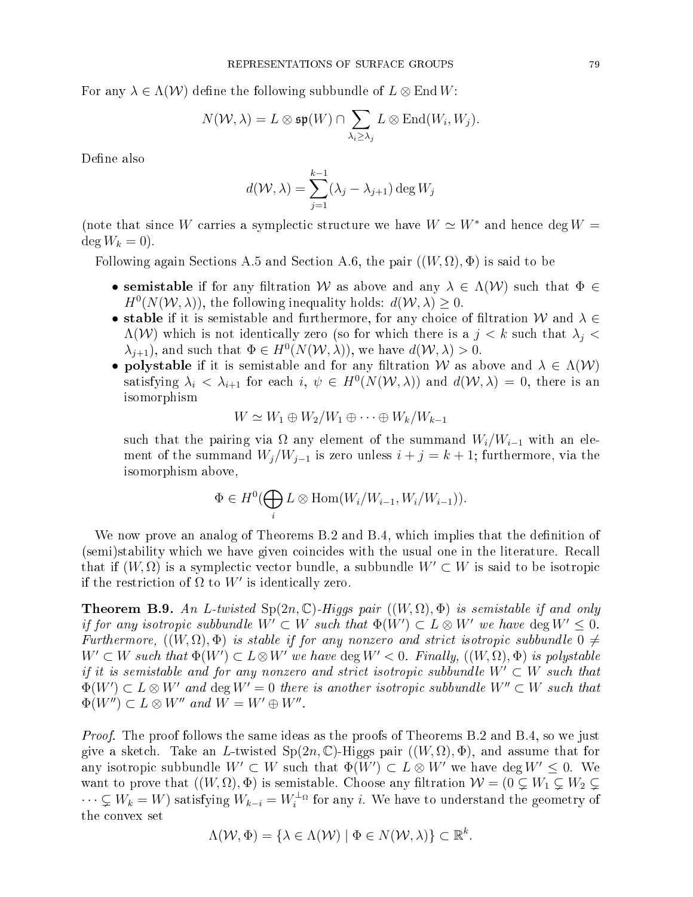For any  $\lambda \in \Lambda(\mathcal{W})$  define the following subbundle of  $L \otimes \text{End }W$ :

$$
N(\mathcal{W},\lambda)=L\otimes\mathfrak{sp}(W)\cap\sum_{\lambda_i\geq\lambda_j}L\otimes\mathrm{End}(W_i,W_j).
$$

Define also

$$
d(\mathcal{W}, \lambda) = \sum_{j=1}^{k-1} (\lambda_j - \lambda_{j+1}) \deg W_j
$$

(note that since W carries a symplectic structure we have  $W \simeq W^*$  and hence deg  $W =$  $\deg W_k = 0$ .

Following again Sections A.5 and Section A.6, the pair  $((W, \Omega), \Phi)$  is said to be

- semistable if for any filtration W as above and any  $\lambda \in \Lambda(\mathcal{W})$  such that  $\Phi \in$  $H^0(N(\mathcal{W},\lambda))$ , the following inequality holds:  $d(\mathcal{W},\lambda) \geq 0$ .
- stable if it is semistable and furthermore, for any choice of filtration W and  $\lambda \in$  $\Lambda(\mathcal{W})$  which is not identically zero (so for which there is a  $j < k$  such that  $\lambda_i <$  $\lambda_{j+1}$ , and such that  $\Phi \in H^0(N(\mathcal{W},\lambda))$ , we have  $d(\mathcal{W},\lambda) > 0$ .
- polystable if it is semistable and for any filtration W as above and  $\lambda \in \Lambda(\mathcal{W})$ satisfying  $\lambda_i < \lambda_{i+1}$  for each  $i, \psi \in H^0(N(\mathcal{W}, \lambda))$  and  $d(\mathcal{W}, \lambda) = 0$ , there is an isomorphism

$$
W \simeq W_1 \oplus W_2/W_1 \oplus \cdots \oplus W_k/W_{k-1}
$$

such that the pairing via  $\Omega$  any element of the summand  $W_i/W_{i-1}$  with an element of the summand  $W_j/W_{j-1}$  is zero unless  $i + j = k + 1$ ; furthermore, via the isomorphism above,

$$
\Phi \in H^0(\bigoplus_i L \otimes \text{Hom}(W_i/W_{i-1}, W_i/W_{i-1})).
$$

We now prove an analog of Theorems  $B.2$  and  $B.4$ , which implies that the definition of (semi)stability which we have given coincides with the usual one in the literature. Recall that if  $(W, \Omega)$  is a symplectic vector bundle, a subbundle  $W' \subset W$  is said to be isotropic if the restriction of  $\Omega$  to  $W'$  is identically zero.

**Theorem B.9.** An L-twisted  $Sp(2n, \mathbb{C})$ -Higgs pair  $((W, \Omega), \Phi)$  is semistable if and only if for any isotropic subbundle  $W' \subset W$  such that  $\Phi(W') \subset L \otimes W'$  we have  $\deg W' \leq 0$ . Furthermore,  $((W,\Omega),\Phi)$  is stable if for any nonzero and strict isotropic subbundle  $0 \neq$  $W'\subset W$  such that  $\Phi(W')\subset L\otimes W'$  we have  $\deg W'< 0$ . Finally,  $((W,\Omega),\Phi)$  is polystable if it is semistable and for any nonzero and strict isotropic subbundle  $W' \subset W$  such that  $\Phi(W') \subset L \otimes W'$  and  $\deg W' = 0$  there is another isotropic subbundle  $W'' \subset W$  such that  $\Phi(W'') \subset L \otimes W''$  and  $W = W' \oplus W''$ .

Proof. The proof follows the same ideas as the proofs of Theorems B.2 and B.4, so we just give a sketch. Take an L-twisted  $Sp(2n, \mathbb{C})$ -Higgs pair  $((W, \Omega), \Phi)$ , and assume that for any isotropic subbundle  $W'\subset W$  such that  $\Phi(W')\subset L\otimes W'$  we have  $\deg W'\leq 0.$  We want to prove that  $((W,\Omega),\Phi)$  is semistable. Choose any filtration  $W = (0 \subsetneq W_1 \subsetneq W_2 \subsetneq W_1)$  $\cdots \subsetneq W_k = W$ ) satisfying  $W_{k-i} = W_i^{\perp_{\Omega}}$  for any i. We have to understand the geometry of the onvex set

$$
\Lambda(\mathcal{W}, \Phi) = \{ \lambda \in \Lambda(\mathcal{W}) \mid \Phi \in N(\mathcal{W}, \lambda) \} \subset \mathbb{R}^k.
$$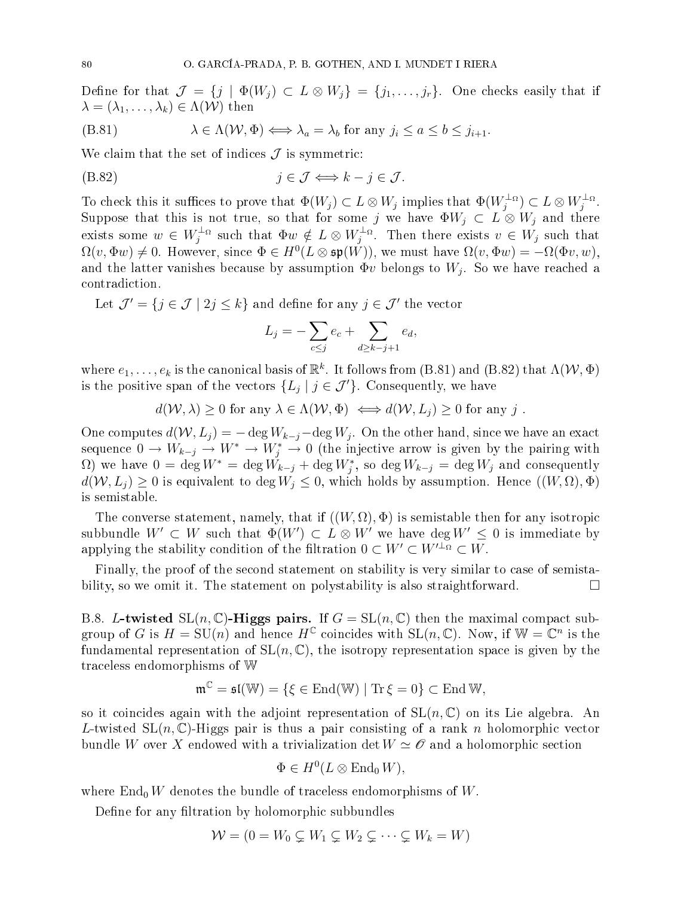Define for that  $\mathcal{J} = \{j \mid \Phi(W_j) \subset L \otimes W_j\} = \{j_1, \ldots, j_r\}$ . One checks easily that if  $\lambda = (\lambda_1, \ldots, \lambda_k) \in \Lambda(\mathcal{W})$  then

$$
(B.81) \qquad \qquad \lambda \in \Lambda(\mathcal{W}, \Phi) \Longleftrightarrow \lambda_a = \lambda_b \text{ for any } j_i \le a \le b \le j_{i+1}.
$$

We claim that the set of indices  $\mathcal J$  is symmetric:

$$
(B.82) \t j \in \mathcal{J} \Longleftrightarrow k - j \in \mathcal{J}.
$$

To check this it suffices to prove that  $\Phi(W_j) \subset L \otimes W_j$  implies that  $\Phi(W_j^{\perp \alpha}) \subset L \otimes W_j^{\perp \alpha}$ .<br>Suppose that this is not true, so that for some j we have  $\Phi W_j \subset L \otimes W_j$  and there exists some  $w \in W_j^{\perp_{\Omega}}$  such that  $\Phi w \notin L \otimes W_j^{\perp_{\Omega}}$ . Then there exists  $v \in W_j$  such that  $\Omega(v, \Phi w) \neq 0$ . However, since  $\Phi \in H^0(L \otimes \mathfrak{sp}(W))$ , we must have  $\Omega(v, \Phi w) = -\Omega(\Phi v, w)$ , and the latter vanishes because by assumption  $\Phi v$  belongs to  $W_j$ . So we have reached a ontradi
tion.

Let  $\mathcal{J}'=\{j\in\mathcal{J}\mid 2j\leq k\}$  and define for any  $j\in\mathcal{J}'$  the vector

$$
L_j = -\sum_{c \le j} e_c + \sum_{d \ge k - j + 1} e_d,
$$

where  $e_1,\ldots,e_k$  is the canonical basis of  $\mathbb{R}^k$ . It follows from (B.81) and (B.82) that  $\Lambda(\mathcal{W},\Phi)$ is the positive span of the vectors  $\{L_j \mid j \in \mathcal{J}'\}$ . Consequently, we have

$$
d(\mathcal{W}, \lambda) \ge 0 \text{ for any } \lambda \in \Lambda(\mathcal{W}, \Phi) \iff d(\mathcal{W}, L_j) \ge 0 \text{ for any } j.
$$

One computes  $d(W, L_j) = -\deg W_{k-j} - \deg W_j$ . On the other hand, since we have an exact sequence  $0 \to W_{k-j} \to W^* \to W^*_j \to 0$  (the injective arrow is given by the pairing with  $\Omega$ ) we have  $0 = \deg W^* = \deg W_{k-j} + \deg W_j^*$ , so  $\deg W_{k-j} = \deg W_j$  and consequently  $d(W, L_i) \geq 0$  is equivalent to deg  $W_i \leq 0$ , which holds by assumption. Hence  $((W, \Omega), \Phi)$ is semistable.

The converse statement, namely, that if  $((W,\Omega),\Phi)$  is semistable then for any isotropic subbundle  $W' \subset W$  such that  $\Phi(W') \subset L \otimes W'$  we have  $\deg W' \leq 0$  is immediate by applying the stability condition of the filtration  $0 \subset W' \subset W'^{\perp_{\Omega}} \subset W$ .

Finally, the proof of the second statement on stability is very similar to case of semistability, so we omit it. The statement on polystability is also straightforward.  $\Box$ 

B.8. L-twisted  $SL(n, \mathbb{C})$ -Higgs pairs. If  $G = SL(n, \mathbb{C})$  then the maximal compact subgroup of G is  $H = SU(n)$  and hence  $H^{\mathbb{C}}$  coincides with  $SL(n, \mathbb{C})$ . Now, if  $\mathbb{W} = \mathbb{C}^n$  is the fundamental representation of  $SL(n, \mathbb{C})$ , the isotropy representation space is given by the tra
eless endomorphisms of W

$$
\mathfrak{m}^{\mathbb{C}} = \mathfrak{sl}(\mathbb{W}) = \{ \xi \in \mathrm{End}(\mathbb{W}) \mid \mathrm{Tr} \, \xi = 0 \} \subset \mathrm{End} \, \mathbb{W},
$$

so it coincides again with the adjoint representation of  $SL(n, \mathbb{C})$  on its Lie algebra. An L-twisted SL $(n, \mathbb{C})$ -Higgs pair is thus a pair consisting of a rank n holomorphic vector bundle W over X endowed with a trivialization det  $W \simeq \mathscr{O}$  and a holomorphic section

$$
\Phi \in H^0(L \otimes \operatorname{End}_0 W),
$$

where  $\text{End}_{0}W$  denotes the bundle of traceless endomorphisms of W.

Define for any filtration by holomorphic subbundles

$$
W = (0 = W_0 \subsetneq W_1 \subsetneq W_2 \subsetneq \cdots \subsetneq W_k = W)
$$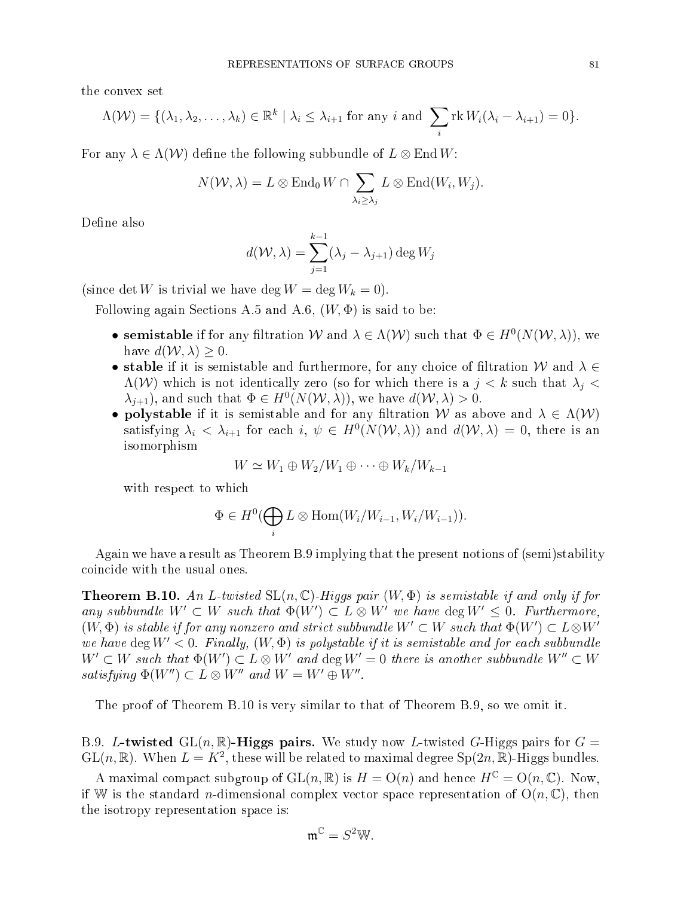the onvex set

$$
\Lambda(\mathcal{W}) = \{ (\lambda_1, \lambda_2, \dots, \lambda_k) \in \mathbb{R}^k \mid \lambda_i \leq \lambda_{i+1} \text{ for any } i \text{ and } \sum_i \text{rk } W_i(\lambda_i - \lambda_{i+1}) = 0 \}.
$$

For any  $\lambda \in \Lambda(\mathcal{W})$  define the following subbundle of  $L \otimes \text{End } W$ :

$$
N(W, \lambda) = L \otimes \text{End}_{0} W \cap \sum_{\lambda_{i} \geq \lambda_{j}} L \otimes \text{End}(W_{i}, W_{j}).
$$

Define also

$$
d(\mathcal{W}, \lambda) = \sum_{j=1}^{k-1} (\lambda_j - \lambda_{j+1}) \deg W_j
$$

(since det W is trivial we have deg  $W = \deg W_k = 0$ ).

Following again Sections A.5 and A.6,  $(W, \Phi)$  is said to be:

- semistable if for any filtration W and  $\lambda \in \Lambda(\mathcal{W})$  such that  $\Phi \in H^0(N(\mathcal{W},\lambda))$ , we have  $d(W, \lambda) \geq 0$ .
- stable if it is semistable and furthermore, for any choice of filtration W and  $\lambda \in$  $\Lambda(\mathcal{W})$  which is not identically zero (so for which there is a  $j < k$  such that  $\lambda_i <$  $\lambda_{j+1}$ , and such that  $\Phi \in H^0(N(\mathcal{W},\lambda))$ , we have  $d(\mathcal{W},\lambda) > 0$ .
- polystable if it is semistable and for any filtration W as above and  $\lambda \in \Lambda(\mathcal{W})$ satisfying  $\lambda_i < \lambda_{i+1}$  for each  $i, \psi \in H^0(N(\mathcal{W}, \lambda))$  and  $d(\mathcal{W}, \lambda) = 0$ , there is an isomorphism

$$
W \simeq W_1 \oplus W_2/W_1 \oplus \cdots \oplus W_k/W_{k-1}
$$

with respect to which

$$
\Phi \in H^0(\bigoplus_i L \otimes \text{Hom}(W_i/W_{i-1}, W_i/W_{i-1})).
$$

Again we have a result as Theorem B.9 implying that the present notions of (semi)stability oin
ide with the usual ones.

**Theorem B.10.** An L-twisted  $SL(n, \mathbb{C})$ -Higgs pair  $(W, \Phi)$  is semistable if and only if for any subbundle  $W' \subset W$  such that  $\Phi(W') \subset L \otimes W'$  we have  $\deg W' \leq 0$ . Furthermore,  $(W,\Phi)$  is stable if for any nonzero and strict subbundle  $W'\subset W$  such that  $\Phi(W')\subset L\mathop{\otimes} W'$ we have deg  $W' < 0$ . Finally,  $(W, \Phi)$  is polystable if it is semistable and for each subbundle  $W' \subset W$  such that  $\Phi(W') \subset L \otimes W'$  and  $\deg W' = 0$  there is another subbundle  $W'' \subset W$ satisfying  $\Phi(W'') \subset L \otimes W''$  and  $W = W' \oplus W''$ .

The proof of Theorem B.10 is very similar to that of Theorem B.9, so we omit it.

B.9. L-twisted  $GL(n, \mathbb{R})$ -Higgs pairs. We study now L-twisted G-Higgs pairs for  $G =$  $GL(n,\mathbb{R})$ . When  $L = K^2$ , these will be related to maximal degree  $Sp(2n,\mathbb{R})$ -Higgs bundles.

A maximal compact subgroup of  $GL(n, \mathbb{R})$  is  $H = O(n)$  and hence  $H^{\mathbb{C}} = O(n, \mathbb{C})$ . Now, if W is the standard *n*-dimensional complex vector space representation of  $O(n, \mathbb{C})$ , then the isotropy representation spa
e is:

$$
\mathfrak{m}^{\mathbb{C}} = S^2 \mathbb{W}.
$$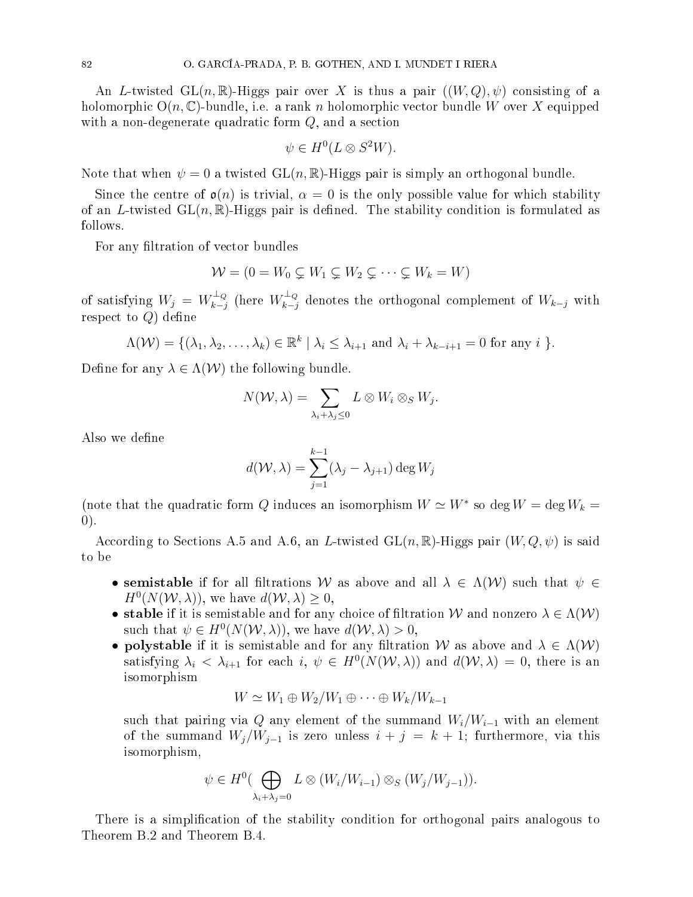An L-twisted  $GL(n,\mathbb{R})$ -Higgs pair over X is thus a pair  $((W,Q),\psi)$  consisting of a holomorphic  $O(n, \mathbb{C})$ -bundle, i.e. a rank n holomorphic vector bundle W over X equipped with a non-degenerate quadratic form  $Q$ , and a section

$$
\psi \in H^0(L \otimes S^2W).
$$

Note that when  $\psi = 0$  a twisted  $GL(n, \mathbb{R})$ -Higgs pair is simply an orthogonal bundle.

Since the centre of  $\mathfrak{o}(n)$  is trivial,  $\alpha = 0$  is the only possible value for which stability of an L-twisted  $GL(n,\mathbb{R})$ -Higgs pair is defined. The stability condition is formulated as follows.

For any filtration of vector bundles

$$
\mathcal{W} = (0 = W_0 \subsetneq W_1 \subsetneq W_2 \subsetneq \cdots \subsetneq W_k = W)
$$

of satisfying  $W_j = W_{k-j}^{\perp_Q}$  (here  $W_{k-j}^{\perp_Q}$  denotes the orthogonal complement of  $W_{k-j}$  with respect to  $Q$ ) define

$$
\Lambda(\mathcal{W}) = \{(\lambda_1, \lambda_2, \dots, \lambda_k) \in \mathbb{R}^k \mid \lambda_i \leq \lambda_{i+1} \text{ and } \lambda_i + \lambda_{k-i+1} = 0 \text{ for any } i \}.
$$

Define for any  $\lambda \in \Lambda(\mathcal{W})$  the following bundle.

$$
N(\mathcal{W}, \lambda) = \sum_{\lambda_i + \lambda_j \leq 0} L \otimes W_i \otimes_S W_j.
$$

Also we define

$$
d(\mathcal{W}, \lambda) = \sum_{j=1}^{k-1} (\lambda_j - \lambda_{j+1}) \deg W_j
$$

(note that the quadratic form  $Q$  induces an isomorphism  $W \simeq W^*$  so deg  $W = \deg W_k =$ 0).

According to Sections A.5 and A.6, an L-twisted  $GL(n,\mathbb{R})$ -Higgs pair  $(W,Q,\psi)$  is said to be

- semistable if for all filtrations W as above and all  $\lambda \in \Lambda(\mathcal{W})$  such that  $\psi \in$  $H^0(N(\mathcal{W},\lambda))$ , we have  $d(\mathcal{W},\lambda) \geq 0$ ,
- stable if it is semistable and for any choice of filtration W and nonzero  $\lambda \in \Lambda(W)$ such that  $\psi \in H^0(N(\mathcal{W},\lambda))$ , we have  $d(\mathcal{W},\lambda) > 0$ ,
- polystable if it is semistable and for any filtration W as above and  $\lambda \in \Lambda(\mathcal{W})$ satisfying  $\lambda_i < \lambda_{i+1}$  for each  $i, \psi \in H^0(N(\mathcal{W}, \lambda))$  and  $d(\mathcal{W}, \lambda) = 0$ , there is an isomorphism

$$
W \simeq W_1 \oplus W_2/W_1 \oplus \cdots \oplus W_k/W_{k-1}
$$

such that pairing via Q any element of the summand  $W_i/W_{i-1}$  with an element of the summand  $W_j/W_{j-1}$  is zero unless  $i + j = k + 1$ ; furthermore, via this isomorphism,

$$
\psi \in H^0(\bigoplus_{\lambda_i + \lambda_j = 0} L \otimes (W_i/W_{i-1}) \otimes_S (W_j/W_{j-1})).
$$

There is a simplification of the stability condition for orthogonal pairs analogous to Theorem B.2 and Theorem B.4.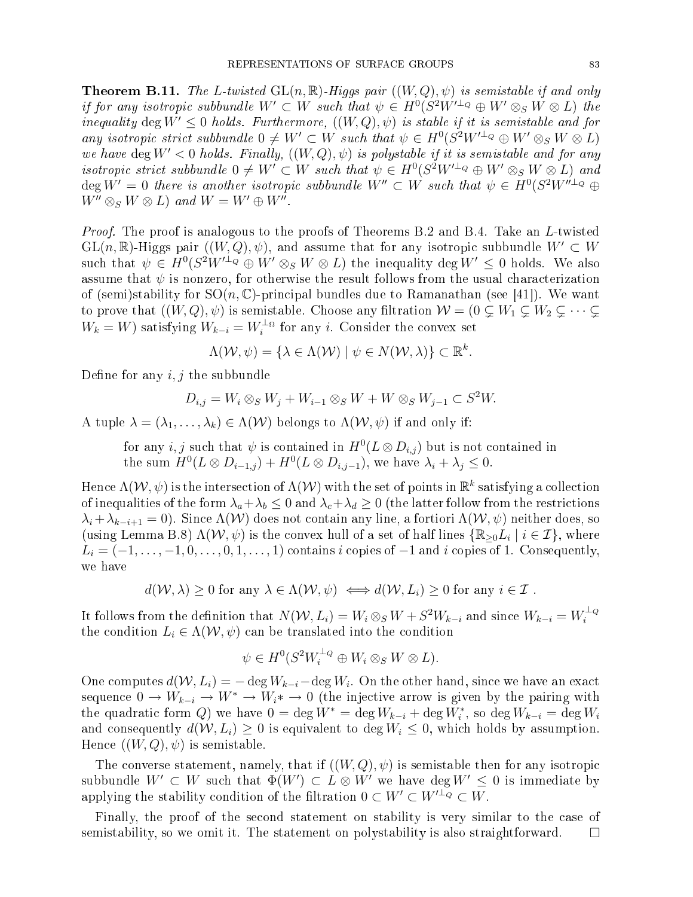**Theorem B.11.** The L-twisted  $GL(n, \mathbb{R})$ -Higgs pair  $((W, Q), \psi)$  is semistable if and only if for any isotropic subbundle  $W' \subset W$  such that  $\psi \in H^0(S^2 W'^{\perp_Q} \oplus W' \otimes_S W \otimes L)$  the inequality deg  $W' \leq 0$  holds. Furthermore,  $((W, Q), \psi)$  is stable if it is semistable and for any isotropic strict subbundle  $0 \neq W' \subset W$  such that  $\psi \in H^0(S^2 W'^{\perp_Q} \oplus W' \otimes_S W \otimes L)$ we have deg  $W' < 0$  holds. Finally,  $((W, Q), \psi)$  is polystable if it is semistable and for any isotropic strict subbundle  $0 \neq W' \subset W$  such that  $\psi \in H^0(S^2 W'^{\perp_Q} \oplus W' \otimes_S W \otimes L)$  and  $\deg W' = 0$  there is another isotropic subbundle  $W'' \subset W$  such that  $\psi \in H^0(S^2 W''^{\perp_Q} \oplus$  $W'' \otimes_S W \otimes L$  and  $W = W' \oplus W''$ .

Proof. The proof is analogous to the proofs of Theorems B.2 and B.4. Take an L-twisted  $GL(n,\mathbb{R})$ -Higgs pair  $((W,Q),\psi)$ , and assume that for any isotropic subbundle  $W' \subset W$ such that  $\psi \in H^0(S^2W'^{\perp_Q} \oplus W' \otimes_S W \otimes L)$  the inequality  $\deg W' \leq 0$  holds. We also assume that  $\psi$  is nonzero, for otherwise the result follows from the usual characterization of (semi)stability for  $SO(n, \mathbb{C})$ -principal bundles due to Ramanathan (see [41]). We want to prove that  $((W,Q), \psi)$  is semistable. Choose any filtration  $W = (0 \subsetneq W_1 \subsetneq W_2 \subsetneq \cdots \subsetneq$  $W_k = W$ ) satisfying  $W_{k-i} = W_i^{\perp_{\Omega}}$  for any *i*. Consider the convex set

$$
\Lambda(\mathcal{W}, \psi) = \{ \lambda \in \Lambda(\mathcal{W}) \mid \psi \in N(\mathcal{W}, \lambda) \} \subset \mathbb{R}^k.
$$

Define for any  $i, j$  the subbundle

$$
D_{i,j} = W_i \otimes_S W_j + W_{i-1} \otimes_S W + W \otimes_S W_{j-1} \subset S^2 W.
$$

A tuple  $\lambda = (\lambda_1, \ldots, \lambda_k) \in \Lambda(\mathcal{W})$  belongs to  $\Lambda(\mathcal{W}, \psi)$  if and only if:

for any  $i, j$  such that  $\psi$  is contained in  $H^0(L \otimes D_{i,j})$  but is not contained in the sum  $H^0(L \otimes D_{i-1,j}) + H^0(L \otimes D_{i,j-1}),$  we have  $\lambda_i + \lambda_j \leq 0.$ 

Hence  $\Lambda({\mathcal W},\psi)$  is the intersection of  $\Lambda({\mathcal W})$  with the set of points in  $\mathbb{R}^k$  satisfying a collection of inequalities of the form  $\lambda_a + \lambda_b \leq 0$  and  $\lambda_c + \lambda_d \geq 0$  (the latter follow from the restrictions  $\lambda_i + \lambda_{k-i+1} = 0$ ). Since  $\Lambda(\mathcal{W})$  does not contain any line, a fortiori  $\Lambda(\mathcal{W}, \psi)$  neither does, so (using Lemma B.8)  $\Lambda(W, \psi)$  is the convex hull of a set of half lines  $\{\mathbb{R}_{\geq 0}L_i \mid i \in \mathcal{I}\}\)$ , where  $L_i = (-1, \ldots, -1, 0, \ldots, 0, 1, \ldots, 1)$  contains i copies of  $-1$  and i copies of 1. Consequently, we have

$$
d(W, \lambda) \ge 0
$$
 for any  $\lambda \in \Lambda(W, \psi) \iff d(W, L_i) \ge 0$  for any  $i \in \mathcal{I}$ .

It follows from the definition that  $N(W, L_i) = W_i \otimes_S W + S^2 W_{k-i}$  and since  $W_{k-i} = W_i^{\perp_Q}$ the condition  $L_i \in \Lambda(W, \psi)$  can be translated into the condition

$$
\psi \in H^0(S^2W_i^{\perp_Q} \oplus W_i \otimes_S W \otimes L).
$$

One computes  $d(W, L_i) = -\deg W_{k-i} - \deg W_i$ . On the other hand, since we have an exact sequence  $0 \to W_{k-i} \to W^* \to W_i^* \to 0$  (the injective arrow is given by the pairing with the quadratic form Q) we have  $0 = \deg W^* = \deg W_{k-i} + \deg W_i^*$ , so  $\deg W_{k-i} = \deg W_i$ and consequently  $d(W, L_i) \geq 0$  is equivalent to deg  $W_i \leq 0$ , which holds by assumption. Hence  $((W, Q), \psi)$  is semistable.

The converse statement, namely, that if  $((W,Q), \psi)$  is semistable then for any isotropic subbundle  $W'\subset W$  such that  $\Phi(W')\subset L\otimes W'$  we have  $\deg W'\leq 0$  is immediate by applying the stability condition of the filtration  $0 \subset W' \subset W'^{\perp_Q} \subset W$ .

Finally, the proof of the second statement on stability is very similar to the case of semistability, so we omit it. The statement on polystability is also straightforward.  $\square$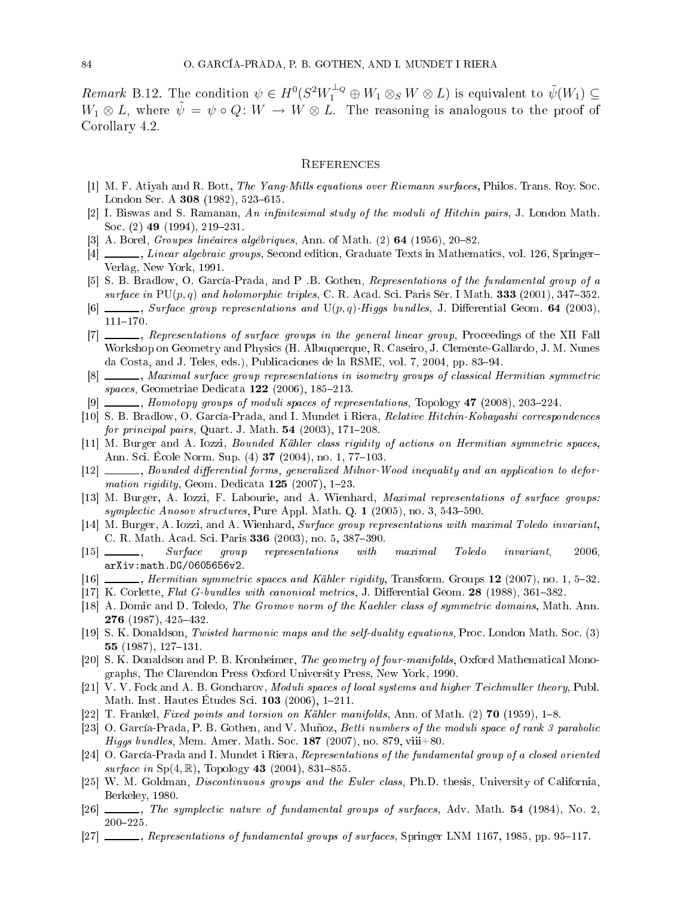Remark B.12. The condition  $\psi \in H^0(S^2W_1^{\perp_Q} \oplus W_1 \otimes_S W \otimes L)$  is equivalent to  $\tilde{\psi}(W_1) \subseteq$  $W_1 \otimes L$ , where  $\tilde{\psi} = \psi \circ Q \colon W \to W \otimes L$ . The reasoning is analogous to the proof of Corollary 4.2.

## REFERENCES

- [1] M. F. Atiyah and R. Bott, The Yang-Mills equations over Riemann surfaces, Philos. Trans. Roy. Soc. London Ser. A  $308$  (1982), 523-615.
- [2] I. Biswas and S. Ramanan, An infinitesimal study of the moduli of Hitchin pairs, J. London Math. Soc.  $(2)$  49  $(1994)$ , 219-231.
- [3] A. Borel, Groupes linéaires algébriques, Ann. of Math.  $(2)$  64 (1956), 20–82.
- [4]  $\frac{1}{2}$ , Linear algebraic groups, Second edition, Graduate Texts in Mathematics, vol. 126, Springer-Verlag, New York, 1991.
- [5] S. B. Bradlow, O. García-Prada, and P. B. Gothen, Representations of the fundamental group of a surface in  $PU(p,q)$  and holomorphic triples, C. R. Acad. Sci. Paris Sér. I Math. 333 (2001), 347-352.
- [6]  $\Box$ , Surface group representations and U(p,q)-Higgs bundles, J. Differential Geom. 64 (2003),  $111 - 170.$
- [7]  $\ldots$ , Representations of surface groups in the general linear group, Proceedings of the XII Fall Workshop on Geometry and Physi
s (H. Albuquerque, R. Caseiro, J. Clemente-Gallardo, J. M. Nunes da Costa, and J. Teles, eds.), Publicaciones de la RSME, vol. 7, 2004, pp. 83–94.
- [8]  $\Box$ , Maximal surface group representations in isometry groups of classical Hermitian symmetric spaces, Geometriae Dedicata 122 (2006), 185-213.
- [9]  $\_\_\_\_\$ , Homotopy groups of moduli spaces of representations, Topology 47 (2008), 203-224.
- [10] S. B. Bradlow, O. García-Prada, and I. Mundet i Riera, Relative Hitchin-Kobayashi correspondences  $for \ principal \ pairs, \ Quart. J. Math. 54 (2003), 171–208.$
- [11] M. Burger and A. Iozzi, *Bounded Kähler class rigidity of actions on Hermitian symmetric spaces*, Ann. Sci. École Norm. Sup. (4) **37** (2004), no. 1, 77–103.
- [12] \_\_\_\_\_, Bounded differential forms, generalized Milnor-Wood inequality and an application to deformation rigidity, Geom. Dedicata  $125$  (2007), 1-23.
- [13] M. Burger, A. Iozzi, F. Labourie, and A. Wienhard, *Maximal representations of surface groups:*  $symplectic\ Anosov structures, Pure Appl. Math. Q. 1 (2005), no. 3, 543-590.$
- [14] M. Burger, A. Iozzi, and A. Wienhard, Surface group representations with maximal Toledo invariant, C. R. Math. Acad. Sci. Paris 336 (2003), no. 5, 387-390.
- [15] \_\_\_\_\_, Surface group representations with maximal Toledo invariant, 2006, arXiv:math.DG/0605656v2.
- $[16]$  *Mermitian symmetric spaces and Kähler rigidity*, Transform. Groups 12 (2007), no. 1, 5–32.
- [17] K. Corlette, Flat G-bundles with canonical metrics, J. Differential Geom.  $28$  (1988), 361–382.
- [18] A. Domic and D. Toledo, *The Gromov norm of the Kaehler class of symmetric domains*, Math. Ann. 276  $(1987)$ ,  $425-432$ .
- [19] S. K. Donaldson, Twisted harmonic maps and the self-duality equations, Proc. London Math. Soc. (3) 55  $(1987), 127-131.$
- [20] S. K. Donaldson and P. B. Kronheimer, *The geometry of four-manifolds*, Oxford Mathematical Monographs, The Clarendon Press Oxford University Press, New York, 1990.
- [21] V. V. Fock and A. B. Goncharov, Moduli spaces of local systems and higher Teichmuller theory, Publ. Math. Inst. Hautes Études Sci.  $103$  (2006), 1-211.
- [22] T. Frankel, Fixed points and torsion on Kähler manifolds, Ann. of Math. (2) **70** (1959), 1–8.
- [23] O. García-Prada, P. B. Gothen, and V. Muñoz, Betti numbers of the moduli space of rank 3 parabolic Higgs bundles, Mem. Amer. Math. Soc. 187 (2007), no. 879, viii+80.
- [24] O. García-Prada and I. Mundet i Riera, Representations of the fundamental group of a closed oriented surface in  $Sp(4, \mathbb{R})$ , Topology 43 (2004), 831-855.
- [25] W. M. Goldman, *Discontinuous groups and the Euler class*, Ph.D. thesis, University of California, Berkeley, 1980.
- $[26]$   $\_\_\_\_\_\$ n, The symplectic nature of fundamental groups of surfaces, Adv. Math. 54 (1984), No. 2, 200225.
- $[27]$  \_\_\_\_, Representations of fundamental groups of surfaces, Springer LNM 1167, 1985, pp. 95–117.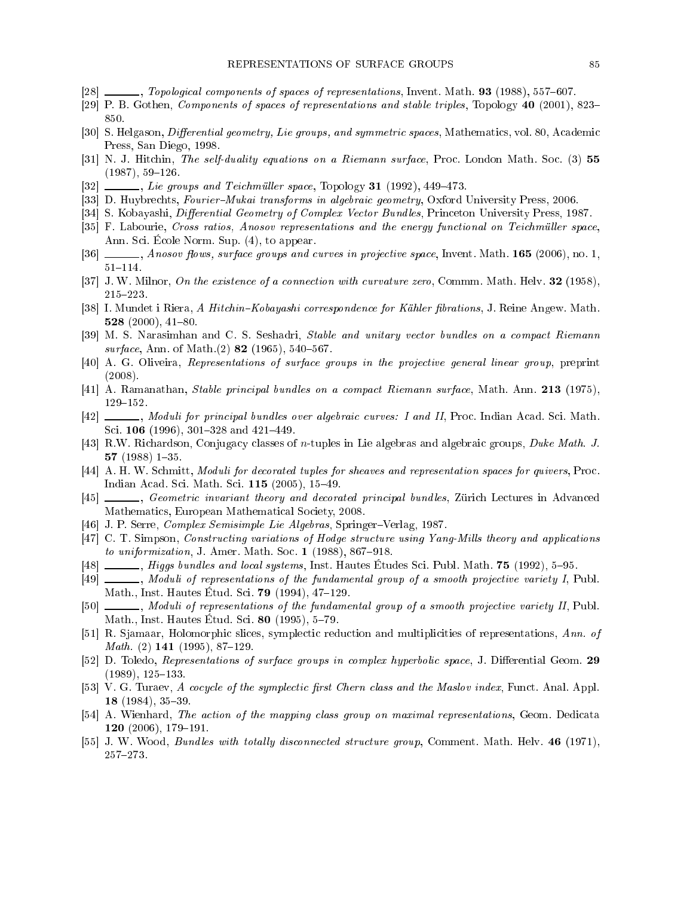- [28] \_\_\_\_, Topological components of spaces of representations, Invent. Math. 93 (1988), 557-607.
- [29] P. B. Gothen, Components of spaces of representations and stable triples, Topology 40 (2001), 823– 850.
- [30] S. Helgason, *Differential geometry, Lie groups, and symmetric spaces*, Mathematics, vol. 80, Academic Press, San Diego, 1998.
- [31] N. J. Hitchin, *The self-duality equations on a Riemann surface*, Proc. London Math. Soc. (3) 55  $(1987), 59-126.$
- $[32]$  \_\_\_\_, Lie groups and Teichmüller space, Topology 31  $(1992)$ , 449-473.
- [33] D. Huybrechts, *Fourier–Mukai transforms in algebraic geometry*, Oxford University Press, 2006.
- [34] S. Kobayashi, *Differential Geometry of Complex Vector Bundles*, Princeton University Press, 1987.
- [35] F. Labourie, Cross ratios, Anosov representations and the energy functional on Teichmüller space, Ann. Sci. École Norm. Sup. (4), to appear.
- [36] Mosov flows, surface groups and curves in projective space, Invent. Math. 165 (2006), no. 1,  $51 - 114.$
- [37] J. W. Milnor, On the existence of a connection with curvature zero, Commm. Math. Helv. 32 (1958), 215223.
- [38] I. Mundet i Riera, A Hitchin–Kobayashi correspondence for Kähler fibrations, J. Reine Angew. Math. 528  $(2000)$ , 41-80.
- [39] M. S. Narasimhan and C. S. Seshadri, Stable and unitary vector bundles on a compact Riemann  $surface, Ann. of Math. (2) 82 (1965), 540-567.$
- [40] A. G. Oliveira, Representations of surface groups in the projective general linear group, preprint (2008).
- $[41]$  A. Ramanathan, *Stable principal bundles on a compact Riemann surface*, Math. Ann. 213 (1975),  $129 - 152$ .
- [42] \_\_\_\_, Moduli for principal bundles over algebraic curves: I and II, Proc. Indian Acad. Sci. Math. Sci. 106 (1996), 301-328 and 421-449.
- [43] R.W. Richardson, Conjugacy classes of *n*-tuples in Lie algebras and algebraic groups, *Duke Math. J.* 57 $(1988)$  1-35.
- [44] A. H. W. Schmitt, *Moduli for decorated tuples for sheaves and representation spaces for quivers*, Proc. Indian Acad. Sci. Math. Sci. 115 (2005), 15-49.
- [45] \_\_\_\_, Geometric invariant theory and decorated principal bundles, Zürich Lectures in Advanced Mathematics, European Mathematical Society, 2008.
- [46] J. P. Serre, *Complex Semisimple Lie Algebras*, Springer–Verlag, 1987.
- [47] C. T. Simpson, *Constructing variations of Hodge structure using Yang-Mills theory and applications* to uniformization, J. Amer. Math. Soc.  $1$  (1988), 867–918.
- [48]  $\_\_\_\_\$  , Higgs bundles and local systems, Inst. Hautes Études Sci. Publ. Math. 75 (1992), 5–95.
- [49] \_\_\_\_, Moduli of representations of the fundamental group of a smooth projective variety I, Publ. Math., Inst. Hautes Étud. Sci. **79** (1994), 47–129.
- [50] Moduli of representations of the fundamental group of a smooth projective variety II, Publ. Math., Inst. Hautes Étud. Sci. 80 (1995), 5-79.
- [51] R. Sjamaar, Holomorphic slices, symplectic reduction and multiplicities of representations, Ann. of *Math.* (2)  $141$  (1995), 87-129.
- [52] D. Toledo, Representations of surface groups in complex hyperbolic space, J. Differential Geom. 29  $(1989), 125-133.$
- [53] V. G. Turaev, A cocycle of the symplectic first Chern class and the Maslov index, Funct. Anal. Appl. 18  $(1984)$ , 35-39.
- [54] A. Wienhard, The action of the mapping class group on maximal representations, Geom. Dedicata 120  $(2006)$ , 179-191.
- [55] J. W. Wood, Bundles with totally disconnected structure group, Comment. Math. Helv. 46 (1971), 257273.